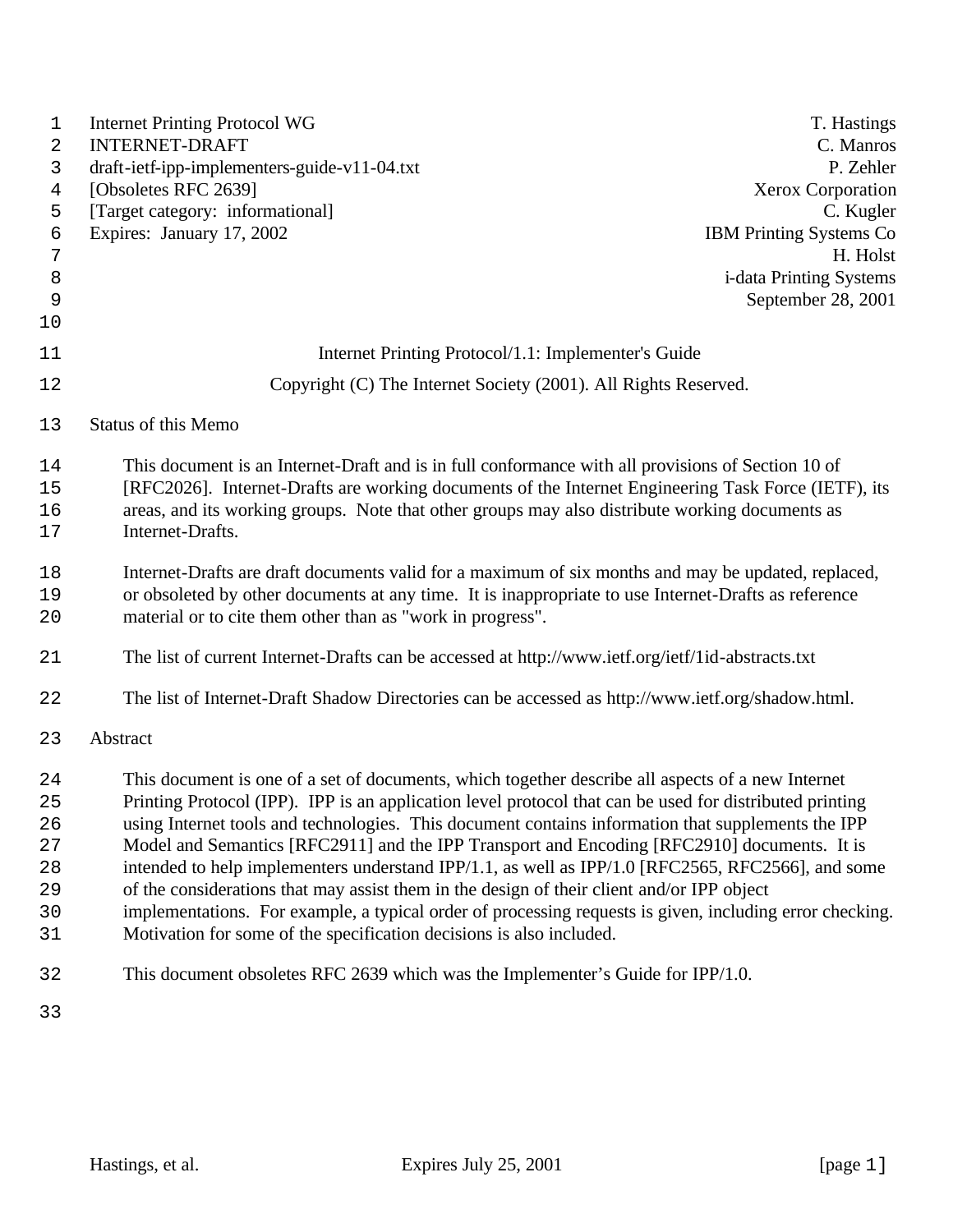| 1      | <b>Internet Printing Protocol WG</b><br><b>INTERNET-DRAFT</b>                                            | T. Hastings<br>C. Manros       |
|--------|----------------------------------------------------------------------------------------------------------|--------------------------------|
| 2      | draft-ietf-ipp-implementers-guide-v11-04.txt                                                             | P. Zehler                      |
| 3<br>4 | [Obsoletes RFC 2639]                                                                                     | <b>Xerox Corporation</b>       |
| 5      | [Target category: informational]                                                                         | C. Kugler                      |
| 6      | Expires: January 17, 2002                                                                                | <b>IBM Printing Systems Co</b> |
| 7      |                                                                                                          | H. Holst                       |
| 8      |                                                                                                          | i-data Printing Systems        |
| 9      |                                                                                                          | September 28, 2001             |
| 10     |                                                                                                          |                                |
| 11     | Internet Printing Protocol/1.1: Implementer's Guide                                                      |                                |
| 12     | Copyright (C) The Internet Society (2001). All Rights Reserved.                                          |                                |
| 13     | <b>Status of this Memo</b>                                                                               |                                |
| 14     | This document is an Internet-Draft and is in full conformance with all provisions of Section 10 of       |                                |
| 15     | [RFC2026]. Internet-Drafts are working documents of the Internet Engineering Task Force (IETF), its      |                                |
| 16     | areas, and its working groups. Note that other groups may also distribute working documents as           |                                |
| 17     | Internet-Drafts.                                                                                         |                                |
| 18     | Internet-Drafts are draft documents valid for a maximum of six months and may be updated, replaced,      |                                |
| 19     | or obsoleted by other documents at any time. It is inappropriate to use Internet-Drafts as reference     |                                |
| 20     | material or to cite them other than as "work in progress".                                               |                                |
| 21     | The list of current Internet-Drafts can be accessed at http://www.ietf.org/ietf/1id-abstracts.txt        |                                |
| 22     | The list of Internet-Draft Shadow Directories can be accessed as http://www.ietf.org/shadow.html.        |                                |
| 23     | Abstract                                                                                                 |                                |
| 24     | This document is one of a set of documents, which together describe all aspects of a new Internet        |                                |
| 25     | Printing Protocol (IPP). IPP is an application level protocol that can be used for distributed printing  |                                |
| 26     | using Internet tools and technologies. This document contains information that supplements the IPP       |                                |
| 27     | Model and Semantics [RFC2911] and the IPP Transport and Encoding [RFC2910] documents. It is              |                                |
| 28     | intended to help implementers understand IPP/1.1, as well as IPP/1.0 [RFC2565, RFC2566], and some        |                                |
| 29     | of the considerations that may assist them in the design of their client and/or IPP object               |                                |
| 30     | implementations. For example, a typical order of processing requests is given, including error checking. |                                |
| 31     | Motivation for some of the specification decisions is also included.                                     |                                |
| 32     | This document obsoletes RFC 2639 which was the Implementer's Guide for IPP/1.0.                          |                                |
| 33     |                                                                                                          |                                |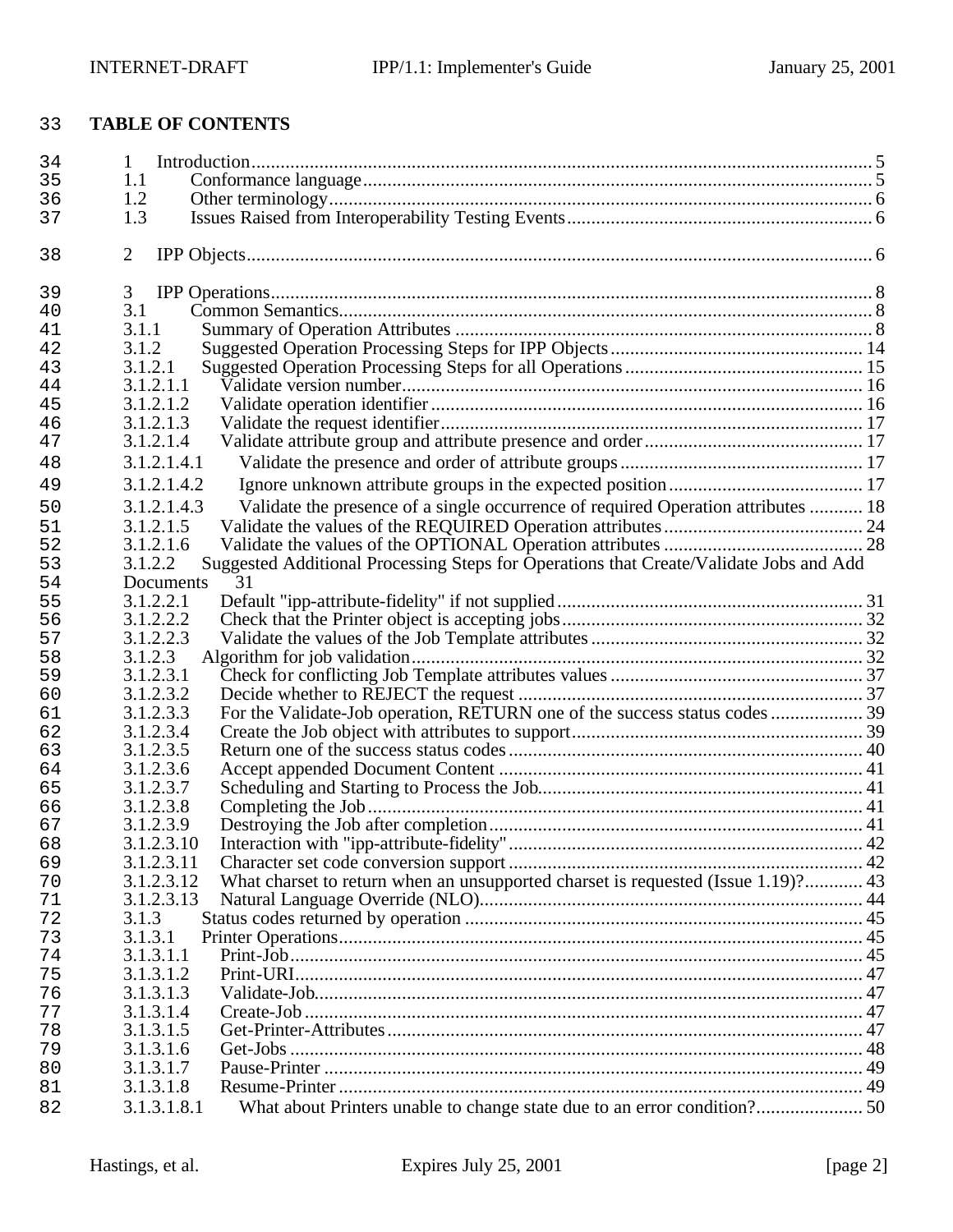# **TABLE OF CONTENTS**

| 34       | 1                                                                                                       |  |
|----------|---------------------------------------------------------------------------------------------------------|--|
| 35       | 1.1                                                                                                     |  |
| 36       | 1.2                                                                                                     |  |
| 37       | 1.3                                                                                                     |  |
| 38       | $\overline{2}$                                                                                          |  |
| 39       | 3                                                                                                       |  |
| 40       | 3.1                                                                                                     |  |
| 41       | 3.1.1                                                                                                   |  |
| 42       | 3.1.2                                                                                                   |  |
| 43       | 3.1.2.1                                                                                                 |  |
| 44       | 3.1.2.1.1                                                                                               |  |
| 45       | 3.1.2.1.2                                                                                               |  |
| 46       | 3.1.2.1.3                                                                                               |  |
| 47       | 3.1.2.1.4                                                                                               |  |
| 48       | 3.1.2.1.4.1                                                                                             |  |
| 49       | 3.1.2.1.4.2                                                                                             |  |
| 50       | Validate the presence of a single occurrence of required Operation attributes  18<br>3.1.2.1.4.3        |  |
|          |                                                                                                         |  |
| 51       | 3.1.2.1.5                                                                                               |  |
| 52       | 3.1.2.1.6                                                                                               |  |
| 53       | Suggested Additional Processing Steps for Operations that Create/Validate Jobs and Add<br>3.1.2.2<br>31 |  |
| 54<br>55 | Documents<br>3.1.2.2.1                                                                                  |  |
|          |                                                                                                         |  |
| 56       | 3.1.2.2.2<br>3.1.2.2.3                                                                                  |  |
| 57       |                                                                                                         |  |
| 58       | 3.1.2.3<br>3.1.2.3.1                                                                                    |  |
| 59<br>60 | 3.1.2.3.2                                                                                               |  |
| 61       | For the Validate-Job operation, RETURN one of the success status codes  39<br>3.1.2.3.3                 |  |
| 62       | 3.1.2.3.4                                                                                               |  |
| 63       | 3.1.2.3.5                                                                                               |  |
| 64       | 3.1.2.3.6                                                                                               |  |
| 65       | 3.1.2.3.7                                                                                               |  |
| 66       | 3.1.2.3.8                                                                                               |  |
| 67       | 3.1.2.3.9                                                                                               |  |
| 68       | 3.1.2.3.10                                                                                              |  |
| 69       | 3.1.2.3.11                                                                                              |  |
| 70       | What charset to return when an unsupported charset is requested (Issue 1.19)? 43<br>3.1.2.3.12          |  |
| 71       | 3.1.2.3.13                                                                                              |  |
| 72       | 3.1.3                                                                                                   |  |
| 73       | 3.1.3.1                                                                                                 |  |
| 74       | 3.1.3.1.1                                                                                               |  |
| 75       | 3.1.3.1.2                                                                                               |  |
| 76       | 3.1.3.1.3                                                                                               |  |
| 77       | 3.1.3.1.4                                                                                               |  |
| 78       | 3.1.3.1.5                                                                                               |  |
| 79       | 3.1.3.1.6                                                                                               |  |
| 80       | 3.1.3.1.7                                                                                               |  |
| 81       | 3.1.3.1.8                                                                                               |  |
| 82       | 3.1.3.1.8.1                                                                                             |  |
|          |                                                                                                         |  |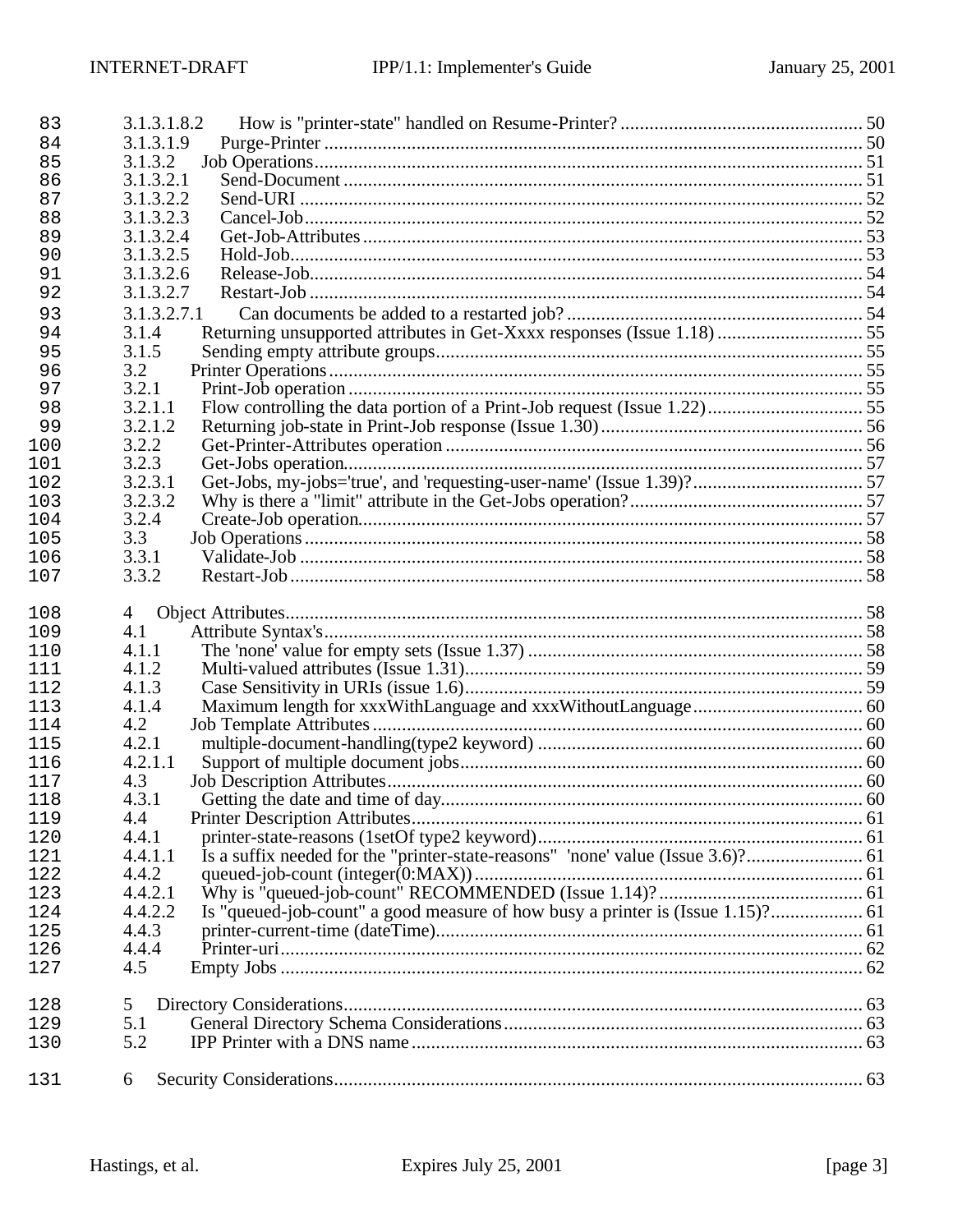| 83         | 3.1.3.1.8.2                                                                      |  |
|------------|----------------------------------------------------------------------------------|--|
| 84         | 3.1.3.1.9                                                                        |  |
| 85         | 3.1.3.2                                                                          |  |
| 86         | 3.1.3.2.1                                                                        |  |
| 87         | 3.1.3.2.2                                                                        |  |
| 88         | 3.1.3.2.3                                                                        |  |
| 89         | 3.1.3.2.4                                                                        |  |
| 90         | 3.1.3.2.5                                                                        |  |
| 91         | 3.1.3.2.6                                                                        |  |
| 92         | 3.1.3.2.7                                                                        |  |
| 93         | 3.1.3.2.7.1                                                                      |  |
| 94         | Returning unsupported attributes in Get-Xxxx responses (Issue 1.18)  55<br>3.1.4 |  |
| 95         | 3.1.5                                                                            |  |
| 96         | 3.2                                                                              |  |
| 97         | 3.2.1                                                                            |  |
| 98         | 3.2.1.1                                                                          |  |
| 99         | 3.2.1.2                                                                          |  |
| 100        | 3.2.2                                                                            |  |
| 101        | 3.2.3                                                                            |  |
| 102        | 3.2.3.1                                                                          |  |
| 103        | 3.2.3.2                                                                          |  |
| 104        | 3.2.4                                                                            |  |
| 105<br>106 | 3.3<br>3.3.1                                                                     |  |
| 107        | 3.3.2                                                                            |  |
|            |                                                                                  |  |
| 108        | 4                                                                                |  |
| 109        | 4.1                                                                              |  |
| 110        | 4.1.1                                                                            |  |
| 111        | 4.1.2                                                                            |  |
| 112        | 4.1.3                                                                            |  |
| 113        | 4.1.4                                                                            |  |
| 114        | 4.2                                                                              |  |
| 115        | 4.2.1                                                                            |  |
| 116        | 4.2.1.1                                                                          |  |
| 117        | 4.3                                                                              |  |
| 118        | 4.3.1                                                                            |  |
| 119        | 4.4                                                                              |  |
| 120        | 4.4.1                                                                            |  |
| 121        | 4.4.1.1                                                                          |  |
| 122        | 4.4.2                                                                            |  |
| 123        | 4.4.2.1                                                                          |  |
| 124        | 4.4.2.2                                                                          |  |
| 125        | 4.4.3                                                                            |  |
| 126        | 4.4.4                                                                            |  |
| 127        | 4.5                                                                              |  |
| 128        | 5                                                                                |  |
| 129        | 5.1                                                                              |  |
| 130        | 5.2                                                                              |  |
| 131        | 6                                                                                |  |
|            |                                                                                  |  |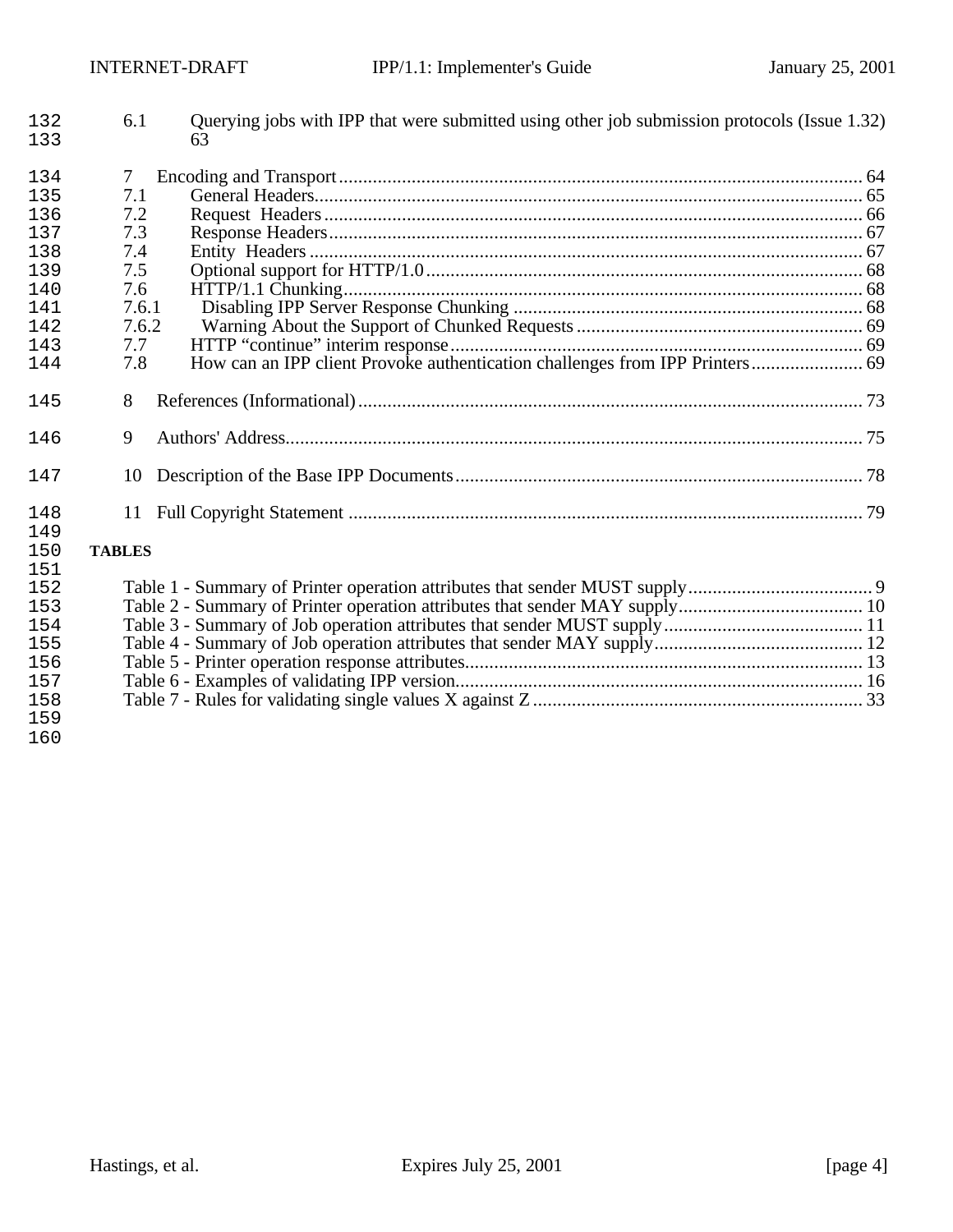| 132<br>133 | 6.1           | Querying jobs with IPP that were submitted using other job submission protocols (Issue 1.32)<br>63 |  |
|------------|---------------|----------------------------------------------------------------------------------------------------|--|
| 134        | 7             |                                                                                                    |  |
| 135        | 7.1           |                                                                                                    |  |
| 136        | 7.2           |                                                                                                    |  |
| 137        | 7.3           |                                                                                                    |  |
| 138        | 7.4           |                                                                                                    |  |
| 139        | 7.5           |                                                                                                    |  |
| 140        | 7.6           |                                                                                                    |  |
| 141        | 7.6.1         |                                                                                                    |  |
| 142        | 7.6.2         |                                                                                                    |  |
| 143        | 7.7           |                                                                                                    |  |
| 144        | 7.8           |                                                                                                    |  |
| 145        | 8             |                                                                                                    |  |
| 146        | 9             |                                                                                                    |  |
| 147        | 10            |                                                                                                    |  |
| 148        | 11            |                                                                                                    |  |
| 149        |               |                                                                                                    |  |
| 150        | <b>TABLES</b> |                                                                                                    |  |
| 151        |               |                                                                                                    |  |
| 152        |               |                                                                                                    |  |
| 153        |               |                                                                                                    |  |
| 154        |               |                                                                                                    |  |
| 155        |               |                                                                                                    |  |
| 156        |               |                                                                                                    |  |
| 157        |               |                                                                                                    |  |
| 158        |               |                                                                                                    |  |
| 159        |               |                                                                                                    |  |
| 160        |               |                                                                                                    |  |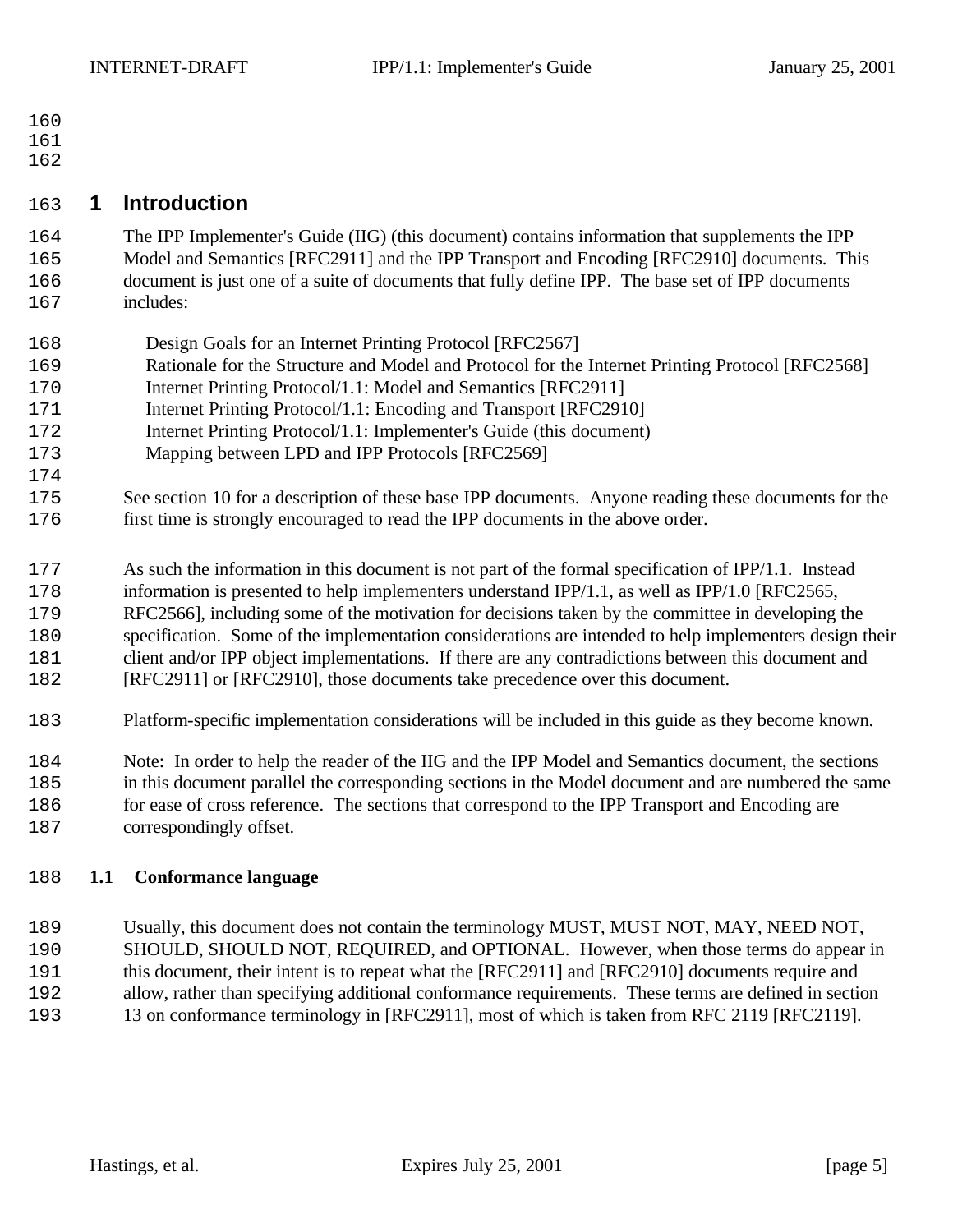- 
- 
- 

# **1 Introduction**

 The IPP Implementer's Guide (IIG) (this document) contains information that supplements the IPP Model and Semantics [RFC2911] and the IPP Transport and Encoding [RFC2910] documents. This document is just one of a suite of documents that fully define IPP. The base set of IPP documents includes:

- Design Goals for an Internet Printing Protocol [RFC2567]
- Rationale for the Structure and Model and Protocol for the Internet Printing Protocol [RFC2568]
- Internet Printing Protocol/1.1: Model and Semantics [RFC2911]
- Internet Printing Protocol/1.1: Encoding and Transport [RFC2910]
- Internet Printing Protocol/1.1: Implementer's Guide (this document)
- Mapping between LPD and IPP Protocols [RFC2569]
- See section 10 for a description of these base IPP documents. Anyone reading these documents for the first time is strongly encouraged to read the IPP documents in the above order.
- As such the information in this document is not part of the formal specification of IPP/1.1. Instead
- information is presented to help implementers understand IPP/1.1, as well as IPP/1.0 [RFC2565,
- RFC2566], including some of the motivation for decisions taken by the committee in developing the
- specification. Some of the implementation considerations are intended to help implementers design their
- client and/or IPP object implementations. If there are any contradictions between this document and
- [RFC2911] or [RFC2910], those documents take precedence over this document.
- Platform-specific implementation considerations will be included in this guide as they become known.
- Note: In order to help the reader of the IIG and the IPP Model and Semantics document, the sections in this document parallel the corresponding sections in the Model document and are numbered the same for ease of cross reference. The sections that correspond to the IPP Transport and Encoding are
- correspondingly offset.

# **1.1 Conformance language**

- Usually, this document does not contain the terminology MUST, MUST NOT, MAY, NEED NOT, SHOULD, SHOULD NOT, REQUIRED, and OPTIONAL. However, when those terms do appear in this document, their intent is to repeat what the [RFC2911] and [RFC2910] documents require and allow, rather than specifying additional conformance requirements. These terms are defined in section
- 13 on conformance terminology in [RFC2911], most of which is taken from RFC 2119 [RFC2119].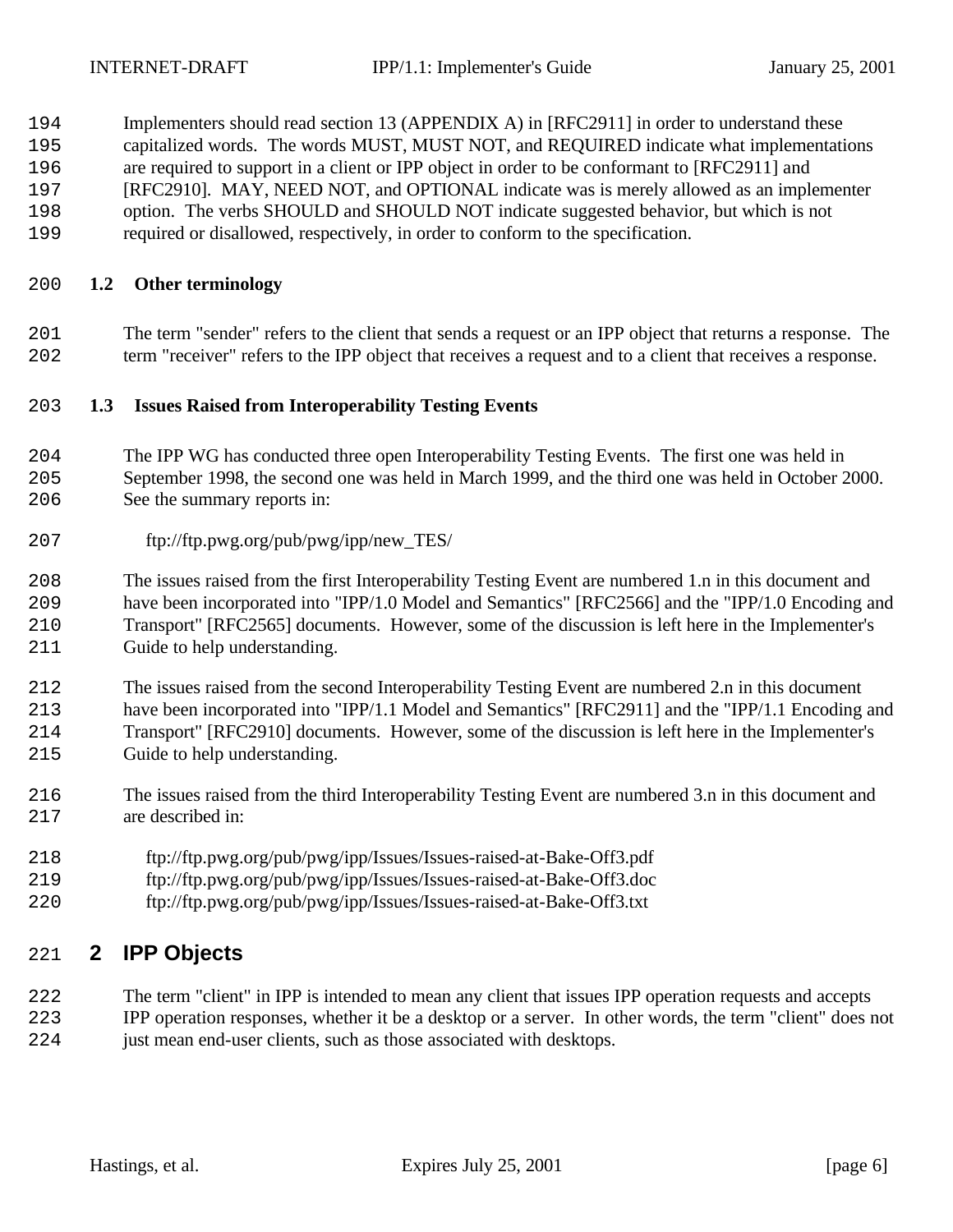- Implementers should read section 13 (APPENDIX A) in [RFC2911] in order to understand these capitalized words. The words MUST, MUST NOT, and REQUIRED indicate what implementations are required to support in a client or IPP object in order to be conformant to [RFC2911] and
- [RFC2910]. MAY, NEED NOT, and OPTIONAL indicate was is merely allowed as an implementer
- option. The verbs SHOULD and SHOULD NOT indicate suggested behavior, but which is not
- required or disallowed, respectively, in order to conform to the specification.

## **1.2 Other terminology**

 The term "sender" refers to the client that sends a request or an IPP object that returns a response. The term "receiver" refers to the IPP object that receives a request and to a client that receives a response.

## **1.3 Issues Raised from Interoperability Testing Events**

- The IPP WG has conducted three open Interoperability Testing Events. The first one was held in September 1998, the second one was held in March 1999, and the third one was held in October 2000. See the summary reports in:
- ftp://ftp.pwg.org/pub/pwg/ipp/new\_TES/

 The issues raised from the first Interoperability Testing Event are numbered 1.n in this document and have been incorporated into "IPP/1.0 Model and Semantics" [RFC2566] and the "IPP/1.0 Encoding and Transport" [RFC2565] documents. However, some of the discussion is left here in the Implementer's Guide to help understanding.

 The issues raised from the second Interoperability Testing Event are numbered 2.n in this document have been incorporated into "IPP/1.1 Model and Semantics" [RFC2911] and the "IPP/1.1 Encoding and Transport" [RFC2910] documents. However, some of the discussion is left here in the Implementer's Guide to help understanding.

- The issues raised from the third Interoperability Testing Event are numbered 3.n in this document and are described in:
- ftp://ftp.pwg.org/pub/pwg/ipp/Issues/Issues-raised-at-Bake-Off3.pdf
- ftp://ftp.pwg.org/pub/pwg/ipp/Issues/Issues-raised-at-Bake-Off3.doc
- ftp://ftp.pwg.org/pub/pwg/ipp/Issues/Issues-raised-at-Bake-Off3.txt

# **2 IPP Objects**

- The term "client" in IPP is intended to mean any client that issues IPP operation requests and accepts
- IPP operation responses, whether it be a desktop or a server. In other words, the term "client" does not 224 just mean end-user clients, such as those associated with desktops.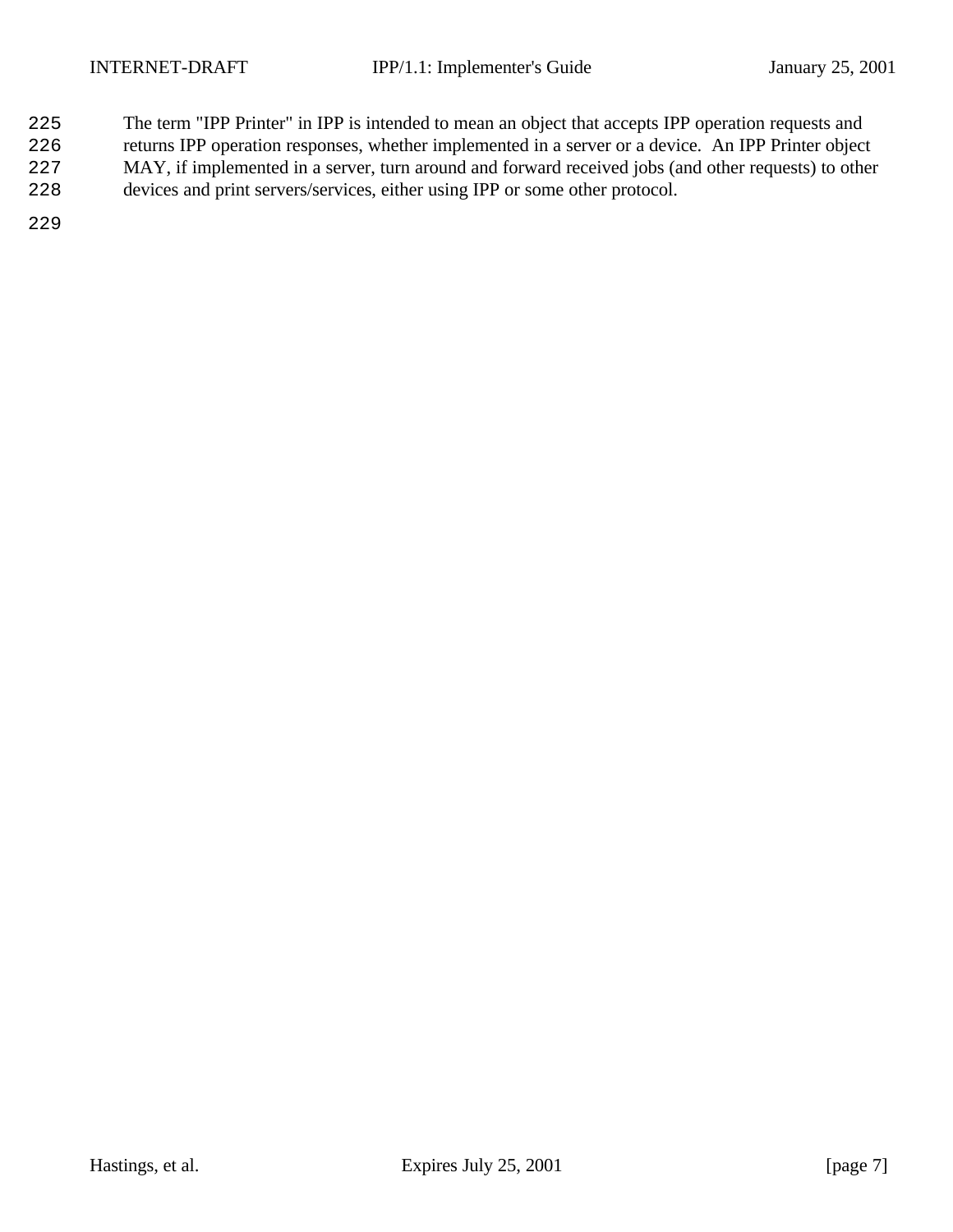- The term "IPP Printer" in IPP is intended to mean an object that accepts IPP operation requests and
- returns IPP operation responses, whether implemented in a server or a device. An IPP Printer object
- MAY, if implemented in a server, turn around and forward received jobs (and other requests) to other
- devices and print servers/services, either using IPP or some other protocol.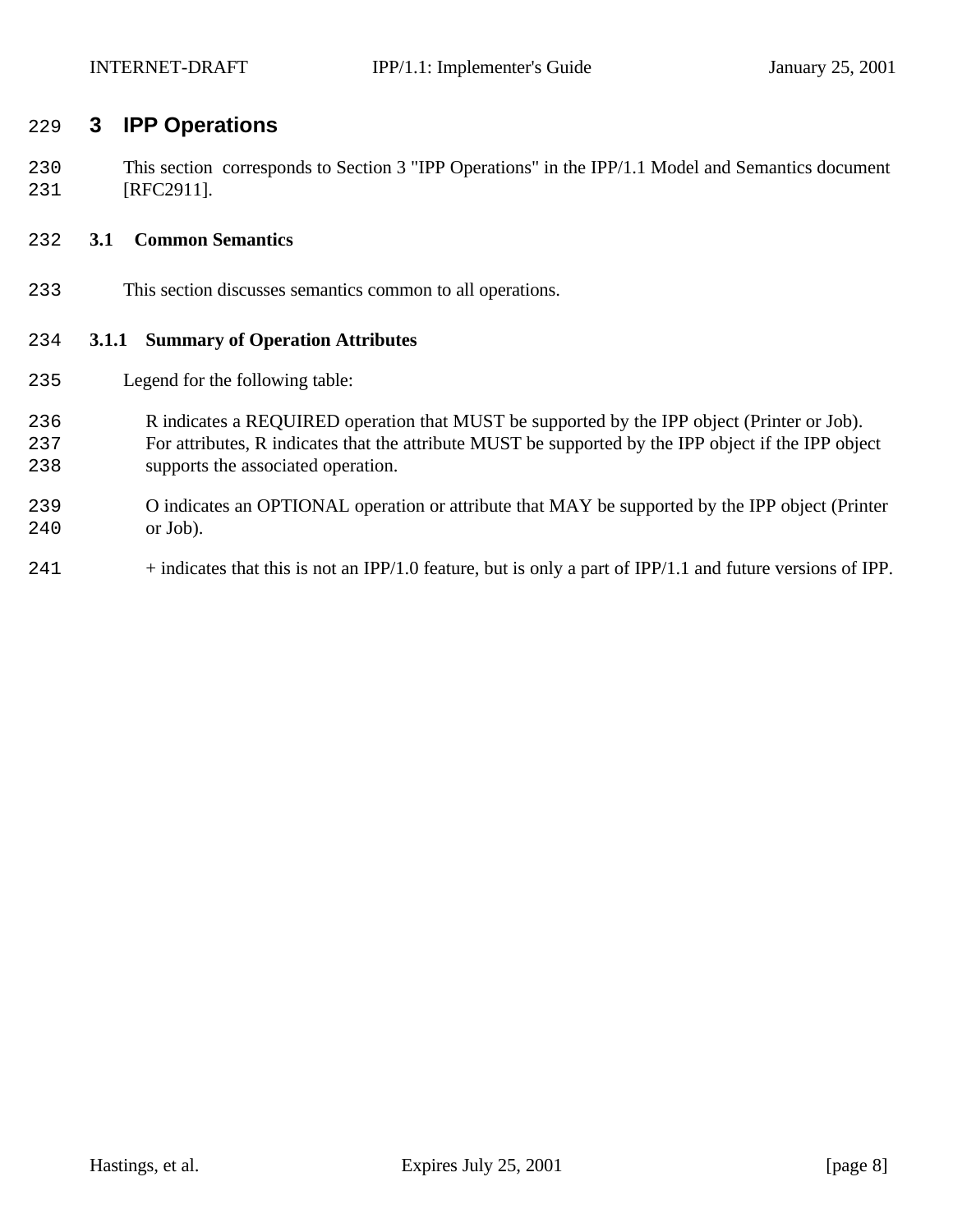# **3 IPP Operations**

 This section corresponds to Section 3 "IPP Operations" in the IPP/1.1 Model and Semantics document [RFC2911].

### **3.1 Common Semantics**

This section discusses semantics common to all operations.

#### **3.1.1 Summary of Operation Attributes**

- Legend for the following table:
- R indicates a REQUIRED operation that MUST be supported by the IPP object (Printer or Job). For attributes, R indicates that the attribute MUST be supported by the IPP object if the IPP object supports the associated operation.
- O indicates an OPTIONAL operation or attribute that MAY be supported by the IPP object (Printer or Job).
- + indicates that this is not an IPP/1.0 feature, but is only a part of IPP/1.1 and future versions of IPP.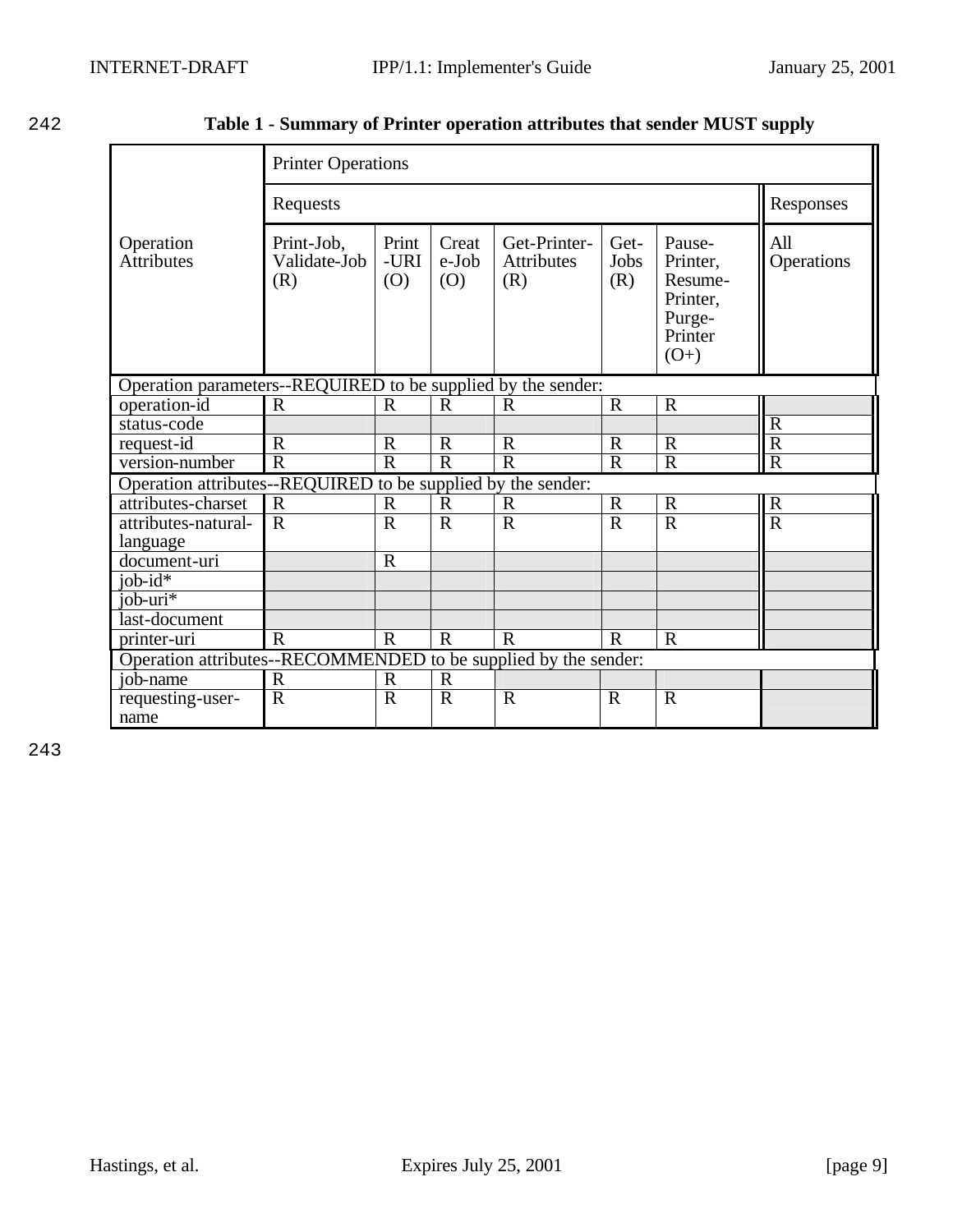242 **Table 1 - Summary of Printer operation attributes that sender MUST supply**

|                                                                 | <b>Printer Operations</b>                                                    |                      |                       |                                          |                     |                                                                          |                         |
|-----------------------------------------------------------------|------------------------------------------------------------------------------|----------------------|-----------------------|------------------------------------------|---------------------|--------------------------------------------------------------------------|-------------------------|
|                                                                 | Requests                                                                     | Responses            |                       |                                          |                     |                                                                          |                         |
| Operation<br><b>Attributes</b>                                  | Print-Job,<br>Validate-Job<br>(R)                                            | Print<br>-URI<br>(O) | Creat<br>e-Job<br>(O) | Get-Printer-<br><b>Attributes</b><br>(R) | Get-<br>Jobs<br>(R) | Pause-<br>Printer.<br>Resume-<br>Printer,<br>Purge-<br>Printer<br>$(O+)$ | All<br>Operations       |
| Operation parameters--REQUIRED to be supplied by the sender:    |                                                                              |                      |                       |                                          |                     |                                                                          |                         |
| operation-id                                                    | $\mathbf R$                                                                  | $\mathbf R$          | $\mathbf R$           | $\mathbf R$                              | $\mathbf R$         | $\mathbf R$                                                              |                         |
| status-code                                                     |                                                                              |                      |                       |                                          |                     |                                                                          | $\overline{R}$          |
| request-id                                                      | $\mathbf R$                                                                  | $\mathbf R$          | $\mathbf R$           | $\mathbf R$                              | $\mathbf R$         | $\mathbf R$                                                              | $\overline{R}$          |
| version-number                                                  | $\overline{\text{R}}$                                                        | $\overline{R}$       | $\overline{R}$        | $\overline{R}$                           | $\overline{R}$      | $\overline{R}$                                                           | $\overline{R}$          |
| Operation attributes--REQUIRED to be supplied by the sender:    |                                                                              |                      |                       |                                          |                     |                                                                          |                         |
| attributes-charset                                              | $\mathbb{R}$                                                                 | $\mathbf R$          | $\mathbf R$           | $\mathbf R$                              | $\mathbf R$         | $\mathbf R$                                                              | $\mathbf R$             |
| attributes-natural-                                             | $\overline{R}$                                                               | $\overline{R}$       | $\overline{R}$        | $\overline{\mathrm{R}}$                  | $\overline{R}$      | $\overline{R}$                                                           | $\overline{\mathsf{R}}$ |
| language                                                        |                                                                              |                      |                       |                                          |                     |                                                                          |                         |
| document-uri                                                    |                                                                              | $\overline{R}$       |                       |                                          |                     |                                                                          |                         |
| job- $id^*$                                                     |                                                                              |                      |                       |                                          |                     |                                                                          |                         |
| job-uri*                                                        |                                                                              |                      |                       |                                          |                     |                                                                          |                         |
| last-document                                                   |                                                                              |                      |                       |                                          |                     |                                                                          |                         |
| printer-uri                                                     | $\mathbf R$<br>$\mathbf R$<br>$\mathbf R$<br>$\mathbf R$<br>$\mathbf R$<br>R |                      |                       |                                          |                     |                                                                          |                         |
| Operation attributes--RECOMMENDED to be supplied by the sender: |                                                                              |                      |                       |                                          |                     |                                                                          |                         |
| iob-name                                                        | $\mathbf R$                                                                  | $\mathbf R$          | $\mathbf R$           |                                          |                     |                                                                          |                         |
| requesting-user-                                                | $\overline{R}$                                                               | $\mathbf R$          | $\overline{R}$        | $\overline{R}$                           | $\mathbf R$         | $\overline{R}$                                                           |                         |
| name                                                            |                                                                              |                      |                       |                                          |                     |                                                                          |                         |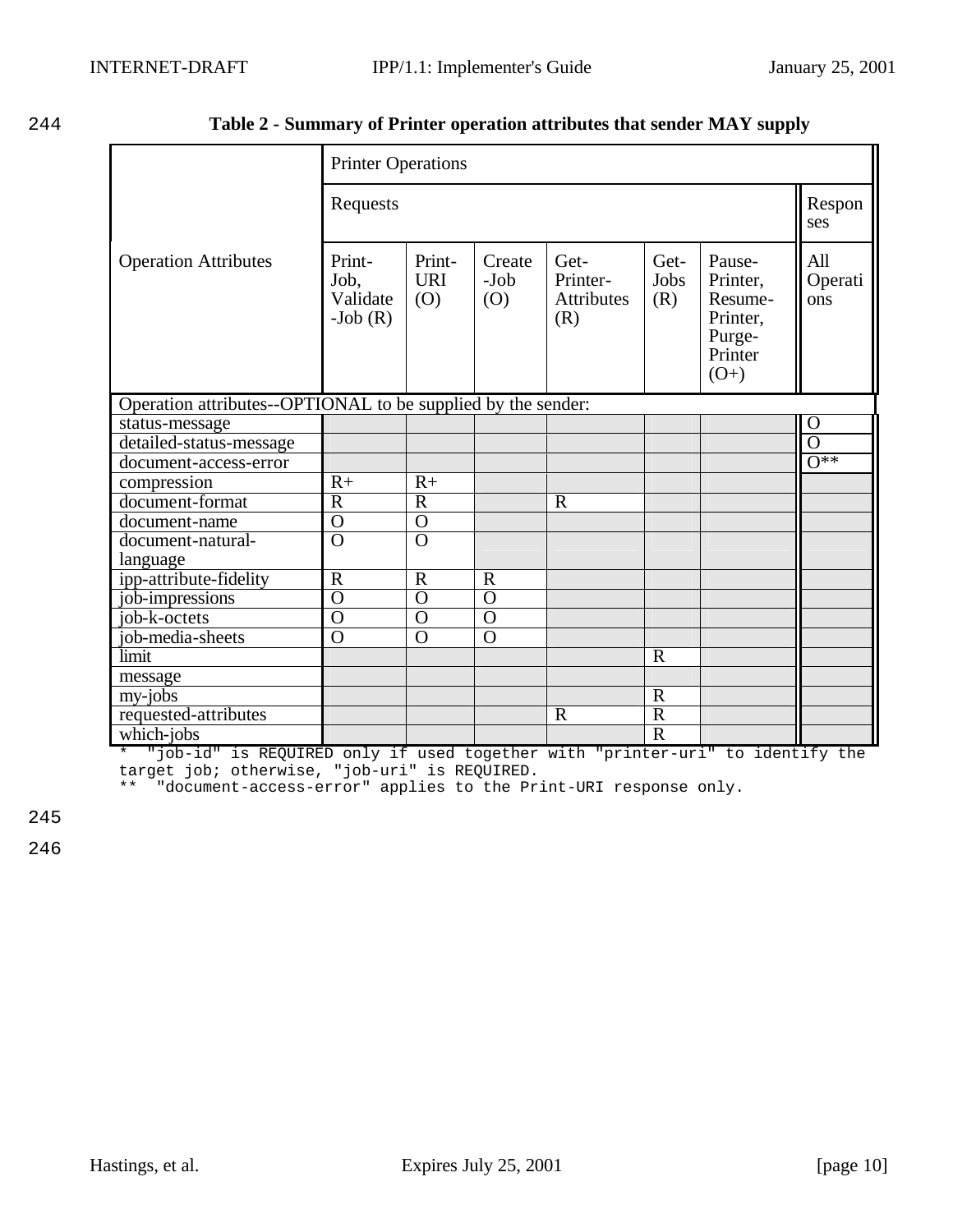| 244 | Table 2 - Summary of Printer operation attributes that sender MAY supply |  |
|-----|--------------------------------------------------------------------------|--|
|     |                                                                          |  |

|                                                              | <b>Printer Operations</b>                |                             |                         |                                              |                     |                                                                          |                       |  |
|--------------------------------------------------------------|------------------------------------------|-----------------------------|-------------------------|----------------------------------------------|---------------------|--------------------------------------------------------------------------|-----------------------|--|
|                                                              | Requests                                 |                             |                         |                                              |                     |                                                                          |                       |  |
| <b>Operation Attributes</b>                                  | Print-<br>Job,<br>Validate<br>-Job $(R)$ | Print-<br><b>URI</b><br>(O) | Create<br>$-Job$<br>(O) | Get-<br>Printer-<br><b>Attributes</b><br>(R) | Get-<br>Jobs<br>(R) | Pause-<br>Printer,<br>Resume-<br>Printer,<br>Purge-<br>Printer<br>$(O+)$ | All<br>Operati<br>ons |  |
| Operation attributes--OPTIONAL to be supplied by the sender: |                                          |                             |                         |                                              |                     |                                                                          |                       |  |
| status-message                                               |                                          |                             |                         |                                              |                     |                                                                          | $\mathbf O$           |  |
| detailed-status-message                                      |                                          |                             |                         |                                              |                     |                                                                          | $\overline{O}$        |  |
| document-access-error                                        |                                          |                             |                         |                                              |                     |                                                                          | $0**$                 |  |
| compression                                                  | $R+$                                     | $R+$                        |                         |                                              |                     |                                                                          |                       |  |
| document-format                                              | $\overline{R}$                           | $\overline{R}$              |                         | $\mathbf R$                                  |                     |                                                                          |                       |  |
| document-name                                                | $\overline{O}$                           | $\overline{O}$              |                         |                                              |                     |                                                                          |                       |  |
| document-natural-                                            | $\overline{0}$                           | $\overline{0}$              |                         |                                              |                     |                                                                          |                       |  |
| language                                                     |                                          |                             |                         |                                              |                     |                                                                          |                       |  |
| ipp-attribute-fidelity                                       | $\overline{R}$                           | $\overline{R}$              | $\overline{R}$          |                                              |                     |                                                                          |                       |  |
| job-impressions                                              | $\overline{0}$                           | $\overline{O}$              | $\overline{O}$          |                                              |                     |                                                                          |                       |  |
| job-k-octets                                                 | $\overline{O}$                           | $\overline{O}$              | $\overline{O}$          |                                              |                     |                                                                          |                       |  |
| job-media-sheets                                             | $\overline{0}$                           | $\overline{O}$              | $\overline{0}$          |                                              |                     |                                                                          |                       |  |
| limit                                                        |                                          |                             |                         |                                              | $\mathbf R$         |                                                                          |                       |  |
| message                                                      |                                          |                             |                         |                                              |                     |                                                                          |                       |  |
| my-jobs                                                      |                                          |                             |                         |                                              | $\mathbf R$         |                                                                          |                       |  |
| requested-attributes                                         |                                          |                             |                         | $\mathbf R$                                  | $\overline{R}$      |                                                                          |                       |  |
| which-jobs                                                   |                                          |                             |                         |                                              | $\overline{R}$      |                                                                          |                       |  |

\* "job-id" is REQUIRED only if used together with "printer-uri" to identify the target job; otherwise, "job-uri" is REQUIRED.

\*\* "document-access-error" applies to the Print-URI response only.

245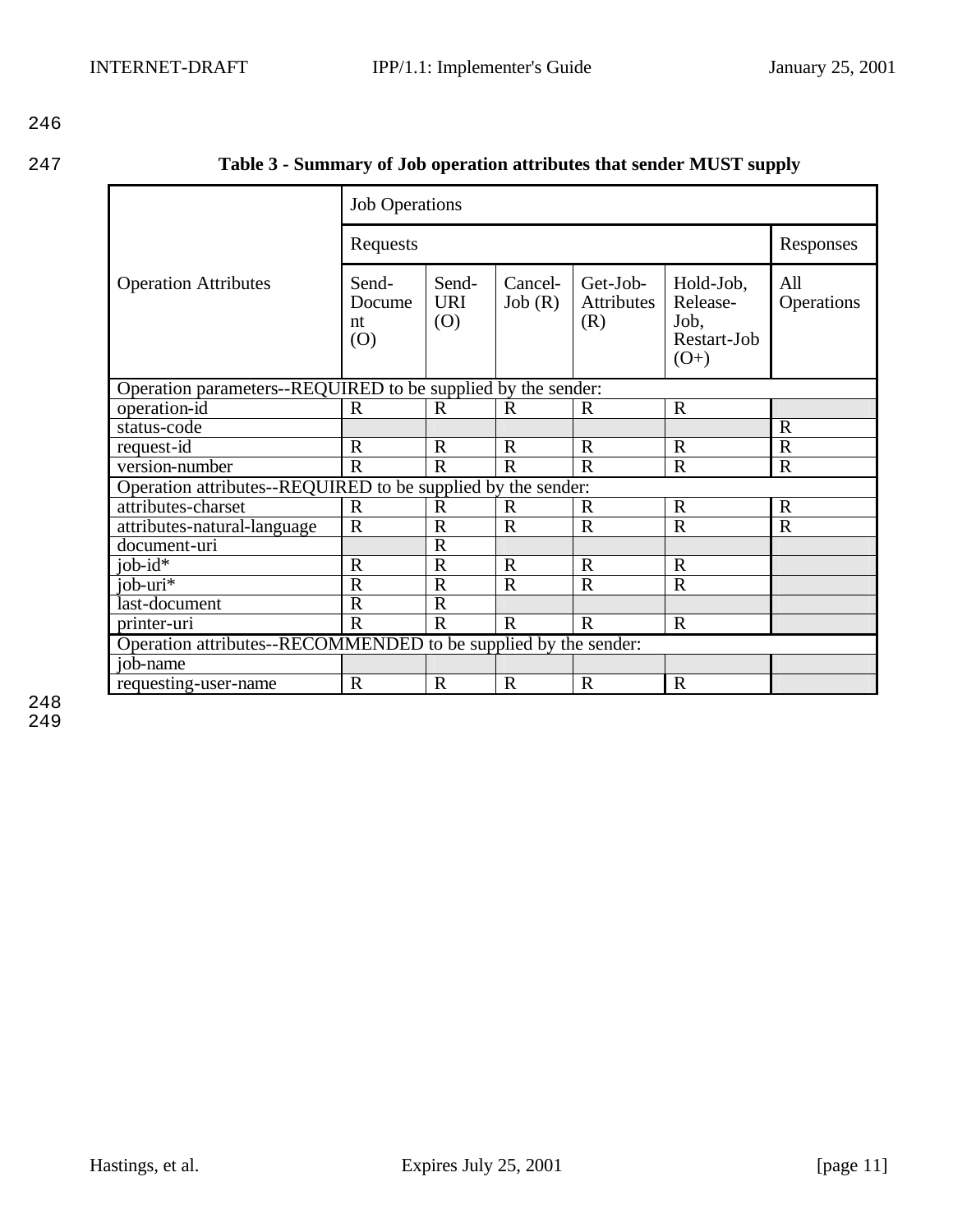247 **Table 3 - Summary of Job operation attributes that sender MUST supply**

|                                                                 | <b>Job Operations</b>        |                            |                   |                                      |                                                        |                   |  |
|-----------------------------------------------------------------|------------------------------|----------------------------|-------------------|--------------------------------------|--------------------------------------------------------|-------------------|--|
|                                                                 | Requests                     | Responses                  |                   |                                      |                                                        |                   |  |
| <b>Operation Attributes</b>                                     | Send-<br>Docume<br>nt<br>(0) | Send-<br><b>URI</b><br>(O) | Cancel-<br>Job(R) | Get-Job-<br><b>Attributes</b><br>(R) | Hold-Job,<br>Release-<br>Job,<br>Restart-Job<br>$(O+)$ | All<br>Operations |  |
| Operation parameters--REQUIRED to be supplied by the sender:    |                              |                            |                   |                                      |                                                        |                   |  |
| operation-id                                                    | $\mathbf R$                  | $\mathbf R$                | $\mathbf R$       | R                                    | $\mathbf R$                                            |                   |  |
| status-code                                                     |                              |                            |                   |                                      |                                                        | $\mathbf R$       |  |
| request-id                                                      | $\mathbb{R}$                 | $\mathbf R$                | $\mathbf R$       | $\mathbf R$                          | $\mathbf R$                                            | $\overline{R}$    |  |
| version-number                                                  | $\overline{R}$               | $\mathbf R$                | $\overline{R}$    | $\mathbf R$                          | $\mathbf R$                                            | $\mathbf R$       |  |
| Operation attributes--REQUIRED to be supplied by the sender:    |                              |                            |                   |                                      |                                                        |                   |  |
| attributes-charset                                              | $\mathbf R$                  | $\mathbf R$                | R                 | $\mathbf R$                          | $\mathbf R$                                            | $\mathbf R$       |  |
| attributes-natural-language                                     | $\mathbf R$                  | $\mathbf R$                | $\mathbf R$       | $\mathbf R$                          | $\mathbf R$                                            | $\mathbf R$       |  |
| document-uri                                                    |                              | $\mathbf R$                |                   |                                      |                                                        |                   |  |
| $job-id*$                                                       | $\mathbf R$                  | $\mathbf R$                | $\mathbf R$       | $\mathbf R$                          | $\mathbf R$                                            |                   |  |
| job- $\overline{\text{uri*}}$                                   | $\overline{\text{R}}$        | $\mathbf R$                | $\overline{R}$    | $\mathbf R$                          | $\overline{R}$                                         |                   |  |
| last-document                                                   | $\mathbf R$                  | $\mathbf R$                |                   |                                      |                                                        |                   |  |
| printer-uri                                                     | $\overline{\text{R}}$        | $\mathbf R$                | $\mathbf R$       | $\mathbf R$                          | $\mathbf R$                                            |                   |  |
| Operation attributes--RECOMMENDED to be supplied by the sender: |                              |                            |                   |                                      |                                                        |                   |  |
| job-name                                                        |                              |                            |                   |                                      |                                                        |                   |  |
| requesting-user-name                                            | $\mathbf R$                  | $\mathbf R$                | $\mathbf R$       | $\mathbf R$                          | $\mathbf R$                                            |                   |  |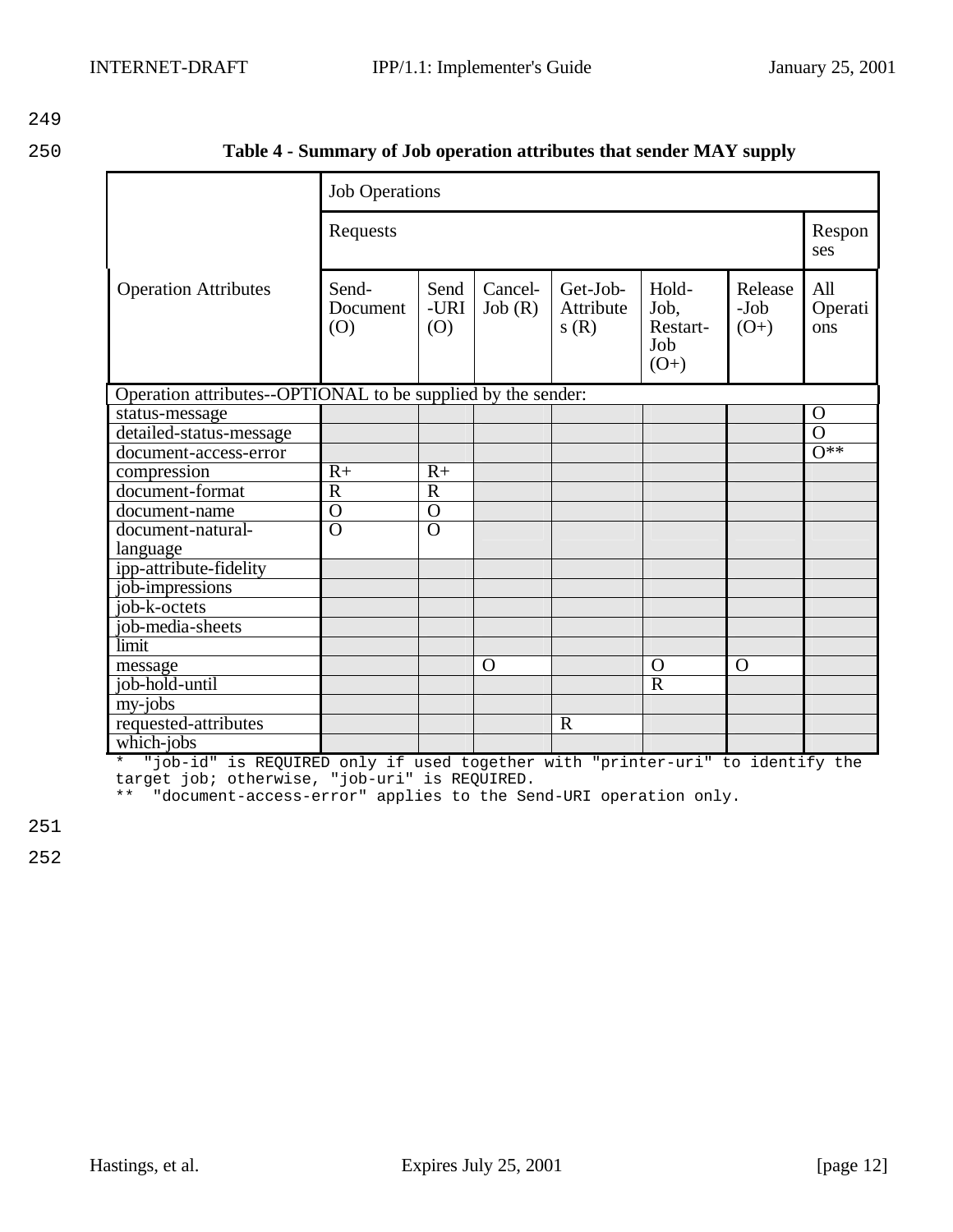250 **Table 4 - Summary of Job operation attributes that sender MAY supply**

|                                                              | <b>Job Operations</b>    |                     |                   |                               |                                            |                             |                       |  |
|--------------------------------------------------------------|--------------------------|---------------------|-------------------|-------------------------------|--------------------------------------------|-----------------------------|-----------------------|--|
|                                                              | Requests                 |                     |                   |                               |                                            |                             |                       |  |
| <b>Operation Attributes</b>                                  | Send-<br>Document<br>(0) | Send<br>-URI<br>(O) | Cancel-<br>Job(R) | Get-Job-<br>Attribute<br>s(R) | Hold-<br>Job,<br>Restart-<br>Job<br>$(O+)$ | Release<br>$-Job$<br>$(O+)$ | All<br>Operati<br>ons |  |
| Operation attributes--OPTIONAL to be supplied by the sender: |                          |                     |                   |                               |                                            |                             |                       |  |
| status-message                                               |                          |                     |                   |                               |                                            |                             | $\Omega$              |  |
| detailed-status-message                                      |                          |                     |                   |                               |                                            |                             | $\overline{O}$        |  |
| document-access-error                                        |                          |                     |                   |                               |                                            |                             | $\overline{O^{**}}$   |  |
| compression                                                  | $R+$                     | $R+$                |                   |                               |                                            |                             |                       |  |
| document-format                                              | $\overline{\text{R}}$    | $\overline{R}$      |                   |                               |                                            |                             |                       |  |
| document-name                                                | $\overline{0}$           | $\overline{O}$      |                   |                               |                                            |                             |                       |  |
| document-natural-                                            | $\overline{0}$           | $\overline{0}$      |                   |                               |                                            |                             |                       |  |
| language                                                     |                          |                     |                   |                               |                                            |                             |                       |  |
| ipp-attribute-fidelity                                       |                          |                     |                   |                               |                                            |                             |                       |  |
| job-impressions                                              |                          |                     |                   |                               |                                            |                             |                       |  |
| job-k-octets                                                 |                          |                     |                   |                               |                                            |                             |                       |  |
| job-media-sheets                                             |                          |                     |                   |                               |                                            |                             |                       |  |
| limit                                                        |                          |                     |                   |                               |                                            |                             |                       |  |
| message                                                      |                          |                     | $\mathbf O$       |                               | $\Omega$                                   | $\mathbf{O}$                |                       |  |
| job-hold-until                                               |                          |                     |                   |                               | $\overline{R}$                             |                             |                       |  |
| my-jobs                                                      |                          |                     |                   |                               |                                            |                             |                       |  |
| requested-attributes                                         |                          |                     |                   | $\mathbb{R}$                  |                                            |                             |                       |  |
| which-jobs                                                   |                          |                     |                   |                               |                                            |                             |                       |  |

\* "job-id" is REQUIRED only if used together with "printer-uri" to identify the target job; otherwise, "job-uri" is REQUIRED.

\*\* "document-access-error" applies to the Send-URI operation only.

251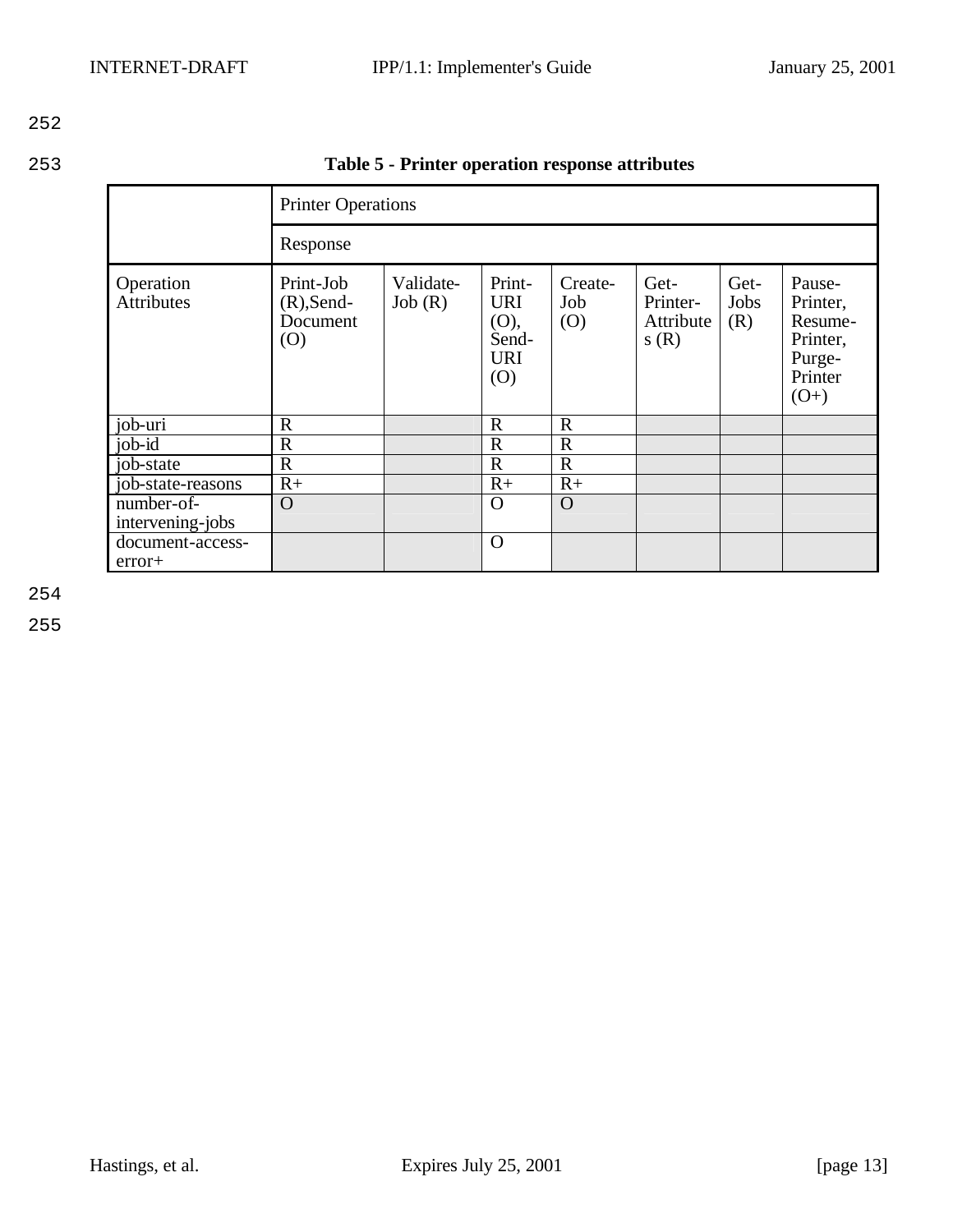253 **Table 5 - Printer operation response attributes**

|                                                   |                                               | <b>Printer Operations</b> |                                                            |                       |                                       |                     |                                                                          |  |  |
|---------------------------------------------------|-----------------------------------------------|---------------------------|------------------------------------------------------------|-----------------------|---------------------------------------|---------------------|--------------------------------------------------------------------------|--|--|
|                                                   | Response                                      |                           |                                                            |                       |                                       |                     |                                                                          |  |  |
| Operation<br><b>Attributes</b>                    | Print-Job<br>$(R)$ , Send-<br>Document<br>(0) | Validate-<br>Job(R)       | Print-<br><b>URI</b><br>(O),<br>Send-<br><b>URI</b><br>(O) | Create-<br>Job<br>(O) | Get-<br>Printer-<br>Attribute<br>s(R) | Get-<br>Jobs<br>(R) | Pause-<br>Printer,<br>Resume-<br>Printer,<br>Purge-<br>Printer<br>$(O+)$ |  |  |
| $job-uri$                                         | $\mathbb{R}$                                  |                           | $\mathbf R$                                                | $\mathbf R$           |                                       |                     |                                                                          |  |  |
| $job-id$                                          | $\mathbb{R}$                                  |                           | $\mathbf R$                                                | $\mathbf R$           |                                       |                     |                                                                          |  |  |
| job-state                                         | $\mathbb{R}$                                  |                           | $\mathbf R$                                                | $\mathbf R$           |                                       |                     |                                                                          |  |  |
| job-state-reasons                                 | $R+$                                          |                           | $R+$                                                       | $R+$                  |                                       |                     |                                                                          |  |  |
| $\overline{\text{number-of}}$<br>intervening-jobs | $\Omega$                                      |                           | $\Omega$                                                   | $\Omega$              |                                       |                     |                                                                          |  |  |
| document-access-<br>error+                        |                                               |                           | $\Omega$                                                   |                       |                                       |                     |                                                                          |  |  |

254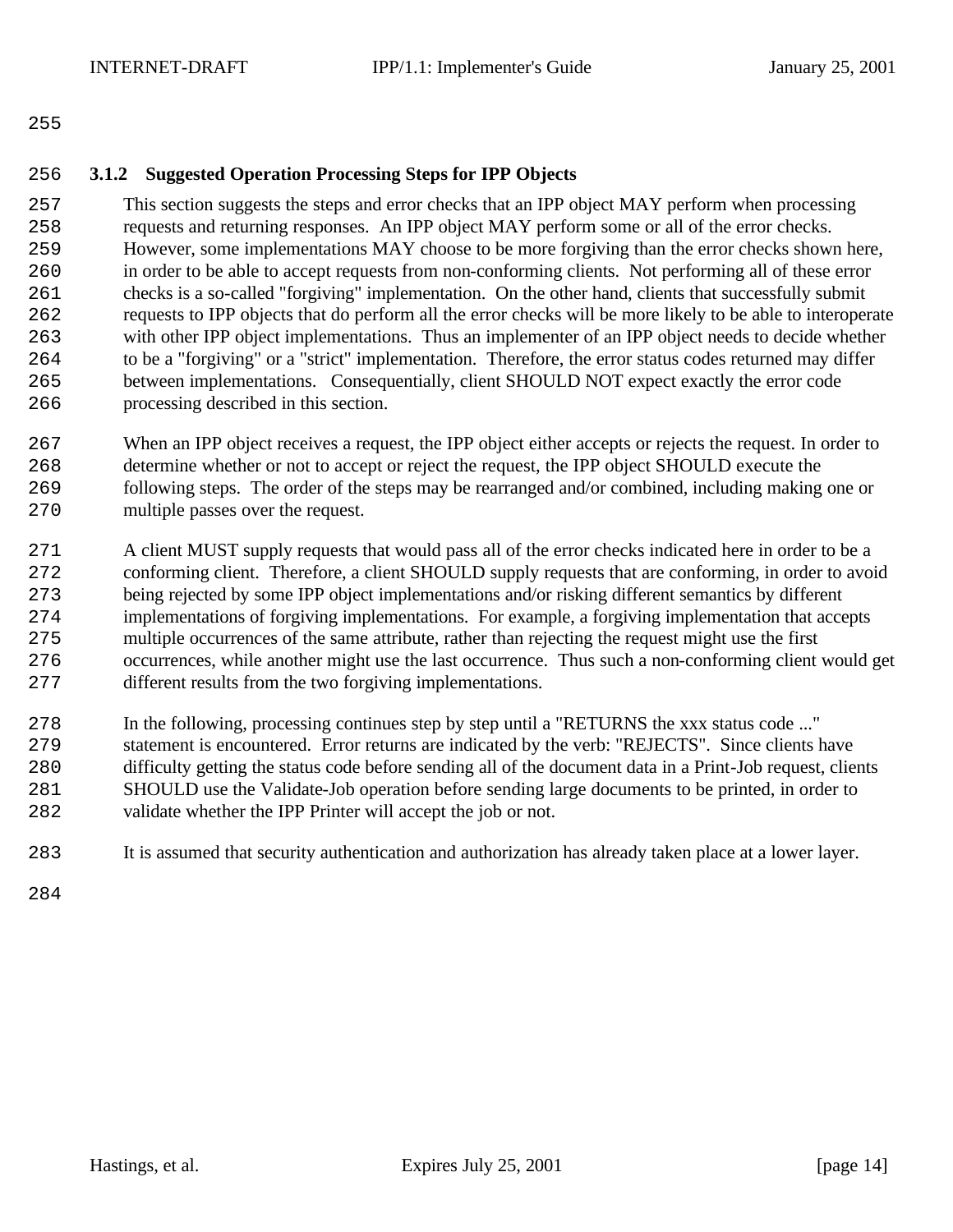### **3.1.2 Suggested Operation Processing Steps for IPP Objects**

 This section suggests the steps and error checks that an IPP object MAY perform when processing requests and returning responses. An IPP object MAY perform some or all of the error checks. However, some implementations MAY choose to be more forgiving than the error checks shown here, in order to be able to accept requests from non-conforming clients. Not performing all of these error checks is a so-called "forgiving" implementation. On the other hand, clients that successfully submit requests to IPP objects that do perform all the error checks will be more likely to be able to interoperate with other IPP object implementations. Thus an implementer of an IPP object needs to decide whether to be a "forgiving" or a "strict" implementation. Therefore, the error status codes returned may differ between implementations. Consequentially, client SHOULD NOT expect exactly the error code processing described in this section.

- When an IPP object receives a request, the IPP object either accepts or rejects the request. In order to determine whether or not to accept or reject the request, the IPP object SHOULD execute the following steps. The order of the steps may be rearranged and/or combined, including making one or multiple passes over the request.
- A client MUST supply requests that would pass all of the error checks indicated here in order to be a conforming client. Therefore, a client SHOULD supply requests that are conforming, in order to avoid being rejected by some IPP object implementations and/or risking different semantics by different implementations of forgiving implementations. For example, a forgiving implementation that accepts multiple occurrences of the same attribute, rather than rejecting the request might use the first occurrences, while another might use the last occurrence. Thus such a non-conforming client would get different results from the two forgiving implementations.
- In the following, processing continues step by step until a "RETURNS the xxx status code ..." statement is encountered. Error returns are indicated by the verb: "REJECTS". Since clients have difficulty getting the status code before sending all of the document data in a Print-Job request, clients SHOULD use the Validate-Job operation before sending large documents to be printed, in order to validate whether the IPP Printer will accept the job or not.
- It is assumed that security authentication and authorization has already taken place at a lower layer.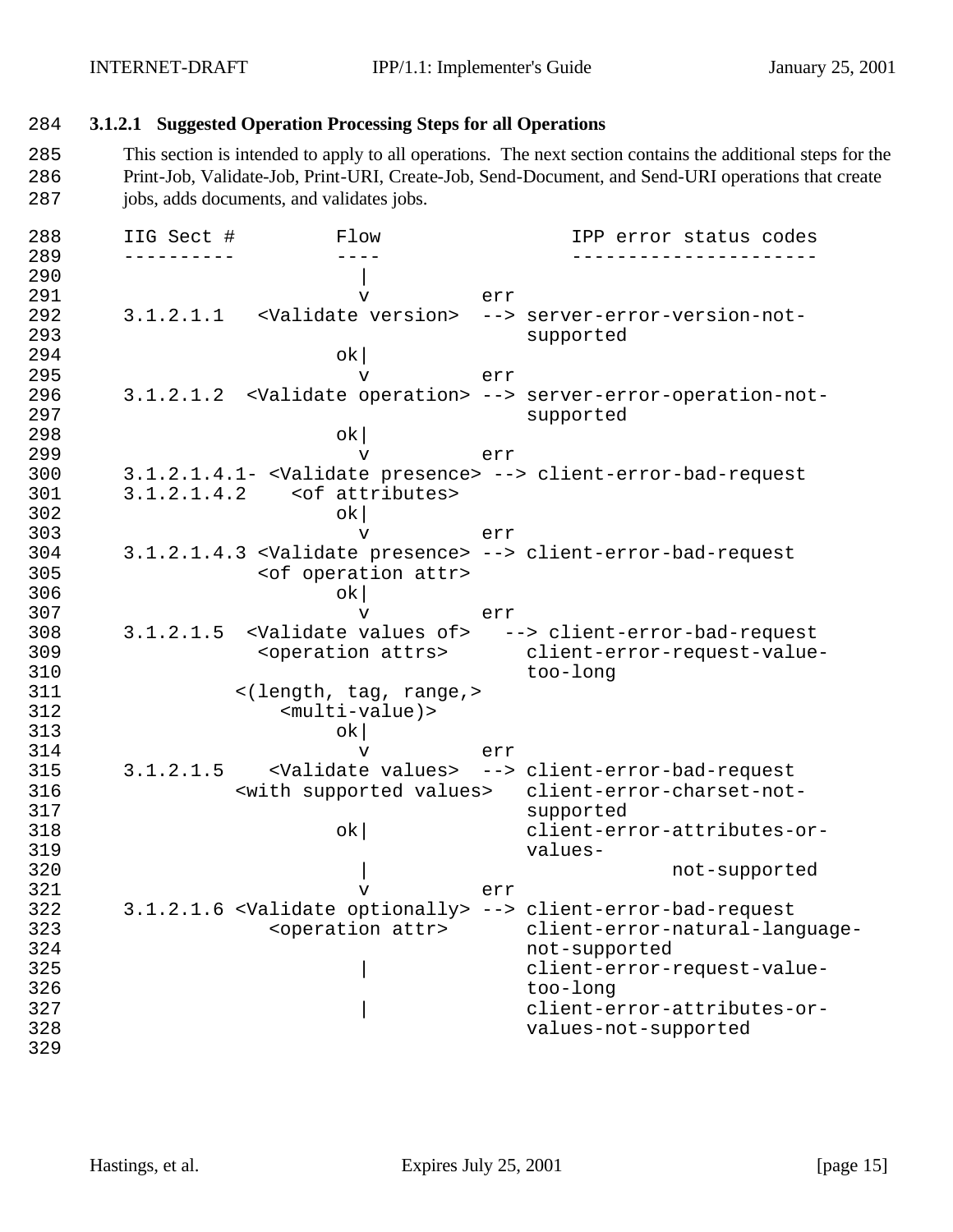### 284 **3.1.2.1 Suggested Operation Processing Steps for all Operations**

285 This section is intended to apply to all operations. The next section contains the additional steps for the 286 Print-Job, Validate-Job, Print-URI, Create-Job, Send-Document, and Send-URI operations that create 287 jobs, adds documents, and validates jobs.

288 IIG Sect # Flow IPP error status codes 289 ---------- ---- ----------------------  $290$ 291 v err 292 3.1.2.1.1 <Validate version> --> server-error-version-not-293 supported 294 ok| 295 v err 296 3.1.2.1.2 <Validate operation> --> server-error-operation-not-297 supported 298 ok| 299 v err 300 3.1.2.1.4.1- <Validate presence> --> client-error-bad-request 301 3.1.2.1.4.2 <of attributes>  $302$  ok 303 v err 304 3.1.2.1.4.3 <Validate presence> --> client-error-bad-request <of operation attr>  $306$  ok 307 v err 308 3.1.2.1.5 <Validate values of> --> client-error-bad-request 309 <operation attrs> client-error-request-value-310 too-long<br>311 </length, tag, range,> 311 <(length, tag, range,> 312 <multi-value)>  $313$  ok 314 v err 315 3.1.2.1.5 <Validate values> --> client-error-bad-request 316 <with supported values> client-error-charset-not-317 supported 318 ok| client-error-attributes-or-319 values-320 **|** | not-supported 321 v err 322 3.1.2.1.6 <Validate optionally> --> client-error-bad-request 323 <operation attr> client-error-natural-language-324 not-supported 325 and  $\vert$  client-error-request-value-326 too-long 327  $\vert$  client-error-attributes-or-328 values-not-supported 329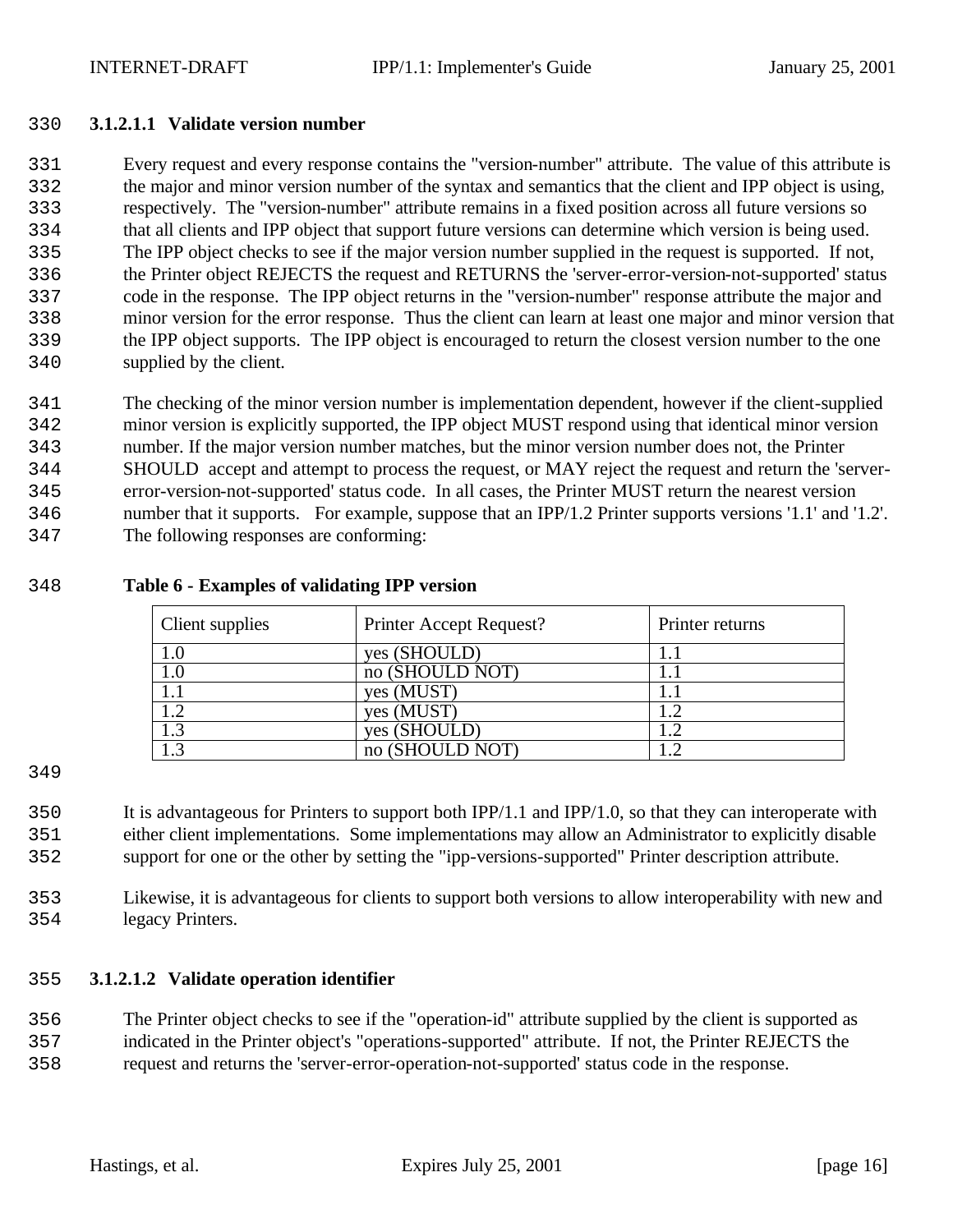#### **3.1.2.1.1 Validate version number**

 Every request and every response contains the "version-number" attribute. The value of this attribute is the major and minor version number of the syntax and semantics that the client and IPP object is using, respectively. The "version-number" attribute remains in a fixed position across all future versions so that all clients and IPP object that support future versions can determine which version is being used. The IPP object checks to see if the major version number supplied in the request is supported. If not, the Printer object REJECTS the request and RETURNS the 'server-error-version-not-supported' status code in the response. The IPP object returns in the "version-number" response attribute the major and minor version for the error response. Thus the client can learn at least one major and minor version that the IPP object supports. The IPP object is encouraged to return the closest version number to the one supplied by the client.

 The checking of the minor version number is implementation dependent, however if the client-supplied minor version is explicitly supported, the IPP object MUST respond using that identical minor version number. If the major version number matches, but the minor version number does not, the Printer SHOULD accept and attempt to process the request, or MAY reject the request and return the 'server- error-version-not-supported' status code. In all cases, the Printer MUST return the nearest version number that it supports. For example, suppose that an IPP/1.2 Printer supports versions '1.1' and '1.2'. The following responses are conforming:

#### **Table 6 - Examples of validating IPP version**

| Client supplies | Printer Accept Request? | Printer returns |
|-----------------|-------------------------|-----------------|
|                 | yes (SHOULD)            |                 |
| I.U             | no (SHOULD NOT)         |                 |
|                 | yes (MUST)              |                 |
|                 | yes (MUST)              |                 |
|                 | yes (SHOULD)            |                 |
|                 | no (SHOULD NOT)         |                 |

 It is advantageous for Printers to support both IPP/1.1 and IPP/1.0, so that they can interoperate with either client implementations. Some implementations may allow an Administrator to explicitly disable support for one or the other by setting the "ipp-versions-supported" Printer description attribute.

 Likewise, it is advantageous for clients to support both versions to allow interoperability with new and legacy Printers.

#### **3.1.2.1.2 Validate operation identifier**

 The Printer object checks to see if the "operation-id" attribute supplied by the client is supported as indicated in the Printer object's "operations-supported" attribute. If not, the Printer REJECTS the

request and returns the 'server-error-operation-not-supported' status code in the response.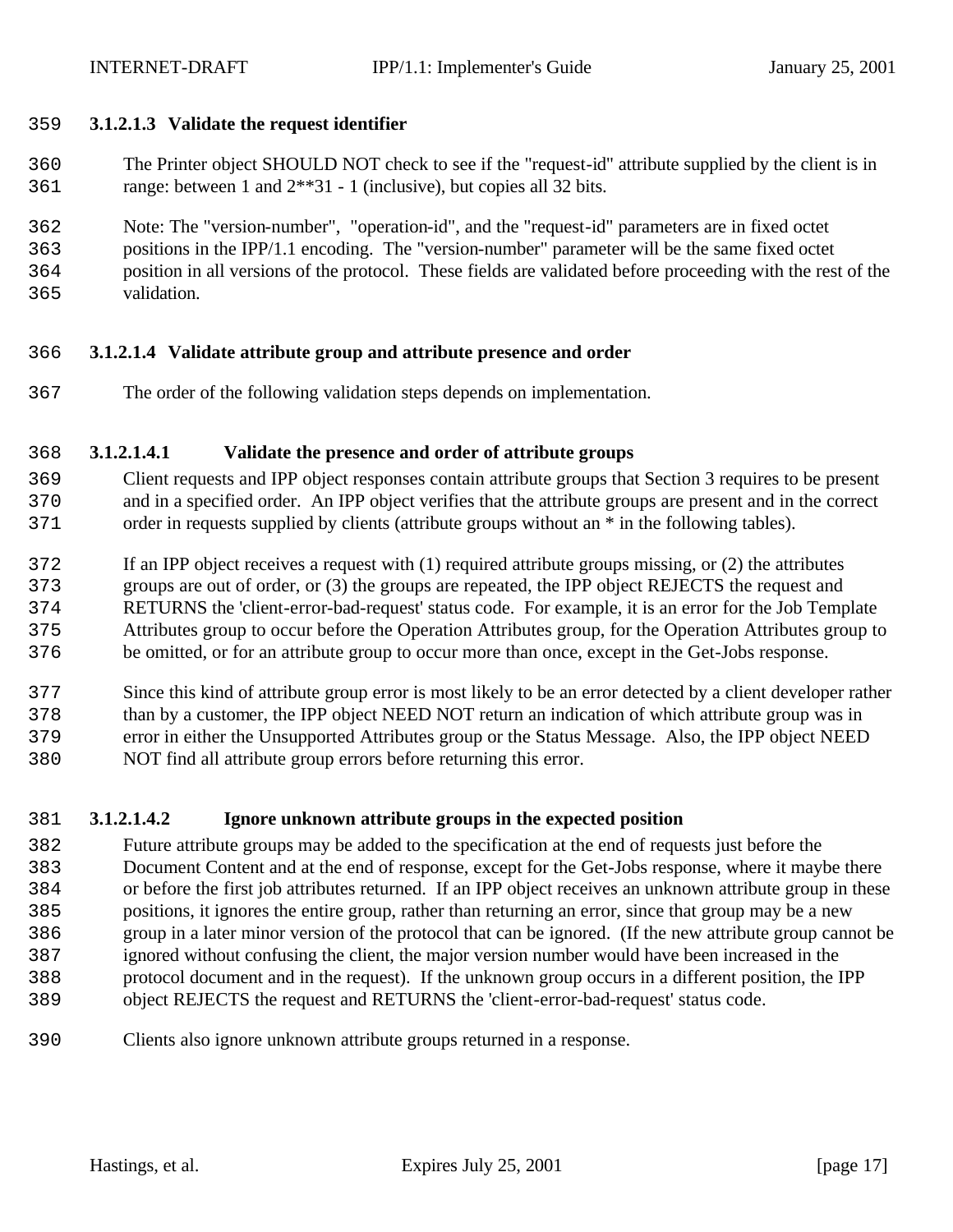#### **3.1.2.1.3 Validate the request identifier**

- The Printer object SHOULD NOT check to see if the "request-id" attribute supplied by the client is in range: between 1 and 2\*\*31 - 1 (inclusive), but copies all 32 bits.
- Note: The "version-number", "operation-id", and the "request-id" parameters are in fixed octet
- positions in the IPP/1.1 encoding. The "version-number" parameter will be the same fixed octet
- position in all versions of the protocol. These fields are validated before proceeding with the rest of the
- validation.

# **3.1.2.1.4 Validate attribute group and attribute presence and order**

The order of the following validation steps depends on implementation.

# **3.1.2.1.4.1 Validate the presence and order of attribute groups**

- Client requests and IPP object responses contain attribute groups that Section 3 requires to be present and in a specified order. An IPP object verifies that the attribute groups are present and in the correct order in requests supplied by clients (attribute groups without an \* in the following tables).
- If an IPP object receives a request with (1) required attribute groups missing, or (2) the attributes
- groups are out of order, or (3) the groups are repeated, the IPP object REJECTS the request and
- RETURNS the 'client-error-bad-request' status code. For example, it is an error for the Job Template
- Attributes group to occur before the Operation Attributes group, for the Operation Attributes group to
- be omitted, or for an attribute group to occur more than once, except in the Get-Jobs response.
- Since this kind of attribute group error is most likely to be an error detected by a client developer rather than by a customer, the IPP object NEED NOT return an indication of which attribute group was in error in either the Unsupported Attributes group or the Status Message. Also, the IPP object NEED NOT find all attribute group errors before returning this error.
- **3.1.2.1.4.2 Ignore unknown attribute groups in the expected position**
- Future attribute groups may be added to the specification at the end of requests just before the Document Content and at the end of response, except for the Get-Jobs response, where it maybe there or before the first job attributes returned. If an IPP object receives an unknown attribute group in these positions, it ignores the entire group, rather than returning an error, since that group may be a new group in a later minor version of the protocol that can be ignored. (If the new attribute group cannot be ignored without confusing the client, the major version number would have been increased in the protocol document and in the request). If the unknown group occurs in a different position, the IPP object REJECTS the request and RETURNS the 'client-error-bad-request' status code.
- Clients also ignore unknown attribute groups returned in a response.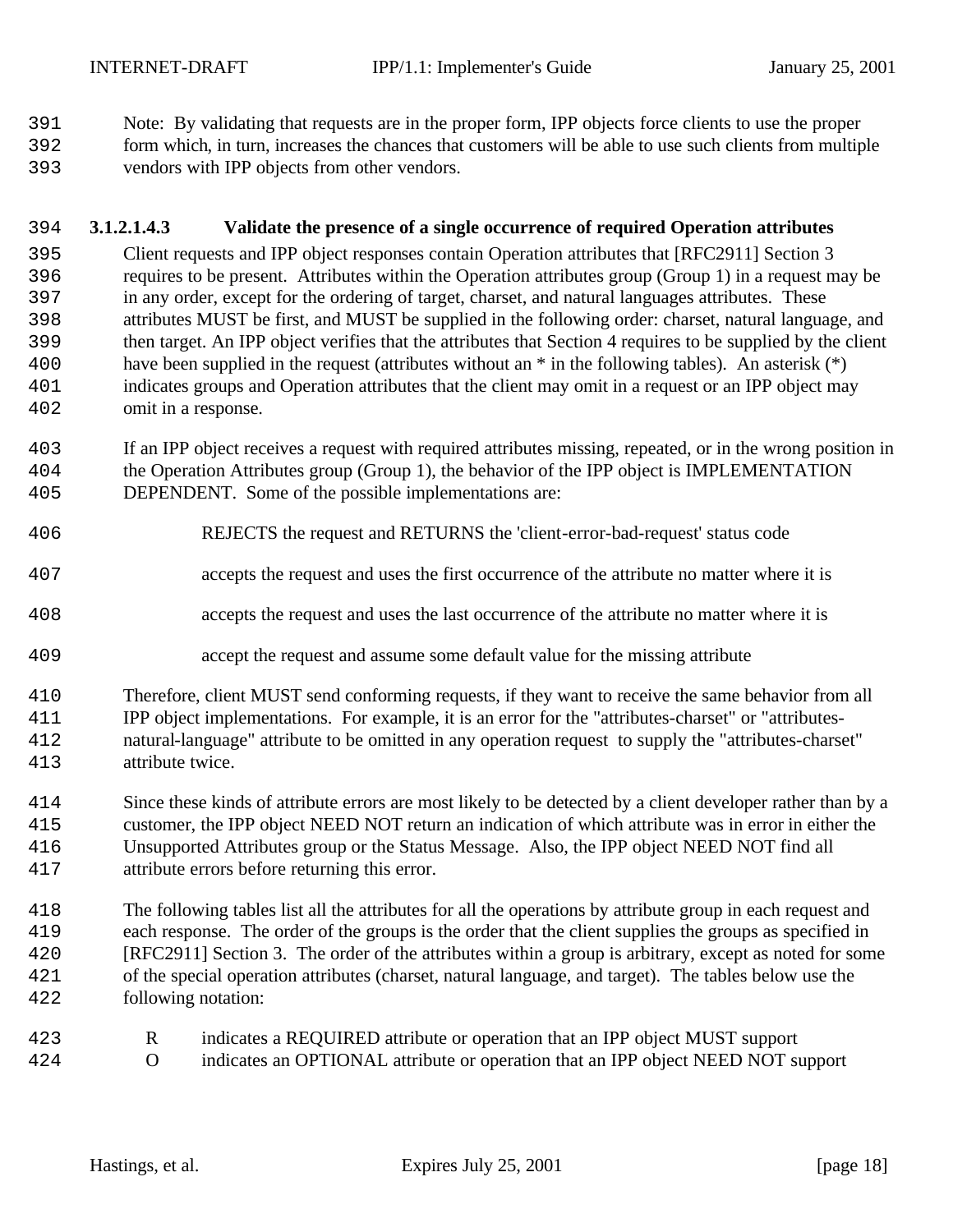Note: By validating that requests are in the proper form, IPP objects force clients to use the proper

- form which, in turn, increases the chances that customers will be able to use such clients from multiple
- vendors with IPP objects from other vendors.

## **3.1.2.1.4.3 Validate the presence of a single occurrence of required Operation attributes**

- Client requests and IPP object responses contain Operation attributes that [RFC2911] Section 3 requires to be present. Attributes within the Operation attributes group (Group 1) in a request may be in any order, except for the ordering of target, charset, and natural languages attributes. These attributes MUST be first, and MUST be supplied in the following order: charset, natural language, and then target. An IPP object verifies that the attributes that Section 4 requires to be supplied by the client have been supplied in the request (attributes without an \* in the following tables). An asterisk (\*) indicates groups and Operation attributes that the client may omit in a request or an IPP object may omit in a response.
- If an IPP object receives a request with required attributes missing, repeated, or in the wrong position in the Operation Attributes group (Group 1), the behavior of the IPP object is IMPLEMENTATION DEPENDENT. Some of the possible implementations are:
- REJECTS the request and RETURNS the 'client-error-bad-request' status code
- accepts the request and uses the first occurrence of the attribute no matter where it is
- accepts the request and uses the last occurrence of the attribute no matter where it is
- accept the request and assume some default value for the missing attribute
- Therefore, client MUST send conforming requests, if they want to receive the same behavior from all IPP object implementations. For example, it is an error for the "attributes-charset" or "attributes- natural-language" attribute to be omitted in any operation request to supply the "attributes-charset" attribute twice.
- Since these kinds of attribute errors are most likely to be detected by a client developer rather than by a customer, the IPP object NEED NOT return an indication of which attribute was in error in either the Unsupported Attributes group or the Status Message. Also, the IPP object NEED NOT find all attribute errors before returning this error.
- The following tables list all the attributes for all the operations by attribute group in each request and each response. The order of the groups is the order that the client supplies the groups as specified in [RFC2911] Section 3. The order of the attributes within a group is arbitrary, except as noted for some of the special operation attributes (charset, natural language, and target). The tables below use the following notation:
- R indicates a REQUIRED attribute or operation that an IPP object MUST support
- O indicates an OPTIONAL attribute or operation that an IPP object NEED NOT support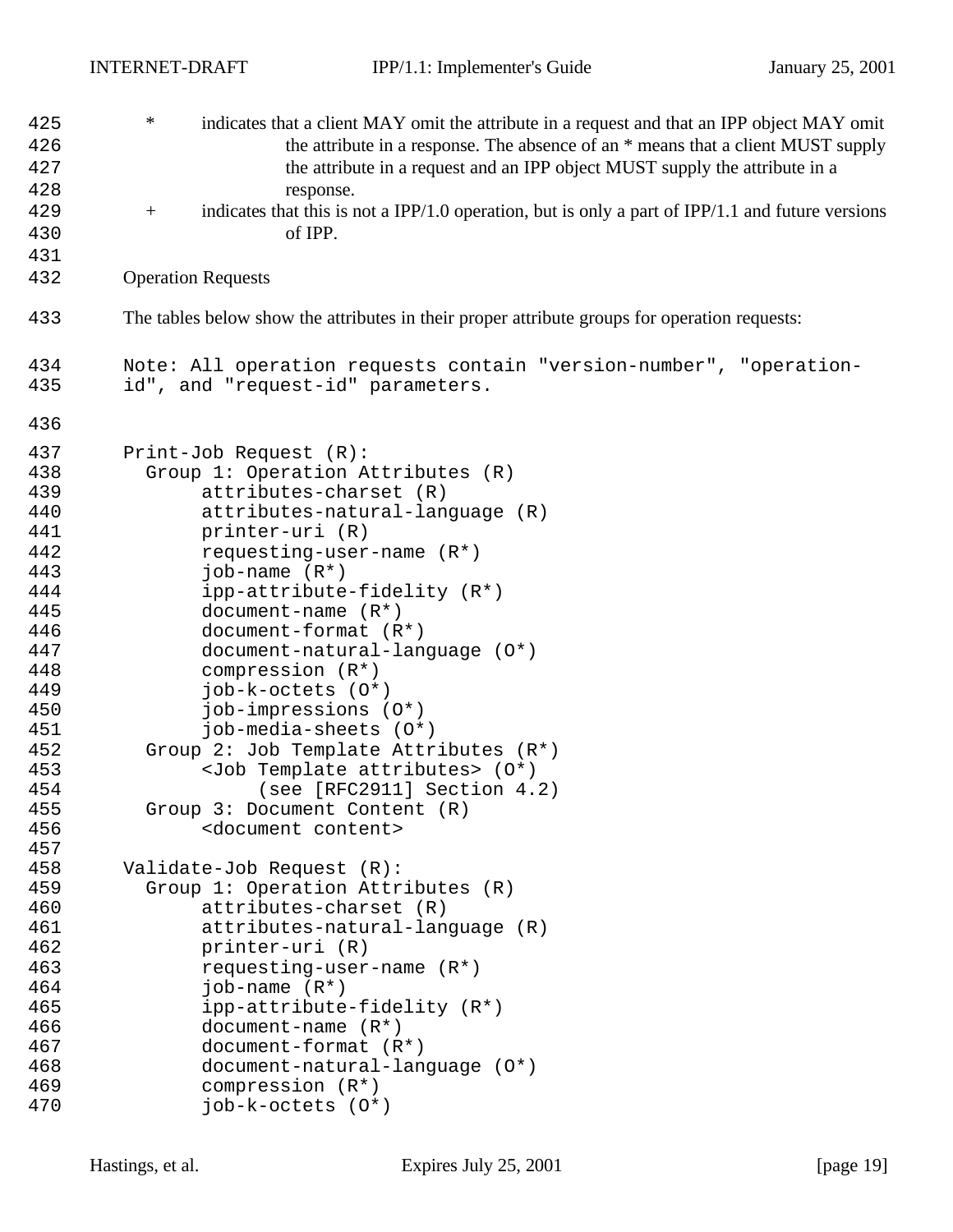| 425 | $\ast$<br>indicates that a client MAY omit the attribute in a request and that an IPP object MAY omit       |
|-----|-------------------------------------------------------------------------------------------------------------|
| 426 | the attribute in a response. The absence of an * means that a client MUST supply                            |
| 427 | the attribute in a request and an IPP object MUST supply the attribute in a                                 |
| 428 | response.                                                                                                   |
| 429 | indicates that this is not a IPP/1.0 operation, but is only a part of IPP/1.1 and future versions<br>$^{+}$ |
|     |                                                                                                             |
| 430 | of IPP.                                                                                                     |
| 431 |                                                                                                             |
| 432 | <b>Operation Requests</b>                                                                                   |
| 433 | The tables below show the attributes in their proper attribute groups for operation requests:               |
| 434 | Note: All operation requests contain "version-number", "operation-                                          |
| 435 | id", and "request-id" parameters.                                                                           |
| 436 |                                                                                                             |
| 437 | Print-Job Request (R):                                                                                      |
| 438 | Group 1: Operation Attributes (R)                                                                           |
| 439 | attributes-charset (R)                                                                                      |
| 440 | attributes-natural-language (R)                                                                             |
| 441 | printer-uri (R)                                                                                             |
| 442 | requesting-user-name $(R^*)$                                                                                |
| 443 | job-name $(R^*)$                                                                                            |
| 444 | ipp-attribute-fidelity (R*)                                                                                 |
| 445 | document-name $(R*)$                                                                                        |
| 446 | $document-format (R*)$                                                                                      |
| 447 | document-natural-language (0*)                                                                              |
| 448 | compression $(R^*)$                                                                                         |
| 449 | job-k-octets (O*)                                                                                           |
| 450 | job-impressions (0*)                                                                                        |
| 451 | job-media-sheets (0*)                                                                                       |
| 452 | Group 2: Job Template Attributes (R*)                                                                       |
| 453 | <job attributes="" template=""> (0*)</job>                                                                  |
| 454 | (see [RFC2911] Section 4.2)                                                                                 |
| 455 | Group 3: Document Content (R)                                                                               |
| 456 | <document content=""></document>                                                                            |
| 457 |                                                                                                             |
| 458 | Validate-Job Request (R):                                                                                   |
| 459 | Group 1: Operation Attributes (R)                                                                           |
| 460 | attributes-charset (R)                                                                                      |
| 461 | attributes-natural-language (R)                                                                             |
| 462 | printer-uri (R)                                                                                             |
| 463 | requesting-user-name $(R^*)$                                                                                |
| 464 | job-name $(R^*)$                                                                                            |
| 465 | ipp-attribute-fidelity (R*)                                                                                 |
| 466 | document-name $(R*)$                                                                                        |
| 467 | $document-format (R*)$                                                                                      |
| 468 | document-natural-language (0*)                                                                              |
| 469 | compression $(R^*)$                                                                                         |
| 470 | $job-k-octets (0*)$                                                                                         |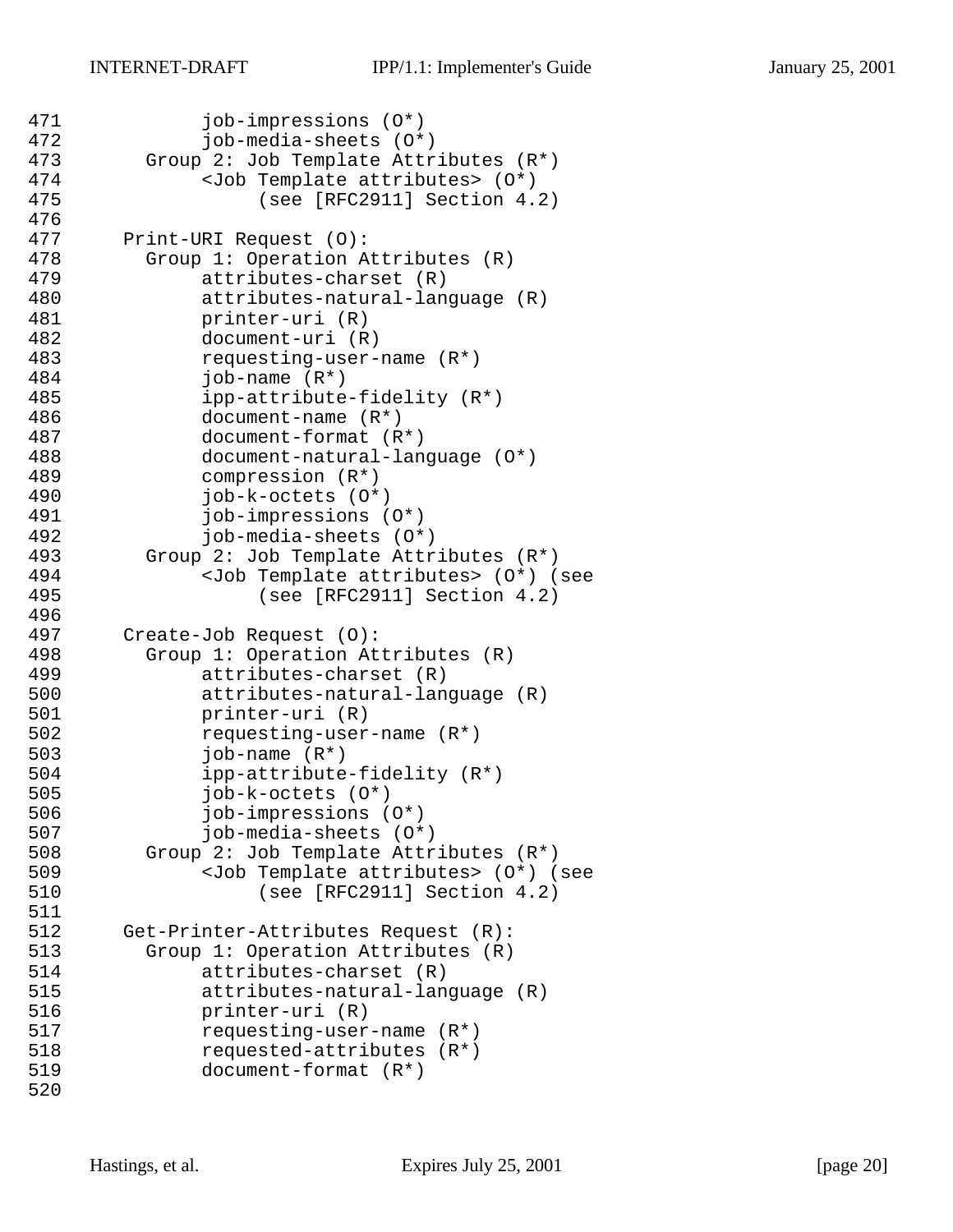```
471 job-impressions (0*)<br>472 iob-media-sheets (0*)
             job-media-sheets (0<sup>*</sup>)473 Group 2: Job Template Attributes (R^*)<br>474 <Job Template attributes> (0^*)474 <Job Template attributes> (0*)<br>475 (see [RFC2911] Section 4.
                 (see [RFC2911] Section 4.2)476<br>477
       Print-URI Request (O):
478 Group 1: Operation Attributes (R)
479 attributes-charset (R)
480 attributes-natural-language (R)
481 printer-uri (R)
482 document-uri (R)
             483 requesting-user-name (R*)
484 job-name (R*)
485 ipp-attribute-fidelity (R*)
486 document-name (R*)
487 document-format (R*)
488 document-natural-language (O*)
489 compression (R*)
490 job-k-octets (O*)
491 job-impressions (O*)
492 job-media-sheets (O*)
493 Group 2: Job Template Attributes (R*)
494 <Job Template attributes> (O*) (see 
495 (see [RFC2911] Section 4.2)
496<br>497
       Create-Job Request (O):
498 Group 1: Operation Attributes (R)
499 attributes-charset (R)
500 attributes-natural-language (R)
501 printer-uri (R)
502 requesting-user-name (R*)<br>503 job-name (R*)
             job-name (R<sup>*</sup>)504 ipp-attribute-fidelity (R*)
505 job-k-octets (O*)
506 job-impressions (O*)
507 job-media-sheets (O*)
508 Group 2: Job Template Attributes (R*)
509 <Job Template attributes> (O*) (see 
510 (see [RFC2911] Section 4.2)
511
512 Get-Printer-Attributes Request (R):
513 Group 1: Operation Attributes (R)
514 attributes-charset (R)
515 attributes-natural-language (R)
516 printer-uri (R)
517 requesting-user-name (R*)
518 requested-attributes (R*)
519 document-format (R*)
520
```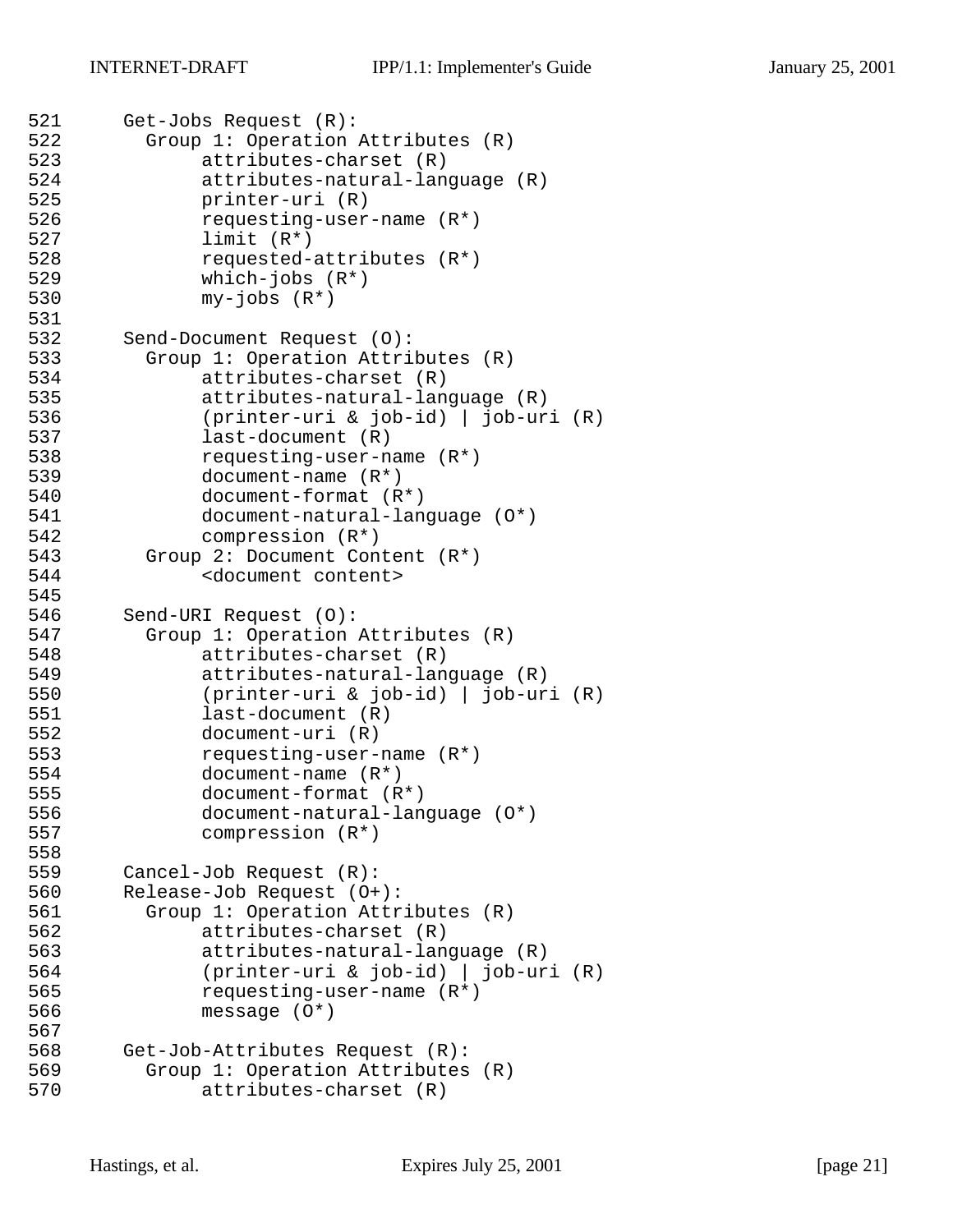```
521 Get-Jobs Request (R):
522 Group 1: Operation Attributes (R)
523 attributes-charset (R)
            attributes-natural-language (R)
525 printer-uri (R)
526 requesting-user-name (R*)
527 limit (R*)
528 requested-attributes (R*)
529 which-jobs (R*)
530 my-jobs (R*)
531
532 Send-Document Request (0):<br>533 Group 1: Operation Attri
        Group 1: Operation Attributes (R)
534 attributes-charset (R)
535 attributes-natural-language (R)
536 (printer-uri & job-id) | job-uri (R)
537 last-document (R)
538 requesting-user-name (R*)
539 document-name (R*)
540 document-format (R*)
541 document-natural-language (O*)
542 compression (R*)
543 Group 2: Document Content (R*)
544 <document content>
545
546 Send-URI Request (O):
547 Group 1: Operation Attributes (R)
548 attributes-charset (R)
549 attributes-natural-language (R)
550 (printer-uri & job-id) | job-uri (R)
551 last-document (R)
552 document-uri (R)<br>553 requesting-user-
            553 requesting-user-name (R*)
554 document-name (R*)
555 document-format (R*)
556 document-natural-language (O*)
557 compression (R*)
558<br>559
      Cancel-Job Request (R):
560 Release-Job Request (O+):
561 Group 1: Operation Attributes (R)
562 attributes-charset (R)
563 attributes-natural-language (R)
564 (printer-uri & job-id) | job-uri (R)
565 requesting-user-name (R*)
566 message (O*)
567
568 Get-Job-Attributes Request (R):
569 Group 1: Operation Attributes (R)
570 attributes-charset (R)
```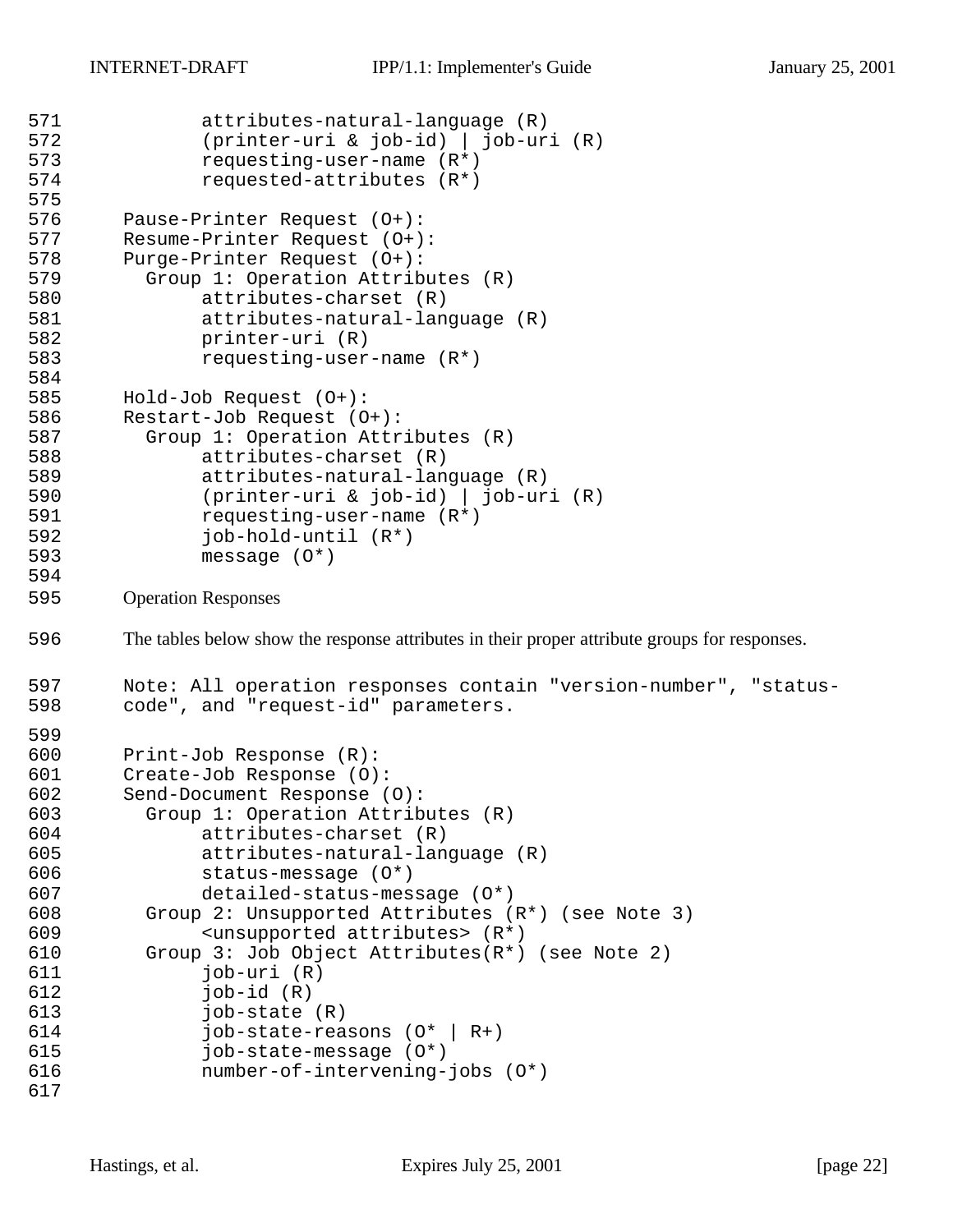```
571 attributes-natural-language (R)
572 (printer-uri & job-id) | job-uri (R)
573 requesting-user-name (R*)<br>574 requested-attributes (R*)
              requested-attributes (R<sup>*</sup>)575
576 Pause-Printer Request (O+):
       Resume-Printer Request (O+):
578 Purge-Printer Request (0+):<br>579 Group 1: Operation Attrib
         Group 1: Operation Attributes (R)
580 attributes-charset (R)
581 attributes-natural-language (R)
582 printer-uri (R)<br>583 printer-uri (R)
              583 requesting-user-name (R*)
584
585 Hold-Job Request (O+):
586 Restart-Job Request (O+):
587 Group 1: Operation Attributes (R)
588 attributes-charset (R)
589 attributes-natural-language (R)
590 (printer-uri & job-id) | job-uri (R)
591 requesting-user-name (R*)
592 job-hold-until (R*)
593 message (O*)
594
595 Operation Responses
596 The tables below show the response attributes in their proper attribute groups for responses.
597 Note: All operation responses contain "version-number", "status-
598 code", and "request-id" parameters.
599<br>600
       Print-Job Response (R):
601 Create-Job Response (0):<br>602 Send-Document Response (
       Send-Document Response (O):
603 Group 1: Operation Attributes (R)
604 attributes-charset (R)
605 attributes-natural-language (R)
606 status-message (O*)
607 detailed-status-message (O*)
608 Group 2: Unsupported Attributes (R*) (see Note 3)
609 <unsupported attributes> (R*)
610 Group 3: Job Object Attributes(R*) (see Note 2)
611 job-uri (R)
612 job-id (R)
613 job-state (R)
614 job-state-reasons (O* | R+)
615 job-state-message (O*)
616 number-of-intervening-jobs (O*)
617
```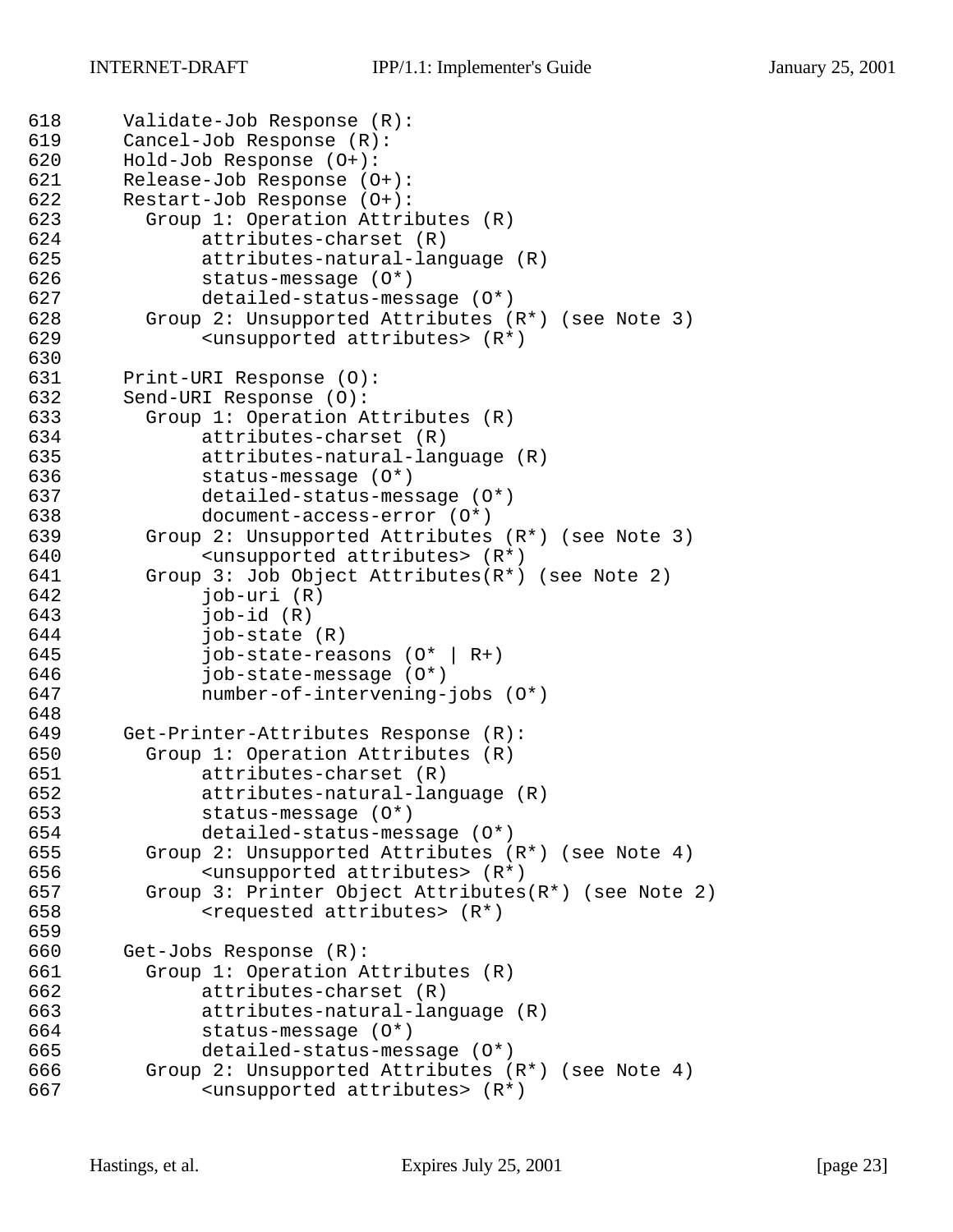```
618 Validate-Job Response (R):
619 Cancel-Job Response (R):
620 Hold-Job Response (O+):
      Release-Job Response (O+):
622 Restart-Job Response (O+):
623 Group 1: Operation Attributes (R)
624 attributes-charset (R)
625 attributes-natural-language (R)
626 status-message (O*)
627 detailed-status-message (O*)
        Group 2: Unsupported Attributes (R<sup>*</sup>) (see Note 3)
629 <unsupported attributes> (R*)
630
631 Print-URI Response (O):
632 Send-URI Response (O):
633 Group 1: Operation Attributes (R)
634 attributes-charset (R)
635 attributes-natural-language (R)
636 status-message (O*)
637 detailed-status-message (O*)
638 document-access-error (O*)
639 Group 2: Unsupported Attributes (R*) (see Note 3)
640 <unsupported attributes> (R*)
641 Group 3: Job Object Attributes(R*) (see Note 2)
642 job-uri (R)
643 job-id (R)
644 job-state (R)
645 job-state-reasons (O* | R+)
646 job-state-message (O*)
647 number-of-intervening-jobs (O*)
648
649 Get-Printer-Attributes Response (R):<br>650 Group 1: Operation Attributes (R)
        Group 1: Operation Attributes (R)651 attributes-charset (R)
652 attributes-natural-language (R)
653 status-message (O*)
654 detailed-status-message (O*)
655 Group 2: Unsupported Attributes (R*) (see Note 4)
656 <unsupported attributes> (R*)
657 Group 3: Printer Object Attributes(R*) (see Note 2)
658 <requested attributes> (R*)
659
660 Get-Jobs Response (R):
661 Group 1: Operation Attributes (R)
662 attributes-charset (R)
663 attributes-natural-language (R)
664 status-message (O*)
665 detailed-status-message (O*)
666 Group 2: Unsupported Attributes (R*) (see Note 4)
667 <unsupported attributes> (R*)
```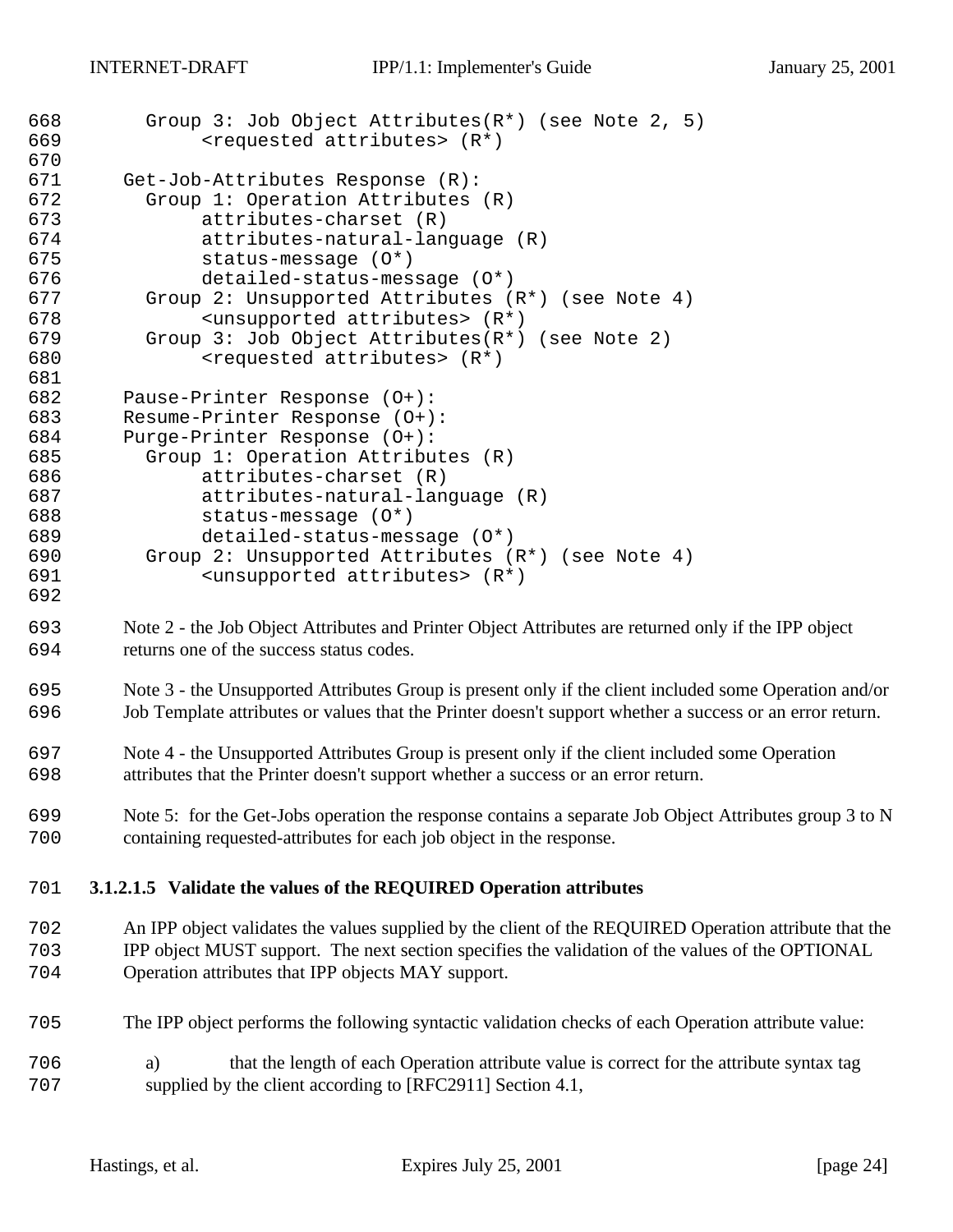| 668<br>669<br>670 | Group 3: Job Object Attributes $(R^*)$ (see Note 2, 5)<br><requested attributes=""> (R*)</requested>                                                          |
|-------------------|---------------------------------------------------------------------------------------------------------------------------------------------------------------|
| 671               | Get-Job-Attributes Response (R):                                                                                                                              |
| 672               | Group 1: Operation Attributes (R)                                                                                                                             |
| 673               | attributes-charset (R)                                                                                                                                        |
| 674               | attributes-natural-language (R)                                                                                                                               |
| 675               | status-message (0*)                                                                                                                                           |
| 676               | detailed-status-message (0*)                                                                                                                                  |
| 677               | Group 2: Unsupported Attributes (R*) (see Note 4)                                                                                                             |
| 678               | <unsupported attributes=""> (R*)</unsupported>                                                                                                                |
| 679               | Group 3: Job Object Attributes(R*) (see Note 2)                                                                                                               |
| 680               | <requested attributes=""> (R*)</requested>                                                                                                                    |
| 681               |                                                                                                                                                               |
| 682               | Pause-Printer Response (0+):                                                                                                                                  |
| 683               | Resume-Printer Response (0+):                                                                                                                                 |
| 684               | Purge-Printer Response (0+):                                                                                                                                  |
| 685               | Group 1: Operation Attributes (R)                                                                                                                             |
| 686               | attributes-charset (R)                                                                                                                                        |
| 687               | attributes-natural-language (R)                                                                                                                               |
| 688               | status-message (0*)                                                                                                                                           |
| 689               | detailed-status-message (0*)                                                                                                                                  |
| 690               | Group 2: Unsupported Attributes (R*) (see Note 4)                                                                                                             |
| 691               | <unsupported attributes=""> (R*)</unsupported>                                                                                                                |
| 692               |                                                                                                                                                               |
| 693               | Note 2 - the Job Object Attributes and Printer Object Attributes are returned only if the IPP object                                                          |
| 694               | returns one of the success status codes.                                                                                                                      |
| 695               | Note 3 - the Unsupported Attributes Group is present only if the client included some Operation and/or                                                        |
| 696               | Job Template attributes or values that the Printer doesn't support whether a success or an error return.                                                      |
| 697               | Note 4 - the Unsupported Attributes Group is present only if the client included some Operation                                                               |
| 698               | attributes that the Printer doesn't support whether a success or an error return.                                                                             |
| 699               | Note 5: for the Get-Jobs operation the response contains a separate Job Object Attributes group 3 to N                                                        |
| 700               | containing requested-attributes for each job object in the response.                                                                                          |
| 701               | 3.1.2.1.5 Validate the values of the REQUIRED Operation attributes                                                                                            |
| 702               | An IPP object validates the values supplied by the client of the REQUIRED Operation attribute that the                                                        |
|                   |                                                                                                                                                               |
| 703<br>704        | IPP object MUST support. The next section specifies the validation of the values of the OPTIONAL<br>Operation attributes that IPP objects MAY support.        |
| 705               | The IPP object performs the following syntactic validation checks of each Operation attribute value:                                                          |
|                   |                                                                                                                                                               |
| 706<br>707        | that the length of each Operation attribute value is correct for the attribute syntax tag<br>a)<br>supplied by the client according to [RFC2911] Section 4.1, |
|                   |                                                                                                                                                               |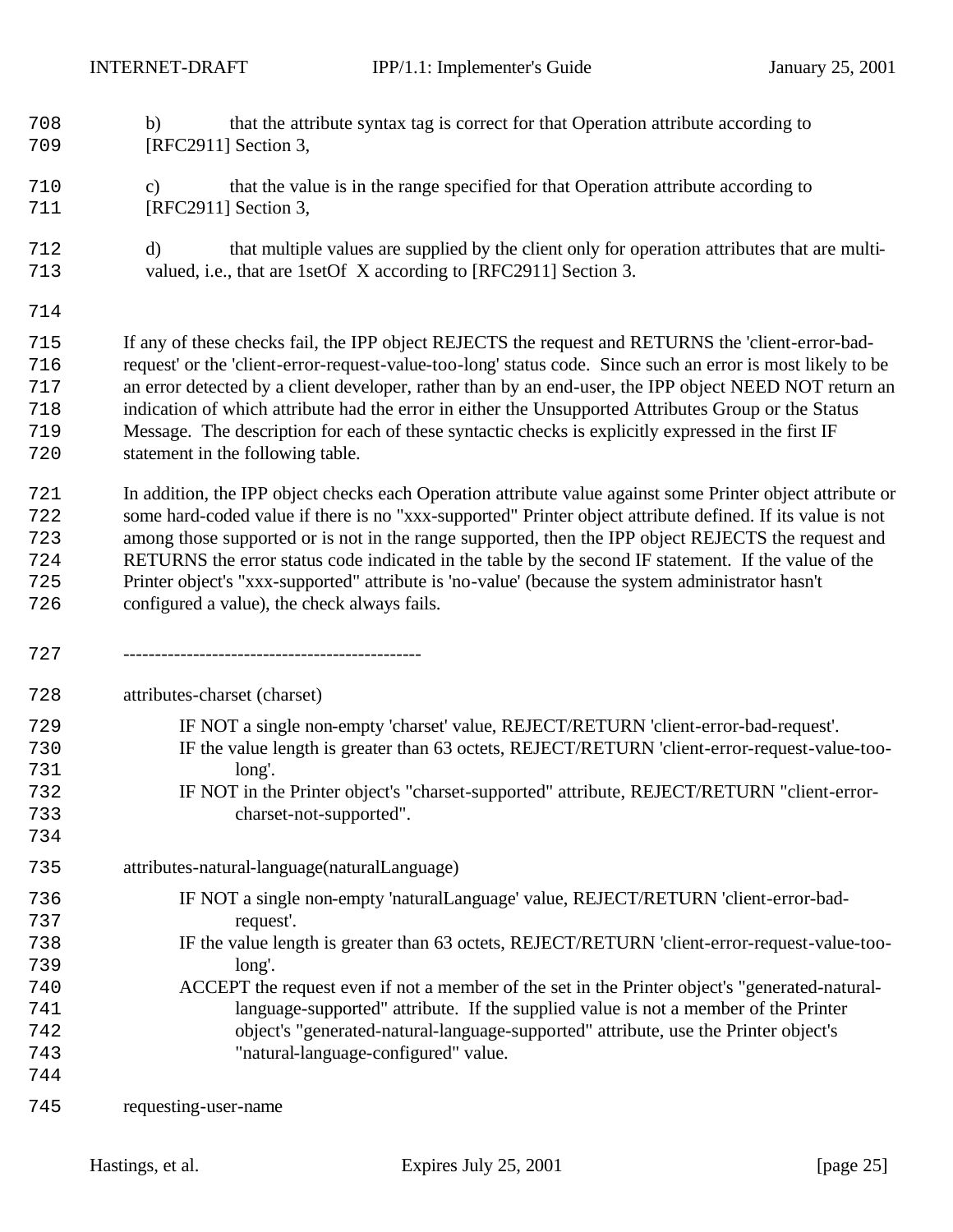- b) that the attribute syntax tag is correct for that Operation attribute according to 709 [RFC2911] Section 3,
- c) that the value is in the range specified for that Operation attribute according to **[RFC2911]** Section 3,
- d) that multiple values are supplied by the client only for operation attributes that are multi-valued, i.e., that are 1setOf X according to [RFC2911] Section 3.
- 

 If any of these checks fail, the IPP object REJECTS the request and RETURNS the 'client-error-bad- request' or the 'client-error-request-value-too-long' status code. Since such an error is most likely to be an error detected by a client developer, rather than by an end-user, the IPP object NEED NOT return an indication of which attribute had the error in either the Unsupported Attributes Group or the Status Message. The description for each of these syntactic checks is explicitly expressed in the first IF statement in the following table.

 In addition, the IPP object checks each Operation attribute value against some Printer object attribute or some hard-coded value if there is no "xxx-supported" Printer object attribute defined. If its value is not among those supported or is not in the range supported, then the IPP object REJECTS the request and RETURNS the error status code indicated in the table by the second IF statement. If the value of the Printer object's "xxx-supported" attribute is 'no-value' (because the system administrator hasn't configured a value), the check always fails.

-----------------------------------------------

attributes-charset (charset)

- IF NOT a single non-empty 'charset' value, REJECT/RETURN 'client-error-bad-request'. IF the value length is greater than 63 octets, REJECT/RETURN 'client-error-request-value-too- long'. IF NOT in the Printer object's "charset-supported" attribute, REJECT/RETURN "client-error-
- charset-not-supported".
- attributes-natural-language(naturalLanguage)
- IF NOT a single non-empty 'naturalLanguage' value, REJECT/RETURN 'client-error-bad-request'.
- IF the value length is greater than 63 octets, REJECT/RETURN 'client-error-request-value-too-long'.
- ACCEPT the request even if not a member of the set in the Printer object's "generated-natural- language-supported" attribute. If the supplied value is not a member of the Printer object's "generated-natural-language-supported" attribute, use the Printer object's "natural-language-configured" value.
- requesting-user-name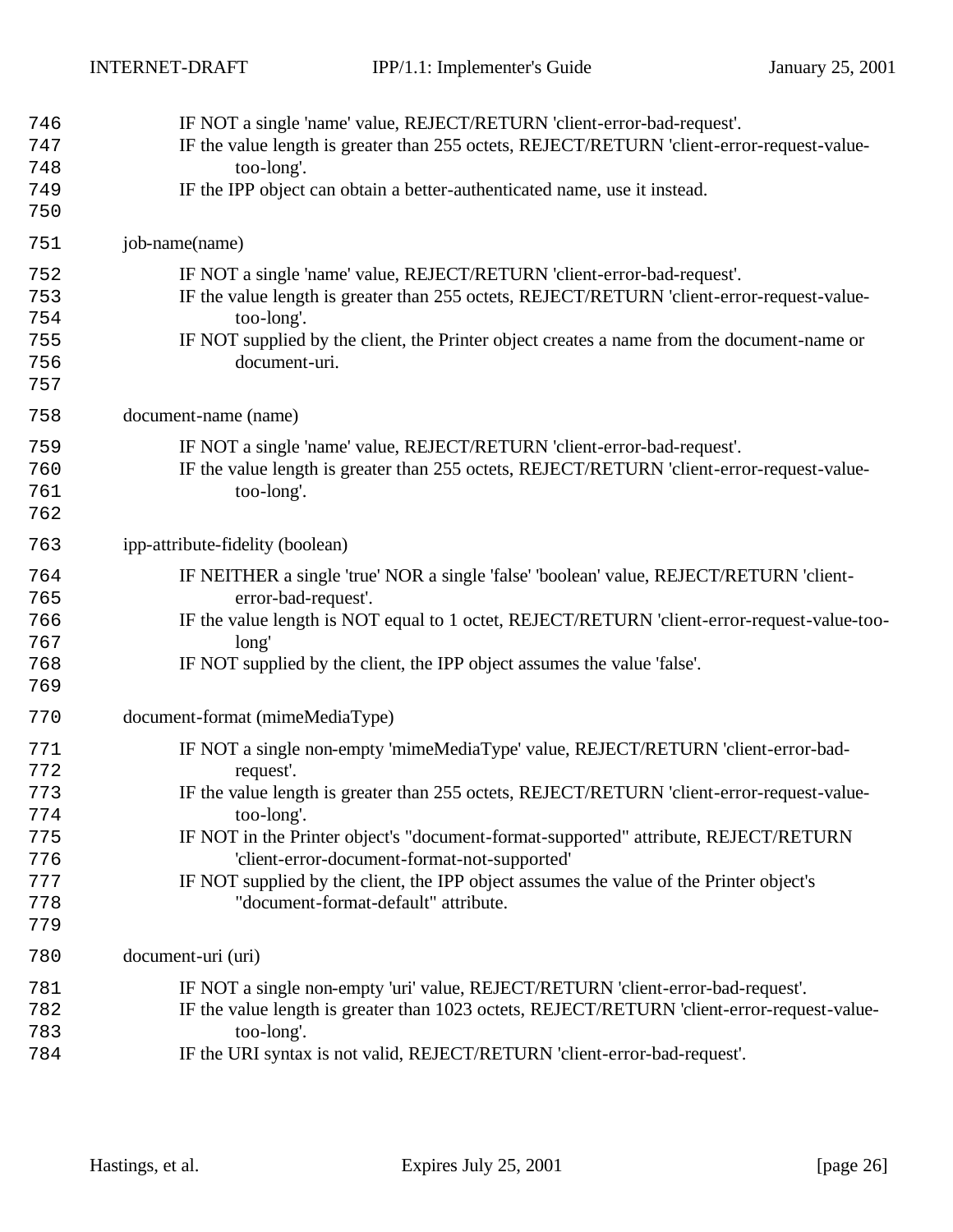| 746<br>747<br>748<br>749<br>750                             | IF NOT a single 'name' value, REJECT/RETURN 'client-error-bad-request'.<br>IF the value length is greater than 255 octets, REJECT/RETURN 'client-error-request-value-<br>too-long'.<br>IF the IPP object can obtain a better-authenticated name, use it instead.                                                                                                                                                                                                                     |
|-------------------------------------------------------------|--------------------------------------------------------------------------------------------------------------------------------------------------------------------------------------------------------------------------------------------------------------------------------------------------------------------------------------------------------------------------------------------------------------------------------------------------------------------------------------|
| 751                                                         | job-name(name)                                                                                                                                                                                                                                                                                                                                                                                                                                                                       |
| 752<br>753<br>754<br>755<br>756<br>757                      | IF NOT a single 'name' value, REJECT/RETURN 'client-error-bad-request'.<br>IF the value length is greater than 255 octets, REJECT/RETURN 'client-error-request-value-<br>too-long'.<br>IF NOT supplied by the client, the Printer object creates a name from the document-name or<br>document-uri.                                                                                                                                                                                   |
| 758                                                         | document-name (name)                                                                                                                                                                                                                                                                                                                                                                                                                                                                 |
| 759<br>760<br>761<br>762                                    | IF NOT a single 'name' value, REJECT/RETURN 'client-error-bad-request'.<br>IF the value length is greater than 255 octets, REJECT/RETURN 'client-error-request-value-<br>too-long'.                                                                                                                                                                                                                                                                                                  |
| 763                                                         | ipp-attribute-fidelity (boolean)                                                                                                                                                                                                                                                                                                                                                                                                                                                     |
| 764<br>765<br>766<br>767<br>768<br>769                      | IF NEITHER a single 'true' NOR a single 'false' 'boolean' value, REJECT/RETURN 'client-<br>error-bad-request'.<br>IF the value length is NOT equal to 1 octet, REJECT/RETURN 'client-error-request-value-too-<br>long'<br>IF NOT supplied by the client, the IPP object assumes the value 'false'.                                                                                                                                                                                   |
| 770                                                         | document-format (mimeMediaType)                                                                                                                                                                                                                                                                                                                                                                                                                                                      |
| 771<br>772<br>773<br>774<br>775<br>776<br>777<br>778<br>779 | IF NOT a single non-empty 'mimeMediaType' value, REJECT/RETURN 'client-error-bad-<br>request'.<br>IF the value length is greater than 255 octets, REJECT/RETURN 'client-error-request-value-<br>too-long'.<br>IF NOT in the Printer object's "document-format-supported" attribute, REJECT/RETURN<br>'client-error-document-format-not-supported'<br>IF NOT supplied by the client, the IPP object assumes the value of the Printer object's<br>"document-format-default" attribute. |
| 780                                                         | document-uri (uri)                                                                                                                                                                                                                                                                                                                                                                                                                                                                   |
| 781<br>782<br>783<br>784                                    | IF NOT a single non-empty 'uri' value, REJECT/RETURN 'client-error-bad-request'.<br>IF the value length is greater than 1023 octets, REJECT/RETURN 'client-error-request-value-<br>too-long'.<br>IF the URI syntax is not valid, REJECT/RETURN 'client-error-bad-request'.                                                                                                                                                                                                           |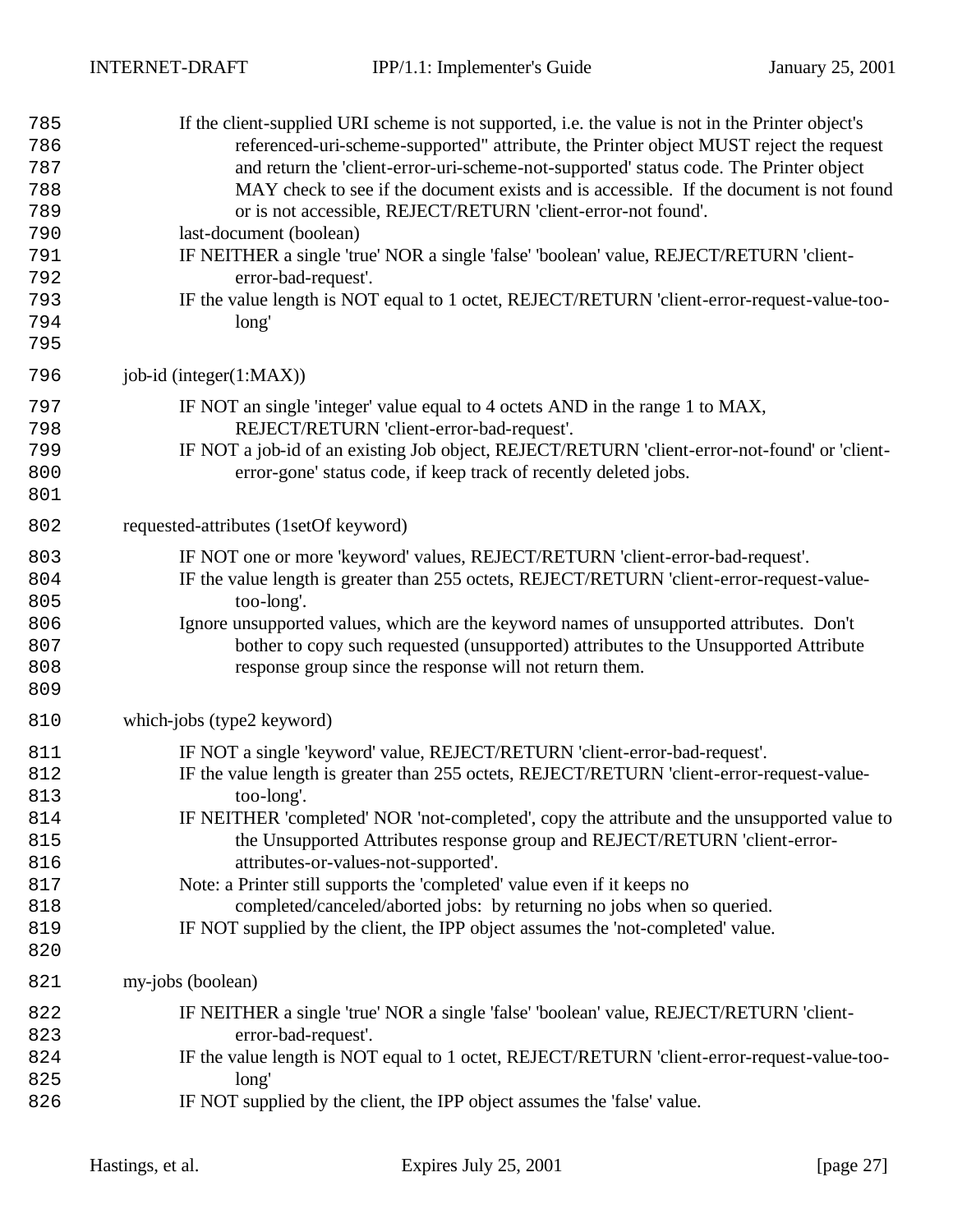| 785<br>786<br>787<br>788<br>789<br>790<br>791<br>792<br>793<br>794<br>795 | If the client-supplied URI scheme is not supported, i.e. the value is not in the Printer object's<br>referenced-uri-scheme-supported" attribute, the Printer object MUST reject the request<br>and return the 'client-error-uri-scheme-not-supported' status code. The Printer object<br>MAY check to see if the document exists and is accessible. If the document is not found<br>or is not accessible, REJECT/RETURN 'client-error-not found'.<br>last-document (boolean)<br>IF NEITHER a single 'true' NOR a single 'false' 'boolean' value, REJECT/RETURN 'client-<br>error-bad-request'.<br>IF the value length is NOT equal to 1 octet, REJECT/RETURN 'client-error-request-value-too-<br>long' |
|---------------------------------------------------------------------------|--------------------------------------------------------------------------------------------------------------------------------------------------------------------------------------------------------------------------------------------------------------------------------------------------------------------------------------------------------------------------------------------------------------------------------------------------------------------------------------------------------------------------------------------------------------------------------------------------------------------------------------------------------------------------------------------------------|
| 796                                                                       | job-id (integer(1:MAX))                                                                                                                                                                                                                                                                                                                                                                                                                                                                                                                                                                                                                                                                                |
| 797<br>798<br>799<br>800<br>801                                           | IF NOT an single 'integer' value equal to 4 octets AND in the range 1 to MAX,<br>REJECT/RETURN 'client-error-bad-request'.<br>IF NOT a job-id of an existing Job object, REJECT/RETURN 'client-error-not-found' or 'client-<br>error-gone' status code, if keep track of recently deleted jobs.                                                                                                                                                                                                                                                                                                                                                                                                        |
| 802                                                                       | requested-attributes (1setOf keyword)                                                                                                                                                                                                                                                                                                                                                                                                                                                                                                                                                                                                                                                                  |
| 803<br>804<br>805<br>806<br>807<br>808<br>809                             | IF NOT one or more 'keyword' values, REJECT/RETURN 'client-error-bad-request'.<br>IF the value length is greater than 255 octets, REJECT/RETURN 'client-error-request-value-<br>too-long'.<br>Ignore unsupported values, which are the keyword names of unsupported attributes. Don't<br>bother to copy such requested (unsupported) attributes to the Unsupported Attribute<br>response group since the response will not return them.                                                                                                                                                                                                                                                                |
| 810                                                                       | which-jobs (type2 keyword)                                                                                                                                                                                                                                                                                                                                                                                                                                                                                                                                                                                                                                                                             |
| 811<br>812<br>813<br>814<br>815<br>816<br>817<br>818<br>819<br>820        | IF NOT a single 'keyword' value, REJECT/RETURN 'client-error-bad-request'.<br>IF the value length is greater than 255 octets, REJECT/RETURN 'client-error-request-value-<br>too-long'.<br>IF NEITHER 'completed' NOR 'not-completed', copy the attribute and the unsupported value to<br>the Unsupported Attributes response group and REJECT/RETURN 'client-error-<br>attributes-or-values-not-supported'.<br>Note: a Printer still supports the 'completed' value even if it keeps no<br>completed/canceled/aborted jobs: by returning no jobs when so queried.<br>IF NOT supplied by the client, the IPP object assumes the 'not-completed' value.                                                  |
| 821                                                                       | my-jobs (boolean)                                                                                                                                                                                                                                                                                                                                                                                                                                                                                                                                                                                                                                                                                      |
| 822<br>823<br>824<br>825<br>826                                           | IF NEITHER a single 'true' NOR a single 'false' 'boolean' value, REJECT/RETURN 'client-<br>error-bad-request'.<br>IF the value length is NOT equal to 1 octet, REJECT/RETURN 'client-error-request-value-too-<br>long'<br>IF NOT supplied by the client, the IPP object assumes the 'false' value.                                                                                                                                                                                                                                                                                                                                                                                                     |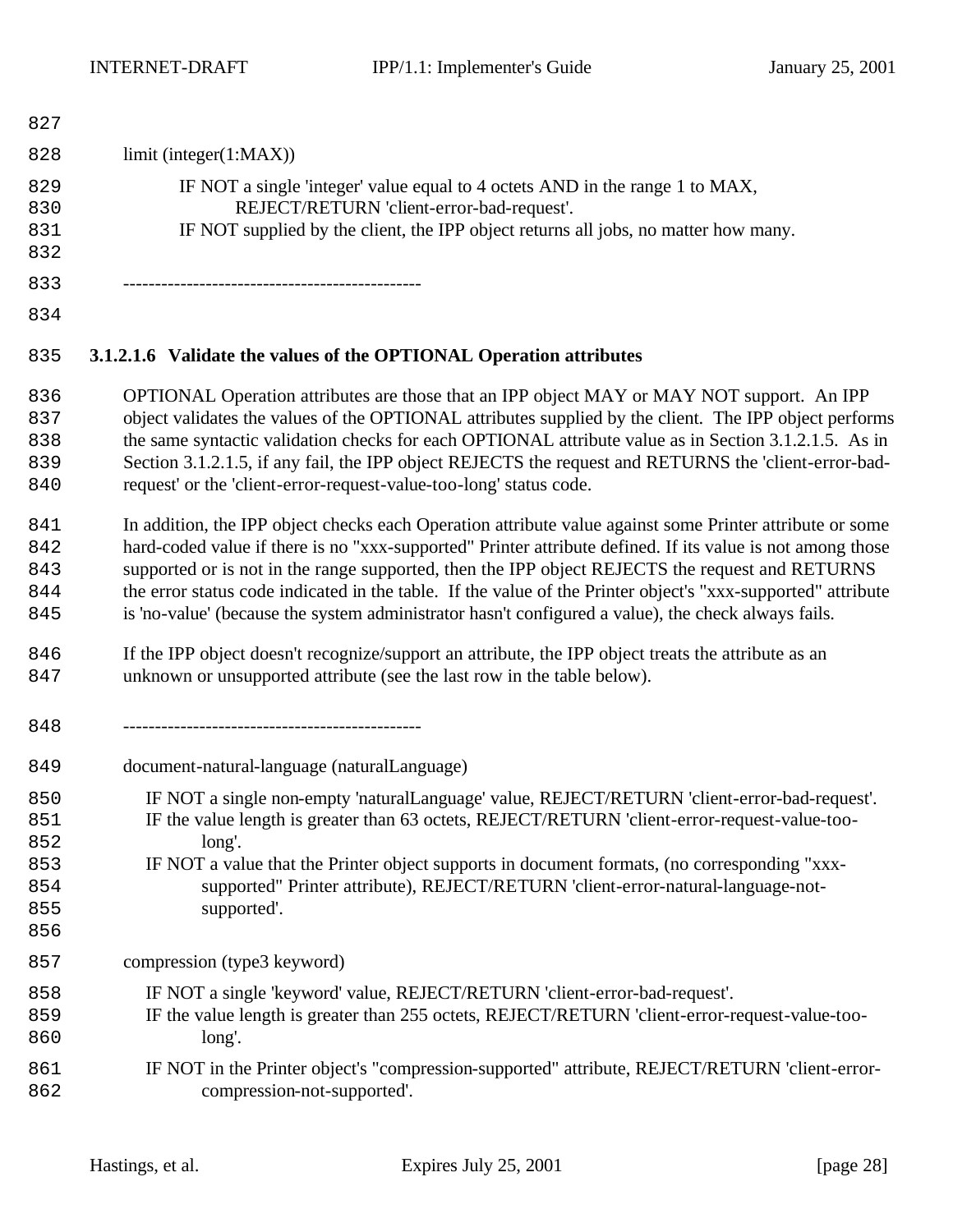| 827                             |                                                                                                                                                                                                                                                                                                                                                                                                                                                                                                                                                  |
|---------------------------------|--------------------------------------------------------------------------------------------------------------------------------------------------------------------------------------------------------------------------------------------------------------------------------------------------------------------------------------------------------------------------------------------------------------------------------------------------------------------------------------------------------------------------------------------------|
| 828                             | limit (integer(1:MAX))                                                                                                                                                                                                                                                                                                                                                                                                                                                                                                                           |
| 829<br>830<br>831<br>832        | IF NOT a single 'integer' value equal to 4 octets AND in the range 1 to MAX,<br>REJECT/RETURN 'client-error-bad-request'.<br>IF NOT supplied by the client, the IPP object returns all jobs, no matter how many.                                                                                                                                                                                                                                                                                                                                 |
| 833                             | --------------------------------------                                                                                                                                                                                                                                                                                                                                                                                                                                                                                                           |
| 834                             |                                                                                                                                                                                                                                                                                                                                                                                                                                                                                                                                                  |
| 835                             | 3.1.2.1.6 Validate the values of the OPTIONAL Operation attributes                                                                                                                                                                                                                                                                                                                                                                                                                                                                               |
| 836<br>837<br>838<br>839<br>840 | OPTIONAL Operation attributes are those that an IPP object MAY or MAY NOT support. An IPP<br>object validates the values of the OPTIONAL attributes supplied by the client. The IPP object performs<br>the same syntactic validation checks for each OPTIONAL attribute value as in Section 3.1.2.1.5. As in<br>Section 3.1.2.1.5, if any fail, the IPP object REJECTS the request and RETURNS the 'client-error-bad-<br>request' or the 'client-error-request-value-too-long' status code.                                                      |
| 841<br>842<br>843<br>844<br>845 | In addition, the IPP object checks each Operation attribute value against some Printer attribute or some<br>hard-coded value if there is no "xxx-supported" Printer attribute defined. If its value is not among those<br>supported or is not in the range supported, then the IPP object REJECTS the request and RETURNS<br>the error status code indicated in the table. If the value of the Printer object's "xxx-supported" attribute<br>is 'no-value' (because the system administrator hasn't configured a value), the check always fails. |

- If the IPP object doesn't recognize/support an attribute, the IPP object treats the attribute as an unknown or unsupported attribute (see the last row in the table below).
- -----------------------------------------------
- document-natural-language (naturalLanguage)
- IF NOT a single non-empty 'naturalLanguage' value, REJECT/RETURN 'client-error-bad-request'. IF the value length is greater than 63 octets, REJECT/RETURN 'client-error-request-value-too-
- long'.

- IF NOT a value that the Printer object supports in document formats, (no corresponding "xxx- supported" Printer attribute), REJECT/RETURN 'client-error-natural-language-not-supported'.
- compression (type3 keyword)
- IF NOT a single 'keyword' value, REJECT/RETURN 'client-error-bad-request'.
- IF the value length is greater than 255 octets, REJECT/RETURN 'client-error-request-value-too-long'.
- IF NOT in the Printer object's "compression-supported" attribute, REJECT/RETURN 'client-error-compression-not-supported'.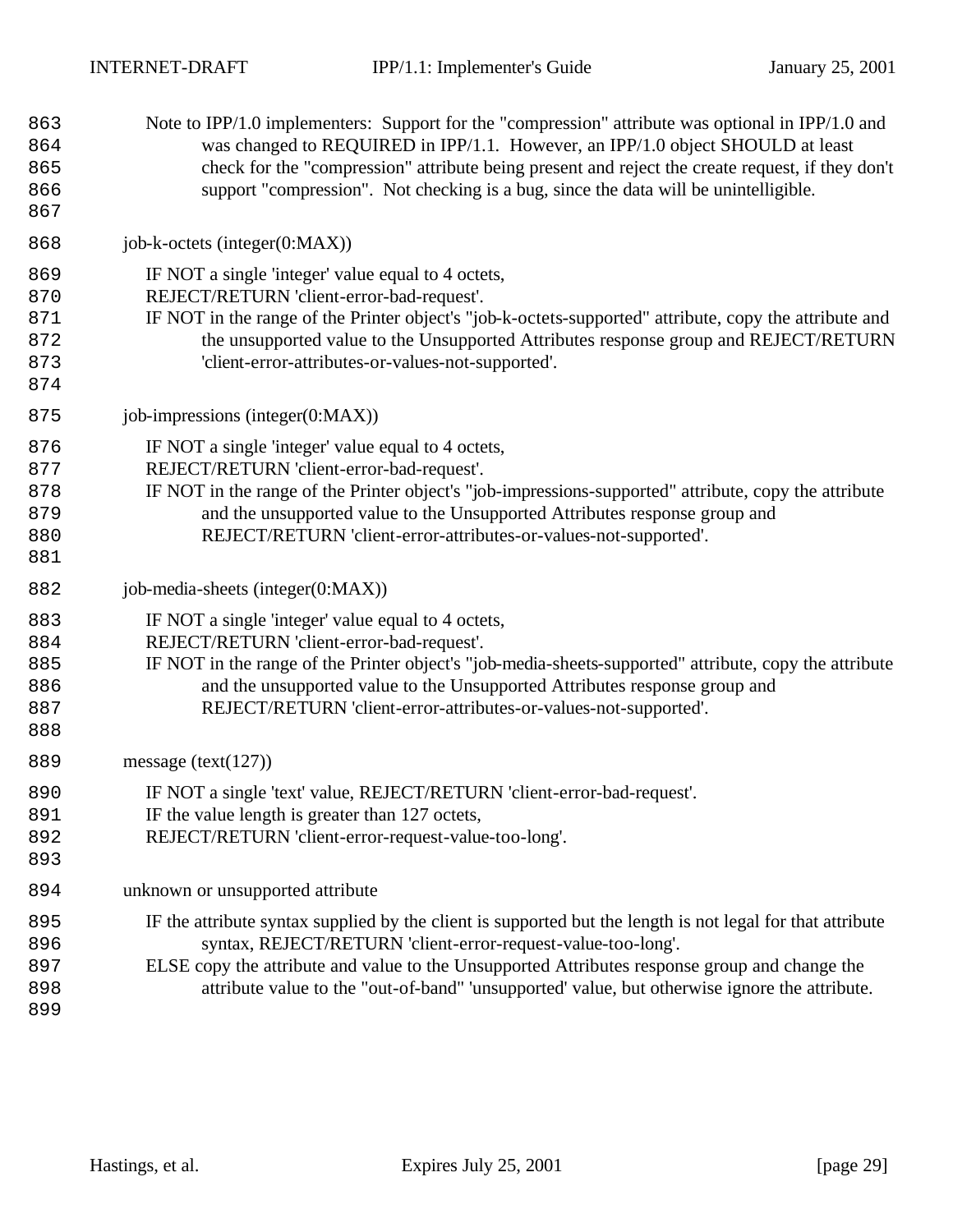| 863<br>864<br>865<br>866<br>867        | Note to IPP/1.0 implementers: Support for the "compression" attribute was optional in IPP/1.0 and<br>was changed to REQUIRED in IPP/1.1. However, an IPP/1.0 object SHOULD at least<br>check for the "compression" attribute being present and reject the create request, if they don't<br>support "compression". Not checking is a bug, since the data will be unintelligible. |
|----------------------------------------|---------------------------------------------------------------------------------------------------------------------------------------------------------------------------------------------------------------------------------------------------------------------------------------------------------------------------------------------------------------------------------|
| 868                                    | job-k-octets (integer(0:MAX))                                                                                                                                                                                                                                                                                                                                                   |
| 869<br>870<br>871<br>872<br>873<br>874 | IF NOT a single 'integer' value equal to 4 octets,<br>REJECT/RETURN 'client-error-bad-request'.<br>IF NOT in the range of the Printer object's "job-k-octets-supported" attribute, copy the attribute and<br>the unsupported value to the Unsupported Attributes response group and REJECT/RETURN<br>'client-error-attributes-or-values-not-supported'.                         |
| 875                                    | job-impressions (integer $(0:MAX)$ )                                                                                                                                                                                                                                                                                                                                            |
| 876<br>877<br>878<br>879<br>880<br>881 | IF NOT a single 'integer' value equal to 4 octets,<br>REJECT/RETURN 'client-error-bad-request'.<br>IF NOT in the range of the Printer object's "job-impressions-supported" attribute, copy the attribute<br>and the unsupported value to the Unsupported Attributes response group and<br>REJECT/RETURN 'client-error-attributes-or-values-not-supported'.                      |
| 882                                    | job-media-sheets (integer(0:MAX))                                                                                                                                                                                                                                                                                                                                               |
| 883<br>884<br>885<br>886<br>887<br>888 | IF NOT a single 'integer' value equal to 4 octets,<br>REJECT/RETURN 'client-error-bad-request'.<br>IF NOT in the range of the Printer object's "job-media-sheets-supported" attribute, copy the attribute<br>and the unsupported value to the Unsupported Attributes response group and<br>REJECT/RETURN 'client-error-attributes-or-values-not-supported'.                     |
| 889                                    | message (text( $127$ ))                                                                                                                                                                                                                                                                                                                                                         |
| 890<br>891<br>892<br>893               | IF NOT a single 'text' value, REJECT/RETURN 'client-error-bad-request'.<br>IF the value length is greater than 127 octets,<br>REJECT/RETURN 'client-error-request-value-too-long'.                                                                                                                                                                                              |
| 894                                    | unknown or unsupported attribute                                                                                                                                                                                                                                                                                                                                                |
| 895<br>896<br>897<br>898<br>899        | IF the attribute syntax supplied by the client is supported but the length is not legal for that attribute<br>syntax, REJECT/RETURN 'client-error-request-value-too-long'.<br>ELSE copy the attribute and value to the Unsupported Attributes response group and change the<br>attribute value to the "out-of-band" 'unsupported' value, but otherwise ignore the attribute.    |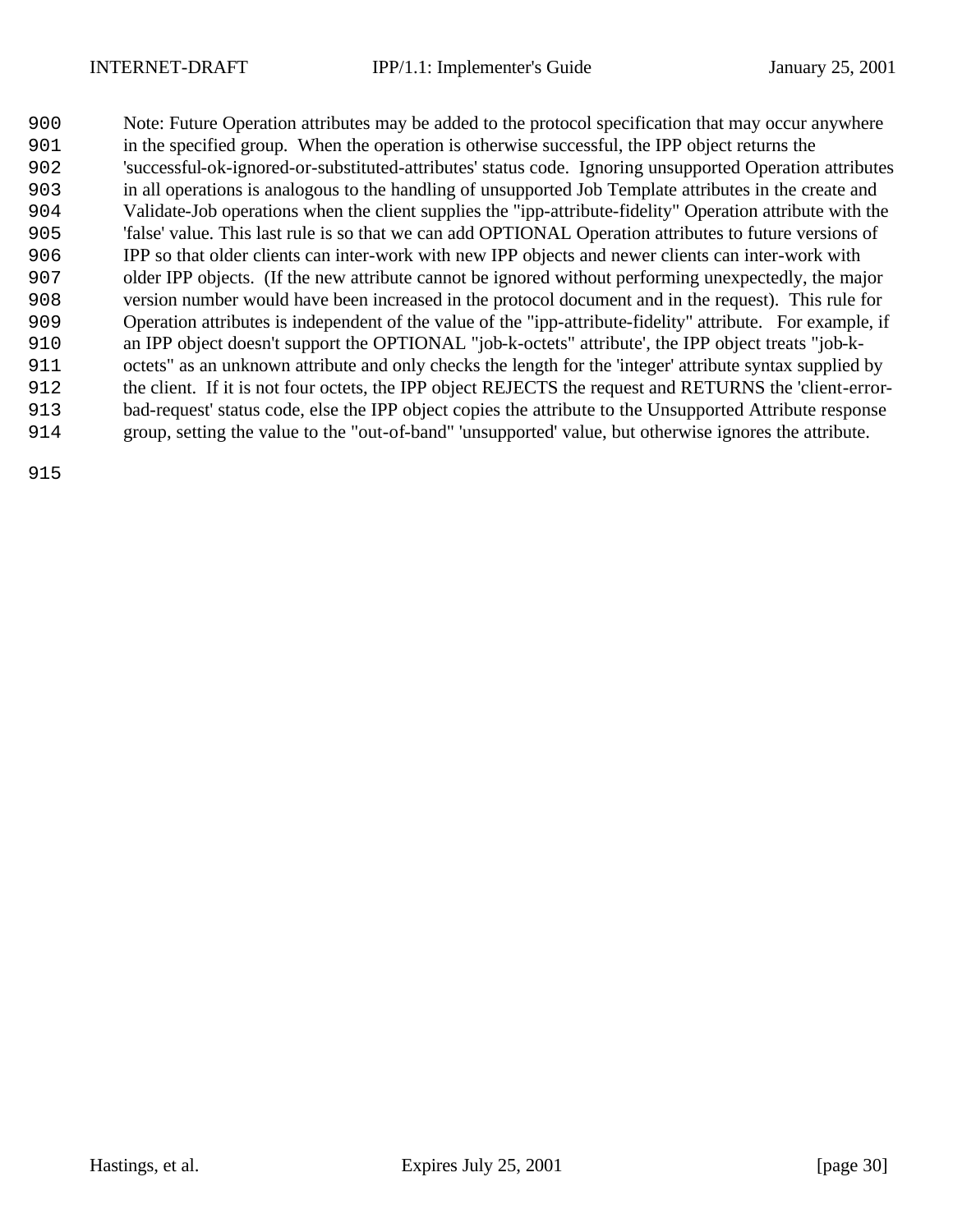Note: Future Operation attributes may be added to the protocol specification that may occur anywhere in the specified group. When the operation is otherwise successful, the IPP object returns the 'successful-ok-ignored-or-substituted-attributes' status code. Ignoring unsupported Operation attributes in all operations is analogous to the handling of unsupported Job Template attributes in the create and Validate-Job operations when the client supplies the "ipp-attribute-fidelity" Operation attribute with the 'false' value. This last rule is so that we can add OPTIONAL Operation attributes to future versions of IPP so that older clients can inter-work with new IPP objects and newer clients can inter-work with older IPP objects. (If the new attribute cannot be ignored without performing unexpectedly, the major version number would have been increased in the protocol document and in the request). This rule for Operation attributes is independent of the value of the "ipp-attribute-fidelity" attribute. For example, if an IPP object doesn't support the OPTIONAL "job-k-octets" attribute', the IPP object treats "job-k- octets" as an unknown attribute and only checks the length for the 'integer' attribute syntax supplied by the client. If it is not four octets, the IPP object REJECTS the request and RETURNS the 'client-error- bad-request' status code, else the IPP object copies the attribute to the Unsupported Attribute response group, setting the value to the "out-of-band" 'unsupported' value, but otherwise ignores the attribute.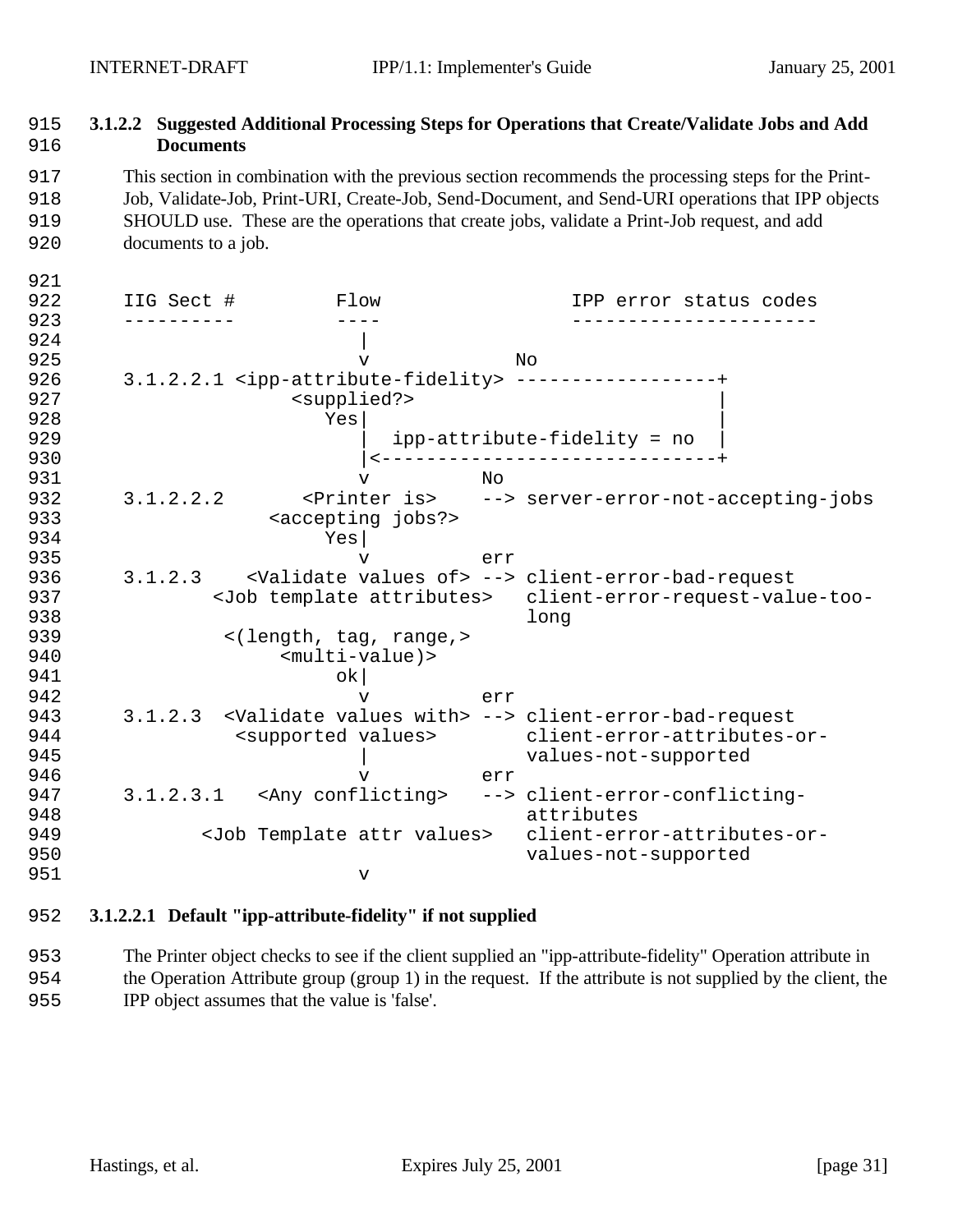# 915 **3.1.2.2 Suggested Additional Processing Steps for Operations that Create/Validate Jobs and Add**  916 **Documents**

917 This section in combination with the previous section recommends the processing steps for the Print-918 Job, Validate-Job, Print-URI, Create-Job, Send-Document, and Send-URI operations that IPP objects 919 SHOULD use. These are the operations that create jobs, validate a Print-Job request, and add

920 documents to a job.

921

922 IIG Sect # Flow IPP error status codes 923 ---------- ---- ----------------------  $924$ 925 v No 926 3.1.2.2.1 <ipp-attribute-fidelity> ------------------+ 927 <supplied?>  $928$  Yes  $|$ 929 | ipp-attribute-fidelity = no | 930 |<------------------------------+ 931 v No 932 3.1.2.2.2 <Printer is> --> server-error-not-accepting-jobs 933 <accepting jobs?> 934 Yes $\begin{array}{ccc} 934 & & & \text{Yes} \ 935 & & & \text{V} \end{array}$ 935 v err 936 3.1.2.3 <Validate values of> --> client-error-bad-request 937 <Job template attributes> client-error-request-value-too-938 long 939 <(length, tag, range,> 940 <multi-value)> 941 ok| 942 v err 943 3.1.2.3 <Validate values with> --> client-error-bad-request 944 <supported values> client-error-attributes-or-945 | values-not-supported 946 v err 947 3.1.2.3.1 <Any conflicting> --> client-error-conflicting-948 attributes 949 <Job Template attr values> client-error-attributes-or-950 values-not-supported 951 v

## 952 **3.1.2.2.1 Default "ipp-attribute-fidelity" if not supplied**

953 The Printer object checks to see if the client supplied an "ipp-attribute-fidelity" Operation attribute in 954 the Operation Attribute group (group 1) in the request. If the attribute is not supplied by the client, the 955 IPP object assumes that the value is 'false'.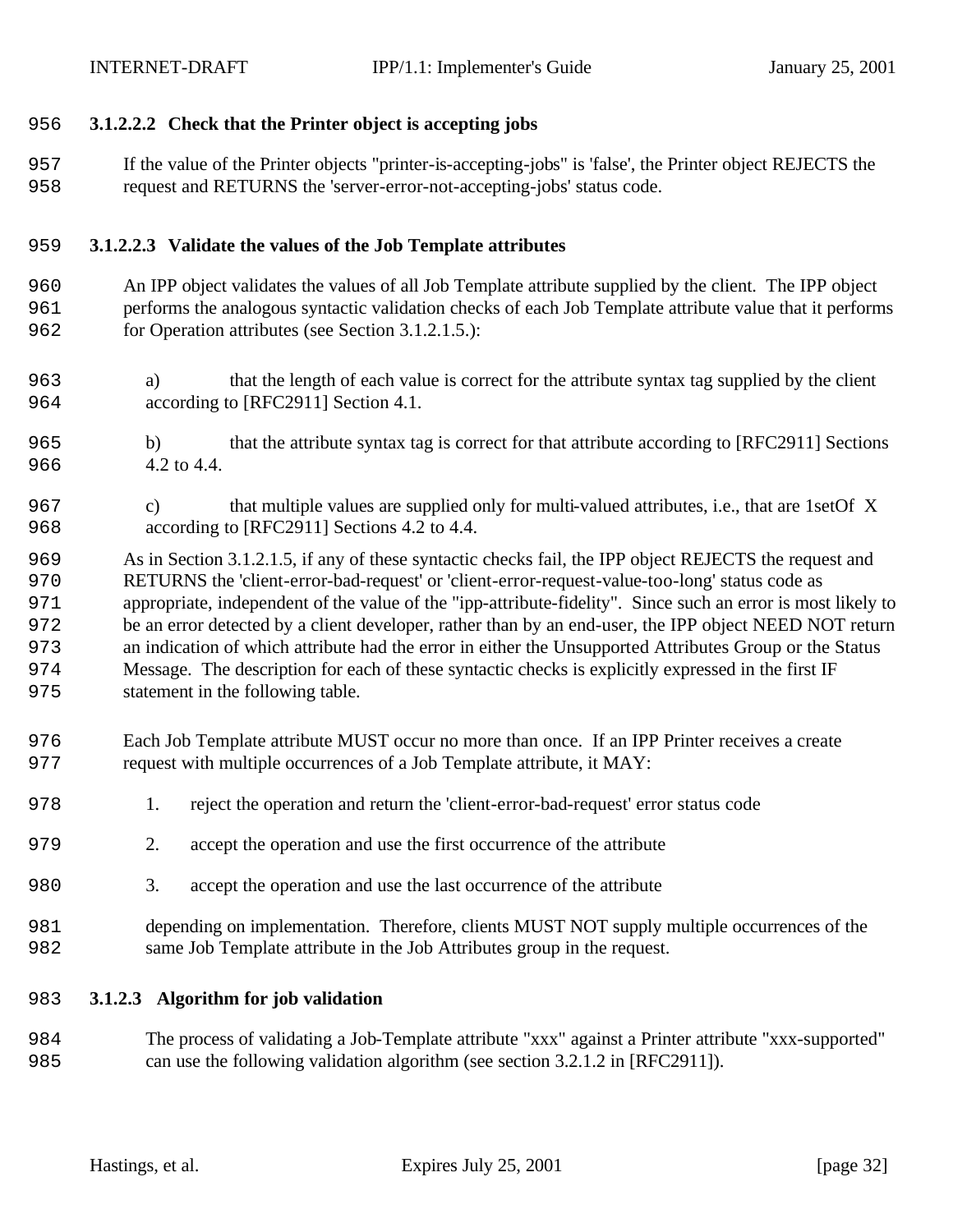## **3.1.2.2.2 Check that the Printer object is accepting jobs**

 If the value of the Printer objects "printer-is-accepting-jobs" is 'false', the Printer object REJECTS the request and RETURNS the 'server-error-not-accepting-jobs' status code.

### **3.1.2.2.3 Validate the values of the Job Template attributes**

- An IPP object validates the values of all Job Template attribute supplied by the client. The IPP object performs the analogous syntactic validation checks of each Job Template attribute value that it performs for Operation attributes (see Section 3.1.2.1.5.):
- a) that the length of each value is correct for the attribute syntax tag supplied by the client according to [RFC2911] Section 4.1.
- b) that the attribute syntax tag is correct for that attribute according to [RFC2911] Sections 4.2 to 4.4.
- c) that multiple values are supplied only for multi-valued attributes, i.e., that are 1setOf X according to [RFC2911] Sections 4.2 to 4.4.
- As in Section 3.1.2.1.5, if any of these syntactic checks fail, the IPP object REJECTS the request and RETURNS the 'client-error-bad-request' or 'client-error-request-value-too-long' status code as appropriate, independent of the value of the "ipp-attribute-fidelity". Since such an error is most likely to be an error detected by a client developer, rather than by an end-user, the IPP object NEED NOT return an indication of which attribute had the error in either the Unsupported Attributes Group or the Status Message. The description for each of these syntactic checks is explicitly expressed in the first IF statement in the following table.
- Each Job Template attribute MUST occur no more than once. If an IPP Printer receives a create 977 request with multiple occurrences of a Job Template attribute, it MAY:
- 1. reject the operation and return the 'client-error-bad-request' error status code
- 2. accept the operation and use the first occurrence of the attribute
- 3. accept the operation and use the last occurrence of the attribute
- depending on implementation. Therefore, clients MUST NOT supply multiple occurrences of the same Job Template attribute in the Job Attributes group in the request.
- **3.1.2.3 Algorithm for job validation**
- The process of validating a Job-Template attribute "xxx" against a Printer attribute "xxx-supported" can use the following validation algorithm (see section 3.2.1.2 in [RFC2911]).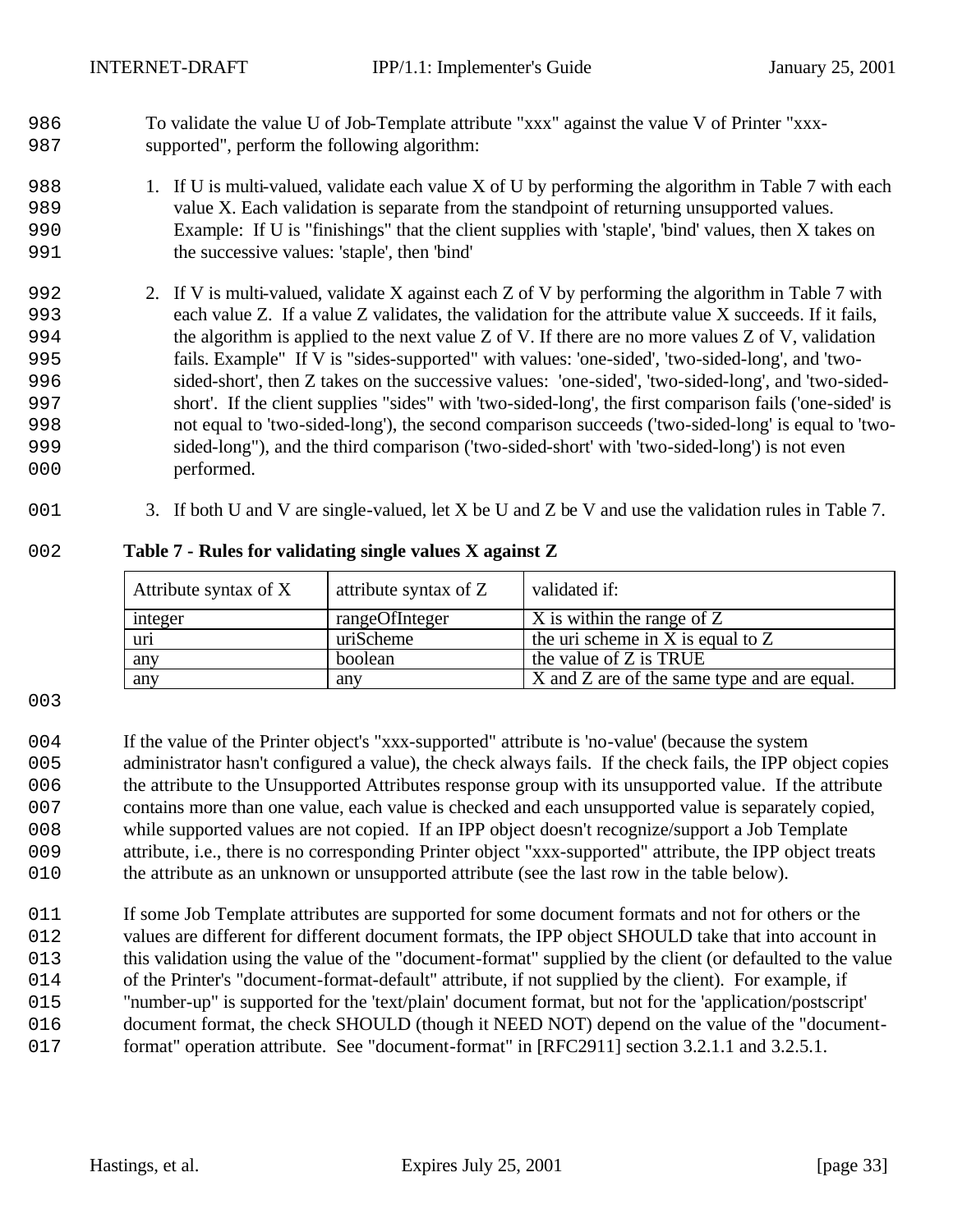To validate the value U of Job-Template attribute "xxx" against the value V of Printer "xxx-supported", perform the following algorithm:

- 988 1. If U is multi-valued, validate each value X of U by performing the algorithm in Table 7 with each value X. Each validation is separate from the standpoint of returning unsupported values. Example: If U is "finishings" that the client supplies with 'staple', 'bind' values, then X takes on the successive values: 'staple', then 'bind'
- 2. If V is multi-valued, validate X against each Z of V by performing the algorithm in Table 7 with each value Z. If a value Z validates, the validation for the attribute value X succeeds. If it fails, the algorithm is applied to the next value Z of V. If there are no more values Z of V, validation fails. Example" If V is "sides-supported" with values: 'one-sided', 'two-sided-long', and 'two- sided-short', then Z takes on the successive values: 'one-sided', 'two-sided-long', and 'two-sided- short'. If the client supplies "sides" with 'two-sided-long', the first comparison fails ('one-sided' is not equal to 'two-sided-long'), the second comparison succeeds ('two-sided-long' is equal to 'two- sided-long"), and the third comparison ('two-sided-short' with 'two-sided-long') is not even 000 performed.
- 001 3. If both U and V are single-valued, let X be U and Z be V and use the validation rules in Table 7.

## **Table 7 - Rules for validating single values X against Z**

| Attribute syntax of X | attribute syntax of Z | validated if:                               |
|-----------------------|-----------------------|---------------------------------------------|
| integer               | rangeOfInteger        | $X$ is within the range of Z                |
| uri                   | uriScheme             | the uri scheme in X is equal to $Z$         |
| any                   | boolean               | the value of Z is TRUE                      |
| any                   | any                   | X and Z are of the same type and are equal. |

 If the value of the Printer object's "xxx-supported" attribute is 'no-value' (because the system administrator hasn't configured a value), the check always fails. If the check fails, the IPP object copies the attribute to the Unsupported Attributes response group with its unsupported value. If the attribute contains more than one value, each value is checked and each unsupported value is separately copied, while supported values are not copied. If an IPP object doesn't recognize/support a Job Template attribute, i.e., there is no corresponding Printer object "xxx-supported" attribute, the IPP object treats the attribute as an unknown or unsupported attribute (see the last row in the table below).

011 If some Job Template attributes are supported for some document formats and not for others or the values are different for different document formats, the IPP object SHOULD take that into account in this validation using the value of the "document-format" supplied by the client (or defaulted to the value 014 of the Printer's "document-format-default" attribute, if not supplied by the client). For example, if "number-up" is supported for the 'text/plain' document format, but not for the 'application/postscript' document format, the check SHOULD (though it NEED NOT) depend on the value of the "document-format" operation attribute. See "document-format" in [RFC2911] section 3.2.1.1 and 3.2.5.1.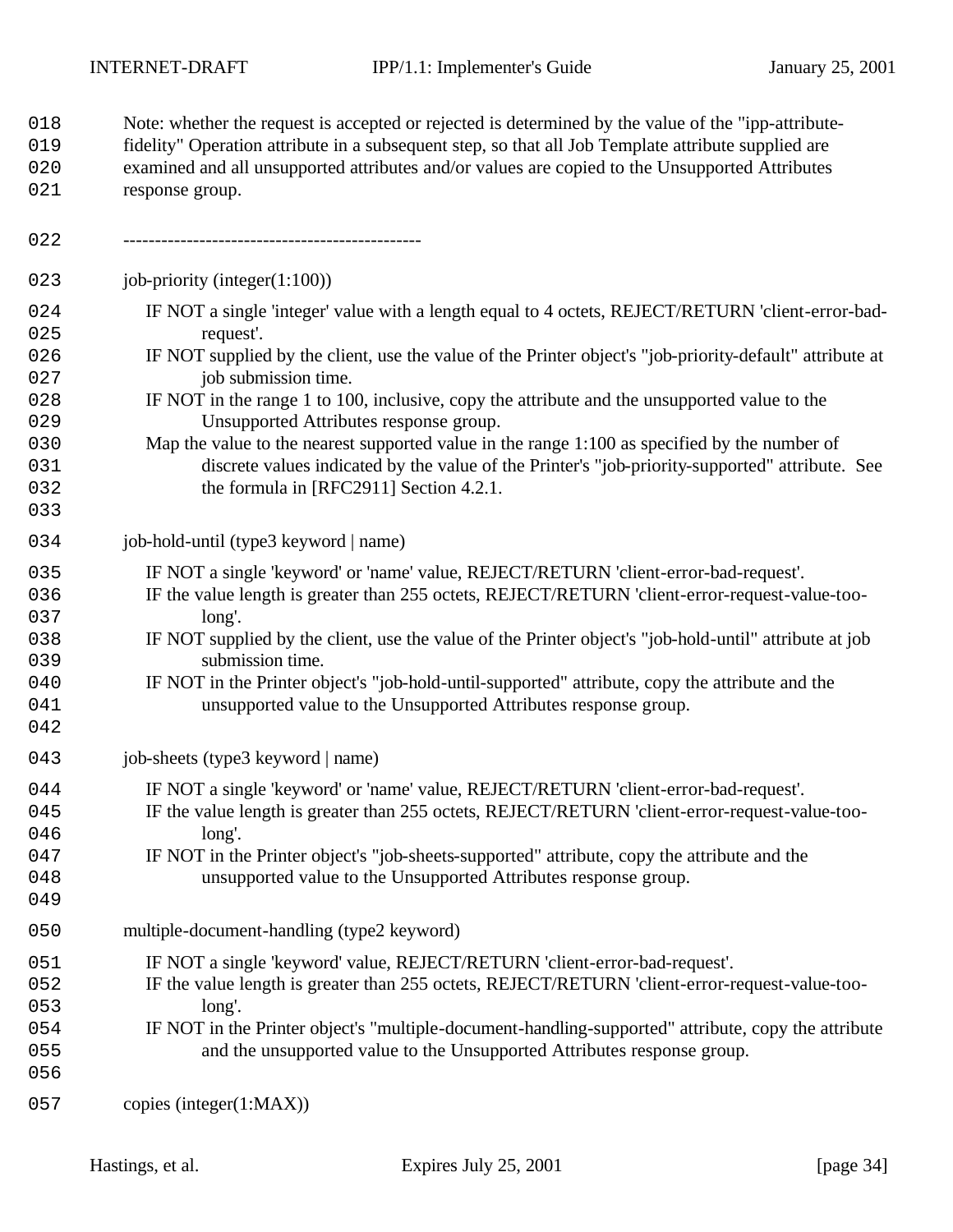Note: whether the request is accepted or rejected is determined by the value of the "ipp-attribute-

 fidelity" Operation attribute in a subsequent step, so that all Job Template attribute supplied are examined and all unsupported attributes and/or values are copied to the Unsupported Attributes 021 response group. ----------------------------------------------- 023 job-priority (integer(1:100)) 024 IF NOT a single 'integer' value with a length equal to 4 octets, REJECT/RETURN 'client-error-bad-025 request'. IF NOT supplied by the client, use the value of the Printer object's "job-priority-default" attribute at 027 job submission time. IF NOT in the range 1 to 100, inclusive, copy the attribute and the unsupported value to the 029 Unsupported Attributes response group. Map the value to the nearest supported value in the range 1:100 as specified by the number of discrete values indicated by the value of the Printer's "job-priority-supported" attribute. See 032 the formula in [RFC2911] Section 4.2.1. 034 job-hold-until (type3 keyword | name) IF NOT a single 'keyword' or 'name' value, REJECT/RETURN 'client-error-bad-request'. IF the value length is greater than 255 octets, REJECT/RETURN 'client-error-request-value-too-037 long'. IF NOT supplied by the client, use the value of the Printer object's "job-hold-until" attribute at job 039 submission time. IF NOT in the Printer object's "job-hold-until-supported" attribute, copy the attribute and the **unsupported value to the Unsupported Attributes response group.**  043 job-sheets (type3 keyword | name) IF NOT a single 'keyword' or 'name' value, REJECT/RETURN 'client-error-bad-request'. IF the value length is greater than 255 octets, REJECT/RETURN 'client-error-request-value-too-046 long'. IF NOT in the Printer object's "job-sheets-supported" attribute, copy the attribute and the unsupported value to the Unsupported Attributes response group. multiple-document-handling (type2 keyword) IF NOT a single 'keyword' value, REJECT/RETURN 'client-error-bad-request'. IF the value length is greater than 255 octets, REJECT/RETURN 'client-error-request-value-too-053 long'. IF NOT in the Printer object's "multiple-document-handling-supported" attribute, copy the attribute and the unsupported value to the Unsupported Attributes response group. 057 copies (integer(1:MAX))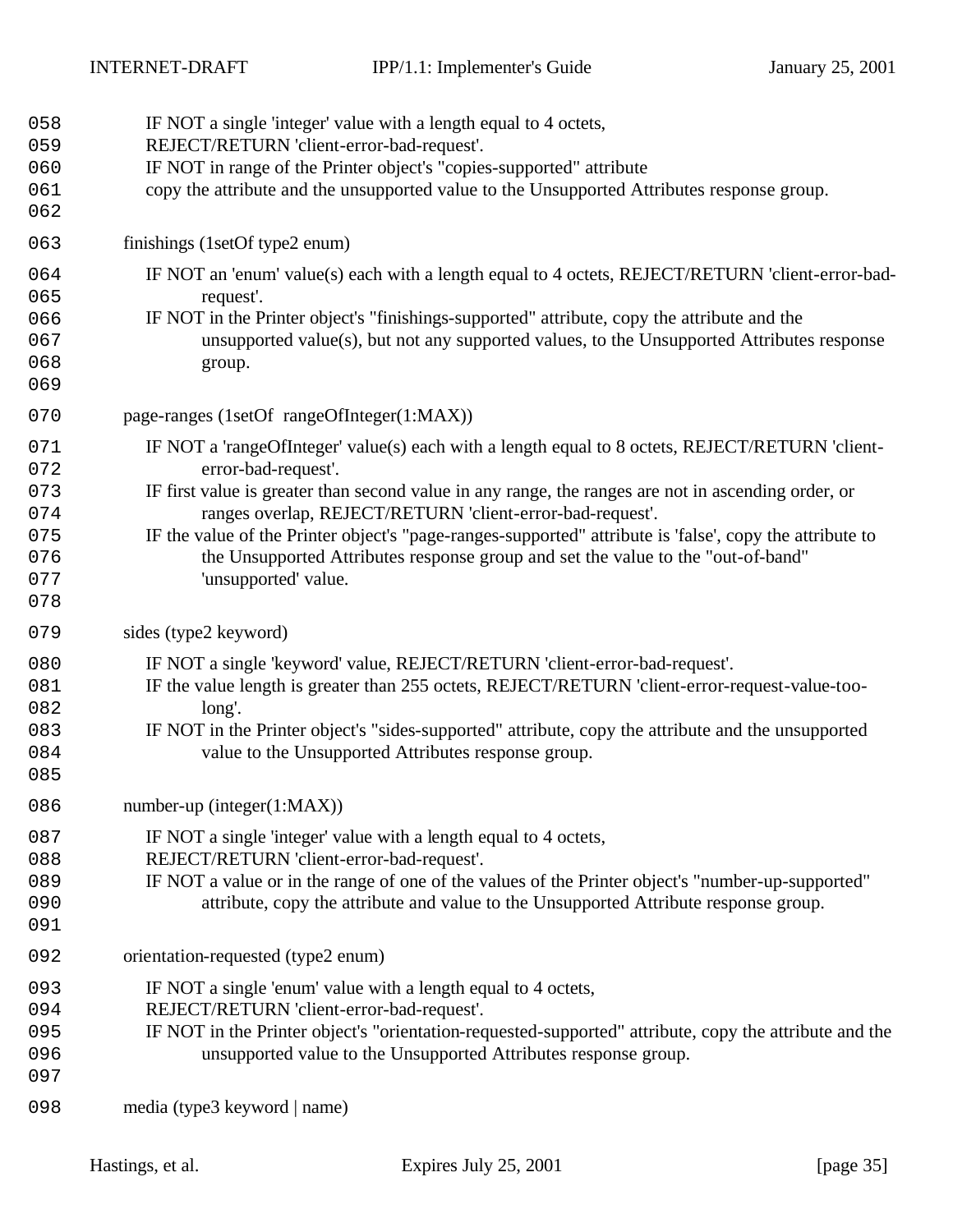| 058<br>059<br>060<br>061<br>062                      | IF NOT a single 'integer' value with a length equal to 4 octets,<br>REJECT/RETURN 'client-error-bad-request'.<br>IF NOT in range of the Printer object's "copies-supported" attribute<br>copy the attribute and the unsupported value to the Unsupported Attributes response group.                                                                                                                                                                                                                                |
|------------------------------------------------------|--------------------------------------------------------------------------------------------------------------------------------------------------------------------------------------------------------------------------------------------------------------------------------------------------------------------------------------------------------------------------------------------------------------------------------------------------------------------------------------------------------------------|
| 063                                                  | finishings (1setOf type2 enum)                                                                                                                                                                                                                                                                                                                                                                                                                                                                                     |
| 064<br>065<br>066<br>067<br>068<br>069               | IF NOT an 'enum' value(s) each with a length equal to 4 octets, REJECT/RETURN 'client-error-bad-<br>request'.<br>IF NOT in the Printer object's "finishings-supported" attribute, copy the attribute and the<br>unsupported value(s), but not any supported values, to the Unsupported Attributes response<br>group.                                                                                                                                                                                               |
| 070                                                  | page-ranges (1setOf rangeOfInteger(1:MAX))                                                                                                                                                                                                                                                                                                                                                                                                                                                                         |
| 071<br>072<br>073<br>074<br>075<br>076<br>077<br>078 | IF NOT a 'rangeOfInteger' value(s) each with a length equal to 8 octets, REJECT/RETURN 'client-<br>error-bad-request'.<br>IF first value is greater than second value in any range, the ranges are not in ascending order, or<br>ranges overlap, REJECT/RETURN 'client-error-bad-request'.<br>IF the value of the Printer object's "page-ranges-supported" attribute is 'false', copy the attribute to<br>the Unsupported Attributes response group and set the value to the "out-of-band"<br>'unsupported' value. |
| 079                                                  | sides (type2 keyword)                                                                                                                                                                                                                                                                                                                                                                                                                                                                                              |
| 080<br>081<br>082<br>083<br>084<br>085               | IF NOT a single 'keyword' value, REJECT/RETURN 'client-error-bad-request'.<br>IF the value length is greater than 255 octets, REJECT/RETURN 'client-error-request-value-too-<br>long'.<br>IF NOT in the Printer object's "sides-supported" attribute, copy the attribute and the unsupported<br>value to the Unsupported Attributes response group.                                                                                                                                                                |
| 086                                                  | number-up (integer $(1:MAX)$ )                                                                                                                                                                                                                                                                                                                                                                                                                                                                                     |
| 087<br>088<br>089<br>090<br>091                      | IF NOT a single 'integer' value with a length equal to 4 octets,<br>REJECT/RETURN 'client-error-bad-request'.<br>IF NOT a value or in the range of one of the values of the Printer object's "number-up-supported"<br>attribute, copy the attribute and value to the Unsupported Attribute response group.                                                                                                                                                                                                         |
| 092                                                  | orientation-requested (type2 enum)                                                                                                                                                                                                                                                                                                                                                                                                                                                                                 |
| 093<br>094<br>095<br>096<br>097                      | IF NOT a single 'enum' value with a length equal to 4 octets,<br>REJECT/RETURN 'client-error-bad-request'.<br>IF NOT in the Printer object's "orientation-requested-supported" attribute, copy the attribute and the<br>unsupported value to the Unsupported Attributes response group.                                                                                                                                                                                                                            |
| 098                                                  | media (type3 keyword   name)                                                                                                                                                                                                                                                                                                                                                                                                                                                                                       |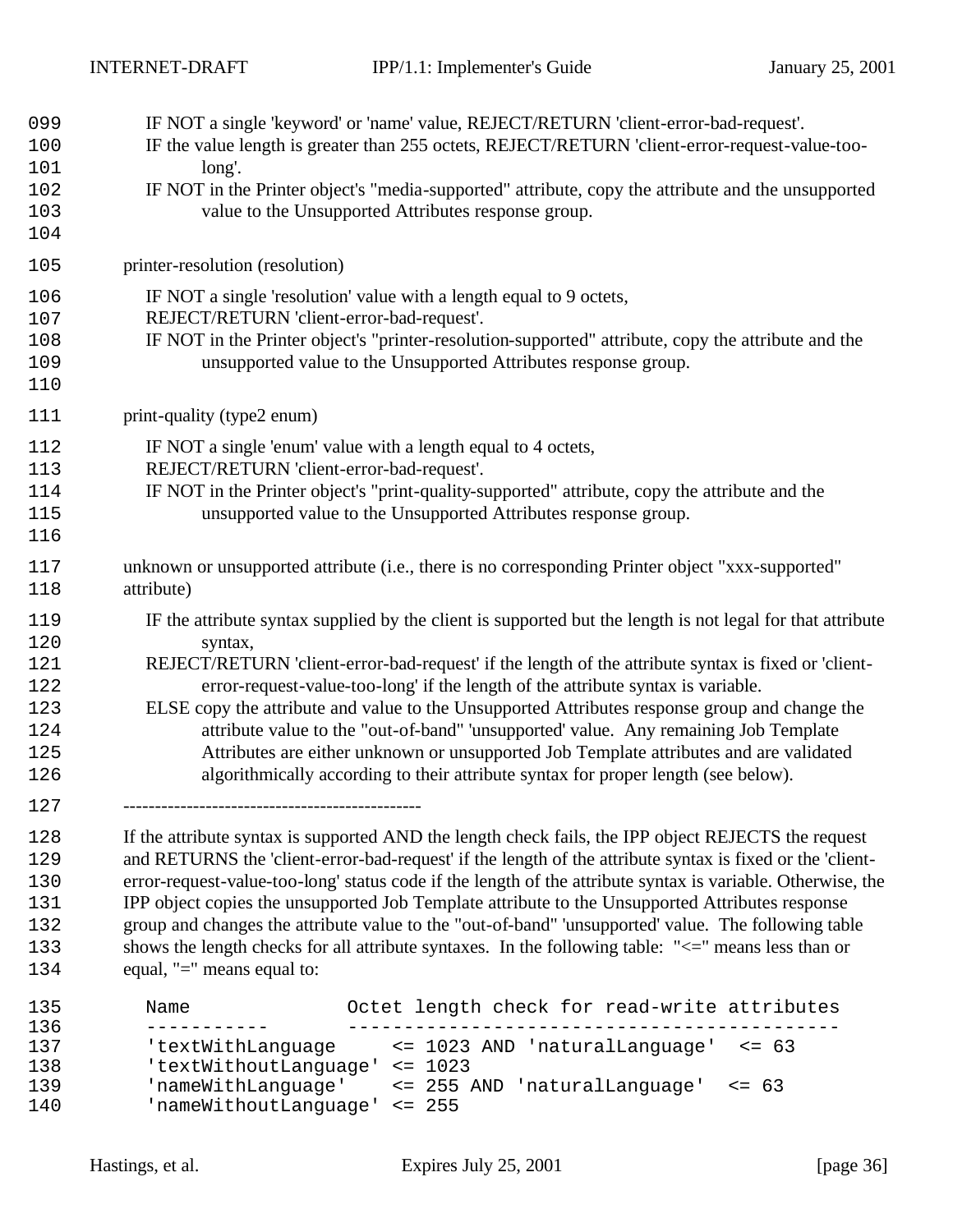| 099<br>100<br>101<br>102<br>103<br>104               | long'.                                    | IF NOT a single 'keyword' or 'name' value, REJECT/RETURN 'client-error-bad-request'.<br>IF the value length is greater than 255 octets, REJECT/RETURN 'client-error-request-value-too-<br>IF NOT in the Printer object's "media-supported" attribute, copy the attribute and the unsupported<br>value to the Unsupported Attributes response group.                                                                                                                                                                                                                                                                                                                            |
|------------------------------------------------------|-------------------------------------------|--------------------------------------------------------------------------------------------------------------------------------------------------------------------------------------------------------------------------------------------------------------------------------------------------------------------------------------------------------------------------------------------------------------------------------------------------------------------------------------------------------------------------------------------------------------------------------------------------------------------------------------------------------------------------------|
| 105                                                  | printer-resolution (resolution)           |                                                                                                                                                                                                                                                                                                                                                                                                                                                                                                                                                                                                                                                                                |
| 106<br>107<br>108<br>109<br>110                      | REJECT/RETURN 'client-error-bad-request'. | IF NOT a single 'resolution' value with a length equal to 9 octets,<br>IF NOT in the Printer object's "printer-resolution-supported" attribute, copy the attribute and the<br>unsupported value to the Unsupported Attributes response group.                                                                                                                                                                                                                                                                                                                                                                                                                                  |
| 111                                                  | print-quality (type2 enum)                |                                                                                                                                                                                                                                                                                                                                                                                                                                                                                                                                                                                                                                                                                |
| 112<br>113<br>114<br>115<br>116                      | REJECT/RETURN 'client-error-bad-request'. | IF NOT a single 'enum' value with a length equal to 4 octets,<br>IF NOT in the Printer object's "print-quality-supported" attribute, copy the attribute and the<br>unsupported value to the Unsupported Attributes response group.                                                                                                                                                                                                                                                                                                                                                                                                                                             |
| 117<br>118                                           | attribute)                                | unknown or unsupported attribute (i.e., there is no corresponding Printer object "xxx-supported"                                                                                                                                                                                                                                                                                                                                                                                                                                                                                                                                                                               |
| 119<br>120<br>121<br>122<br>123<br>124<br>125<br>126 | syntax,                                   | IF the attribute syntax supplied by the client is supported but the length is not legal for that attribute<br>REJECT/RETURN 'client-error-bad-request' if the length of the attribute syntax is fixed or 'client-<br>error-request-value-too-long' if the length of the attribute syntax is variable.<br>ELSE copy the attribute and value to the Unsupported Attributes response group and change the<br>attribute value to the "out-of-band" 'unsupported' value. Any remaining Job Template<br>Attributes are either unknown or unsupported Job Template attributes and are validated<br>algorithmically according to their attribute syntax for proper length (see below). |
| 127<br>128<br>129<br>130<br>131<br>132<br>133<br>134 | equal, "=" means equal to:                | If the attribute syntax is supported AND the length check fails, the IPP object REJECTS the request<br>and RETURNS the 'client-error-bad-request' if the length of the attribute syntax is fixed or the 'client-<br>error-request-value-too-long' status code if the length of the attribute syntax is variable. Otherwise, the<br>IPP object copies the unsupported Job Template attribute to the Unsupported Attributes response<br>group and changes the attribute value to the "out-of-band" 'unsupported' value. The following table<br>shows the length checks for all attribute syntaxes. In the following table: "<=" means less than or                               |
| 135                                                  | Name                                      | Octet length check for read-write attributes                                                                                                                                                                                                                                                                                                                                                                                                                                                                                                                                                                                                                                   |
| 136<br>137                                           | 'textWithLanguage                         | <= 1023 AND 'naturalLanguage'<br>$\leq -63$                                                                                                                                                                                                                                                                                                                                                                                                                                                                                                                                                                                                                                    |

1138 'textWithoutLanguage' <= 1023 1139 'nameWithLanguage' <= 255 AND 'naturalLanguage' <= 63 140 'nameWithoutLanguage' <= 255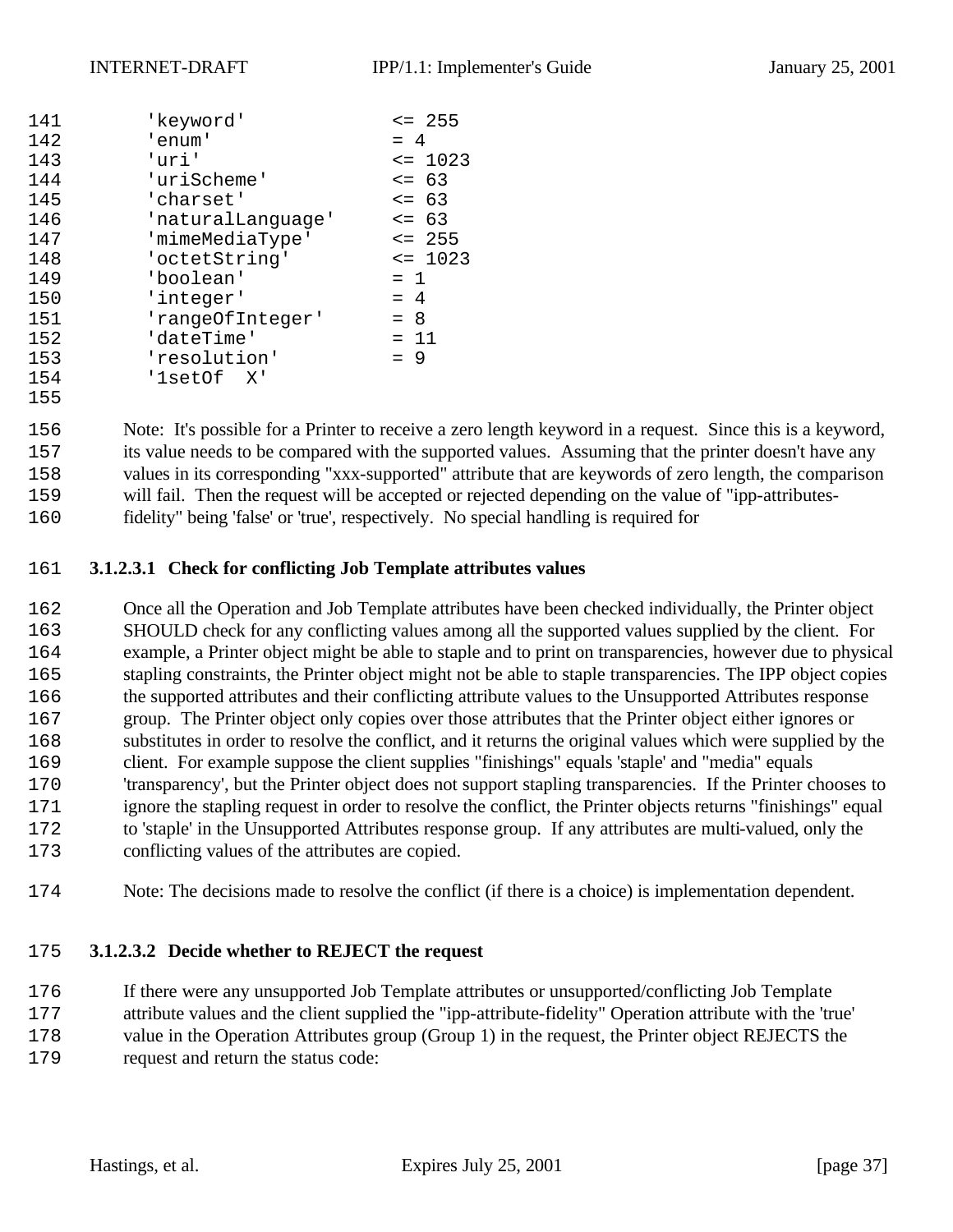| 141 | 'keyword'         | $\leq$ 255  |  |  |  |  |  |  |
|-----|-------------------|-------------|--|--|--|--|--|--|
| 142 | 'enum'            | $= 4$       |  |  |  |  |  |  |
| 143 | 'uri'             | $\leq$ 1023 |  |  |  |  |  |  |
| 144 | 'uriScheme'       | $\leq$ 63   |  |  |  |  |  |  |
| 145 | 'charset'         | $\leq$ 63   |  |  |  |  |  |  |
| 146 | 'naturalLanguage' | $\leq$ 63   |  |  |  |  |  |  |
| 147 | 'mimeMediaType'   | $\leq$ 255  |  |  |  |  |  |  |
| 148 | 'octetString'     | $\leq$ 1023 |  |  |  |  |  |  |
| 149 | 'boolean'         | $= 1$       |  |  |  |  |  |  |
| 150 | 'integer'         | $= 4$       |  |  |  |  |  |  |
| 151 | 'rangeOfInteger'  | $= 8$       |  |  |  |  |  |  |
| 152 | 'dateTime'        | $= 11$      |  |  |  |  |  |  |
| 153 | 'resolution'      | $= 9$       |  |  |  |  |  |  |
| 154 | 'lsetOf X'        |             |  |  |  |  |  |  |
| 155 |                   |             |  |  |  |  |  |  |

 Note: It's possible for a Printer to receive a zero length keyword in a request. Since this is a keyword, 157 its value needs to be compared with the supported values. Assuming that the printer doesn't have any values in its corresponding "xxx-supported" attribute that are keywords of zero length, the comparison 159 will fail. Then the request will be accepted or rejected depending on the value of "ipp-attributes-fidelity" being 'false' or 'true', respectively. No special handling is required for

## **3.1.2.3.1 Check for conflicting Job Template attributes values**

 Once all the Operation and Job Template attributes have been checked individually, the Printer object SHOULD check for any conflicting values among all the supported values supplied by the client. For example, a Printer object might be able to staple and to print on transparencies, however due to physical 165 stapling constraints, the Printer object might not be able to staple transparencies. The IPP object copies 166 the supported attributes and their conflicting attribute values to the Unsupported Attributes response 167 group. The Printer object only copies over those attributes that the Printer object either ignores or 168 substitutes in order to resolve the conflict, and it returns the original values which were supplied by the 169 client. For example suppose the client supplies "finishings" equals 'staple' and "media" equals 'transparency', but the Printer object does not support stapling transparencies. If the Printer chooses to 171 ignore the stapling request in order to resolve the conflict, the Printer objects returns "finishings" equal to 'staple' in the Unsupported Attributes response group. If any attributes are multi-valued, only the conflicting values of the attributes are copied.

Note: The decisions made to resolve the conflict (if there is a choice) is implementation dependent.

## **3.1.2.3.2 Decide whether to REJECT the request**

If there were any unsupported Job Template attributes or unsupported/conflicting Job Template

attribute values and the client supplied the "ipp-attribute-fidelity" Operation attribute with the 'true'

value in the Operation Attributes group (Group 1) in the request, the Printer object REJECTS the

request and return the status code: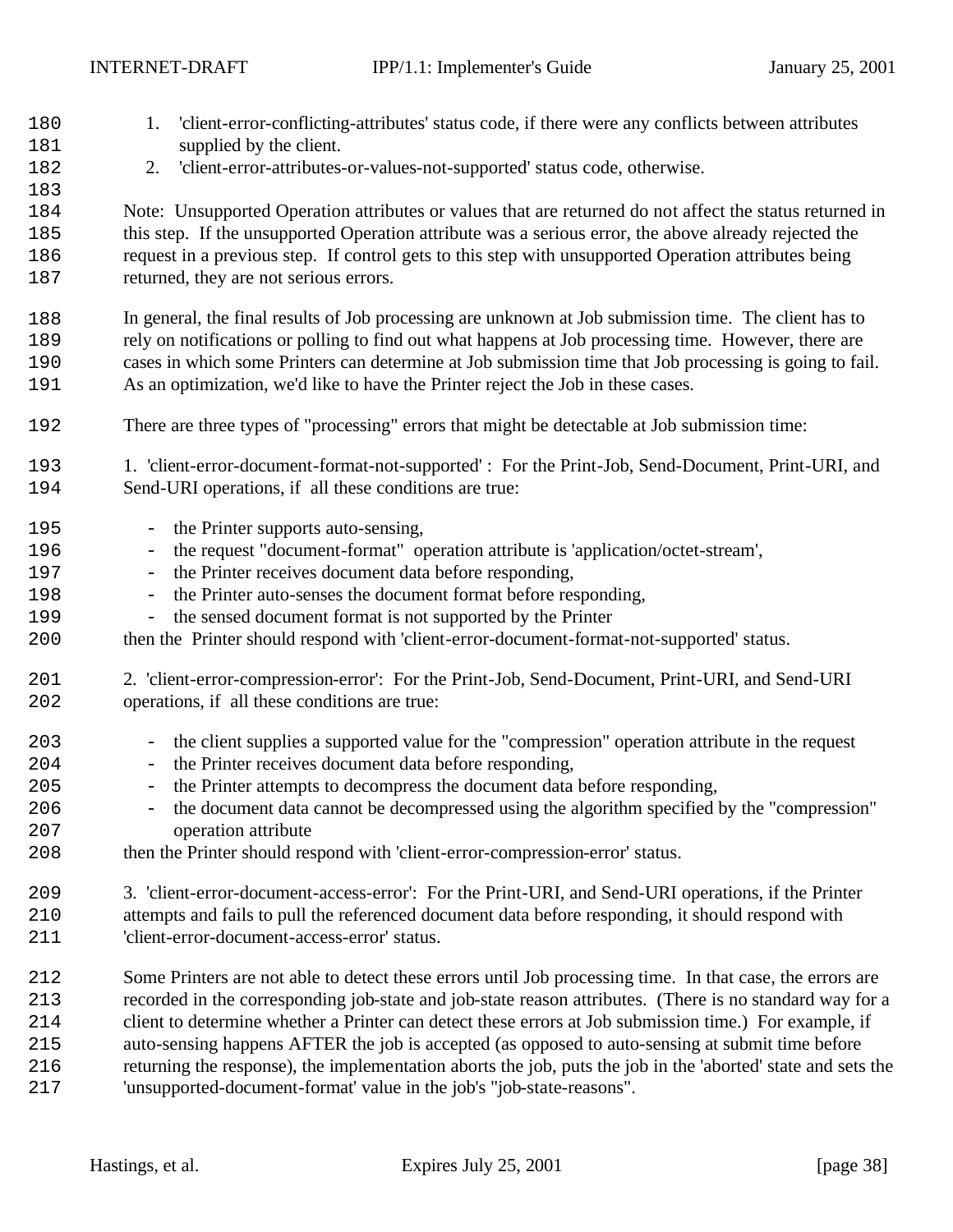180 1. 'client-error-conflicting-attributes' status code, if there were any conflicts between attributes 181 supplied by the client. 2. 'client-error-attributes-or-values-not-supported' status code, otherwise. Note: Unsupported Operation attributes or values that are returned do not affect the status returned in 185 this step. If the unsupported Operation attribute was a serious error, the above already rejected the 186 request in a previous step. If control gets to this step with unsupported Operation attributes being 187 returned, they are not serious errors. In general, the final results of Job processing are unknown at Job submission time. The client has to rely on notifications or polling to find out what happens at Job processing time. However, there are cases in which some Printers can determine at Job submission time that Job processing is going to fail. 191 As an optimization, we'd like to have the Printer reject the Job in these cases. 192 There are three types of "processing" errors that might be detectable at Job submission time: 193 1. 'client-error-document-format-not-supported' : For the Print-Job, Send-Document, Print-URI, and 194 Send-URI operations, if all these conditions are true: 195 - the Printer supports auto-sensing, - the request "document-format" operation attribute is 'application/octet-stream', 197 - the Printer receives document data before responding, - the Printer auto-senses the document format before responding, 199 - the sensed document format is not supported by the Printer then the Printer should respond with 'client-error-document-format-not-supported' status. 2. 'client-error-compression-error': For the Print-Job, Send-Document, Print-URI, and Send-URI operations, if all these conditions are true: - the client supplies a supported value for the "compression" operation attribute in the request - the Printer receives document data before responding, - the Printer attempts to decompress the document data before responding, - the document data cannot be decompressed using the algorithm specified by the "compression" operation attribute then the Printer should respond with 'client-error-compression-error' status. 3. 'client-error-document-access-error': For the Print-URI, and Send-URI operations, if the Printer attempts and fails to pull the referenced document data before responding, it should respond with 'client-error-document-access-error' status. Some Printers are not able to detect these errors until Job processing time. In that case, the errors are recorded in the corresponding job-state and job-state reason attributes. (There is no standard way for a client to determine whether a Printer can detect these errors at Job submission time.) For example, if auto-sensing happens AFTER the job is accepted (as opposed to auto-sensing at submit time before returning the response), the implementation aborts the job, puts the job in the 'aborted' state and sets the 'unsupported-document-format' value in the job's "job-state-reasons".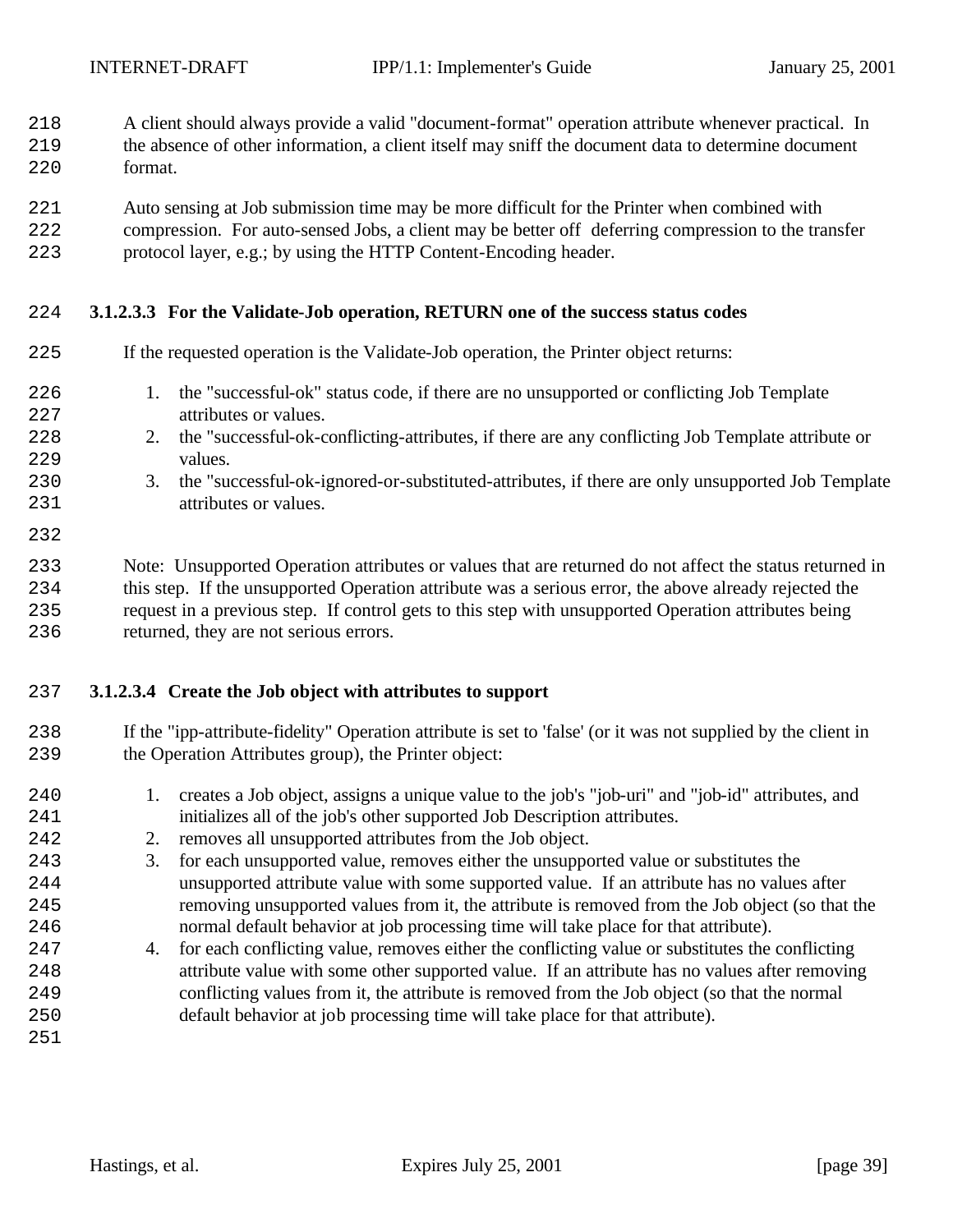- A client should always provide a valid "document-format" operation attribute whenever practical. In
- the absence of other information, a client itself may sniff the document data to determine document format.
- Auto sensing at Job submission time may be more difficult for the Printer when combined with
- compression. For auto-sensed Jobs, a client may be better off deferring compression to the transfer protocol layer, e.g.; by using the HTTP Content-Encoding header.

## **3.1.2.3.3 For the Validate-Job operation, RETURN one of the success status codes**

| 225        | If the requested operation is the Validate-Job operation, the Printer object returns:                                                                                                                            |
|------------|------------------------------------------------------------------------------------------------------------------------------------------------------------------------------------------------------------------|
| 226<br>227 | the "successful-ok" status code, if there are no unsupported or conflicting Job Template<br>1.<br>attributes or values.                                                                                          |
| 228<br>229 | 2. the "successful-ok-conflicting-attributes, if there are any conflicting Job Template attribute or<br>values.                                                                                                  |
| 230<br>231 | the "successful-ok-ignored-or-substituted-attributes, if there are only unsupported Job Template<br>3.<br>attributes or values.                                                                                  |
| 232        |                                                                                                                                                                                                                  |
| 233<br>234 | Note: Unsupported Operation attributes or values that are returned do not affect the status returned in<br>this step. If the unsupported Operation attribute was a serious error, the above already rejected the |

 request in a previous step. If control gets to this step with unsupported Operation attributes being returned, they are not serious errors.

## **3.1.2.3.4 Create the Job object with attributes to support**

- If the "ipp-attribute-fidelity" Operation attribute is set to 'false' (or it was not supplied by the client in the Operation Attributes group), the Printer object:
- 1. creates a Job object, assigns a unique value to the job's "job-uri" and "job-id" attributes, and initializes all of the job's other supported Job Description attributes.
- 242 2. removes all unsupported attributes from the Job object.
- 3. for each unsupported value, removes either the unsupported value or substitutes the unsupported attribute value with some supported value. If an attribute has no values after removing unsupported values from it, the attribute is removed from the Job object (so that the normal default behavior at job processing time will take place for that attribute).
- 4. for each conflicting value, removes either the conflicting value or substitutes the conflicting attribute value with some other supported value. If an attribute has no values after removing conflicting values from it, the attribute is removed from the Job object (so that the normal default behavior at job processing time will take place for that attribute).
-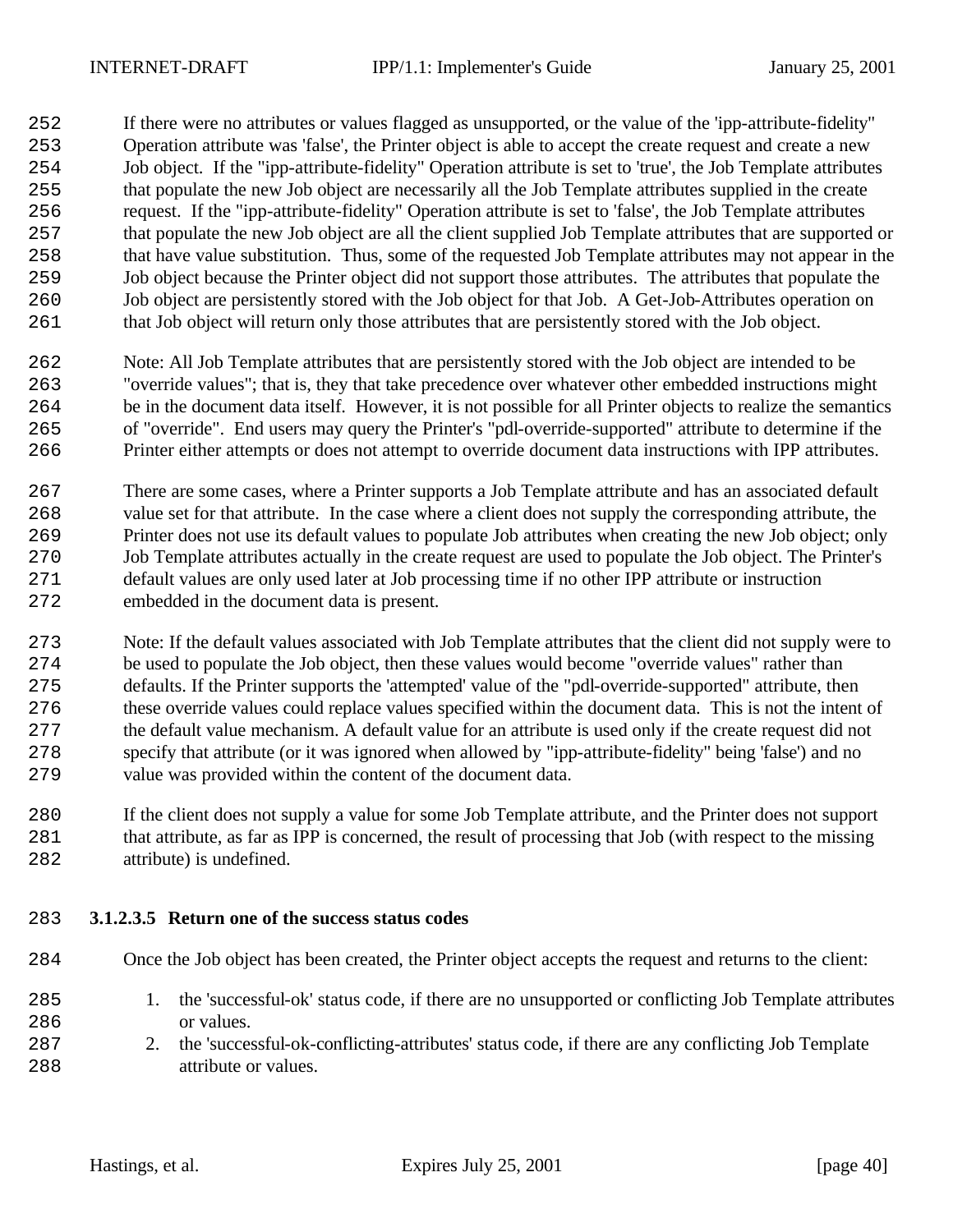If there were no attributes or values flagged as unsupported, or the value of the 'ipp-attribute-fidelity" Operation attribute was 'false', the Printer object is able to accept the create request and create a new Job object. If the "ipp-attribute-fidelity" Operation attribute is set to 'true', the Job Template attributes that populate the new Job object are necessarily all the Job Template attributes supplied in the create request. If the "ipp-attribute-fidelity" Operation attribute is set to 'false', the Job Template attributes that populate the new Job object are all the client supplied Job Template attributes that are supported or that have value substitution. Thus, some of the requested Job Template attributes may not appear in the Job object because the Printer object did not support those attributes. The attributes that populate the Job object are persistently stored with the Job object for that Job. A Get-Job-Attributes operation on that Job object will return only those attributes that are persistently stored with the Job object.

- Note: All Job Template attributes that are persistently stored with the Job object are intended to be "override values"; that is, they that take precedence over whatever other embedded instructions might be in the document data itself. However, it is not possible for all Printer objects to realize the semantics of "override". End users may query the Printer's "pdl-override-supported" attribute to determine if the Printer either attempts or does not attempt to override document data instructions with IPP attributes.
- There are some cases, where a Printer supports a Job Template attribute and has an associated default 268 value set for that attribute. In the case where a client does not supply the corresponding attribute, the Printer does not use its default values to populate Job attributes when creating the new Job object; only Job Template attributes actually in the create request are used to populate the Job object. The Printer's default values are only used later at Job processing time if no other IPP attribute or instruction embedded in the document data is present.
- Note: If the default values associated with Job Template attributes that the client did not supply were to be used to populate the Job object, then these values would become "override values" rather than defaults. If the Printer supports the 'attempted' value of the "pdl-override-supported" attribute, then these override values could replace values specified within the document data. This is not the intent of the default value mechanism. A default value for an attribute is used only if the create request did not specify that attribute (or it was ignored when allowed by "ipp-attribute-fidelity" being 'false') and no value was provided within the content of the document data.
- If the client does not supply a value for some Job Template attribute, and the Printer does not support that attribute, as far as IPP is concerned, the result of processing that Job (with respect to the missing 282 attribute) is undefined.
- **3.1.2.3.5 Return one of the success status codes**
- Once the Job object has been created, the Printer object accepts the request and returns to the client:
- 1. the 'successful-ok' status code, if there are no unsupported or conflicting Job Template attributes 286 or values.
- 287 2. the 'successful-ok-conflicting-attributes' status code, if there are any conflicting Job Template **attribute or values**.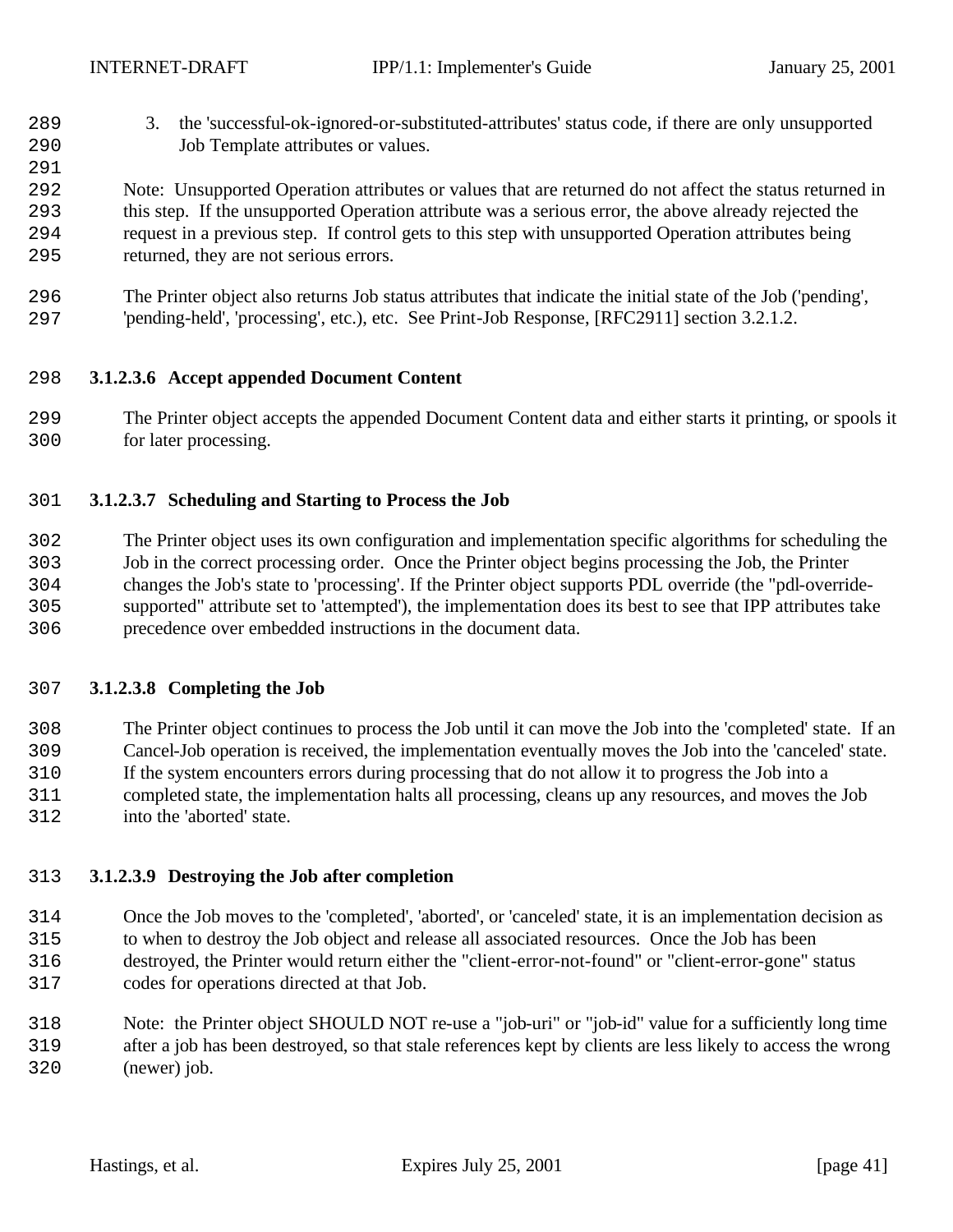3. the 'successful-ok-ignored-or-substituted-attributes' status code, if there are only unsupported Job Template attributes or values.

 Note: Unsupported Operation attributes or values that are returned do not affect the status returned in this step. If the unsupported Operation attribute was a serious error, the above already rejected the request in a previous step. If control gets to this step with unsupported Operation attributes being returned, they are not serious errors.

 The Printer object also returns Job status attributes that indicate the initial state of the Job ('pending', 'pending-held', 'processing', etc.), etc. See Print-Job Response, [RFC2911] section 3.2.1.2.

## **3.1.2.3.6 Accept appended Document Content**

 The Printer object accepts the appended Document Content data and either starts it printing, or spools it for later processing.

## **3.1.2.3.7 Scheduling and Starting to Process the Job**

 The Printer object uses its own configuration and implementation specific algorithms for scheduling the Job in the correct processing order. Once the Printer object begins processing the Job, the Printer changes the Job's state to 'processing'. If the Printer object supports PDL override (the "pdl-override- supported" attribute set to 'attempted'), the implementation does its best to see that IPP attributes take precedence over embedded instructions in the document data.

## **3.1.2.3.8 Completing the Job**

 The Printer object continues to process the Job until it can move the Job into the 'completed' state. If an Cancel-Job operation is received, the implementation eventually moves the Job into the 'canceled' state. If the system encounters errors during processing that do not allow it to progress the Job into a completed state, the implementation halts all processing, cleans up any resources, and moves the Job into the 'aborted' state.

#### **3.1.2.3.9 Destroying the Job after completion**

 Once the Job moves to the 'completed', 'aborted', or 'canceled' state, it is an implementation decision as to when to destroy the Job object and release all associated resources. Once the Job has been destroyed, the Printer would return either the "client-error-not-found" or "client-error-gone" status codes for operations directed at that Job.

 Note: the Printer object SHOULD NOT re-use a "job-uri" or "job-id" value for a sufficiently long time after a job has been destroyed, so that stale references kept by clients are less likely to access the wrong (newer) job.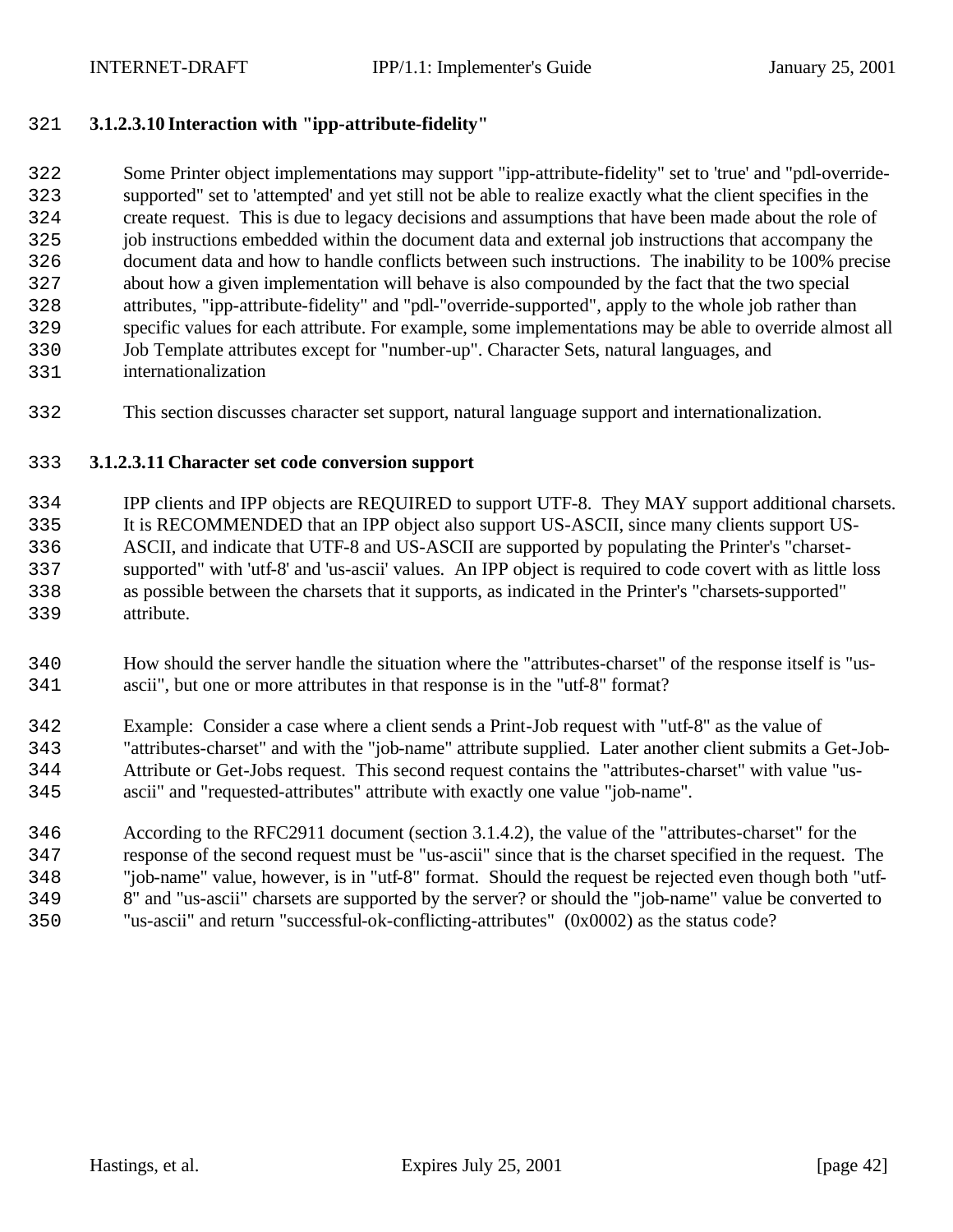## **3.1.2.3.10 Interaction with "ipp-attribute-fidelity"**

 Some Printer object implementations may support "ipp-attribute-fidelity" set to 'true' and "pdl-override- supported" set to 'attempted' and yet still not be able to realize exactly what the client specifies in the create request. This is due to legacy decisions and assumptions that have been made about the role of job instructions embedded within the document data and external job instructions that accompany the document data and how to handle conflicts between such instructions. The inability to be 100% precise about how a given implementation will behave is also compounded by the fact that the two special attributes, "ipp-attribute-fidelity" and "pdl-"override-supported", apply to the whole job rather than specific values for each attribute. For example, some implementations may be able to override almost all Job Template attributes except for "number-up". Character Sets, natural languages, and

- internationalization
- This section discusses character set support, natural language support and internationalization.

#### **3.1.2.3.11 Character set code conversion support**

 IPP clients and IPP objects are REQUIRED to support UTF-8. They MAY support additional charsets. It is RECOMMENDED that an IPP object also support US-ASCII, since many clients support US- ASCII, and indicate that UTF-8 and US-ASCII are supported by populating the Printer's "charset- supported" with 'utf-8' and 'us-ascii' values. An IPP object is required to code covert with as little loss as possible between the charsets that it supports, as indicated in the Printer's "charsets-supported" attribute.

- How should the server handle the situation where the "attributes-charset" of the response itself is "us-ascii", but one or more attributes in that response is in the "utf-8" format?
- Example: Consider a case where a client sends a Print-Job request with "utf-8" as the value of "attributes-charset" and with the "job-name" attribute supplied. Later another client submits a Get-Job- Attribute or Get-Jobs request. This second request contains the "attributes-charset" with value "us-ascii" and "requested-attributes" attribute with exactly one value "job-name".
- According to the RFC2911 document (section 3.1.4.2), the value of the "attributes-charset" for the response of the second request must be "us-ascii" since that is the charset specified in the request. The "job-name" value, however, is in "utf-8" format. Should the request be rejected even though both "utf- 8" and "us-ascii" charsets are supported by the server? or should the "job-name" value be converted to "us-ascii" and return "successful-ok-conflicting-attributes" (0x0002) as the status code?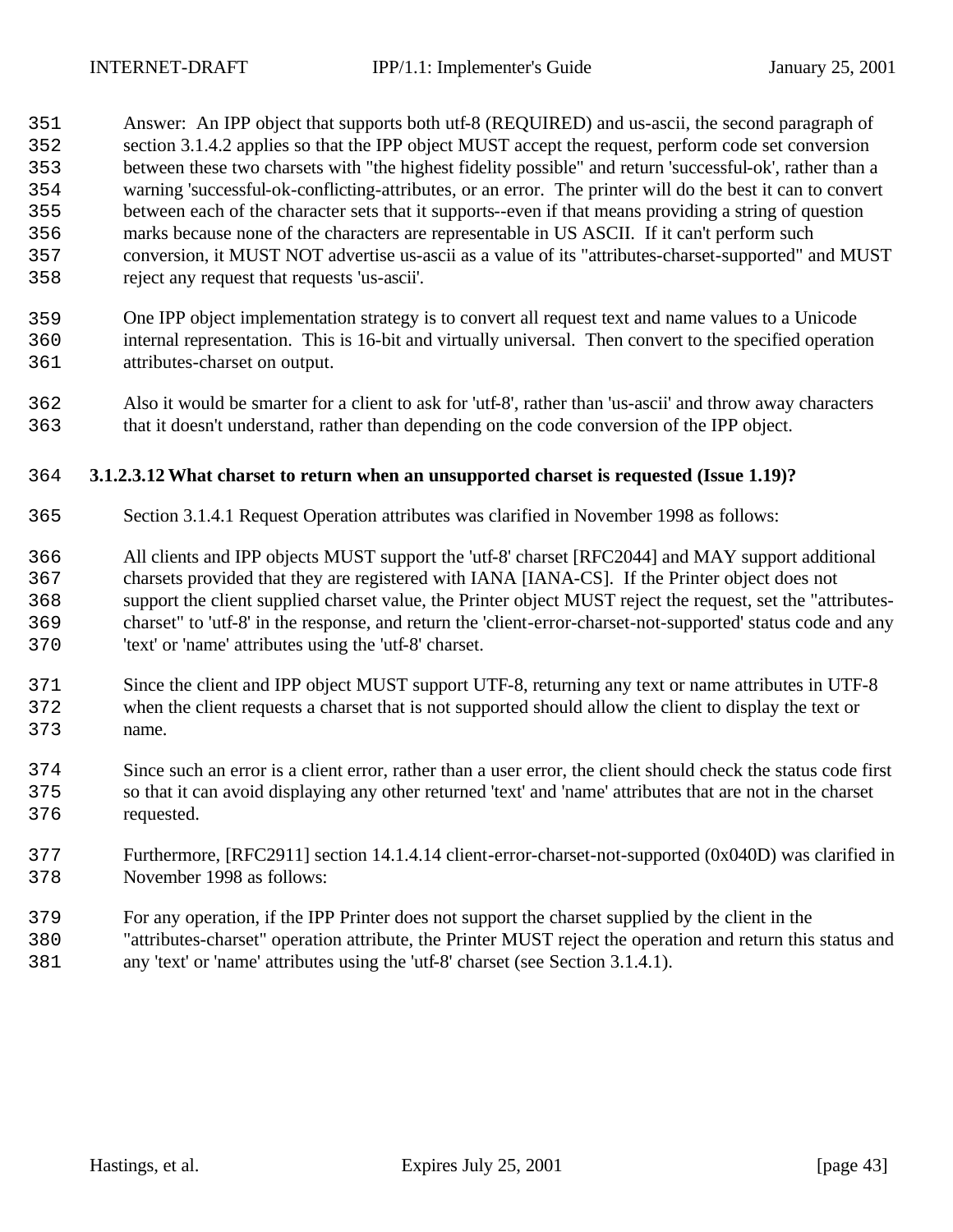Answer: An IPP object that supports both utf-8 (REQUIRED) and us-ascii, the second paragraph of section 3.1.4.2 applies so that the IPP object MUST accept the request, perform code set conversion between these two charsets with "the highest fidelity possible" and return 'successful-ok', rather than a warning 'successful-ok-conflicting-attributes, or an error. The printer will do the best it can to convert between each of the character sets that it supports--even if that means providing a string of question marks because none of the characters are representable in US ASCII. If it can't perform such conversion, it MUST NOT advertise us-ascii as a value of its "attributes-charset-supported" and MUST reject any request that requests 'us-ascii'.

- One IPP object implementation strategy is to convert all request text and name values to a Unicode internal representation. This is 16-bit and virtually universal. Then convert to the specified operation attributes-charset on output.
- Also it would be smarter for a client to ask for 'utf-8', rather than 'us-ascii' and throw away characters that it doesn't understand, rather than depending on the code conversion of the IPP object.

## **3.1.2.3.12What charset to return when an unsupported charset is requested (Issue 1.19)?**

- Section 3.1.4.1 Request Operation attributes was clarified in November 1998 as follows:
- All clients and IPP objects MUST support the 'utf-8' charset [RFC2044] and MAY support additional charsets provided that they are registered with IANA [IANA-CS]. If the Printer object does not support the client supplied charset value, the Printer object MUST reject the request, set the "attributes- charset" to 'utf-8' in the response, and return the 'client-error-charset-not-supported' status code and any 'text' or 'name' attributes using the 'utf-8' charset.
- Since the client and IPP object MUST support UTF-8, returning any text or name attributes in UTF-8 when the client requests a charset that is not supported should allow the client to display the text or name.
- Since such an error is a client error, rather than a user error, the client should check the status code first so that it can avoid displaying any other returned 'text' and 'name' attributes that are not in the charset requested.
- Furthermore, [RFC2911] section 14.1.4.14 client-error-charset-not-supported (0x040D) was clarified in November 1998 as follows:
- For any operation, if the IPP Printer does not support the charset supplied by the client in the "attributes-charset" operation attribute, the Printer MUST reject the operation and return this status and
- any 'text' or 'name' attributes using the 'utf-8' charset (see Section 3.1.4.1).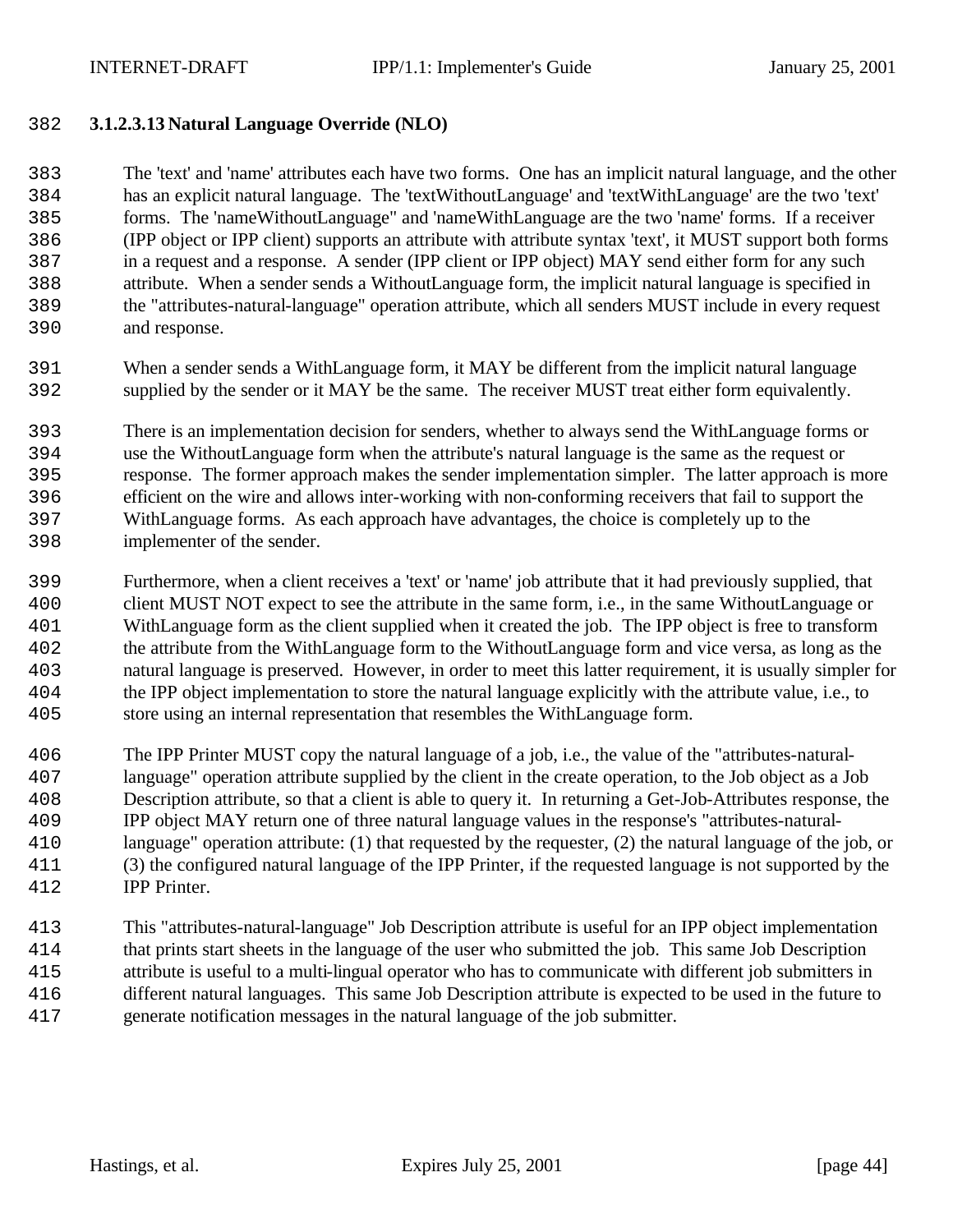## **3.1.2.3.13 Natural Language Override (NLO)**

 The 'text' and 'name' attributes each have two forms. One has an implicit natural language, and the other has an explicit natural language. The 'textWithoutLanguage' and 'textWithLanguage' are the two 'text' forms. The 'nameWithoutLanguage" and 'nameWithLanguage are the two 'name' forms. If a receiver (IPP object or IPP client) supports an attribute with attribute syntax 'text', it MUST support both forms in a request and a response. A sender (IPP client or IPP object) MAY send either form for any such attribute. When a sender sends a WithoutLanguage form, the implicit natural language is specified in the "attributes-natural-language" operation attribute, which all senders MUST include in every request and response.

 When a sender sends a WithLanguage form, it MAY be different from the implicit natural language supplied by the sender or it MAY be the same. The receiver MUST treat either form equivalently.

 There is an implementation decision for senders, whether to always send the WithLanguage forms or use the WithoutLanguage form when the attribute's natural language is the same as the request or response. The former approach makes the sender implementation simpler. The latter approach is more efficient on the wire and allows inter-working with non-conforming receivers that fail to support the WithLanguage forms. As each approach have advantages, the choice is completely up to the implementer of the sender.

- Furthermore, when a client receives a 'text' or 'name' job attribute that it had previously supplied, that client MUST NOT expect to see the attribute in the same form, i.e., in the same WithoutLanguage or WithLanguage form as the client supplied when it created the job. The IPP object is free to transform the attribute from the WithLanguage form to the WithoutLanguage form and vice versa, as long as the natural language is preserved. However, in order to meet this latter requirement, it is usually simpler for the IPP object implementation to store the natural language explicitly with the attribute value, i.e., to store using an internal representation that resembles the WithLanguage form.
- The IPP Printer MUST copy the natural language of a job, i.e., the value of the "attributes-natural- language" operation attribute supplied by the client in the create operation, to the Job object as a Job Description attribute, so that a client is able to query it. In returning a Get-Job-Attributes response, the IPP object MAY return one of three natural language values in the response's "attributes-natural- language" operation attribute: (1) that requested by the requester, (2) the natural language of the job, or (3) the configured natural language of the IPP Printer, if the requested language is not supported by the IPP Printer.
- This "attributes-natural-language" Job Description attribute is useful for an IPP object implementation that prints start sheets in the language of the user who submitted the job. This same Job Description attribute is useful to a multi-lingual operator who has to communicate with different job submitters in different natural languages. This same Job Description attribute is expected to be used in the future to generate notification messages in the natural language of the job submitter.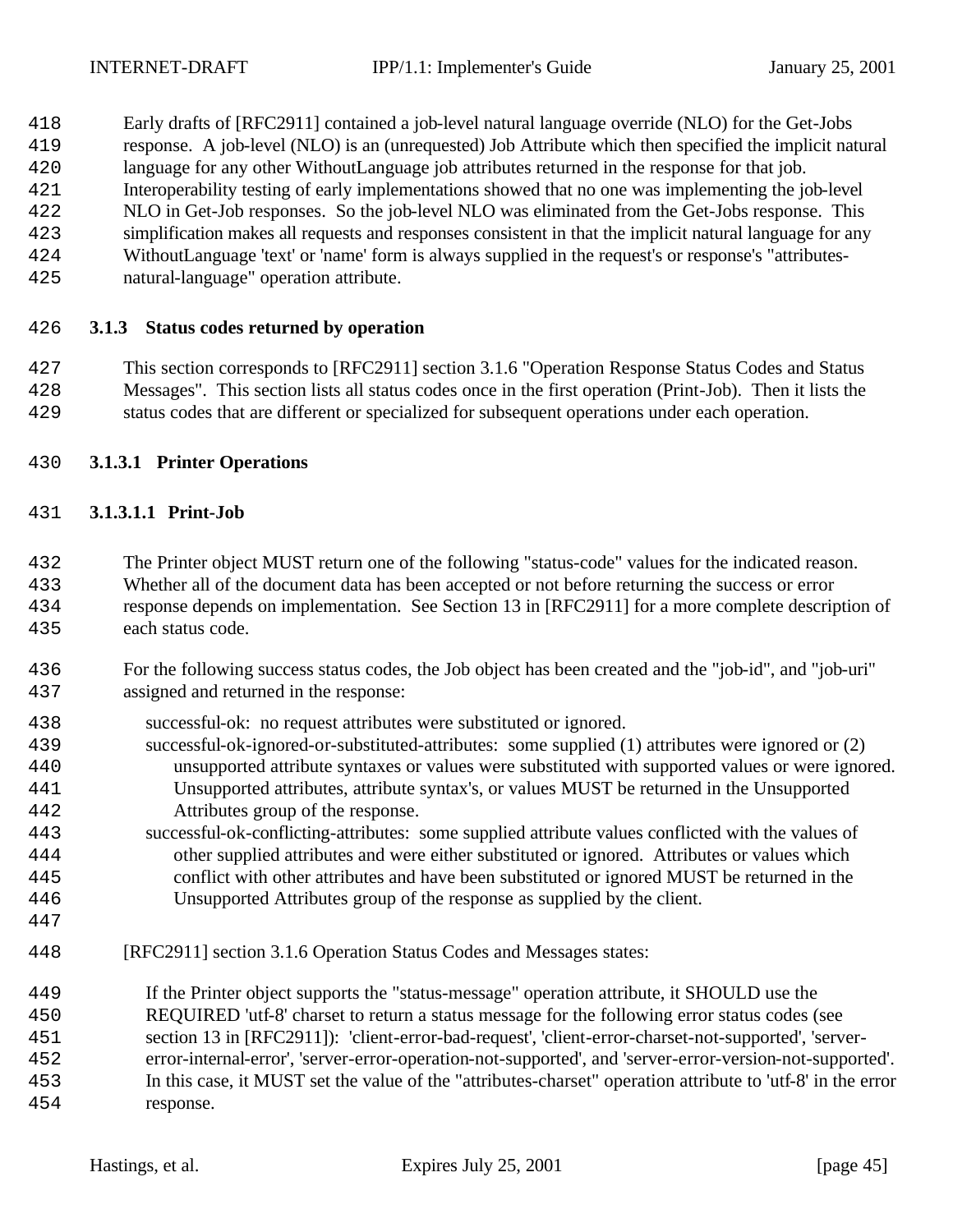- Early drafts of [RFC2911] contained a job-level natural language override (NLO) for the Get-Jobs
- response. A job-level (NLO) is an (unrequested) Job Attribute which then specified the implicit natural
- language for any other WithoutLanguage job attributes returned in the response for that job.
- Interoperability testing of early implementations showed that no one was implementing the job-level
- NLO in Get-Job responses. So the job-level NLO was eliminated from the Get-Jobs response. This
- simplification makes all requests and responses consistent in that the implicit natural language for any WithoutLanguage 'text' or 'name' form is always supplied in the request's or response's "attributes-
- natural-language" operation attribute.
	-

# **3.1.3 Status codes returned by operation**

- This section corresponds to [RFC2911] section 3.1.6 "Operation Response Status Codes and Status Messages". This section lists all status codes once in the first operation (Print-Job). Then it lists the status codes that are different or specialized for subsequent operations under each operation.
- **3.1.3.1 Printer Operations**

# **3.1.3.1.1 Print-Job**

- The Printer object MUST return one of the following "status-code" values for the indicated reason. Whether all of the document data has been accepted or not before returning the success or error response depends on implementation. See Section 13 in [RFC2911] for a more complete description of each status code.
- For the following success status codes, the Job object has been created and the "job-id", and "job-uri" assigned and returned in the response:
- successful-ok: no request attributes were substituted or ignored.
- successful-ok-ignored-or-substituted-attributes: some supplied (1) attributes were ignored or (2) unsupported attribute syntaxes or values were substituted with supported values or were ignored. Unsupported attributes, attribute syntax's, or values MUST be returned in the Unsupported Attributes group of the response.
- successful-ok-conflicting-attributes: some supplied attribute values conflicted with the values of other supplied attributes and were either substituted or ignored. Attributes or values which conflict with other attributes and have been substituted or ignored MUST be returned in the Unsupported Attributes group of the response as supplied by the client.
- 
- [RFC2911] section 3.1.6 Operation Status Codes and Messages states:
- If the Printer object supports the "status-message" operation attribute, it SHOULD use the REQUIRED 'utf-8' charset to return a status message for the following error status codes (see section 13 in [RFC2911]): 'client-error-bad-request', 'client-error-charset-not-supported', 'server- error-internal-error', 'server-error-operation-not-supported', and 'server-error-version-not-supported'. In this case, it MUST set the value of the "attributes-charset" operation attribute to 'utf-8' in the error response.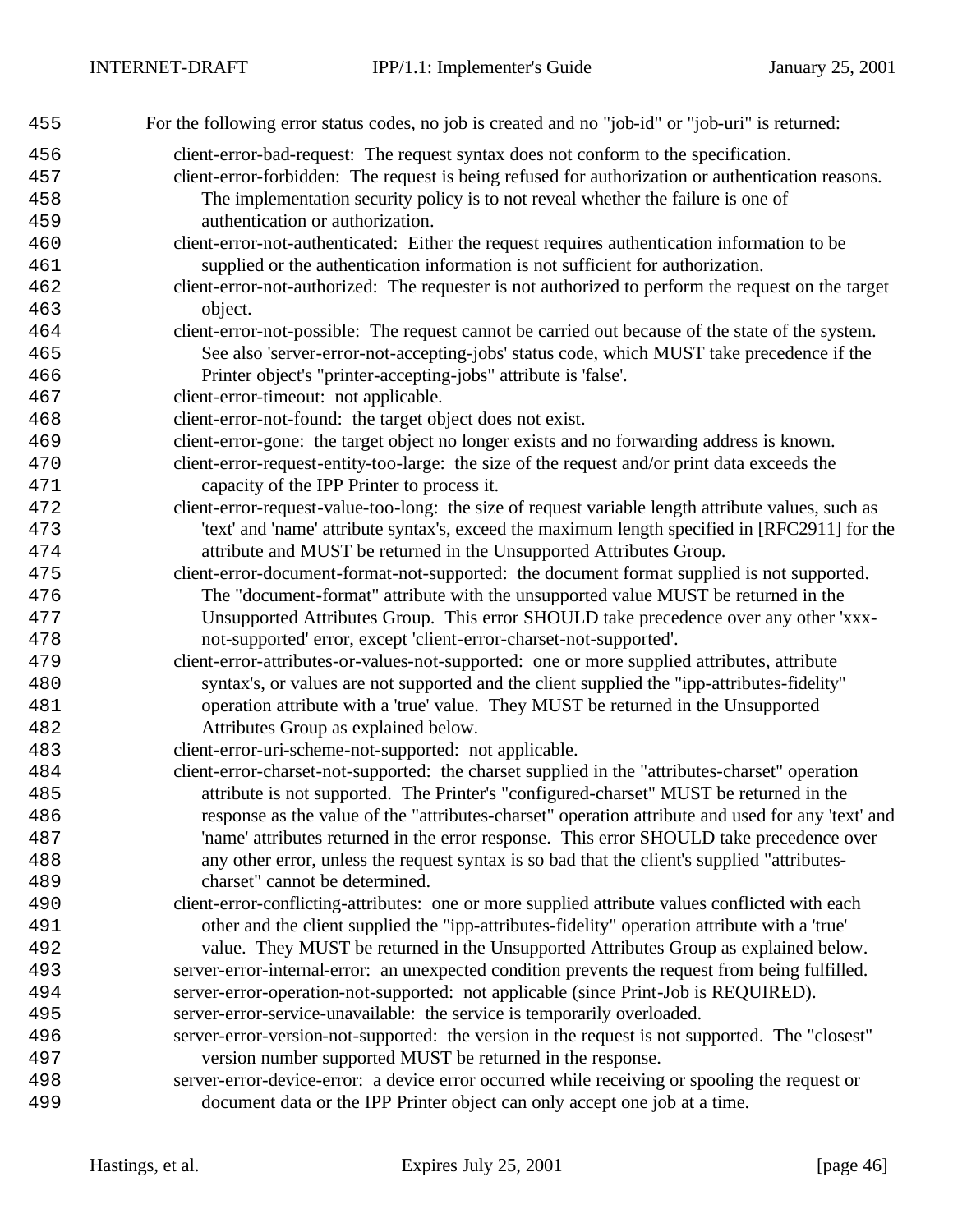| 455 | For the following error status codes, no job is created and no "job-id" or "job-uri" is returned:  |
|-----|----------------------------------------------------------------------------------------------------|
| 456 | client-error-bad-request: The request syntax does not conform to the specification.                |
| 457 | client-error-forbidden: The request is being refused for authorization or authentication reasons.  |
| 458 | The implementation security policy is to not reveal whether the failure is one of                  |
| 459 | authentication or authorization.                                                                   |
| 460 | client-error-not-authenticated: Either the request requires authentication information to be       |
| 461 | supplied or the authentication information is not sufficient for authorization.                    |
| 462 | client-error-not-authorized: The requester is not authorized to perform the request on the target  |
| 463 | object.                                                                                            |
| 464 | client-error-not-possible: The request cannot be carried out because of the state of the system.   |
| 465 | See also 'server-error-not-accepting-jobs' status code, which MUST take precedence if the          |
| 466 | Printer object's "printer-accepting-jobs" attribute is 'false'.                                    |
| 467 | client-error-timeout: not applicable.                                                              |
| 468 | client-error-not-found: the target object does not exist.                                          |
| 469 | client-error-gone: the target object no longer exists and no forwarding address is known.          |
| 470 | client-error-request-entity-too-large: the size of the request and/or print data exceeds the       |
| 471 | capacity of the IPP Printer to process it.                                                         |
| 472 | client-error-request-value-too-long: the size of request variable length attribute values, such as |
| 473 | 'text' and 'name' attribute syntax's, exceed the maximum length specified in [RFC2911] for the     |
| 474 | attribute and MUST be returned in the Unsupported Attributes Group.                                |
| 475 | client-error-document-format-not-supported: the document format supplied is not supported.         |
| 476 | The "document-format" attribute with the unsupported value MUST be returned in the                 |
| 477 | Unsupported Attributes Group. This error SHOULD take precedence over any other 'xxx-               |
| 478 | not-supported' error, except 'client-error-charset-not-supported'.                                 |
| 479 | client-error-attributes-or-values-not-supported: one or more supplied attributes, attribute        |
| 480 | syntax's, or values are not supported and the client supplied the "ipp-attributes-fidelity"        |
| 481 | operation attribute with a 'true' value. They MUST be returned in the Unsupported                  |
| 482 | Attributes Group as explained below.                                                               |
| 483 | client-error-uri-scheme-not-supported: not applicable.                                             |
| 484 | client-error-charset-not-supported: the charset supplied in the "attributes-charset" operation     |
| 485 | attribute is not supported. The Printer's "configured-charset" MUST be returned in the             |
| 486 | response as the value of the "attributes-charset" operation attribute and used for any 'text' and  |
| 487 | 'name' attributes returned in the error response. This error SHOULD take precedence over           |
| 488 | any other error, unless the request syntax is so bad that the client's supplied "attributes-       |
| 489 | charset" cannot be determined.                                                                     |
| 490 | client-error-conflicting-attributes: one or more supplied attribute values conflicted with each    |
| 491 | other and the client supplied the "ipp-attributes-fidelity" operation attribute with a 'true'      |
| 492 | value. They MUST be returned in the Unsupported Attributes Group as explained below.               |
| 493 | server-error-internal-error: an unexpected condition prevents the request from being fulfilled.    |
| 494 | server-error-operation-not-supported: not applicable (since Print-Job is REQUIRED).                |
| 495 | server-error-service-unavailable: the service is temporarily overloaded.                           |
| 496 | server-error-version-not-supported: the version in the request is not supported. The "closest"     |
| 497 | version number supported MUST be returned in the response.                                         |
| 498 | server-error-device-error: a device error occurred while receiving or spooling the request or      |
| 499 | document data or the IPP Printer object can only accept one job at a time.                         |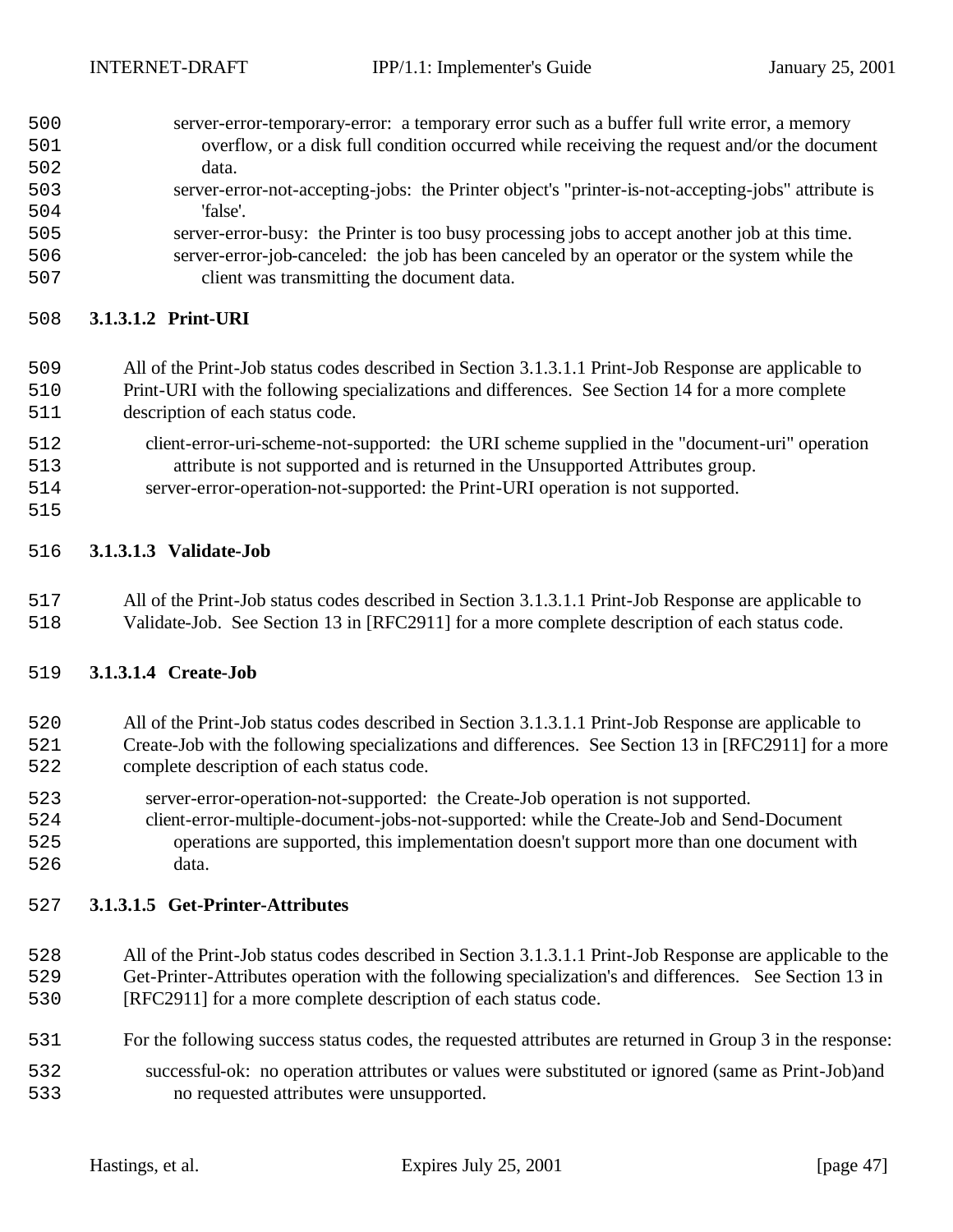| 500 | server-error-temporary-error: a temporary error such as a buffer full write error, a memory        |
|-----|----------------------------------------------------------------------------------------------------|
| 501 | overflow, or a disk full condition occurred while receiving the request and/or the document        |
| 502 | data.                                                                                              |
| 503 | server-error-not-accepting-jobs: the Printer object's "printer-is-not-accepting-jobs" attribute is |
| 504 | 'false'.                                                                                           |
| 505 | server-error-busy: the Printer is too busy processing jobs to accept another job at this time.     |
| 506 | server-error-job-canceled: the job has been canceled by an operator or the system while the        |

client was transmitting the document data.

#### **3.1.3.1.2 Print-URI**

# All of the Print-Job status codes described in Section 3.1.3.1.1 Print-Job Response are applicable to Print-URI with the following specializations and differences. See Section 14 for a more complete

- description of each status code.
- client-error-uri-scheme-not-supported: the URI scheme supplied in the "document-uri" operation attribute is not supported and is returned in the Unsupported Attributes group.
- server-error-operation-not-supported: the Print-URI operation is not supported.
- 

## **3.1.3.1.3 Validate-Job**

 All of the Print-Job status codes described in Section 3.1.3.1.1 Print-Job Response are applicable to Validate-Job. See Section 13 in [RFC2911] for a more complete description of each status code.

#### **3.1.3.1.4 Create-Job**

#### All of the Print-Job status codes described in Section 3.1.3.1.1 Print-Job Response are applicable to Create-Job with the following specializations and differences. See Section 13 in [RFC2911] for a more complete description of each status code.

- server-error-operation-not-supported: the Create-Job operation is not supported.
- client-error-multiple-document-jobs-not-supported: while the Create-Job and Send-Document operations are supported, this implementation doesn't support more than one document with data.

#### **3.1.3.1.5 Get-Printer-Attributes**

- All of the Print-Job status codes described in Section 3.1.3.1.1 Print-Job Response are applicable to the Get-Printer-Attributes operation with the following specialization's and differences. See Section 13 in [RFC2911] for a more complete description of each status code.
- For the following success status codes, the requested attributes are returned in Group 3 in the response:
- successful-ok: no operation attributes or values were substituted or ignored (same as Print-Job)and no requested attributes were unsupported.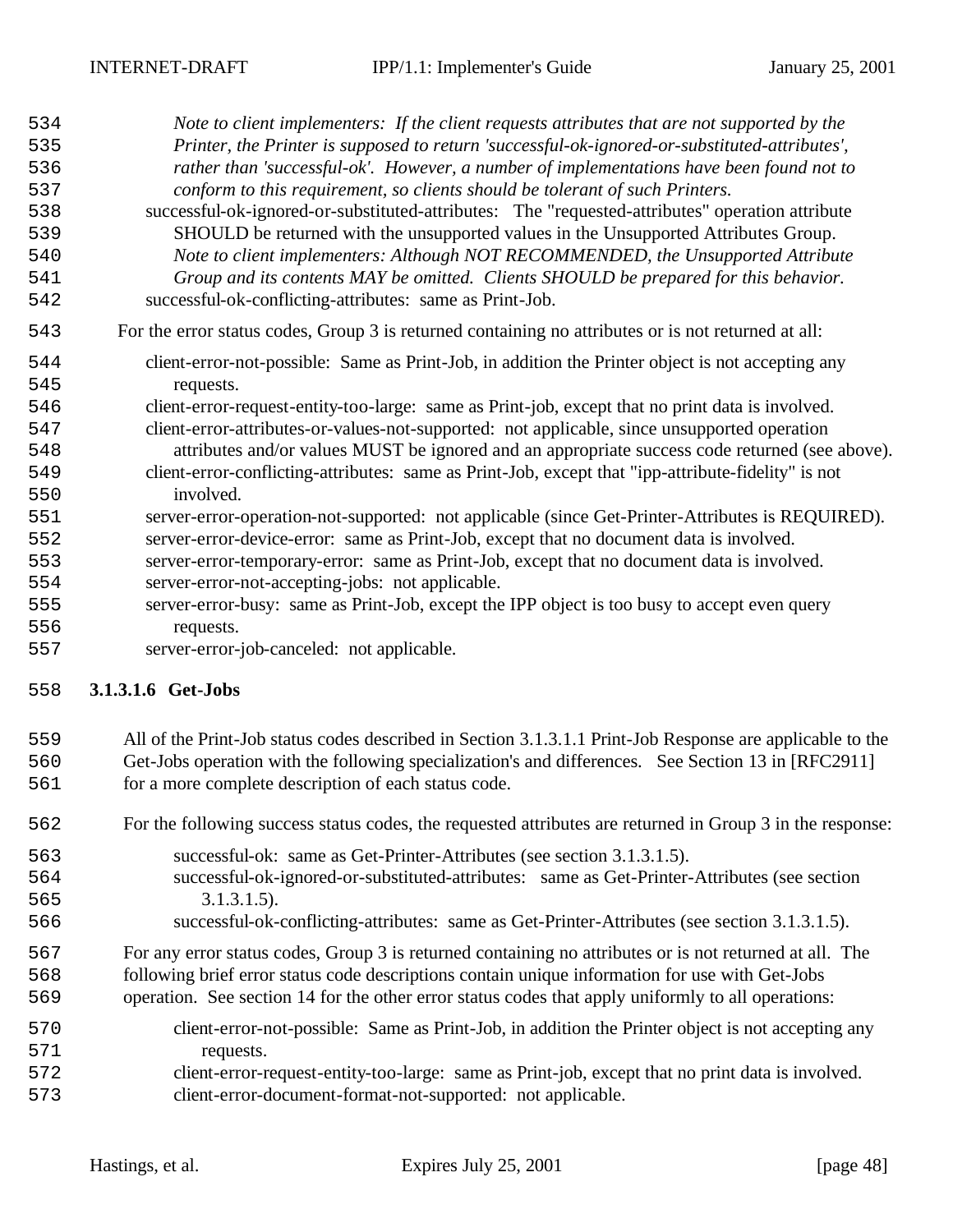| 534 | Note to client implementers: If the client requests attributes that are not supported by the        |
|-----|-----------------------------------------------------------------------------------------------------|
| 535 | Printer, the Printer is supposed to return 'successful-ok-ignored-or-substituted-attributes',       |
| 536 | rather than 'successful-ok'. However, a number of implementations have been found not to            |
| 537 | conform to this requirement, so clients should be tolerant of such Printers.                        |
| 538 | successful-ok-ignored-or-substituted-attributes: The "requested-attributes" operation attribute     |
| 539 | SHOULD be returned with the unsupported values in the Unsupported Attributes Group.                 |
| 540 | Note to client implementers: Although NOT RECOMMENDED, the Unsupported Attribute                    |
| 541 | Group and its contents MAY be omitted. Clients SHOULD be prepared for this behavior.                |
| 542 | successful-ok-conflicting-attributes: same as Print-Job.                                            |
| 543 | For the error status codes, Group 3 is returned containing no attributes or is not returned at all: |
| 544 | client-error-not-possible: Same as Print-Job, in addition the Printer object is not accepting any   |
| 545 | requests.                                                                                           |
| 546 | client-error-request-entity-too-large: same as Print-job, except that no print data is involved.    |
| 547 | client-error-attributes-or-values-not-supported: not applicable, since unsupported operation        |
| 548 | attributes and/or values MUST be ignored and an appropriate success code returned (see above).      |
| 549 | client-error-conflicting-attributes: same as Print-Job, except that "ipp-attribute-fidelity" is not |
| 550 | involved.                                                                                           |
| 551 | server-error-operation-not-supported: not applicable (since Get-Printer-Attributes is REQUIRED).    |
| 552 | server-error-device-error: same as Print-Job, except that no document data is involved.             |
| 553 | server-error-temporary-error: same as Print-Job, except that no document data is involved.          |
| 554 | server-error-not-accepting-jobs: not applicable.                                                    |
| 555 | server-error-busy: same as Print-Job, except the IPP object is too busy to accept even query        |
| 556 | requests.                                                                                           |
| 557 | server-error-job-canceled: not applicable.                                                          |
|     |                                                                                                     |

#### **3.1.3.1.6 Get-Jobs**

## All of the Print-Job status codes described in Section 3.1.3.1.1 Print-Job Response are applicable to the

- Get-Jobs operation with the following specialization's and differences. See Section 13 in [RFC2911] for a more complete description of each status code.
- For the following success status codes, the requested attributes are returned in Group 3 in the response:
- successful-ok: same as Get-Printer-Attributes (see section 3.1.3.1.5). successful-ok-ignored-or-substituted-attributes: same as Get-Printer-Attributes (see section 3.1.3.1.5).
- successful-ok-conflicting-attributes: same as Get-Printer-Attributes (see section 3.1.3.1.5).
- For any error status codes, Group 3 is returned containing no attributes or is not returned at all. The following brief error status code descriptions contain unique information for use with Get-Jobs
- operation. See section 14 for the other error status codes that apply uniformly to all operations:
- client-error-not-possible: Same as Print-Job, in addition the Printer object is not accepting any requests.
- client-error-request-entity-too-large: same as Print-job, except that no print data is involved. client-error-document-format-not-supported: not applicable.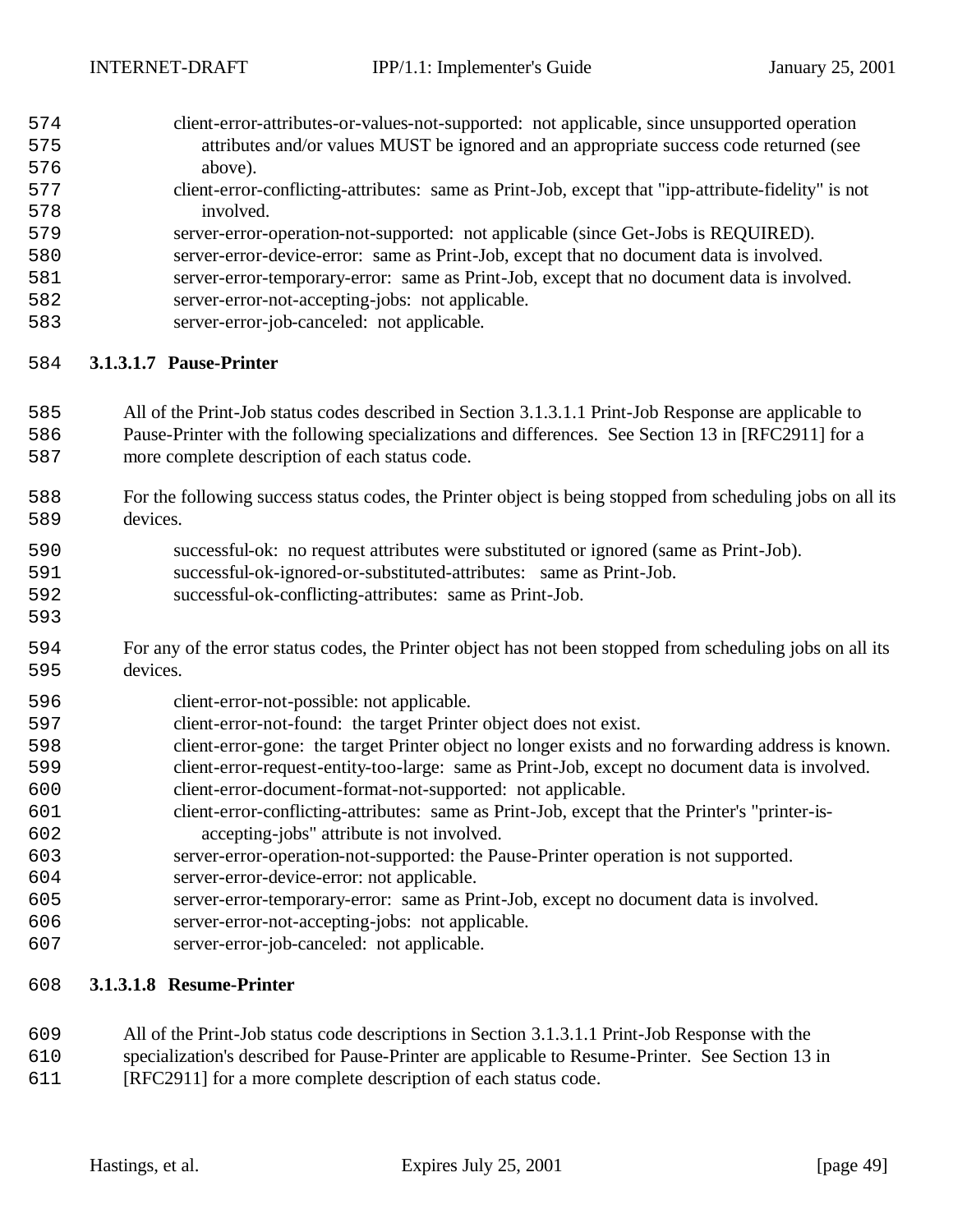| 574 | client-error-attributes-or-values-not-supported: not applicable, since unsupported operation |
|-----|----------------------------------------------------------------------------------------------|
| 575 | attributes and/or values MUST be ignored and an appropriate success code returned (see       |
| 576 | above).                                                                                      |
|     |                                                                                              |

- client-error-conflicting-attributes: same as Print-Job, except that "ipp-attribute-fidelity" is not involved.
- server-error-operation-not-supported: not applicable (since Get-Jobs is REQUIRED).
- server-error-device-error: same as Print-Job, except that no document data is involved.
- server-error-temporary-error: same as Print-Job, except that no document data is involved. server-error-not-accepting-jobs: not applicable.
- 
- server-error-job-canceled: not applicable.

## **3.1.3.1.7 Pause-Printer**

- All of the Print-Job status codes described in Section 3.1.3.1.1 Print-Job Response are applicable to Pause-Printer with the following specializations and differences. See Section 13 in [RFC2911] for a more complete description of each status code.
- For the following success status codes, the Printer object is being stopped from scheduling jobs on all its devices.

| 590 | successful-ok: no request attributes were substituted or ignored (same as Print-Job). |
|-----|---------------------------------------------------------------------------------------|
| 591 | successful-ok-ignored-or-substituted-attributes: same as Print-Job.                   |
|     |                                                                                       |

- successful-ok-conflicting-attributes: same as Print-Job.
- For any of the error status codes, the Printer object has not been stopped from scheduling jobs on all its 595 devices.
- client-error-not-possible: not applicable.
- client-error-not-found: the target Printer object does not exist.
- client-error-gone: the target Printer object no longer exists and no forwarding address is known.
- client-error-request-entity-too-large: same as Print-Job, except no document data is involved. client-error-document-format-not-supported: not applicable.
- client-error-conflicting-attributes: same as Print-Job, except that the Printer's "printer-is-accepting-jobs" attribute is not involved.
- server-error-operation-not-supported: the Pause-Printer operation is not supported.
- server-error-device-error: not applicable.
- server-error-temporary-error: same as Print-Job, except no document data is involved.
- server-error-not-accepting-jobs: not applicable.
- server-error-job-canceled: not applicable.

## **3.1.3.1.8 Resume-Printer**

- All of the Print-Job status code descriptions in Section 3.1.3.1.1 Print-Job Response with the
- specialization's described for Pause-Printer are applicable to Resume-Printer. See Section 13 in
- [RFC2911] for a more complete description of each status code.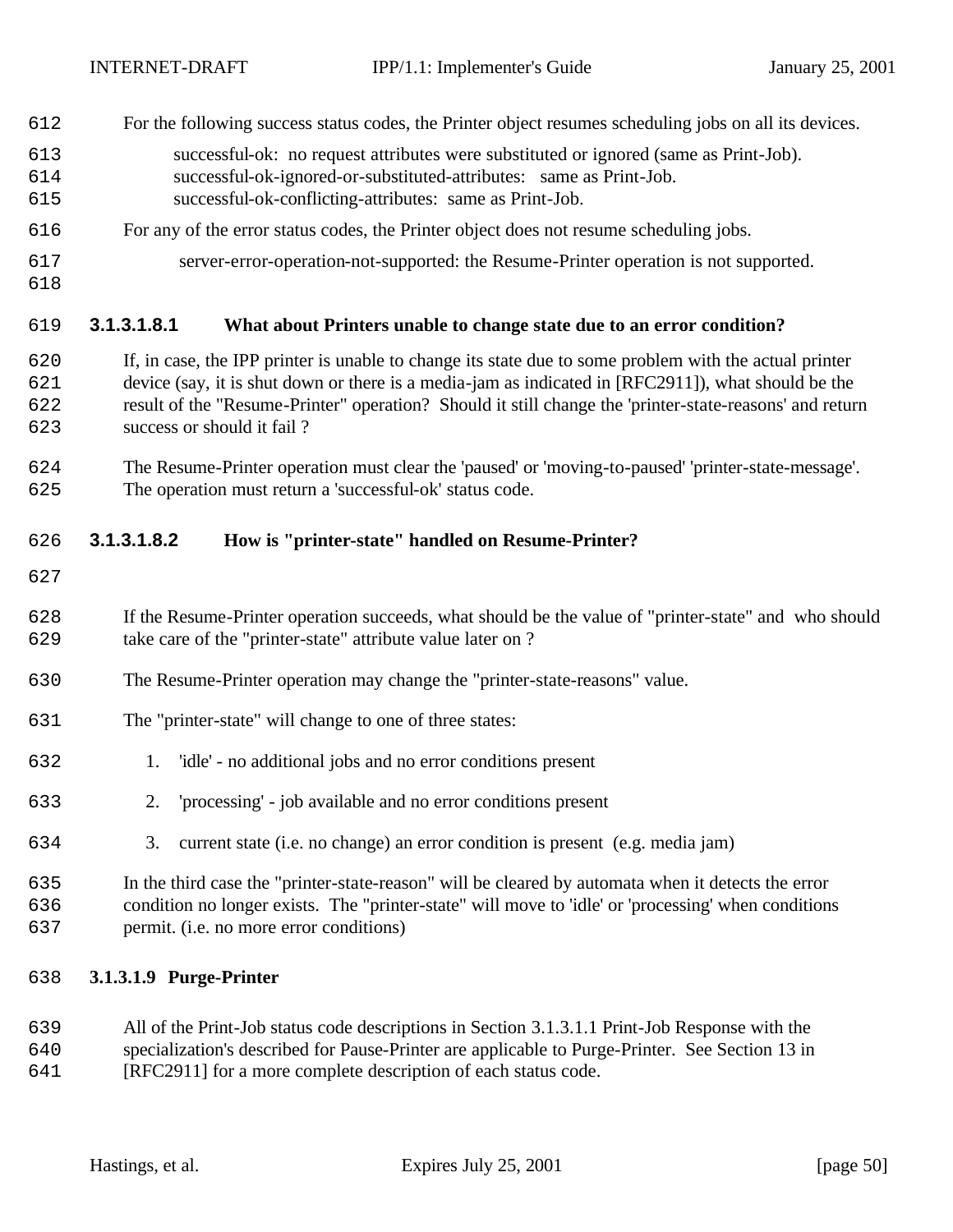- For the following success status codes, the Printer object resumes scheduling jobs on all its devices.
- successful-ok: no request attributes were substituted or ignored (same as Print-Job).
- successful-ok-ignored-or-substituted-attributes: same as Print-Job.
- successful-ok-conflicting-attributes: same as Print-Job.
- For any of the error status codes, the Printer object does not resume scheduling jobs.
- server-error-operation-not-supported: the Resume-Printer operation is not supported.
- 

## **3.1.3.1.8.1 What about Printers unable to change state due to an error condition?**

- If, in case, the IPP printer is unable to change its state due to some problem with the actual printer device (say, it is shut down or there is a media-jam as indicated in [RFC2911]), what should be the result of the "Resume-Printer" operation? Should it still change the 'printer-state-reasons' and return success or should it fail ?
- The Resume-Printer operation must clear the 'paused' or 'moving-to-paused' 'printer-state-message'. The operation must return a 'successful-ok' status code.

## **3.1.3.1.8.2 How is "printer-state" handled on Resume-Printer?**

- 
- If the Resume-Printer operation succeeds, what should be the value of "printer-state" and who should take care of the "printer-state" attribute value later on ?
- The Resume-Printer operation may change the "printer-state-reasons" value.
- The "printer-state" will change to one of three states:
- 1. 'idle' no additional jobs and no error conditions present
- 2. 'processing' job available and no error conditions present
- 3. current state (i.e. no change) an error condition is present (e.g. media jam)
- In the third case the "printer-state-reason" will be cleared by automata when it detects the error condition no longer exists. The "printer-state" will move to 'idle' or 'processing' when conditions permit. (i.e. no more error conditions)

## **3.1.3.1.9 Purge-Printer**

- All of the Print-Job status code descriptions in Section 3.1.3.1.1 Print-Job Response with the specialization's described for Pause-Printer are applicable to Purge-Printer. See Section 13 in
- [RFC2911] for a more complete description of each status code.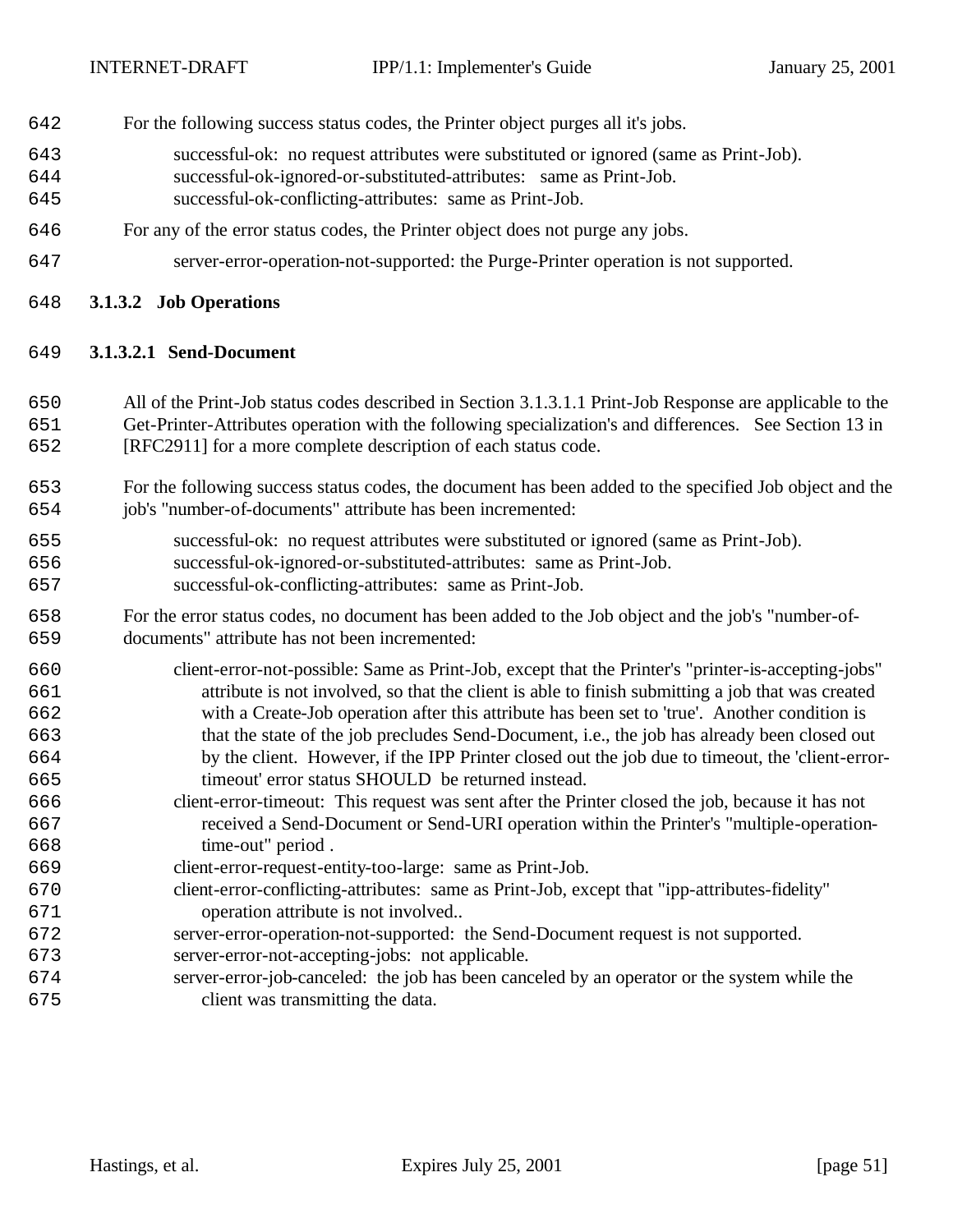- For the following success status codes, the Printer object purges all it's jobs.
- successful-ok: no request attributes were substituted or ignored (same as Print-Job).
- successful-ok-ignored-or-substituted-attributes: same as Print-Job.
- successful-ok-conflicting-attributes: same as Print-Job.
- For any of the error status codes, the Printer object does not purge any jobs.
- server-error-operation-not-supported: the Purge-Printer operation is not supported.
- **3.1.3.2 Job Operations**

#### **3.1.3.2.1 Send-Document**

- All of the Print-Job status codes described in Section 3.1.3.1.1 Print-Job Response are applicable to the Get-Printer-Attributes operation with the following specialization's and differences. See Section 13 in [RFC2911] for a more complete description of each status code.
- For the following success status codes, the document has been added to the specified Job object and the job's "number-of-documents" attribute has been incremented:
- successful-ok: no request attributes were substituted or ignored (same as Print-Job). successful-ok-ignored-or-substituted-attributes: same as Print-Job. successful-ok-conflicting-attributes: same as Print-Job.
- For the error status codes, no document has been added to the Job object and the job's "number-of-documents" attribute has not been incremented:
- client-error-not-possible: Same as Print-Job, except that the Printer's "printer-is-accepting-jobs" attribute is not involved, so that the client is able to finish submitting a job that was created with a Create-Job operation after this attribute has been set to 'true'. Another condition is that the state of the job precludes Send-Document, i.e., the job has already been closed out by the client. However, if the IPP Printer closed out the job due to timeout, the 'client-error-timeout' error status SHOULD be returned instead.
- client-error-timeout: This request was sent after the Printer closed the job, because it has not received a Send-Document or Send-URI operation within the Printer's "multiple-operation-time-out" period .
- client-error-request-entity-too-large: same as Print-Job.
- client-error-conflicting-attributes: same as Print-Job, except that "ipp-attributes-fidelity" operation attribute is not involved..
- server-error-operation-not-supported: the Send-Document request is not supported.
- server-error-not-accepting-jobs: not applicable.
- server-error-job-canceled: the job has been canceled by an operator or the system while the client was transmitting the data.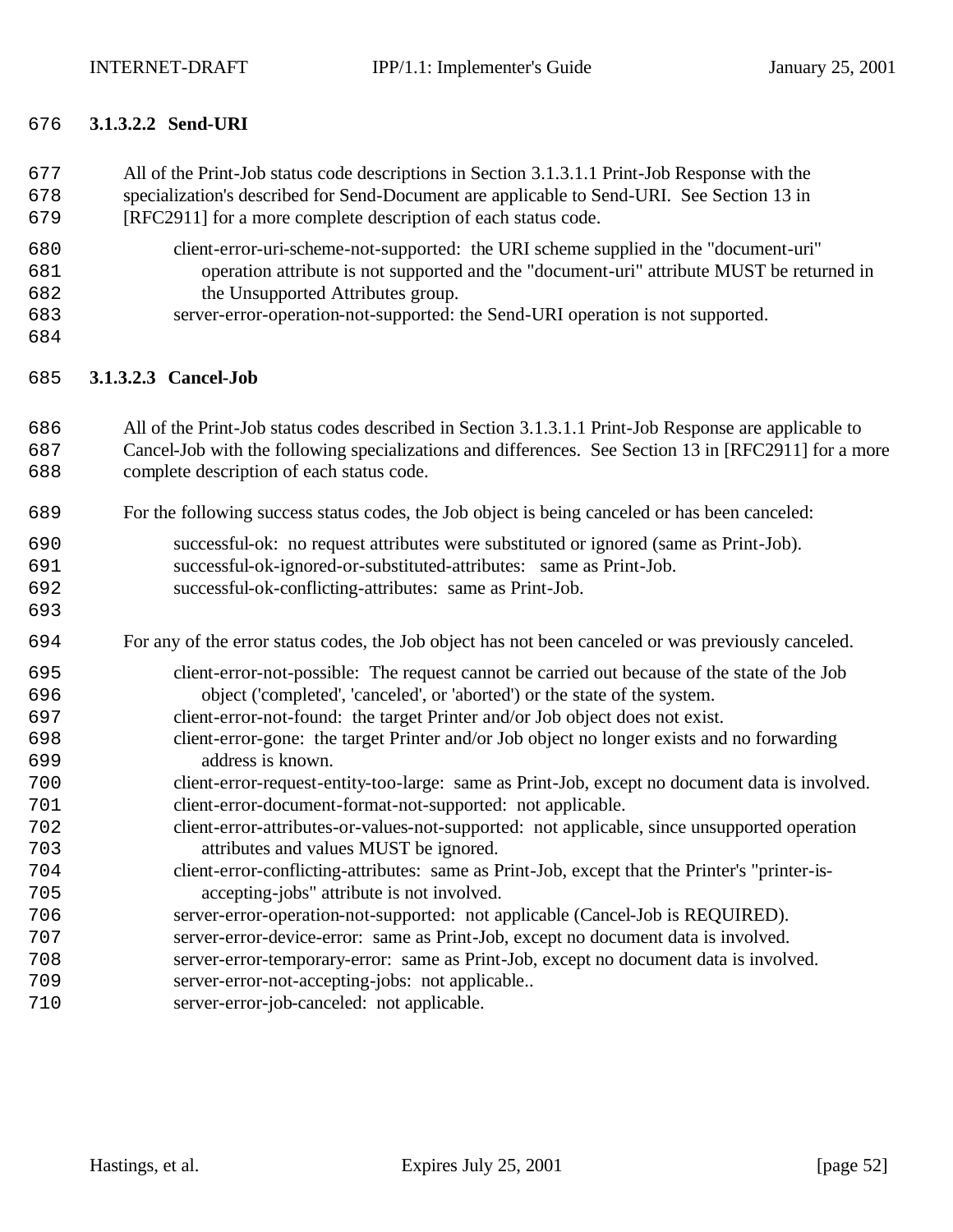All of the Print-Job status code descriptions in Section 3.1.3.1.1 Print-Job Response with the

# **3.1.3.2.2 Send-URI**

| 678<br>679                                                                                            | specialization's described for Send-Document are applicable to Send-URI. See Section 13 in<br>[RFC2911] for a more complete description of each status code.                                                                                                                                                                                                                                                                                                                                                                                                                                                                                                                                                                                                                                                                                                                                                                                                                                                                                                                                                                                                 |
|-------------------------------------------------------------------------------------------------------|--------------------------------------------------------------------------------------------------------------------------------------------------------------------------------------------------------------------------------------------------------------------------------------------------------------------------------------------------------------------------------------------------------------------------------------------------------------------------------------------------------------------------------------------------------------------------------------------------------------------------------------------------------------------------------------------------------------------------------------------------------------------------------------------------------------------------------------------------------------------------------------------------------------------------------------------------------------------------------------------------------------------------------------------------------------------------------------------------------------------------------------------------------------|
| 680<br>681<br>682<br>683<br>684                                                                       | client-error-uri-scheme-not-supported: the URI scheme supplied in the "document-uri"<br>operation attribute is not supported and the "document-uri" attribute MUST be returned in<br>the Unsupported Attributes group.<br>server-error-operation-not-supported: the Send-URI operation is not supported.                                                                                                                                                                                                                                                                                                                                                                                                                                                                                                                                                                                                                                                                                                                                                                                                                                                     |
| 685                                                                                                   | 3.1.3.2.3 Cancel-Job                                                                                                                                                                                                                                                                                                                                                                                                                                                                                                                                                                                                                                                                                                                                                                                                                                                                                                                                                                                                                                                                                                                                         |
| 686<br>687<br>688                                                                                     | All of the Print-Job status codes described in Section 3.1.3.1.1 Print-Job Response are applicable to<br>Cancel-Job with the following specializations and differences. See Section 13 in [RFC2911] for a more<br>complete description of each status code.                                                                                                                                                                                                                                                                                                                                                                                                                                                                                                                                                                                                                                                                                                                                                                                                                                                                                                  |
| 689                                                                                                   | For the following success status codes, the Job object is being canceled or has been canceled:                                                                                                                                                                                                                                                                                                                                                                                                                                                                                                                                                                                                                                                                                                                                                                                                                                                                                                                                                                                                                                                               |
| 690<br>691<br>692<br>693                                                                              | successful-ok: no request attributes were substituted or ignored (same as Print-Job).<br>successful-ok-ignored-or-substituted-attributes: same as Print-Job.<br>successful-ok-conflicting-attributes: same as Print-Job.                                                                                                                                                                                                                                                                                                                                                                                                                                                                                                                                                                                                                                                                                                                                                                                                                                                                                                                                     |
| 694                                                                                                   | For any of the error status codes, the Job object has not been canceled or was previously canceled.                                                                                                                                                                                                                                                                                                                                                                                                                                                                                                                                                                                                                                                                                                                                                                                                                                                                                                                                                                                                                                                          |
| 695<br>696<br>697<br>698<br>699<br>700<br>701<br>702<br>703<br>704<br>705<br>706<br>707<br>708<br>709 | client-error-not-possible: The request cannot be carried out because of the state of the Job<br>object ('completed', 'canceled', or 'aborted') or the state of the system.<br>client-error-not-found: the target Printer and/or Job object does not exist.<br>client-error-gone: the target Printer and/or Job object no longer exists and no forwarding<br>address is known.<br>client-error-request-entity-too-large: same as Print-Job, except no document data is involved.<br>client-error-document-format-not-supported: not applicable.<br>client-error-attributes-or-values-not-supported: not applicable, since unsupported operation<br>attributes and values MUST be ignored.<br>client-error-conflicting-attributes: same as Print-Job, except that the Printer's "printer-is-<br>accepting-jobs" attribute is not involved.<br>server-error-operation-not-supported: not applicable (Cancel-Job is REQUIRED).<br>server-error-device-error: same as Print-Job, except no document data is involved.<br>server-error-temporary-error: same as Print-Job, except no document data is involved.<br>server-error-not-accepting-jobs: not applicable |
| 710                                                                                                   | server-error-job-canceled: not applicable.                                                                                                                                                                                                                                                                                                                                                                                                                                                                                                                                                                                                                                                                                                                                                                                                                                                                                                                                                                                                                                                                                                                   |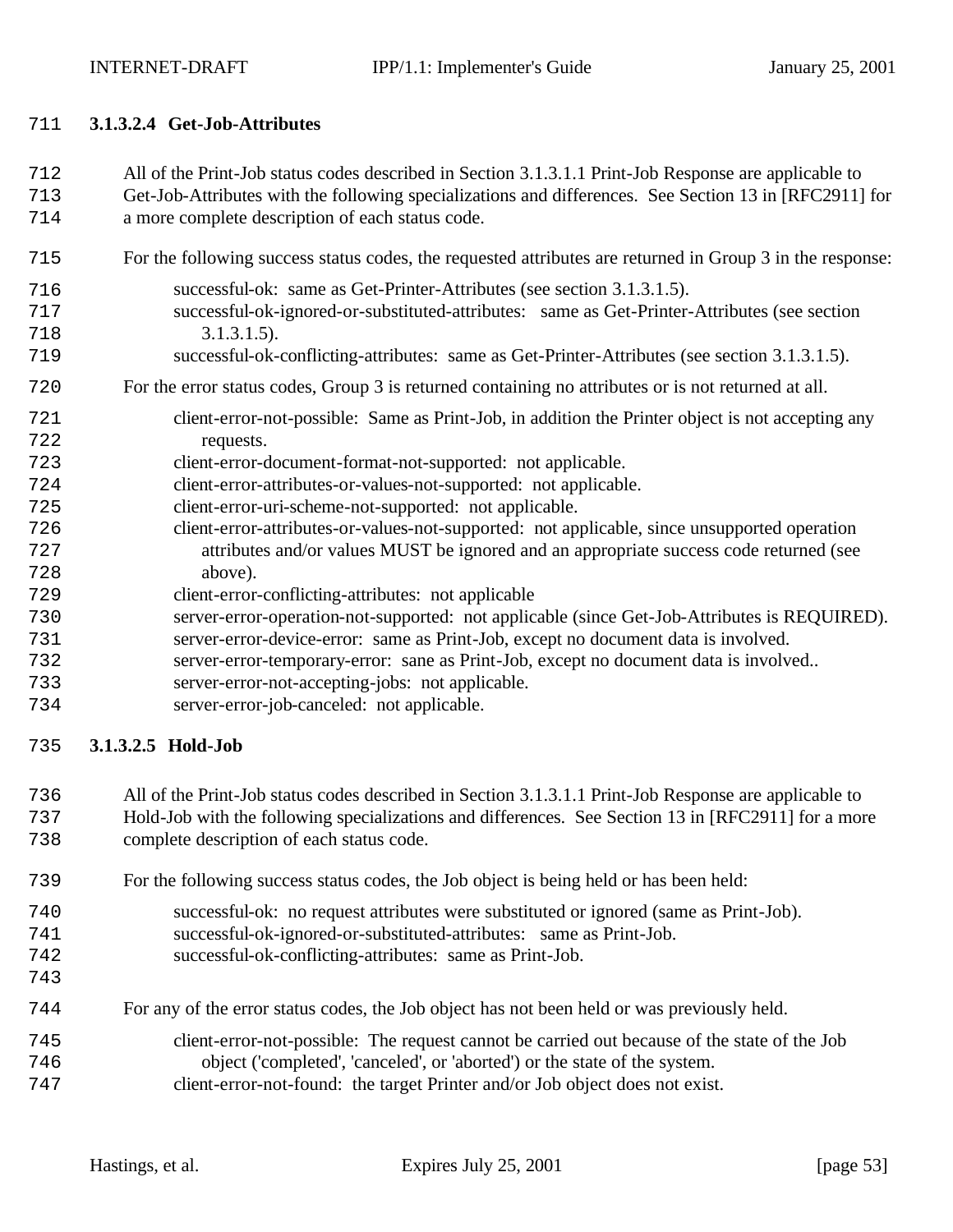#### **3.1.3.2.4 Get-Job-Attributes**

- All of the Print-Job status codes described in Section 3.1.3.1.1 Print-Job Response are applicable to
- Get-Job-Attributes with the following specializations and differences. See Section 13 in [RFC2911] for a more complete description of each status code.
- For the following success status codes, the requested attributes are returned in Group 3 in the response:
- successful-ok: same as Get-Printer-Attributes (see section 3.1.3.1.5). successful-ok-ignored-or-substituted-attributes: same as Get-Printer-Attributes (see section 3.1.3.1.5). successful-ok-conflicting-attributes: same as Get-Printer-Attributes (see section 3.1.3.1.5).

## For the error status codes, Group 3 is returned containing no attributes or is not returned at all.

- client-error-not-possible: Same as Print-Job, in addition the Printer object is not accepting any requests.
- client-error-document-format-not-supported: not applicable.
- client-error-attributes-or-values-not-supported: not applicable.
- client-error-uri-scheme-not-supported: not applicable.
- client-error-attributes-or-values-not-supported: not applicable, since unsupported operation attributes and/or values MUST be ignored and an appropriate success code returned (see above).
- client-error-conflicting-attributes: not applicable
- server-error-operation-not-supported: not applicable (since Get-Job-Attributes is REQUIRED).
- server-error-device-error: same as Print-Job, except no document data is involved.
- server-error-temporary-error: sane as Print-Job, except no document data is involved..
- server-error-not-accepting-jobs: not applicable.
- server-error-job-canceled: not applicable.

# **3.1.3.2.5 Hold-Job**

- All of the Print-Job status codes described in Section 3.1.3.1.1 Print-Job Response are applicable to
- Hold-Job with the following specializations and differences. See Section 13 in [RFC2911] for a more complete description of each status code.
- For the following success status codes, the Job object is being held or has been held:
- successful-ok: no request attributes were substituted or ignored (same as Print-Job).
- successful-ok-ignored-or-substituted-attributes: same as Print-Job.
- successful-ok-conflicting-attributes: same as Print-Job.
- 
- For any of the error status codes, the Job object has not been held or was previously held.
- client-error-not-possible: The request cannot be carried out because of the state of the Job object ('completed', 'canceled', or 'aborted') or the state of the system. client-error-not-found: the target Printer and/or Job object does not exist.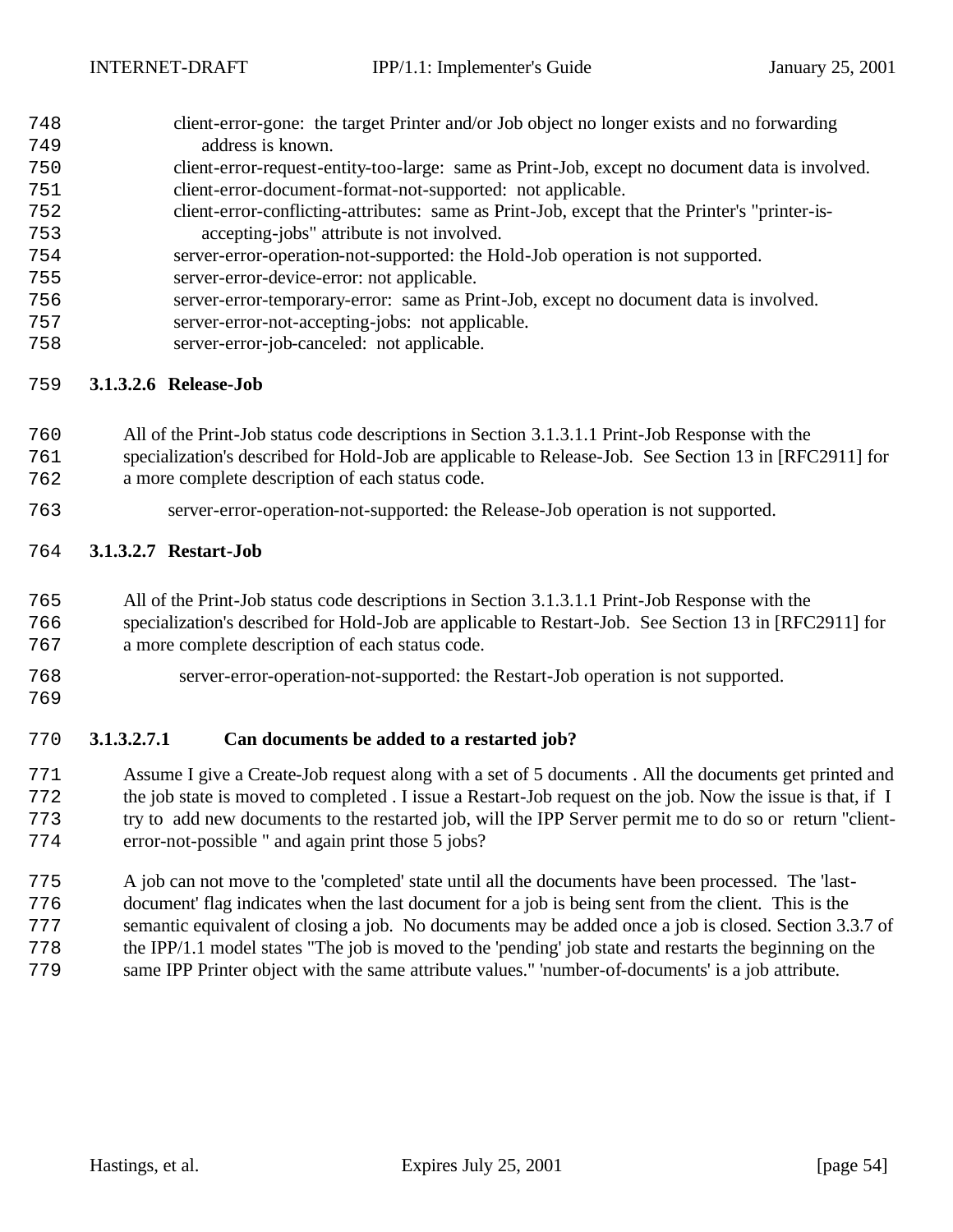- client-error-gone: the target Printer and/or Job object no longer exists and no forwarding address is known.
- client-error-request-entity-too-large: same as Print-Job, except no document data is involved. client-error-document-format-not-supported: not applicable.
- client-error-conflicting-attributes: same as Print-Job, except that the Printer's "printer-is-accepting-jobs" attribute is not involved.
- server-error-operation-not-supported: the Hold-Job operation is not supported.
- server-error-device-error: not applicable.
- server-error-temporary-error: same as Print-Job, except no document data is involved.
- server-error-not-accepting-jobs: not applicable.
- server-error-job-canceled: not applicable.

## **3.1.3.2.6 Release-Job**

- All of the Print-Job status code descriptions in Section 3.1.3.1.1 Print-Job Response with the
- specialization's described for Hold-Job are applicable to Release-Job. See Section 13 in [RFC2911] for a more complete description of each status code.
- server-error-operation-not-supported: the Release-Job operation is not supported.

## **3.1.3.2.7 Restart-Job**

- All of the Print-Job status code descriptions in Section 3.1.3.1.1 Print-Job Response with the
- specialization's described for Hold-Job are applicable to Restart-Job. See Section 13 in [RFC2911] for a more complete description of each status code.
- 
- server-error-operation-not-supported: the Restart-Job operation is not supported.
- 

## **3.1.3.2.7.1 Can documents be added to a restarted job?**

- Assume I give a Create-Job request along with a set of 5 documents . All the documents get printed and the job state is moved to completed . I issue a Restart-Job request on the job. Now the issue is that, if I try to add new documents to the restarted job, will the IPP Server permit me to do so or return "client-error-not-possible " and again print those 5 jobs?
- A job can not move to the 'completed' state until all the documents have been processed. The 'last- document' flag indicates when the last document for a job is being sent from the client. This is the semantic equivalent of closing a job. No documents may be added once a job is closed. Section 3.3.7 of the IPP/1.1 model states "The job is moved to the 'pending' job state and restarts the beginning on the same IPP Printer object with the same attribute values." 'number-of-documents' is a job attribute.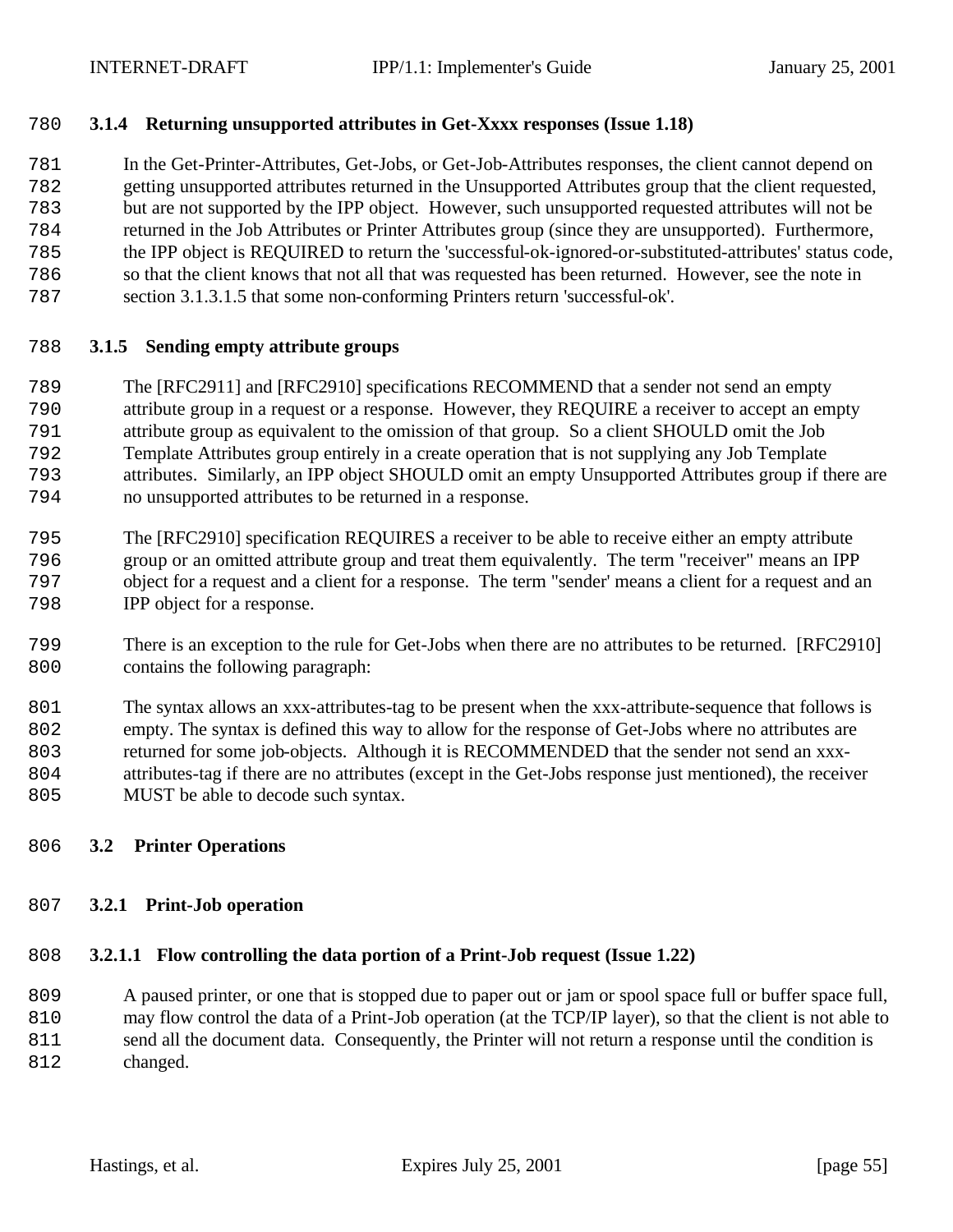## **3.1.4 Returning unsupported attributes in Get-Xxxx responses (Issue 1.18)**

 In the Get-Printer-Attributes, Get-Jobs, or Get-Job-Attributes responses, the client cannot depend on getting unsupported attributes returned in the Unsupported Attributes group that the client requested, but are not supported by the IPP object. However, such unsupported requested attributes will not be returned in the Job Attributes or Printer Attributes group (since they are unsupported). Furthermore, the IPP object is REQUIRED to return the 'successful-ok-ignored-or-substituted-attributes' status code, so that the client knows that not all that was requested has been returned. However, see the note in

section 3.1.3.1.5 that some non-conforming Printers return 'successful-ok'.

#### **3.1.5 Sending empty attribute groups**

- The [RFC2911] and [RFC2910] specifications RECOMMEND that a sender not send an empty
- attribute group in a request or a response. However, they REQUIRE a receiver to accept an empty
- attribute group as equivalent to the omission of that group. So a client SHOULD omit the Job
- Template Attributes group entirely in a create operation that is not supplying any Job Template
- attributes. Similarly, an IPP object SHOULD omit an empty Unsupported Attributes group if there are no unsupported attributes to be returned in a response.
- The [RFC2910] specification REQUIRES a receiver to be able to receive either an empty attribute group or an omitted attribute group and treat them equivalently. The term "receiver" means an IPP object for a request and a client for a response. The term "sender' means a client for a request and an IPP object for a response.
- There is an exception to the rule for Get-Jobs when there are no attributes to be returned. [RFC2910] contains the following paragraph:
- The syntax allows an xxx-attributes-tag to be present when the xxx-attribute-sequence that follows is empty. The syntax is defined this way to allow for the response of Get-Jobs where no attributes are returned for some job-objects. Although it is RECOMMENDED that the sender not send an xxx- attributes-tag if there are no attributes (except in the Get-Jobs response just mentioned), the receiver 805 MUST be able to decode such syntax.

## **3.2 Printer Operations**

#### **3.2.1 Print-Job operation**

## **3.2.1.1 Flow controlling the data portion of a Print-Job request (Issue 1.22)**

 A paused printer, or one that is stopped due to paper out or jam or spool space full or buffer space full, may flow control the data of a Print-Job operation (at the TCP/IP layer), so that the client is not able to send all the document data. Consequently, the Printer will not return a response until the condition is 812 changed.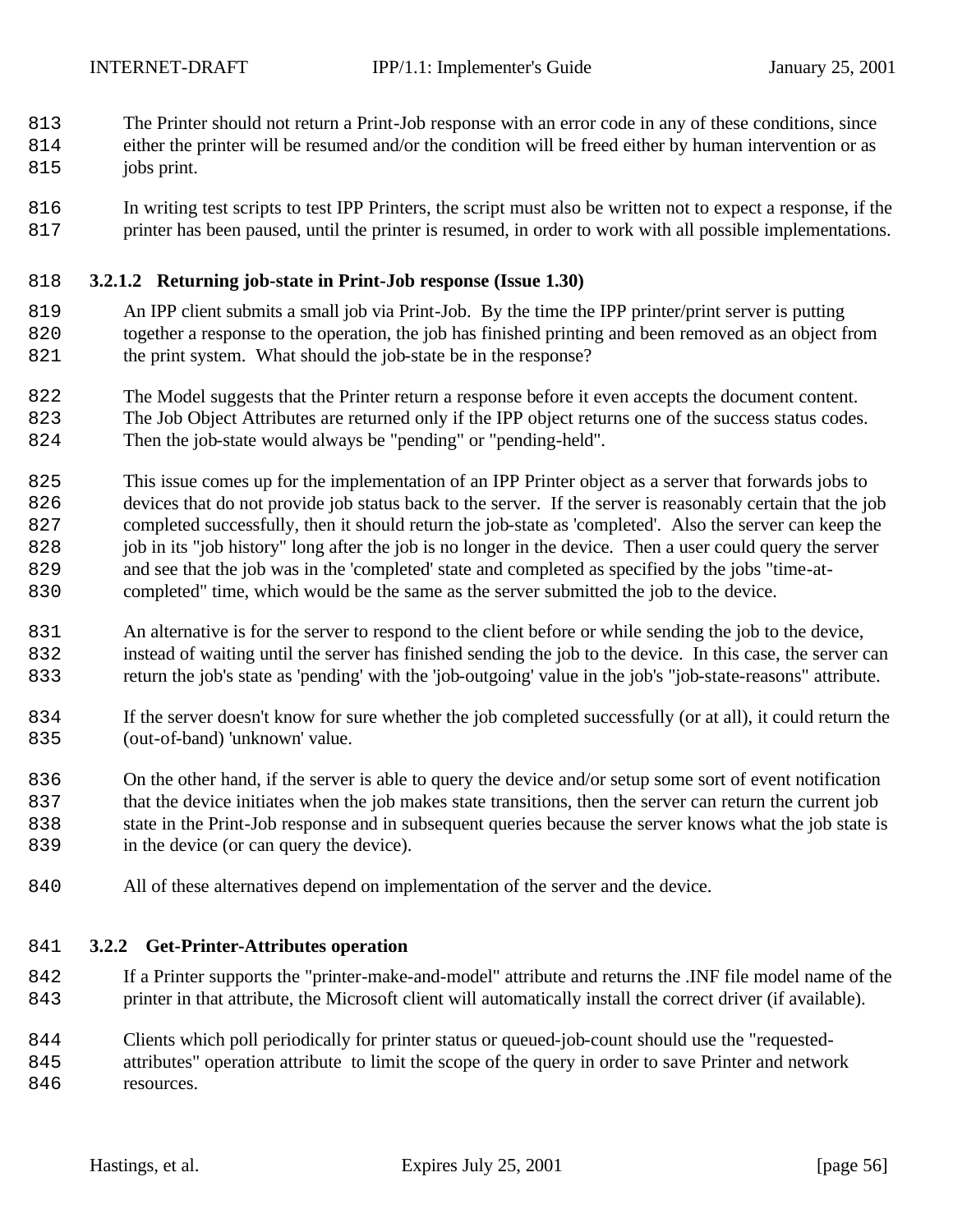The Printer should not return a Print-Job response with an error code in any of these conditions, since

- either the printer will be resumed and/or the condition will be freed either by human intervention or as
- 815 jobs print.
- In writing test scripts to test IPP Printers, the script must also be written not to expect a response, if the 817 printer has been paused, until the printer is resumed, in order to work with all possible implementations.

## **3.2.1.2 Returning job-state in Print-Job response (Issue 1.30)**

- An IPP client submits a small job via Print-Job. By the time the IPP printer/print server is putting together a response to the operation, the job has finished printing and been removed as an object from the print system. What should the job-state be in the response?
- The Model suggests that the Printer return a response before it even accepts the document content. The Job Object Attributes are returned only if the IPP object returns one of the success status codes.

Then the job-state would always be "pending" or "pending-held".

- This issue comes up for the implementation of an IPP Printer object as a server that forwards jobs to devices that do not provide job status back to the server. If the server is reasonably certain that the job completed successfully, then it should return the job-state as 'completed'. Also the server can keep the job in its "job history" long after the job is no longer in the device. Then a user could query the server and see that the job was in the 'completed' state and completed as specified by the jobs "time-at-completed" time, which would be the same as the server submitted the job to the device.
- An alternative is for the server to respond to the client before or while sending the job to the device, instead of waiting until the server has finished sending the job to the device. In this case, the server can return the job's state as 'pending' with the 'job-outgoing' value in the job's "job-state-reasons" attribute.
- If the server doesn't know for sure whether the job completed successfully (or at all), it could return the 835 (out-of-band) 'unknown' value.
- On the other hand, if the server is able to query the device and/or setup some sort of event notification that the device initiates when the job makes state transitions, then the server can return the current job state in the Print-Job response and in subsequent queries because the server knows what the job state is 839 in the device (or can query the device).
- All of these alternatives depend on implementation of the server and the device.

## **3.2.2 Get-Printer-Attributes operation**

- If a Printer supports the "printer-make-and-model" attribute and returns the .INF file model name of the printer in that attribute, the Microsoft client will automatically install the correct driver (if available).
- Clients which poll periodically for printer status or queued-job-count should use the "requested- attributes" operation attribute to limit the scope of the query in order to save Printer and network 846 resources.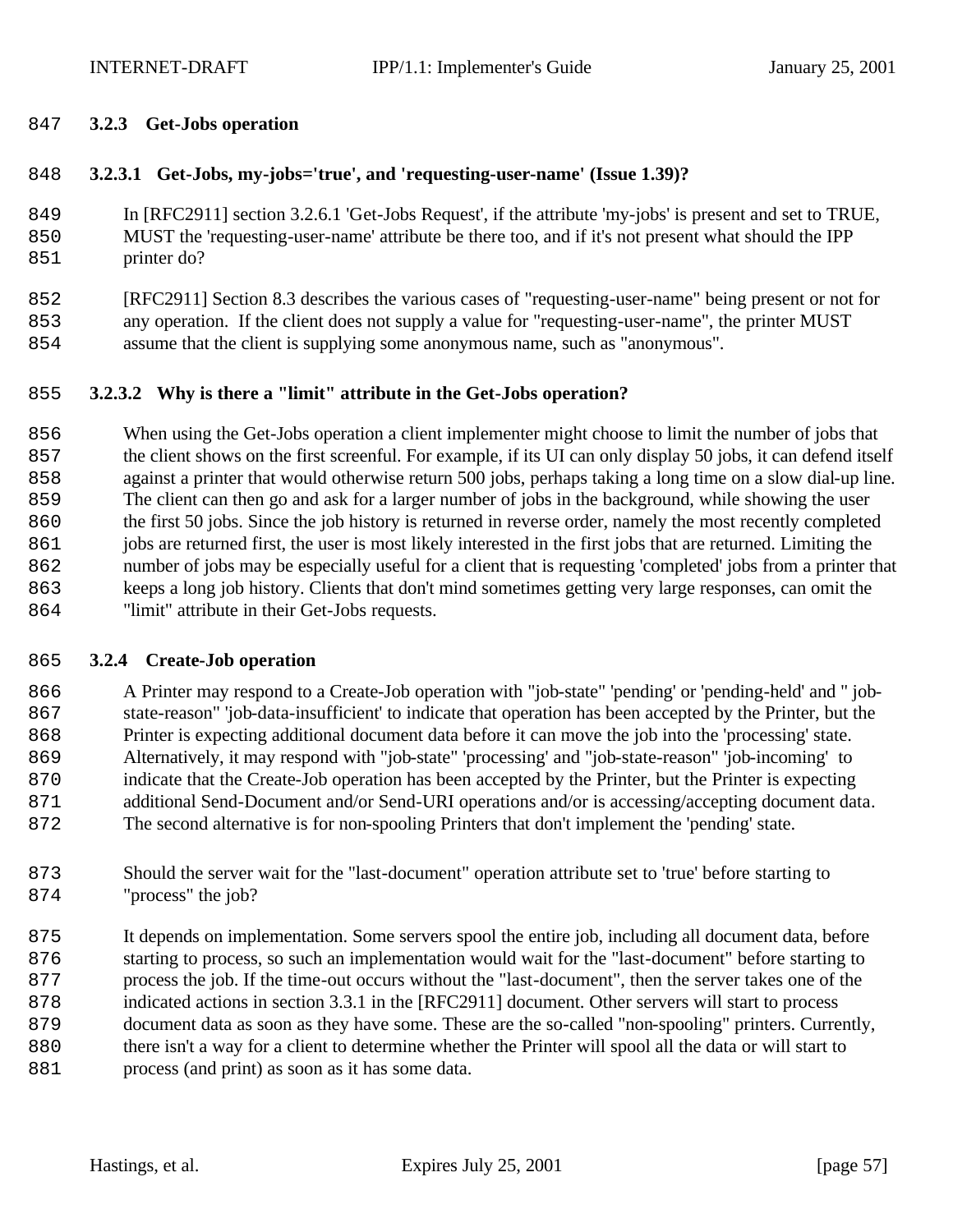## **3.2.3 Get-Jobs operation**

## **3.2.3.1 Get-Jobs, my-jobs='true', and 'requesting-user-name' (Issue 1.39)?**

 In [RFC2911] section 3.2.6.1 'Get-Jobs Request', if the attribute 'my-jobs' is present and set to TRUE, MUST the 'requesting-user-name' attribute be there too, and if it's not present what should the IPP 851 printer do?

 [RFC2911] Section 8.3 describes the various cases of "requesting-user-name" being present or not for any operation. If the client does not supply a value for "requesting-user-name", the printer MUST assume that the client is supplying some anonymous name, such as "anonymous".

## **3.2.3.2 Why is there a "limit" attribute in the Get-Jobs operation?**

 When using the Get-Jobs operation a client implementer might choose to limit the number of jobs that the client shows on the first screenful. For example, if its UI can only display 50 jobs, it can defend itself against a printer that would otherwise return 500 jobs, perhaps taking a long time on a slow dial-up line. The client can then go and ask for a larger number of jobs in the background, while showing the user the first 50 jobs. Since the job history is returned in reverse order, namely the most recently completed jobs are returned first, the user is most likely interested in the first jobs that are returned. Limiting the number of jobs may be especially useful for a client that is requesting 'completed' jobs from a printer that keeps a long job history. Clients that don't mind sometimes getting very large responses, can omit the 864 "limit" attribute in their Get-Jobs requests.

#### **3.2.4 Create-Job operation**

 A Printer may respond to a Create-Job operation with "job-state" 'pending' or 'pending-held' and " job- state-reason" 'job-data-insufficient' to indicate that operation has been accepted by the Printer, but the Printer is expecting additional document data before it can move the job into the 'processing' state. Alternatively, it may respond with "job-state" 'processing' and "job-state-reason" 'job-incoming' to indicate that the Create-Job operation has been accepted by the Printer, but the Printer is expecting 871 additional Send-Document and/or Send-URI operations and/or is accessing/accepting document data. The second alternative is for non-spooling Printers that don't implement the 'pending' state.

- Should the server wait for the "last-document" operation attribute set to 'true' before starting to 874 "process" the job?
- It depends on implementation. Some servers spool the entire job, including all document data, before starting to process, so such an implementation would wait for the "last-document" before starting to process the job. If the time-out occurs without the "last-document", then the server takes one of the indicated actions in section 3.3.1 in the [RFC2911] document. Other servers will start to process document data as soon as they have some. These are the so-called "non-spooling" printers. Currently, there isn't a way for a client to determine whether the Printer will spool all the data or will start to process (and print) as soon as it has some data.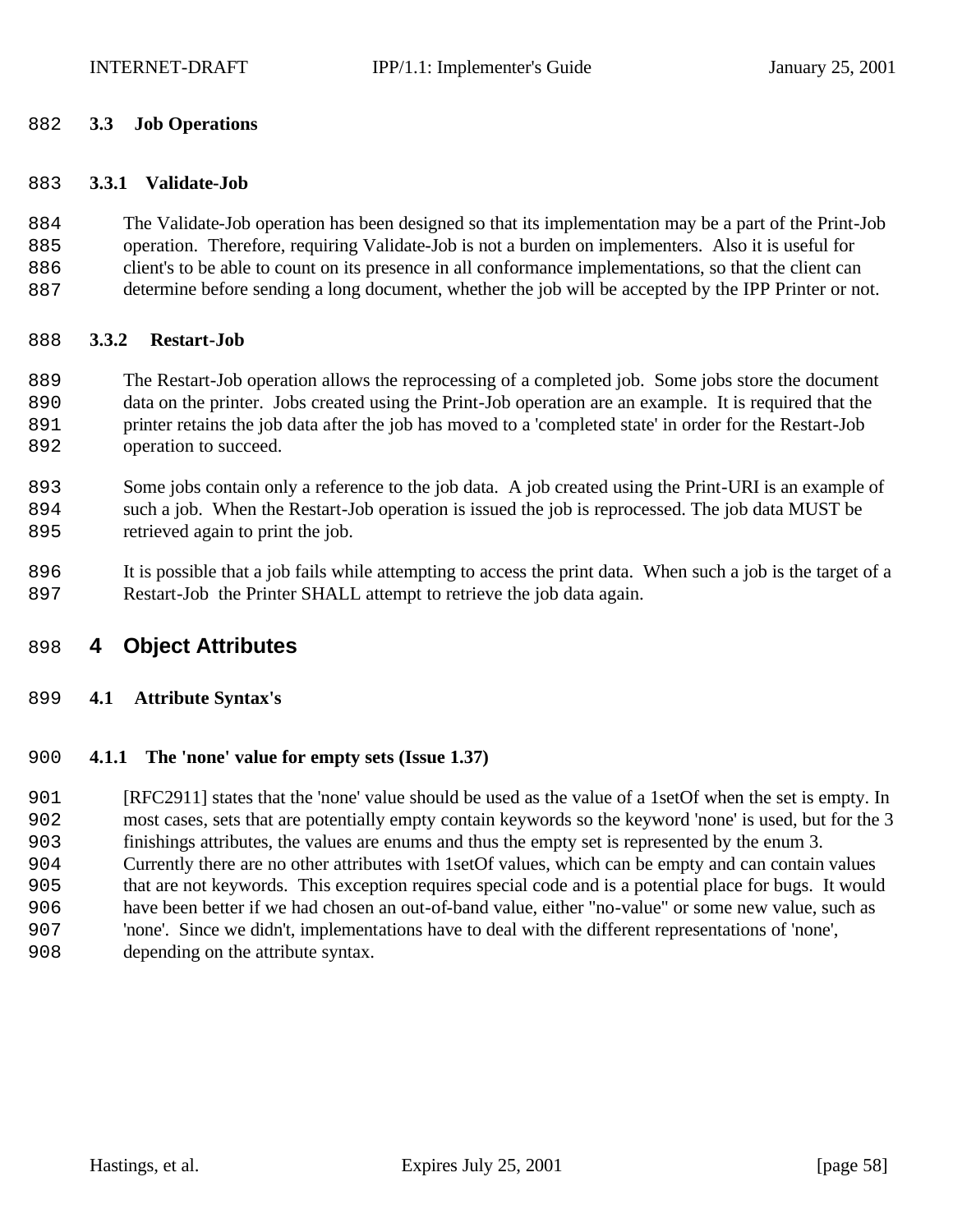#### **3.3 Job Operations**

#### **3.3.1 Validate-Job**

 The Validate-Job operation has been designed so that its implementation may be a part of the Print-Job operation. Therefore, requiring Validate-Job is not a burden on implementers. Also it is useful for client's to be able to count on its presence in all conformance implementations, so that the client can determine before sending a long document, whether the job will be accepted by the IPP Printer or not.

#### **3.3.2 Restart-Job**

 The Restart-Job operation allows the reprocessing of a completed job. Some jobs store the document data on the printer. Jobs created using the Print-Job operation are an example. It is required that the printer retains the job data after the job has moved to a 'completed state' in order for the Restart-Job 892 operation to succeed.

 Some jobs contain only a reference to the job data. A job created using the Print-URI is an example of such a job. When the Restart-Job operation is issued the job is reprocessed. The job data MUST be 895 retrieved again to print the job.

 It is possible that a job fails while attempting to access the print data. When such a job is the target of a Restart-Job the Printer SHALL attempt to retrieve the job data again.

# **4 Object Attributes**

## **4.1 Attribute Syntax's**

#### **4.1.1 The 'none' value for empty sets (Issue 1.37)**

 [RFC2911] states that the 'none' value should be used as the value of a 1setOf when the set is empty. In most cases, sets that are potentially empty contain keywords so the keyword 'none' is used, but for the 3 finishings attributes, the values are enums and thus the empty set is represented by the enum 3. Currently there are no other attributes with 1setOf values, which can be empty and can contain values that are not keywords. This exception requires special code and is a potential place for bugs. It would have been better if we had chosen an out-of-band value, either "no-value" or some new value, such as 'none'. Since we didn't, implementations have to deal with the different representations of 'none', depending on the attribute syntax.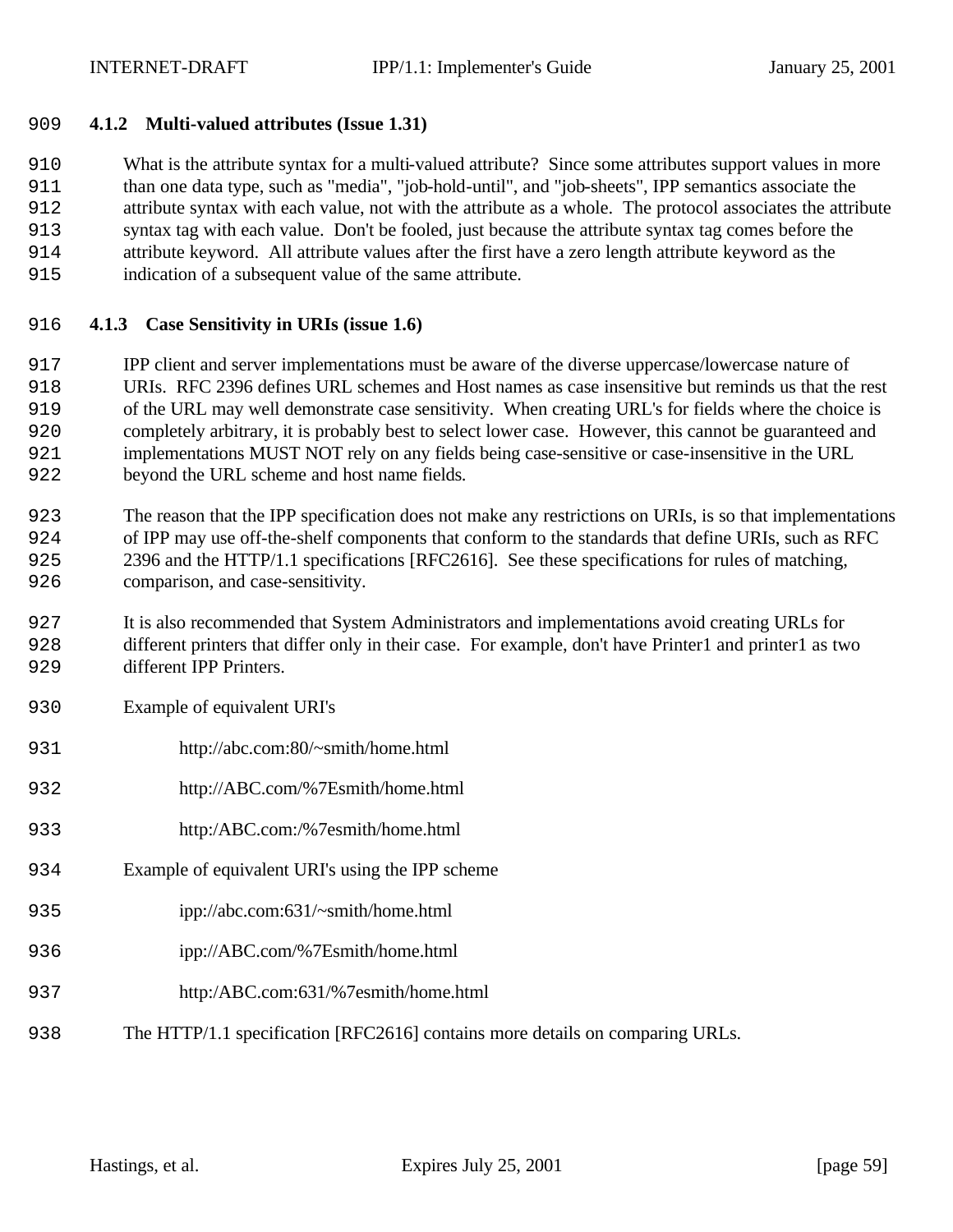## **4.1.2 Multi-valued attributes (Issue 1.31)**

 What is the attribute syntax for a multi-valued attribute? Since some attributes support values in more than one data type, such as "media", "job-hold-until", and "job-sheets", IPP semantics associate the attribute syntax with each value, not with the attribute as a whole. The protocol associates the attribute syntax tag with each value. Don't be fooled, just because the attribute syntax tag comes before the attribute keyword. All attribute values after the first have a zero length attribute keyword as the indication of a subsequent value of the same attribute.

## **4.1.3 Case Sensitivity in URIs (issue 1.6)**

 IPP client and server implementations must be aware of the diverse uppercase/lowercase nature of URIs. RFC 2396 defines URL schemes and Host names as case insensitive but reminds us that the rest of the URL may well demonstrate case sensitivity. When creating URL's for fields where the choice is completely arbitrary, it is probably best to select lower case. However, this cannot be guaranteed and implementations MUST NOT rely on any fields being case-sensitive or case-insensitive in the URL beyond the URL scheme and host name fields.

 The reason that the IPP specification does not make any restrictions on URIs, is so that implementations of IPP may use off-the-shelf components that conform to the standards that define URIs, such as RFC 2396 and the HTTP/1.1 specifications [RFC2616]. See these specifications for rules of matching, comparison, and case-sensitivity.

 It is also recommended that System Administrators and implementations avoid creating URLs for different printers that differ only in their case. For example, don't have Printer1 and printer1 as two different IPP Printers.

- Example of equivalent URI's
- http://abc.com:80/~smith/home.html
- http://ABC.com/%7Esmith/home.html
- http:/ABC.com:/%7esmith/home.html
- Example of equivalent URI's using the IPP scheme
- ipp://abc.com:631/~smith/home.html
- ipp://ABC.com/%7Esmith/home.html
- http:/ABC.com:631/%7esmith/home.html
- The HTTP/1.1 specification [RFC2616] contains more details on comparing URLs.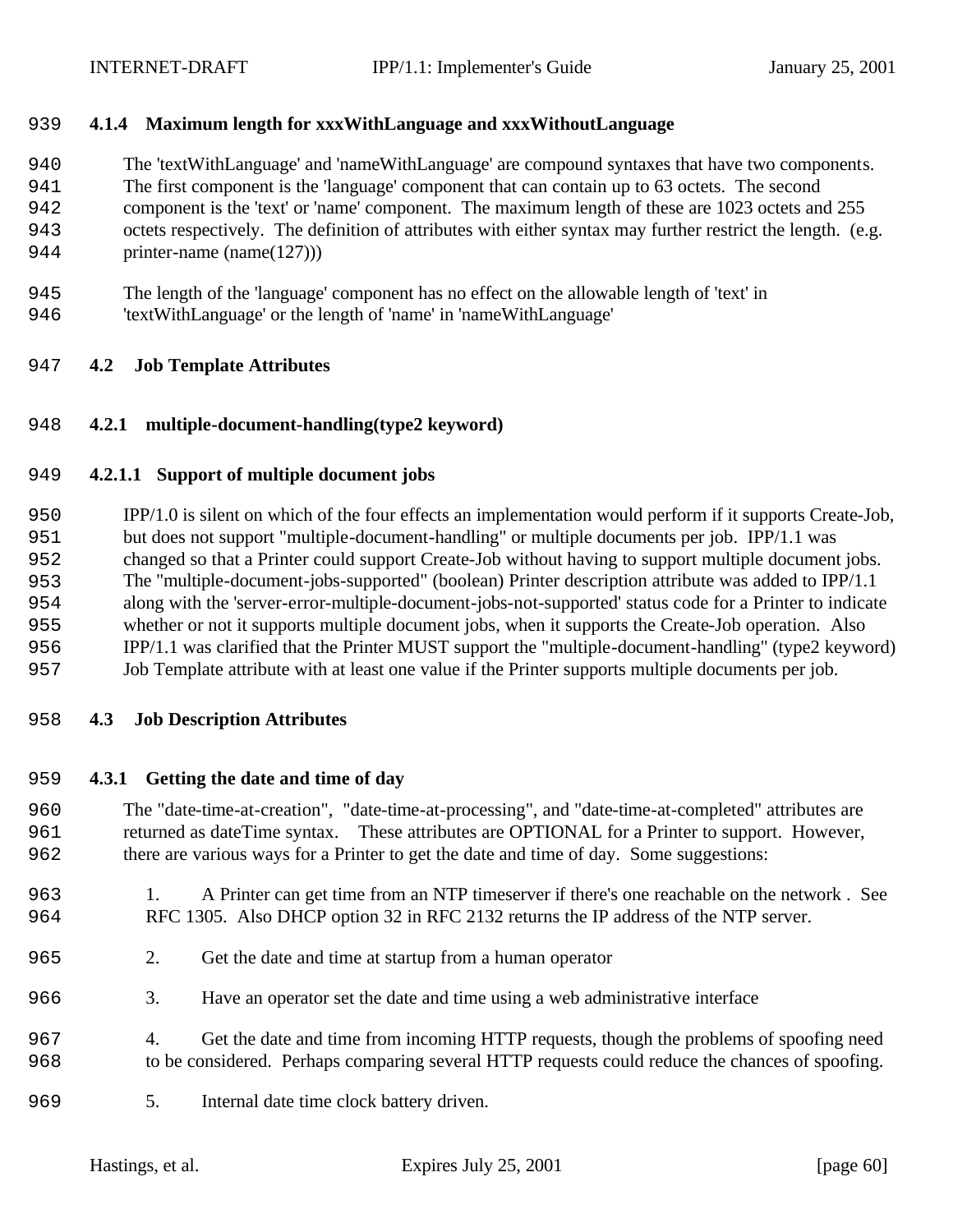## **4.1.4 Maximum length for xxxWithLanguage and xxxWithoutLanguage**

The 'textWithLanguage' and 'nameWithLanguage' are compound syntaxes that have two components.

The first component is the 'language' component that can contain up to 63 octets. The second

component is the 'text' or 'name' component. The maximum length of these are 1023 octets and 255

 octets respectively. The definition of attributes with either syntax may further restrict the length. (e.g. 944 printer-name (name(127))

- The length of the 'language' component has no effect on the allowable length of 'text' in
- 'textWithLanguage' or the length of 'name' in 'nameWithLanguage'

## **4.2 Job Template Attributes**

## **4.2.1 multiple-document-handling(type2 keyword)**

#### **4.2.1.1 Support of multiple document jobs**

 IPP/1.0 is silent on which of the four effects an implementation would perform if it supports Create-Job, but does not support "multiple-document-handling" or multiple documents per job. IPP/1.1 was changed so that a Printer could support Create-Job without having to support multiple document jobs. The "multiple-document-jobs-supported" (boolean) Printer description attribute was added to IPP/1.1 along with the 'server-error-multiple-document-jobs-not-supported' status code for a Printer to indicate whether or not it supports multiple document jobs, when it supports the Create-Job operation. Also IPP/1.1 was clarified that the Printer MUST support the "multiple-document-handling" (type2 keyword) Job Template attribute with at least one value if the Printer supports multiple documents per job.

#### **4.3 Job Description Attributes**

#### **4.3.1 Getting the date and time of day**

 The "date-time-at-creation", "date-time-at-processing", and "date-time-at-completed" attributes are returned as dateTime syntax. These attributes are OPTIONAL for a Printer to support. However, there are various ways for a Printer to get the date and time of day. Some suggestions:

- 1. A Printer can get time from an NTP timeserver if there's one reachable on the network . See RFC 1305. Also DHCP option 32 in RFC 2132 returns the IP address of the NTP server.
- 2. Get the date and time at startup from a human operator
- 3. Have an operator set the date and time using a web administrative interface
- 4. Get the date and time from incoming HTTP requests, though the problems of spoofing need to be considered. Perhaps comparing several HTTP requests could reduce the chances of spoofing.
- 969 5. Internal date time clock battery driven.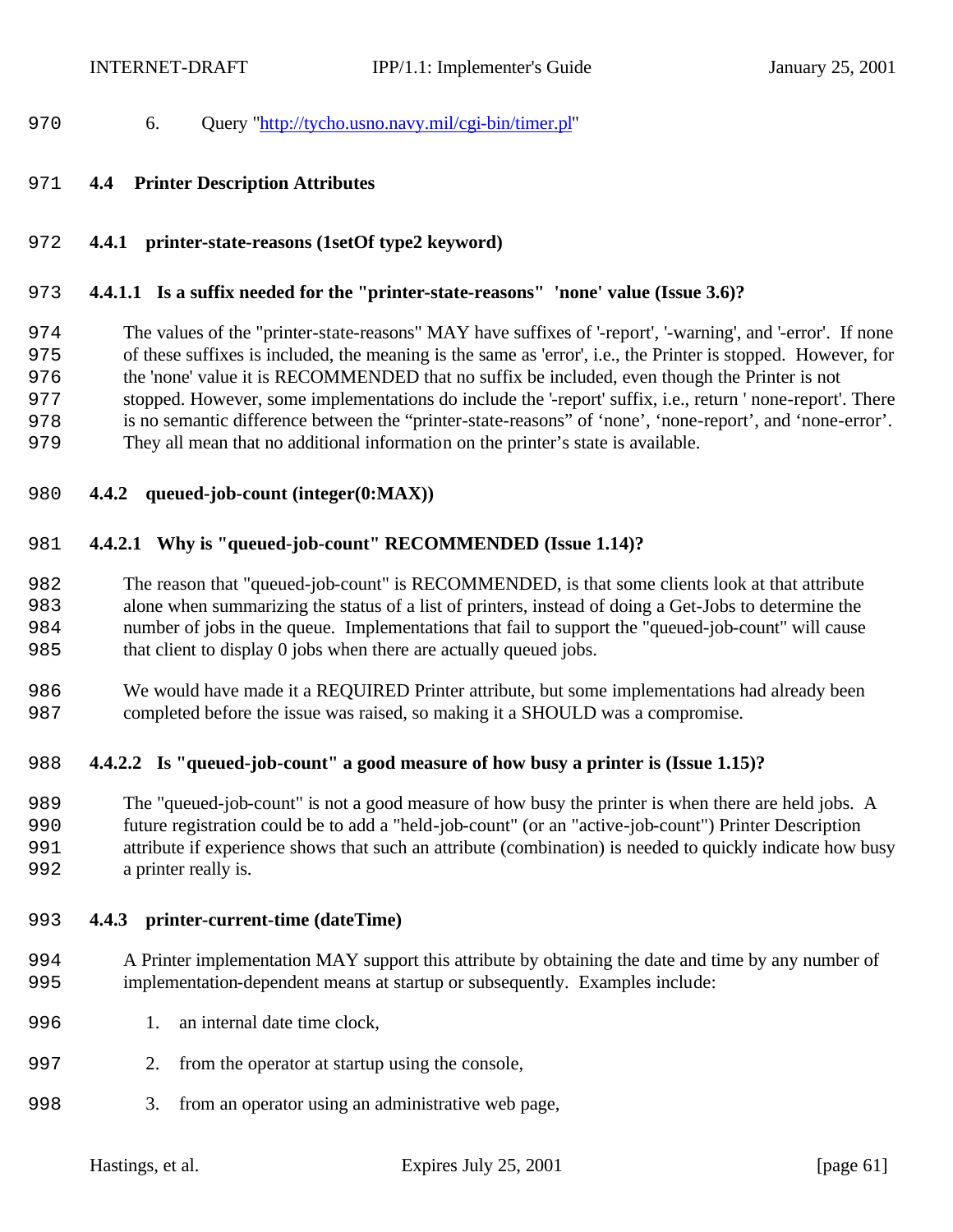- 6. Query "http://tycho.usno.navy.mil/cgi-bin/timer.pl"
- **4.4 Printer Description Attributes**
- **4.4.1 printer-state-reasons (1setOf type2 keyword)**

#### **4.4.1.1 Is a suffix needed for the "printer-state-reasons" 'none' value (Issue 3.6)?**

 The values of the "printer-state-reasons" MAY have suffixes of '-report', '-warning', and '-error'. If none of these suffixes is included, the meaning is the same as 'error', i.e., the Printer is stopped. However, for the 'none' value it is RECOMMENDED that no suffix be included, even though the Printer is not

- stopped. However, some implementations do include the '-report' suffix, i.e., return ' none-report'. There
- is no semantic difference between the "printer-state-reasons" of 'none', 'none-report', and 'none-error'.
- They all mean that no additional information on the printer's state is available.
- **4.4.2 queued-job-count (integer(0:MAX))**

#### **4.4.2.1 Why is "queued-job-count" RECOMMENDED (Issue 1.14)?**

 The reason that "queued-job-count" is RECOMMENDED, is that some clients look at that attribute alone when summarizing the status of a list of printers, instead of doing a Get-Jobs to determine the number of jobs in the queue. Implementations that fail to support the "queued-job-count" will cause that client to display 0 jobs when there are actually queued jobs.

 We would have made it a REQUIRED Printer attribute, but some implementations had already been completed before the issue was raised, so making it a SHOULD was a compromise.

#### **4.4.2.2 Is "queued-job-count" a good measure of how busy a printer is (Issue 1.15)?**

 The "queued-job-count" is not a good measure of how busy the printer is when there are held jobs. A future registration could be to add a "held-job-count" (or an "active-job-count") Printer Description attribute if experience shows that such an attribute (combination) is needed to quickly indicate how busy 992 a printer really is.

#### **4.4.3 printer-current-time (dateTime)**

- A Printer implementation MAY support this attribute by obtaining the date and time by any number of implementation-dependent means at startup or subsequently. Examples include:
- 996 1. an internal date time clock.
- 2. from the operator at startup using the console,
- 3. from an operator using an administrative web page,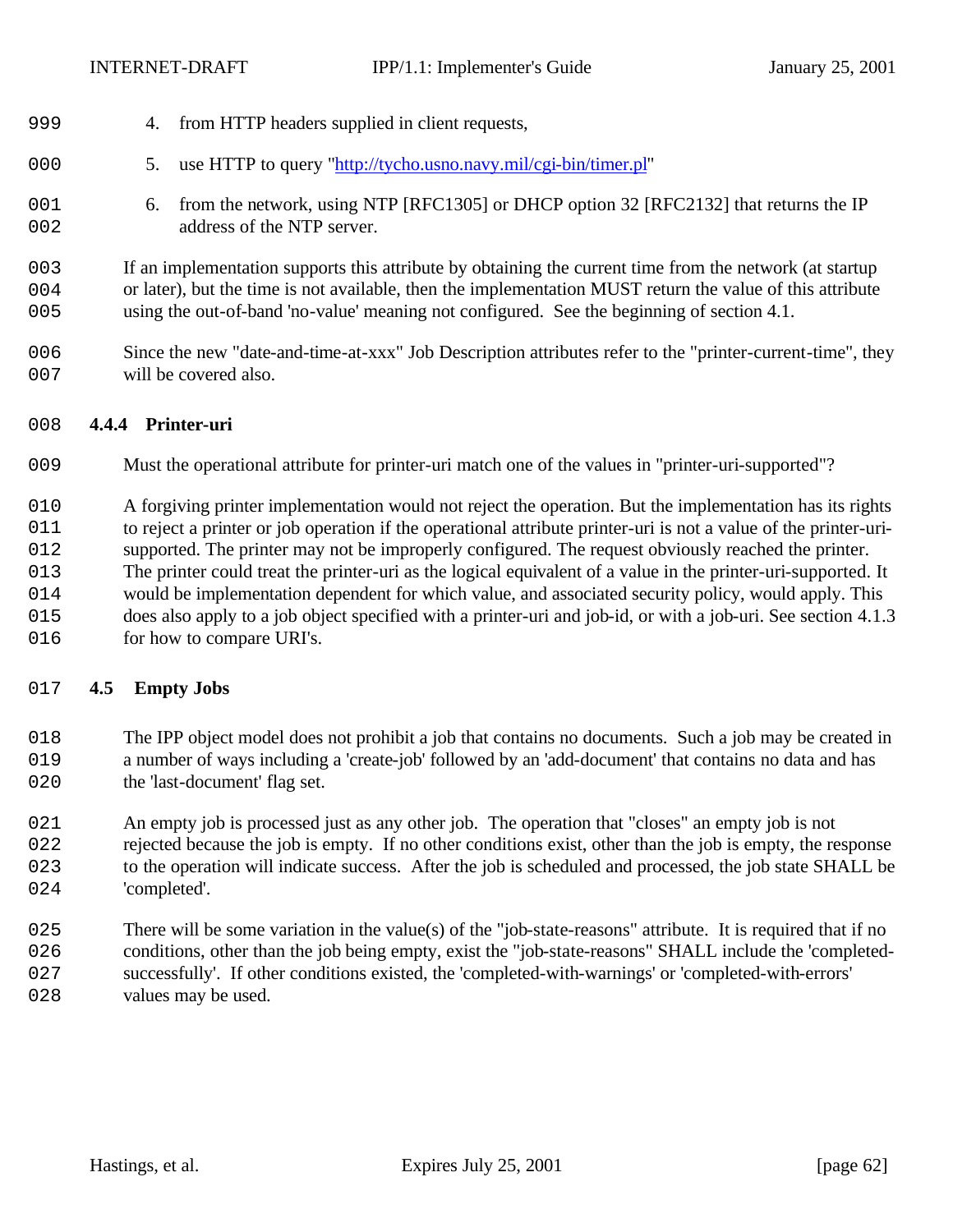- 4. from HTTP headers supplied in client requests,
- 5. use HTTP to query "http://tycho.usno.navy.mil/cgi-bin/timer.pl"
- 6. from the network, using NTP [RFC1305] or DHCP option 32 [RFC2132] that returns the IP 002 address of the NTP server.
- If an implementation supports this attribute by obtaining the current time from the network (at startup or later), but the time is not available, then the implementation MUST return the value of this attribute using the out-of-band 'no-value' meaning not configured. See the beginning of section 4.1.
- Since the new "date-and-time-at-xxx" Job Description attributes refer to the "printer-current-time", they 007 will be covered also.

#### **4.4.4 Printer-uri**

- Must the operational attribute for printer-uri match one of the values in "printer-uri-supported"?
- A forgiving printer implementation would not reject the operation. But the implementation has its rights
- to reject a printer or job operation if the operational attribute printer-uri is not a value of the printer-uri-
- supported. The printer may not be improperly configured. The request obviously reached the printer. The printer could treat the printer-uri as the logical equivalent of a value in the printer-uri-supported. It
- would be implementation dependent for which value, and associated security policy, would apply. This
- does also apply to a job object specified with a printer-uri and job-id, or with a job-uri. See section 4.1.3
- 016 for how to compare URI's.

#### **4.5 Empty Jobs**

- The IPP object model does not prohibit a job that contains no documents. Such a job may be created in a number of ways including a 'create-job' followed by an 'add-document' that contains no data and has 020 the 'last-document' flag set.
- An empty job is processed just as any other job. The operation that "closes" an empty job is not
- 022 rejected because the job is empty. If no other conditions exist, other than the job is empty, the response to the operation will indicate success. After the job is scheduled and processed, the job state SHALL be 024 'completed'.
- 025 There will be some variation in the value(s) of the "job-state-reasons" attribute. It is required that if no 026 conditions, other than the job being empty, exist the "job-state-reasons" SHALL include the 'completed- successfully'. If other conditions existed, the 'completed-with-warnings' or 'completed-with-errors' 028 values may be used.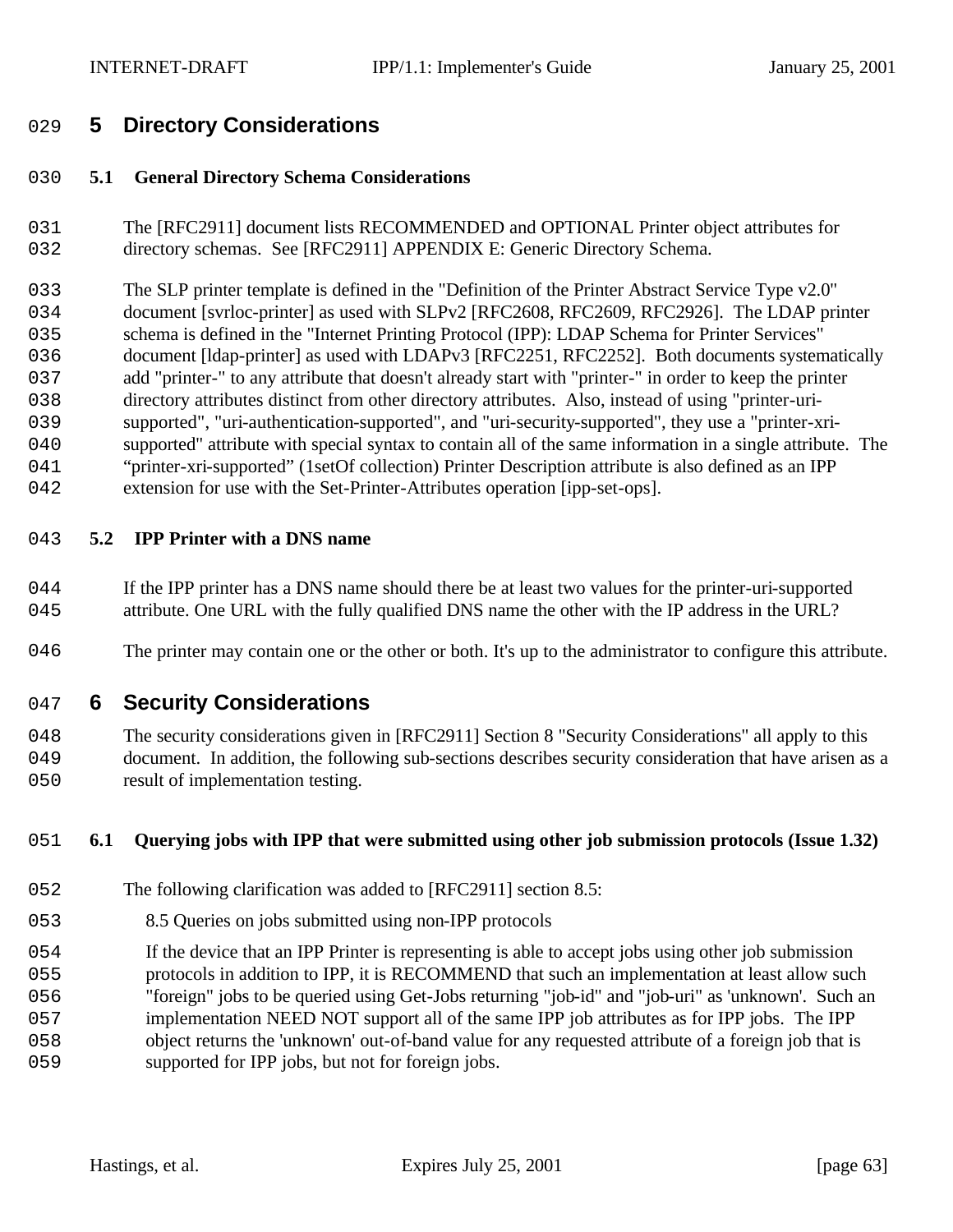# **5 Directory Considerations**

## **5.1 General Directory Schema Considerations**

 The [RFC2911] document lists RECOMMENDED and OPTIONAL Printer object attributes for 032 directory schemas. See [RFC2911] APPENDIX E: Generic Directory Schema.

 The SLP printer template is defined in the "Definition of the Printer Abstract Service Type v2.0" 034 document [svrloc-printer] as used with SLPv2 [RFC2608, RFC2609, RFC2926]. The LDAP printer schema is defined in the "Internet Printing Protocol (IPP): LDAP Schema for Printer Services" document [ldap-printer] as used with LDAPv3 [RFC2251, RFC2252]. Both documents systematically add "printer-" to any attribute that doesn't already start with "printer-" in order to keep the printer 038 directory attributes distinct from other directory attributes. Also, instead of using "printer-uri- supported", "uri-authentication-supported", and "uri-security-supported", they use a "printer-xri- supported" attribute with special syntax to contain all of the same information in a single attribute. The "printer-xri-supported" (1setOf collection) Printer Description attribute is also defined as an IPP 042 extension for use with the Set-Printer-Attributes operation [ipp-set-ops].

## **5.2 IPP Printer with a DNS name**

- 044 If the IPP printer has a DNS name should there be at least two values for the printer-uri-supported attribute. One URL with the fully qualified DNS name the other with the IP address in the URL?
- The printer may contain one or the other or both. It's up to the administrator to configure this attribute.

## **6 Security Considerations**

 The security considerations given in [RFC2911] Section 8 "Security Considerations" all apply to this document. In addition, the following sub-sections describes security consideration that have arisen as a 050 result of implementation testing.

#### **6.1 Querying jobs with IPP that were submitted using other job submission protocols (Issue 1.32)**

- 052 The following clarification was added to [RFC2911] section 8.5:
- 8.5 Queries on jobs submitted using non-IPP protocols
- If the device that an IPP Printer is representing is able to accept jobs using other job submission
- protocols in addition to IPP, it is RECOMMEND that such an implementation at least allow such
- "foreign" jobs to be queried using Get-Jobs returning "job-id" and "job-uri" as 'unknown'. Such an
- implementation NEED NOT support all of the same IPP job attributes as for IPP jobs. The IPP
- object returns the 'unknown' out-of-band value for any requested attribute of a foreign job that is
- 059 supported for IPP jobs, but not for foreign jobs.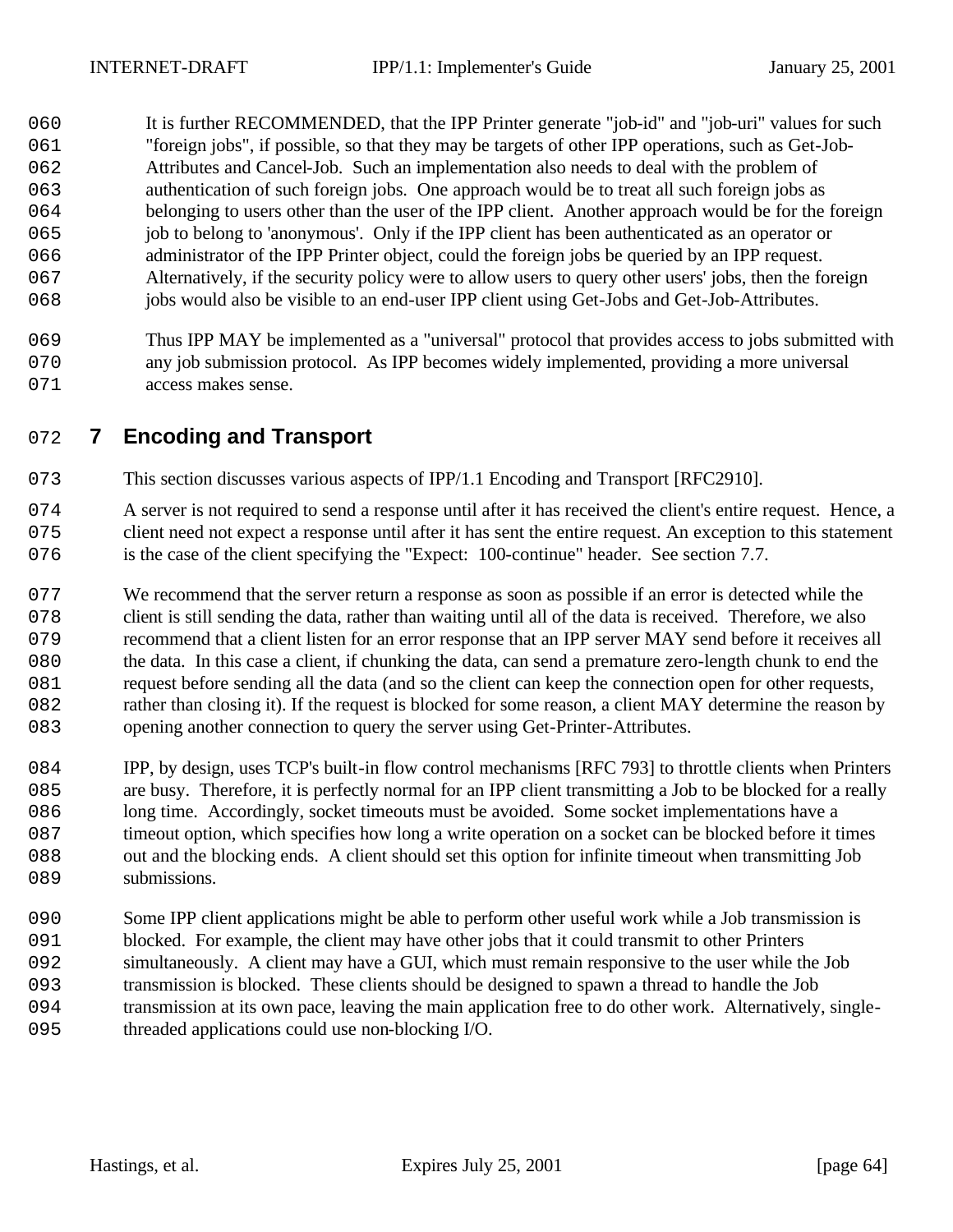060 It is further RECOMMENDED, that the IPP Printer generate "job-id" and "job-uri" values for such "foreign jobs", if possible, so that they may be targets of other IPP operations, such as Get-Job- Attributes and Cancel-Job. Such an implementation also needs to deal with the problem of authentication of such foreign jobs. One approach would be to treat all such foreign jobs as belonging to users other than the user of the IPP client. Another approach would be for the foreign job to belong to 'anonymous'. Only if the IPP client has been authenticated as an operator or administrator of the IPP Printer object, could the foreign jobs be queried by an IPP request. Alternatively, if the security policy were to allow users to query other users' jobs, then the foreign jobs would also be visible to an end-user IPP client using Get-Jobs and Get-Job-Attributes.

 Thus IPP MAY be implemented as a "universal" protocol that provides access to jobs submitted with any job submission protocol. As IPP becomes widely implemented, providing a more universal 071 access makes sense.

# **7 Encoding and Transport**

- This section discusses various aspects of IPP/1.1 Encoding and Transport [RFC2910].
- A server is not required to send a response until after it has received the client's entire request. Hence, a client need not expect a response until after it has sent the entire request. An exception to this statement 076 is the case of the client specifying the "Expect: 100-continue" header. See section 7.7.
- 077 We recommend that the server return a response as soon as possible if an error is detected while the 078 client is still sending the data, rather than waiting until all of the data is received. Therefore, we also recommend that a client listen for an error response that an IPP server MAY send before it receives all the data. In this case a client, if chunking the data, can send a premature zero-length chunk to end the request before sending all the data (and so the client can keep the connection open for other requests, 082 rather than closing it). If the request is blocked for some reason, a client MAY determine the reason by 083 opening another connection to query the server using Get-Printer-Attributes.
- IPP, by design, uses TCP's built-in flow control mechanisms [RFC 793] to throttle clients when Printers are busy. Therefore, it is perfectly normal for an IPP client transmitting a Job to be blocked for a really long time. Accordingly, socket timeouts must be avoided. Some socket implementations have a timeout option, which specifies how long a write operation on a socket can be blocked before it times out and the blocking ends. A client should set this option for infinite timeout when transmitting Job 089 submissions.
- Some IPP client applications might be able to perform other useful work while a Job transmission is blocked. For example, the client may have other jobs that it could transmit to other Printers simultaneously. A client may have a GUI, which must remain responsive to the user while the Job transmission is blocked. These clients should be designed to spawn a thread to handle the Job 094 transmission at its own pace, leaving the main application free to do other work. Alternatively, single-threaded applications could use non-blocking I/O.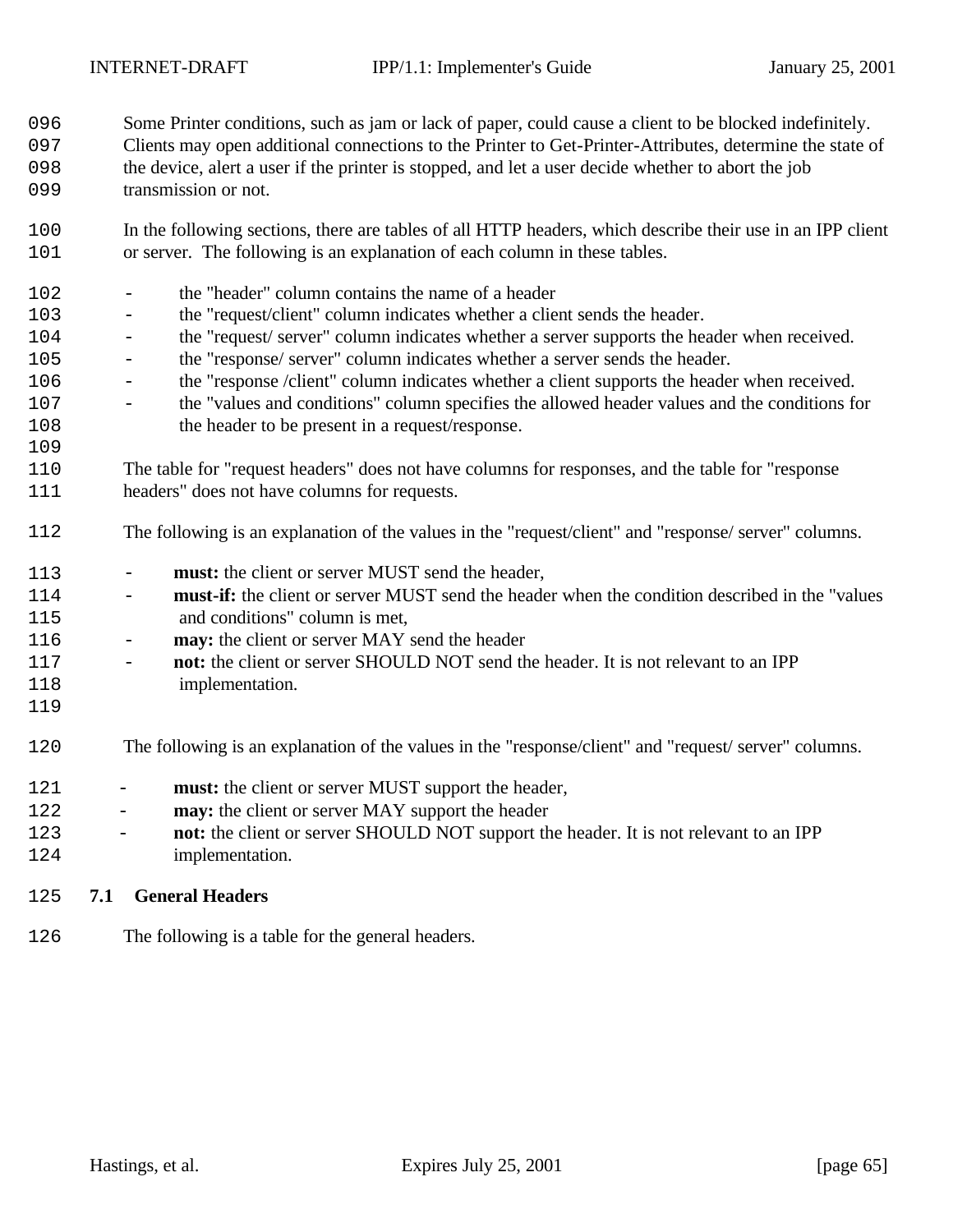Some Printer conditions, such as jam or lack of paper, could cause a client to be blocked indefinitely.

- Clients may open additional connections to the Printer to Get-Printer-Attributes, determine the state of the device, alert a user if the printer is stopped, and let a user decide whether to abort the job 099 transmission or not.
- In the following sections, there are tables of all HTTP headers, which describe their use in an IPP client or server. The following is an explanation of each column in these tables.
- the "header" column contains the name of a header - the "request/client" column indicates whether a client sends the header. - the "request/ server" column indicates whether a server supports the header when received. - the "response/ server" column indicates whether a server sends the header. - the "response /client" column indicates whether a client supports the header when received. - the "values and conditions" column specifies the allowed header values and the conditions for the header to be present in a request/response. The table for "request headers" does not have columns for responses, and the table for "response headers" does not have columns for requests. The following is an explanation of the values in the "request/client" and "response/ server" columns. - **must:** the client or server MUST send the header, - **must-if:** the client or server MUST send the header when the condition described in the "values and conditions" column is met, - **may:** the client or server MAY send the header - **not:** the client or server SHOULD NOT send the header. It is not relevant to an IPP 118 implementation. The following is an explanation of the values in the "response/client" and "request/ server" columns. 121 - **must:** the client or server MUST support the header, 122 - **may:** the client or server MAY support the header - **not:** the client or server SHOULD NOT support the header. It is not relevant to an IPP implementation.

#### **7.1 General Headers**

126 The following is a table for the general headers.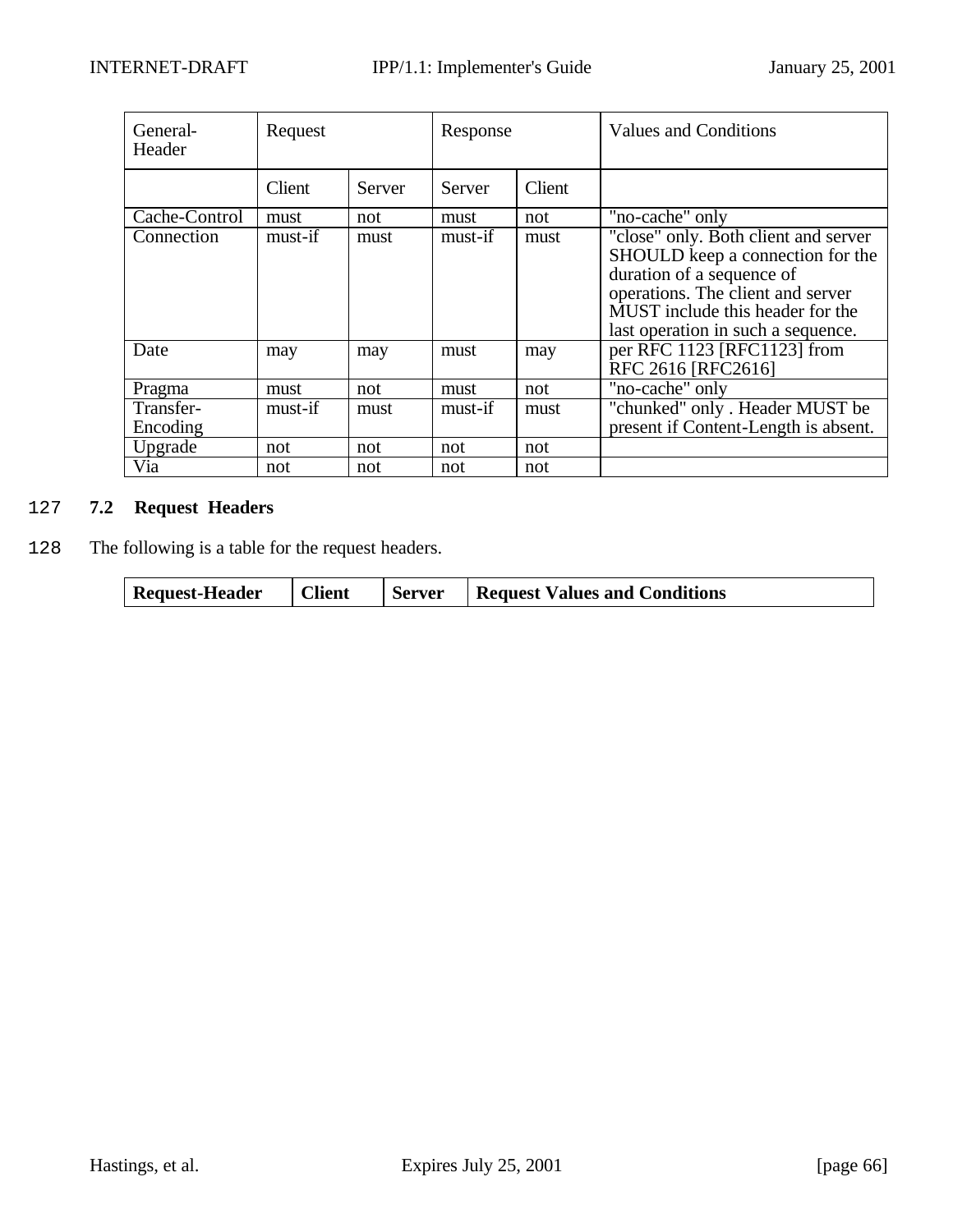| General-<br>Header    | Request |        | Response |        | <b>Values and Conditions</b>                                                                                                                                                                                         |
|-----------------------|---------|--------|----------|--------|----------------------------------------------------------------------------------------------------------------------------------------------------------------------------------------------------------------------|
|                       | Client  | Server | Server   | Client |                                                                                                                                                                                                                      |
| Cache-Control         | must    | not    | must     | not    | "no-cache" only                                                                                                                                                                                                      |
| Connection            | must-if | must   | must-if  | must   | "close" only. Both client and server<br>SHOULD keep a connection for the<br>duration of a sequence of<br>operations. The client and server<br>MUST include this header for the<br>last operation in such a sequence. |
| Date                  | may     | may    | must     | may    | per RFC 1123 [RFC1123] from<br>RFC 2616 [RFC2616]                                                                                                                                                                    |
| Pragma                | must    | not    | must     | not    | "no-cache" only                                                                                                                                                                                                      |
| Transfer-<br>Encoding | must-if | must   | must-if  | must   | "chunked" only . Header MUST be<br>present if Content-Length is absent.                                                                                                                                              |
| Upgrade               | not     | not    | not      | not    |                                                                                                                                                                                                                      |
| Via                   | not     | not    | not      | not    |                                                                                                                                                                                                                      |

# 2127 **7.2 Request Headers**

2128 The following is a table for the request headers.

| <b>Client</b><br><b>Request Values and Conditions</b><br><b>Request-Header</b><br>Server |
|------------------------------------------------------------------------------------------|
|------------------------------------------------------------------------------------------|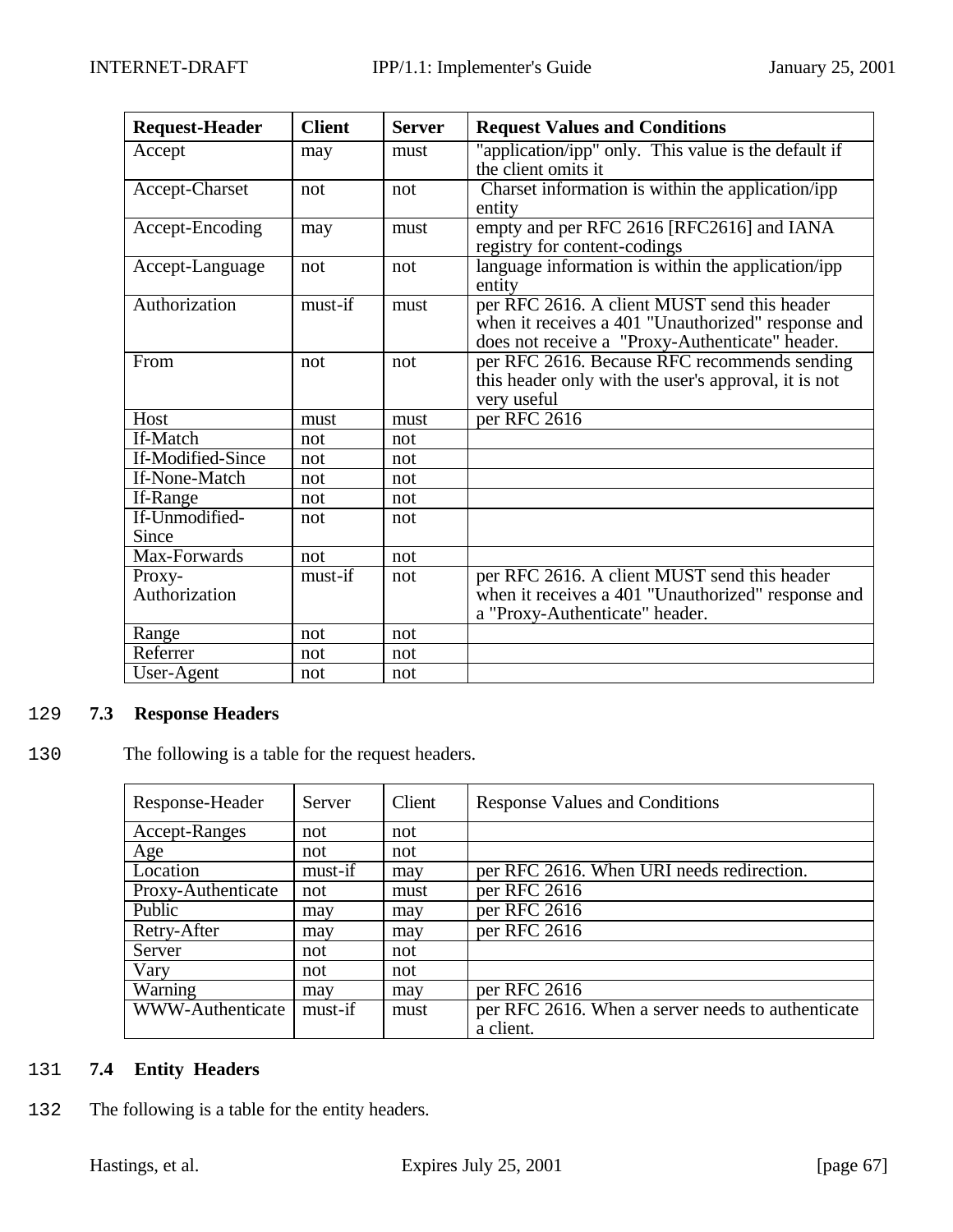| <b>Request-Header</b>   | <b>Client</b> | <b>Server</b> | <b>Request Values and Conditions</b>                                                                                                                  |
|-------------------------|---------------|---------------|-------------------------------------------------------------------------------------------------------------------------------------------------------|
| Accept                  | may           | must          | "application/ipp" only. This value is the default if<br>the client omits it                                                                           |
| Accept-Charset          | not           | not           | Charset information is within the application/ipp<br>entity                                                                                           |
| Accept-Encoding         | may           | must          | empty and per RFC 2616 [RFC2616] and IANA<br>registry for content-codings                                                                             |
| Accept-Language         | not           | not           | language information is within the application/ipp<br>entity                                                                                          |
| Authorization           | must-if       | must          | per RFC 2616. A client MUST send this header<br>when it receives a 401 "Unauthorized" response and<br>does not receive a "Proxy-Authenticate" header. |
| From                    | not           | not           | per RFC 2616. Because RFC recommends sending<br>this header only with the user's approval, it is not<br>very useful                                   |
| Host                    | must          | must          | per RFC 2616                                                                                                                                          |
| If-Match                | not           | not           |                                                                                                                                                       |
| If-Modified-Since       | not           | not           |                                                                                                                                                       |
| If-None-Match           | not           | not           |                                                                                                                                                       |
| If-Range                | not           | not           |                                                                                                                                                       |
| If-Unmodified-<br>Since | not           | not           |                                                                                                                                                       |
| Max-Forwards            | not           | not           |                                                                                                                                                       |
| Proxy-<br>Authorization | must-if       | not           | per RFC 2616. A client MUST send this header<br>when it receives a 401 "Unauthorized" response and<br>a "Proxy-Authenticate" header.                  |
| Range                   | not           | not           |                                                                                                                                                       |
| Referrer                | not           | not           |                                                                                                                                                       |
| User-Agent              | not           | not           |                                                                                                                                                       |

# 2129 **7.3 Response Headers**

2130 The following is a table for the request headers.

| Response-Header    | Server  | Client | <b>Response Values and Conditions</b>             |
|--------------------|---------|--------|---------------------------------------------------|
| Accept-Ranges      | not     | not    |                                                   |
| Age                | not     | not    |                                                   |
| Location           | must-if | may    | per RFC 2616. When URI needs redirection.         |
| Proxy-Authenticate | not     | must   | per RFC 2616                                      |
| Public             | may     | may    | per RFC 2616                                      |
| Retry-After        | may     | may    | per RFC 2616                                      |
| Server             | not     | not    |                                                   |
| Vary               | not     | not    |                                                   |
| Warning            | may     | may    | per RFC 2616                                      |
| WWW-Authenticate   | must-if | must   | per RFC 2616. When a server needs to authenticate |
|                    |         |        | a client.                                         |

## 2131 **7.4 Entity Headers**

132 The following is a table for the entity headers.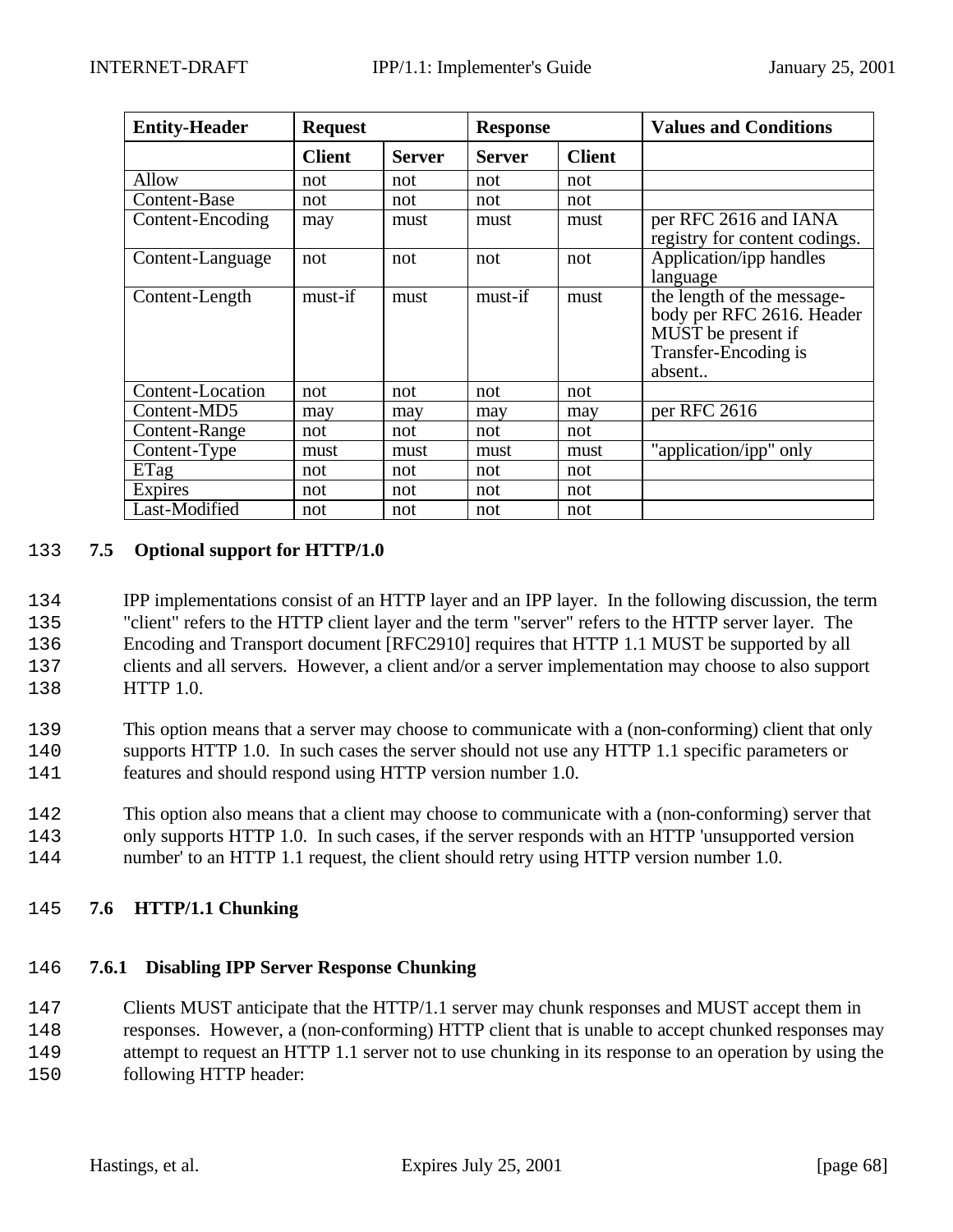| <b>Entity-Header</b> | <b>Request</b> |               | <b>Response</b> |               | <b>Values and Conditions</b>                                                                                    |
|----------------------|----------------|---------------|-----------------|---------------|-----------------------------------------------------------------------------------------------------------------|
|                      | <b>Client</b>  | <b>Server</b> | <b>Server</b>   | <b>Client</b> |                                                                                                                 |
| Allow                | not            | not           | not             | not           |                                                                                                                 |
| Content-Base         | not            | not           | not             | not           |                                                                                                                 |
| Content-Encoding     | may            | must          | must            | must          | per RFC 2616 and IANA<br>registry for content codings.                                                          |
| Content-Language     | not            | not           | not             | not           | Application/ipp handles<br>language                                                                             |
| Content-Length       | must-if        | must          | must-if         | must          | the length of the message-<br>body per RFC 2616. Header<br>MUST be present if<br>Transfer-Encoding is<br>absent |
| Content-Location     | not            | not           | not             | not           |                                                                                                                 |
| Content-MD5          | may            | may           | may             | may           | per RFC 2616                                                                                                    |
| Content-Range        | not            | not           | not             | not           |                                                                                                                 |
| Content-Type         | must           | must          | must            | must          | "application/ipp" only                                                                                          |
| ETag                 | not            | not           | not             | not           |                                                                                                                 |
| Expires              | not            | not           | not             | not           |                                                                                                                 |
| Last-Modified        | not            | not           | not             | not           |                                                                                                                 |

#### 2133 **7.5 Optional support for HTTP/1.0**

 IPP implementations consist of an HTTP layer and an IPP layer. In the following discussion, the term "client" refers to the HTTP client layer and the term "server" refers to the HTTP server layer. The Encoding and Transport document [RFC2910] requires that HTTP 1.1 MUST be supported by all clients and all servers. However, a client and/or a server implementation may choose to also support HTTP 1.0.

2139 This option means that a server may choose to communicate with a (non-conforming) client that only 2140 supports HTTP 1.0. In such cases the server should not use any HTTP 1.1 specific parameters or 2141 features and should respond using HTTP version number 1.0.

- 2142 This option also means that a client may choose to communicate with a (non-conforming) server that 2143 only supports HTTP 1.0. In such cases, if the server responds with an HTTP 'unsupported version 2144 number' to an HTTP 1.1 request, the client should retry using HTTP version number 1.0.
- 2145 **7.6 HTTP/1.1 Chunking**

#### 2146 **7.6.1 Disabling IPP Server Response Chunking**

2147 Clients MUST anticipate that the HTTP/1.1 server may chunk responses and MUST accept them in 2148 responses. However, a (non-conforming) HTTP client that is unable to accept chunked responses may 2149 attempt to request an HTTP 1.1 server not to use chunking in its response to an operation by using the

2150 following HTTP header: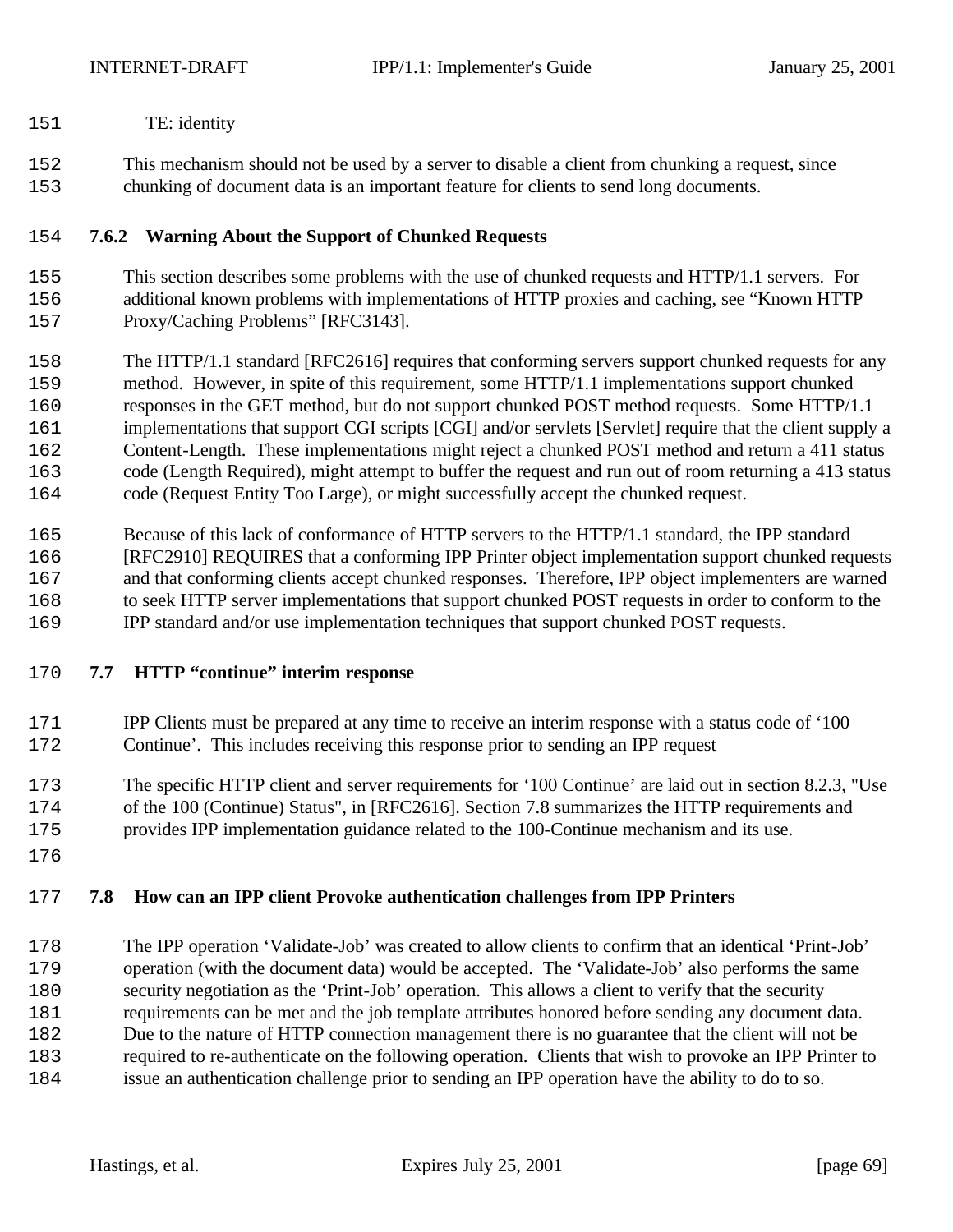- TE: identity
- This mechanism should not be used by a server to disable a client from chunking a request, since chunking of document data is an important feature for clients to send long documents.

## **7.6.2 Warning About the Support of Chunked Requests**

- This section describes some problems with the use of chunked requests and HTTP/1.1 servers. For additional known problems with implementations of HTTP proxies and caching, see "Known HTTP Proxy/Caching Problems" [RFC3143].
- The HTTP/1.1 standard [RFC2616] requires that conforming servers support chunked requests for any method. However, in spite of this requirement, some HTTP/1.1 implementations support chunked responses in the GET method, but do not support chunked POST method requests. Some HTTP/1.1 implementations that support CGI scripts [CGI] and/or servlets [Servlet] require that the client supply a Content-Length. These implementations might reject a chunked POST method and return a 411 status code (Length Required), might attempt to buffer the request and run out of room returning a 413 status code (Request Entity Too Large), or might successfully accept the chunked request.
- Because of this lack of conformance of HTTP servers to the HTTP/1.1 standard, the IPP standard [RFC2910] REQUIRES that a conforming IPP Printer object implementation support chunked requests and that conforming clients accept chunked responses. Therefore, IPP object implementers are warned to seek HTTP server implementations that support chunked POST requests in order to conform to the IPP standard and/or use implementation techniques that support chunked POST requests.

#### **7.7 HTTP "continue" interim response**

- IPP Clients must be prepared at any time to receive an interim response with a status code of '100 Continue'. This includes receiving this response prior to sending an IPP request
- The specific HTTP client and server requirements for '100 Continue' are laid out in section 8.2.3, "Use of the 100 (Continue) Status", in [RFC2616]. Section 7.8 summarizes the HTTP requirements and
- provides IPP implementation guidance related to the 100-Continue mechanism and its use.
- 

# **7.8 How can an IPP client Provoke authentication challenges from IPP Printers**

 The IPP operation 'Validate-Job' was created to allow clients to confirm that an identical 'Print-Job' operation (with the document data) would be accepted. The 'Validate-Job' also performs the same security negotiation as the 'Print-Job' operation. This allows a client to verify that the security requirements can be met and the job template attributes honored before sending any document data. Due to the nature of HTTP connection management there is no guarantee that the client will not be required to re-authenticate on the following operation. Clients that wish to provoke an IPP Printer to issue an authentication challenge prior to sending an IPP operation have the ability to do to so.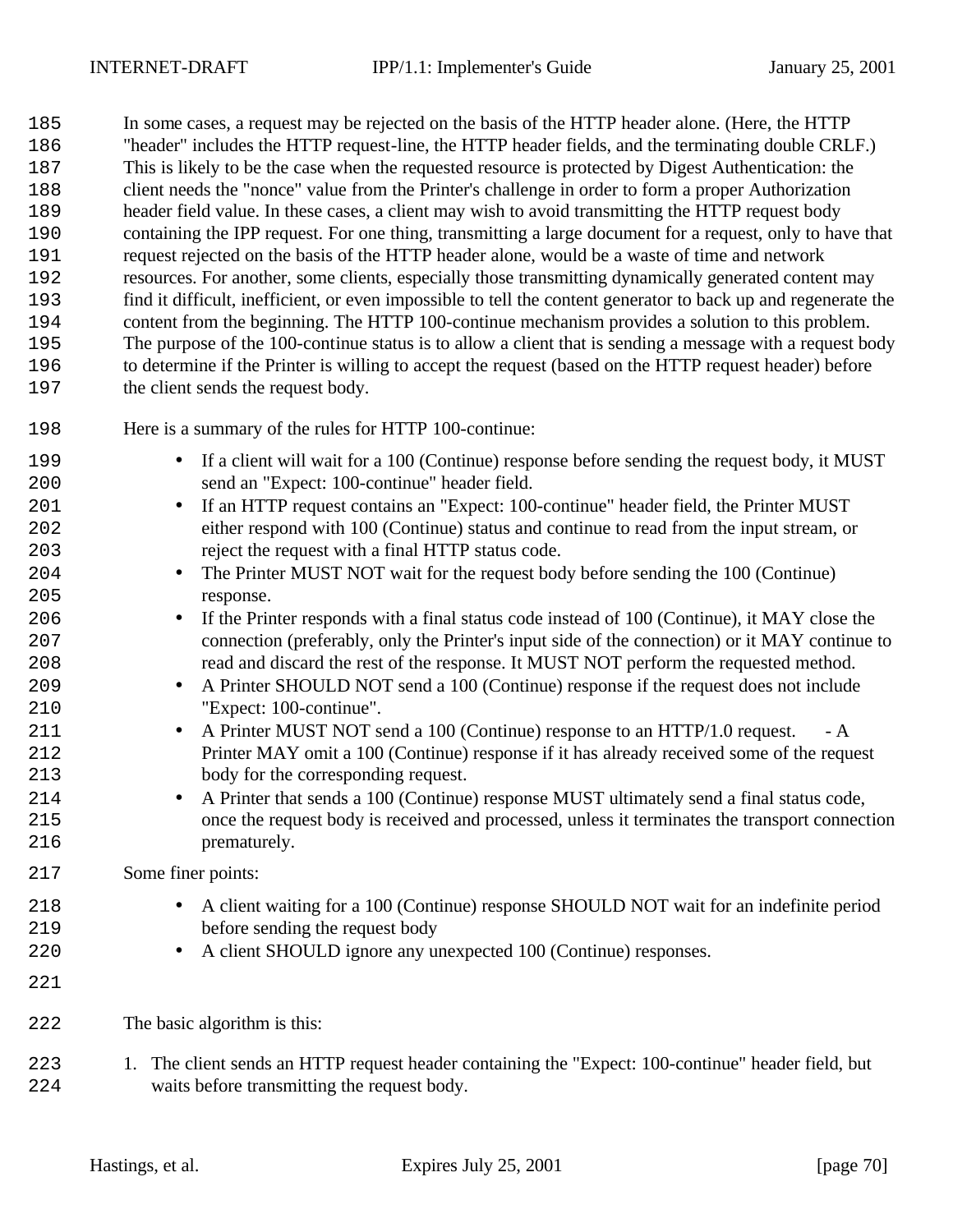In some cases, a request may be rejected on the basis of the HTTP header alone. (Here, the HTTP "header" includes the HTTP request-line, the HTTP header fields, and the terminating double CRLF.) This is likely to be the case when the requested resource is protected by Digest Authentication: the client needs the "nonce" value from the Printer's challenge in order to form a proper Authorization header field value. In these cases, a client may wish to avoid transmitting the HTTP request body containing the IPP request. For one thing, transmitting a large document for a request, only to have that request rejected on the basis of the HTTP header alone, would be a waste of time and network resources. For another, some clients, especially those transmitting dynamically generated content may find it difficult, inefficient, or even impossible to tell the content generator to back up and regenerate the content from the beginning. The HTTP 100-continue mechanism provides a solution to this problem. The purpose of the 100-continue status is to allow a client that is sending a message with a request body to determine if the Printer is willing to accept the request (based on the HTTP request header) before the client sends the request body.

- Here is a summary of the rules for HTTP 100-continue:
- If a client will wait for a 100 (Continue) response before sending the request body, it MUST send an "Expect: 100-continue" header field. 201 • If an HTTP request contains an "Expect: 100-continue" header field, the Printer MUST either respond with 100 (Continue) status and continue to read from the input stream, or reject the request with a final HTTP status code. 204 • The Printer MUST NOT wait for the request body before sending the 100 (Continue) response. • If the Printer responds with a final status code instead of 100 (Continue), it MAY close the connection (preferably, only the Printer's input side of the connection) or it MAY continue to read and discard the rest of the response. It MUST NOT perform the requested method. 209 • A Printer SHOULD NOT send a 100 (Continue) response if the request does not include "Expect: 100-continue". 211 • A Printer MUST NOT send a 100 (Continue) response to an HTTP/1.0 request. - A Printer MAY omit a 100 (Continue) response if it has already received some of the request body for the corresponding request. 214 • A Printer that sends a 100 (Continue) response MUST ultimately send a final status code, once the request body is received and processed, unless it terminates the transport connection **prematurely.**  Some finer points: • A client waiting for a 100 (Continue) response SHOULD NOT wait for an indefinite period before sending the request body 220 • A client SHOULD ignore any unexpected 100 (Continue) responses. The basic algorithm is this: 1. The client sends an HTTP request header containing the "Expect: 100-continue" header field, but waits before transmitting the request body.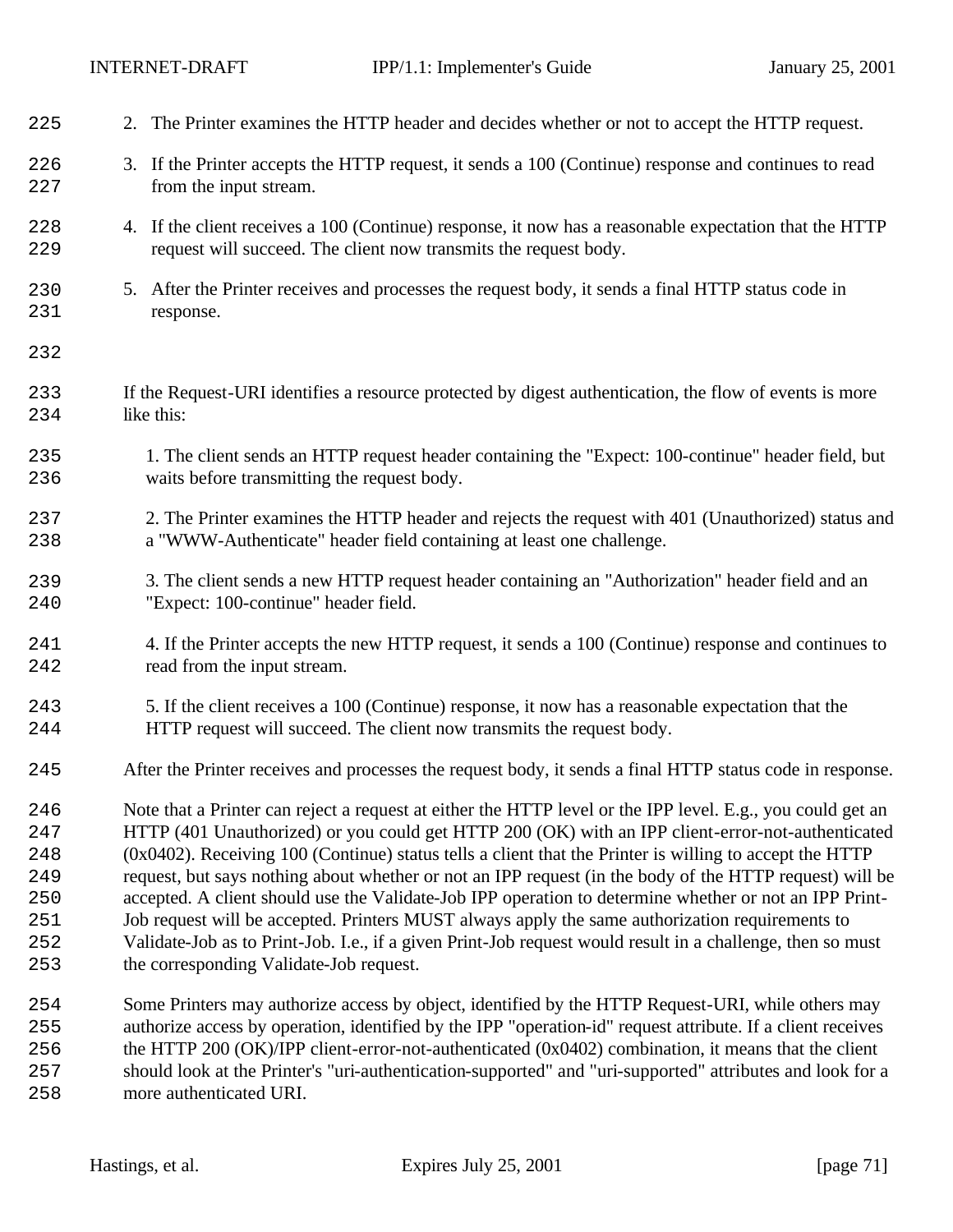| 225 | 2. The Printer examines the HTTP header and decides whether or not to accept the HTTP request.              |
|-----|-------------------------------------------------------------------------------------------------------------|
| 226 | 3. If the Printer accepts the HTTP request, it sends a 100 (Continue) response and continues to read        |
| 227 | from the input stream.                                                                                      |
| 228 | 4. If the client receives a 100 (Continue) response, it now has a reasonable expectation that the HTTP      |
| 229 | request will succeed. The client now transmits the request body.                                            |
| 230 | 5. After the Printer receives and processes the request body, it sends a final HTTP status code in          |
| 231 | response.                                                                                                   |
| 232 |                                                                                                             |
| 233 | If the Request-URI identifies a resource protected by digest authentication, the flow of events is more     |
| 234 | like this:                                                                                                  |
| 235 | 1. The client sends an HTTP request header containing the "Expect: 100-continue" header field, but          |
| 236 | waits before transmitting the request body.                                                                 |
| 237 | 2. The Printer examines the HTTP header and rejects the request with 401 (Unauthorized) status and          |
| 238 | a "WWW-Authenticate" header field containing at least one challenge.                                        |
| 239 | 3. The client sends a new HTTP request header containing an "Authorization" header field and an             |
| 240 | "Expect: 100-continue" header field.                                                                        |
| 241 | 4. If the Printer accepts the new HTTP request, it sends a 100 (Continue) response and continues to         |
| 242 | read from the input stream.                                                                                 |
| 243 | 5. If the client receives a 100 (Continue) response, it now has a reasonable expectation that the           |
| 244 | HTTP request will succeed. The client now transmits the request body.                                       |
| 245 | After the Printer receives and processes the request body, it sends a final HTTP status code in response.   |
| 246 | Note that a Printer can reject a request at either the HTTP level or the IPP level. E.g., you could get an  |
| 247 | HTTP (401 Unauthorized) or you could get HTTP 200 (OK) with an IPP client-error-not-authenticated           |
| 248 | $(0x0402)$ . Receiving 100 (Continue) status tells a client that the Printer is willing to accept the HTTP  |
| 249 | request, but says nothing about whether or not an IPP request (in the body of the HTTP request) will be     |
| 250 | accepted. A client should use the Validate-Job IPP operation to determine whether or not an IPP Print-      |
| 251 | Job request will be accepted. Printers MUST always apply the same authorization requirements to             |
| 252 | Validate-Job as to Print-Job. I.e., if a given Print-Job request would result in a challenge, then so must  |
| 253 | the corresponding Validate-Job request.                                                                     |
| 254 | Some Printers may authorize access by object, identified by the HTTP Request-URI, while others may          |
| 255 | authorize access by operation, identified by the IPP "operation-id" request attribute. If a client receives |
| 256 | the HTTP 200 (OK)/IPP client-error-not-authenticated (0x0402) combination, it means that the client         |
| 257 | should look at the Printer's "uri-authentication-supported" and "uri-supported" attributes and look for a   |

more authenticated URI.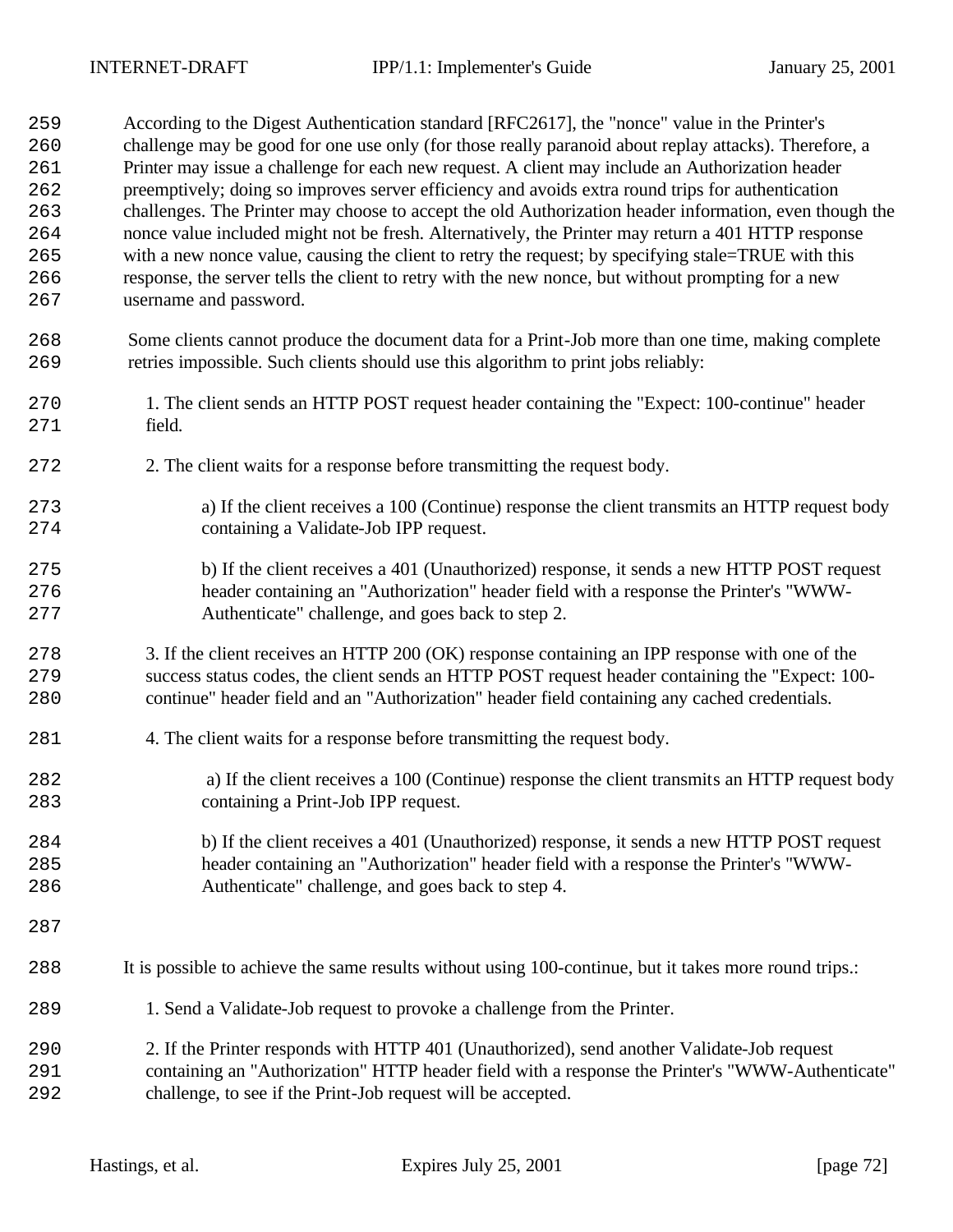| 259 | According to the Digest Authentication standard [RFC2617], the "nonce" value in the Printer's          |
|-----|--------------------------------------------------------------------------------------------------------|
| 260 | challenge may be good for one use only (for those really paranoid about replay attacks). Therefore, a  |
| 261 | Printer may issue a challenge for each new request. A client may include an Authorization header       |
| 262 | preemptively; doing so improves server efficiency and avoids extra round trips for authentication      |
| 263 | challenges. The Printer may choose to accept the old Authorization header information, even though the |
| 264 | nonce value included might not be fresh. Alternatively, the Printer may return a 401 HTTP response     |
| 265 | with a new nonce value, causing the client to retry the request; by specifying stale=TRUE with this    |
| 266 | response, the server tells the client to retry with the new nonce, but without prompting for a new     |
| 267 | username and password.                                                                                 |
| 268 | Some clients cannot produce the document data for a Print-Job more than one time, making complete      |
| 269 | retries impossible. Such clients should use this algorithm to print jobs reliably:                     |
| 270 | 1. The client sends an HTTP POST request header containing the "Expect: 100-continue" header           |
| 271 | field.                                                                                                 |
| 272 | 2. The client waits for a response before transmitting the request body.                               |
| 273 | a) If the client receives a 100 (Continue) response the client transmits an HTTP request body          |
| 274 | containing a Validate-Job IPP request.                                                                 |
| 275 | b) If the client receives a 401 (Unauthorized) response, it sends a new HTTP POST request              |
| 276 | header containing an "Authorization" header field with a response the Printer's "WWW-                  |
| 277 | Authenticate" challenge, and goes back to step 2.                                                      |
| 278 | 3. If the client receives an HTTP 200 (OK) response containing an IPP response with one of the         |
| 279 | success status codes, the client sends an HTTP POST request header containing the "Expect: 100-        |
| 280 | continue" header field and an "Authorization" header field containing any cached credentials.          |
| 281 | 4. The client waits for a response before transmitting the request body.                               |
| 282 | a) If the client receives a 100 (Continue) response the client transmits an HTTP request body          |
| 283 | containing a Print-Job IPP request.                                                                    |
| 284 | b) If the client receives a 401 (Unauthorized) response, it sends a new HTTP POST request              |
| 285 | header containing an "Authorization" header field with a response the Printer's "WWW-                  |
| 286 | Authenticate" challenge, and goes back to step 4.                                                      |
| 287 |                                                                                                        |
| 288 | It is possible to achieve the same results without using 100-continue, but it takes more round trips.: |
| 289 | 1. Send a Validate-Job request to provoke a challenge from the Printer.                                |
| 290 | 2. If the Printer responds with HTTP 401 (Unauthorized), send another Validate-Job request             |
| 291 | containing an "Authorization" HTTP header field with a response the Printer's "WWW-Authenticate"       |
| 292 | challenge, to see if the Print-Job request will be accepted.                                           |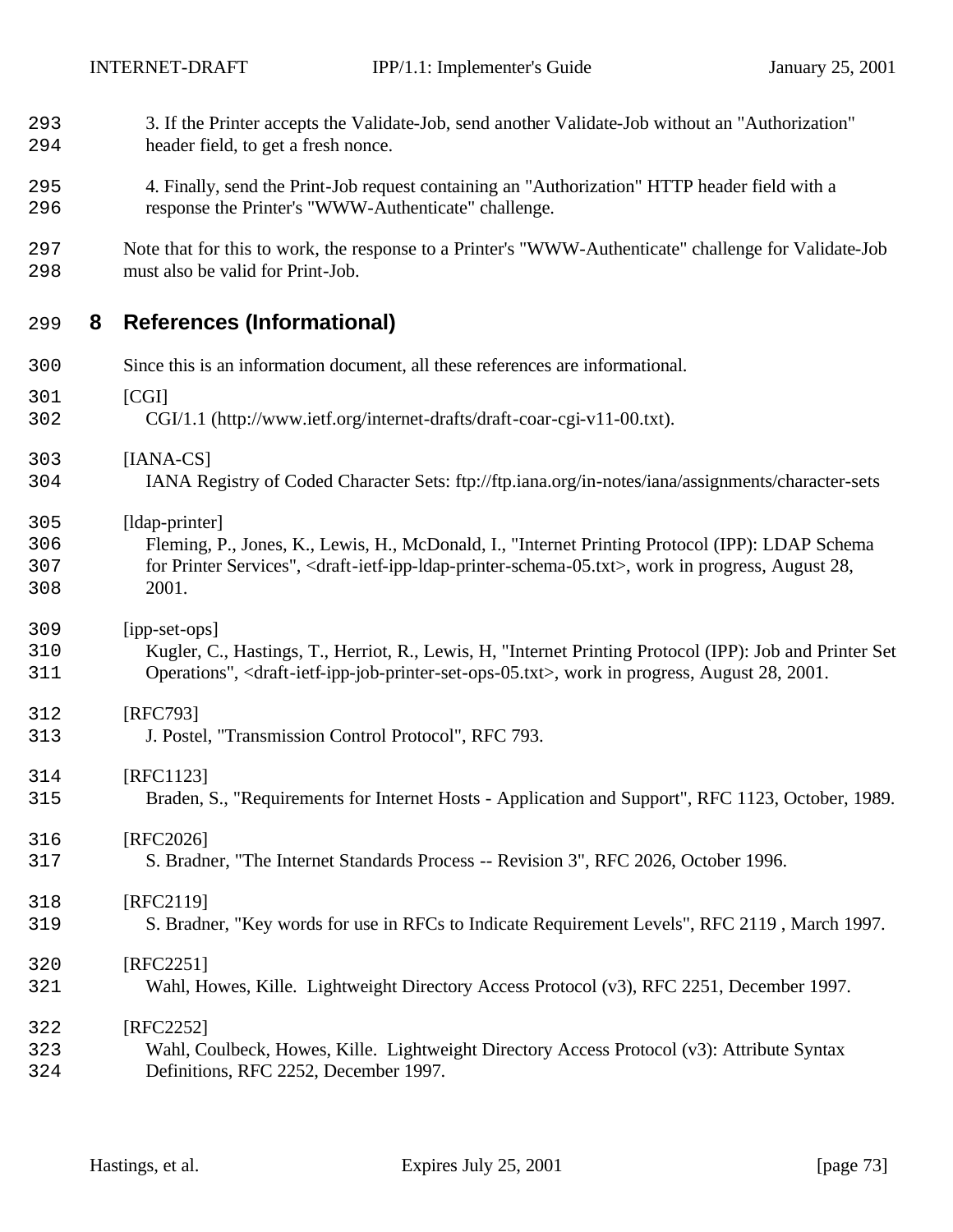| 293<br>294               |   | 3. If the Printer accepts the Validate-Job, send another Validate-Job without an "Authorization"<br>header field, to get a fresh nonce.                                                                                                                                     |
|--------------------------|---|-----------------------------------------------------------------------------------------------------------------------------------------------------------------------------------------------------------------------------------------------------------------------------|
| 295<br>296               |   | 4. Finally, send the Print-Job request containing an "Authorization" HTTP header field with a<br>response the Printer's "WWW-Authenticate" challenge.                                                                                                                       |
| 297<br>298               |   | Note that for this to work, the response to a Printer's "WWW-Authenticate" challenge for Validate-Job<br>must also be valid for Print-Job.                                                                                                                                  |
| 299                      | 8 | <b>References (Informational)</b>                                                                                                                                                                                                                                           |
| 300                      |   | Since this is an information document, all these references are informational.                                                                                                                                                                                              |
| 301<br>302               |   | [CGI]<br>CGI/1.1 (http://www.ietf.org/internet-drafts/draft-coar-cgi-v11-00.txt).                                                                                                                                                                                           |
| 303<br>304               |   | $[IANA-CS]$<br>IANA Registry of Coded Character Sets: ftp://ftp.iana.org/in-notes/iana/assignments/character-sets                                                                                                                                                           |
| 305<br>306<br>307<br>308 |   | [ldap-printer]<br>Fleming, P., Jones, K., Lewis, H., McDonald, I., "Internet Printing Protocol (IPP): LDAP Schema<br>for Printer Services", <draft-ietf-ipp-idap-printer-schema-05.txt>, work in progress, August 28,<br/>2001.</draft-ietf-ipp-idap-printer-schema-05.txt> |
| 309<br>310<br>311        |   | [ipp-set-ops]<br>Kugler, C., Hastings, T., Herriot, R., Lewis, H. "Internet Printing Protocol (IPP): Job and Printer Set<br>Operations", <draft-ietf-ipp-job-printer-set-ops-05.txt>, work in progress, August 28, 2001.</draft-ietf-ipp-job-printer-set-ops-05.txt>        |
| 312<br>313               |   | [RFC793]<br>J. Postel, "Transmission Control Protocol", RFC 793.                                                                                                                                                                                                            |
| 314<br>315               |   | [RFC1123]<br>Braden, S., "Requirements for Internet Hosts - Application and Support", RFC 1123, October, 1989.                                                                                                                                                              |
| 316<br>317               |   | [RFC2026]<br>S. Bradner, "The Internet Standards Process -- Revision 3", RFC 2026, October 1996.                                                                                                                                                                            |
| 318<br>319               |   | [RFC2119]<br>S. Bradner, "Key words for use in RFCs to Indicate Requirement Levels", RFC 2119, March 1997.                                                                                                                                                                  |
| 320<br>321               |   | [RFC2251]<br>Wahl, Howes, Kille. Lightweight Directory Access Protocol (v3), RFC 2251, December 1997.                                                                                                                                                                       |
| 322<br>323<br>324        |   | [RFC2252]<br>Wahl, Coulbeck, Howes, Kille. Lightweight Directory Access Protocol (v3): Attribute Syntax<br>Definitions, RFC 2252, December 1997.                                                                                                                            |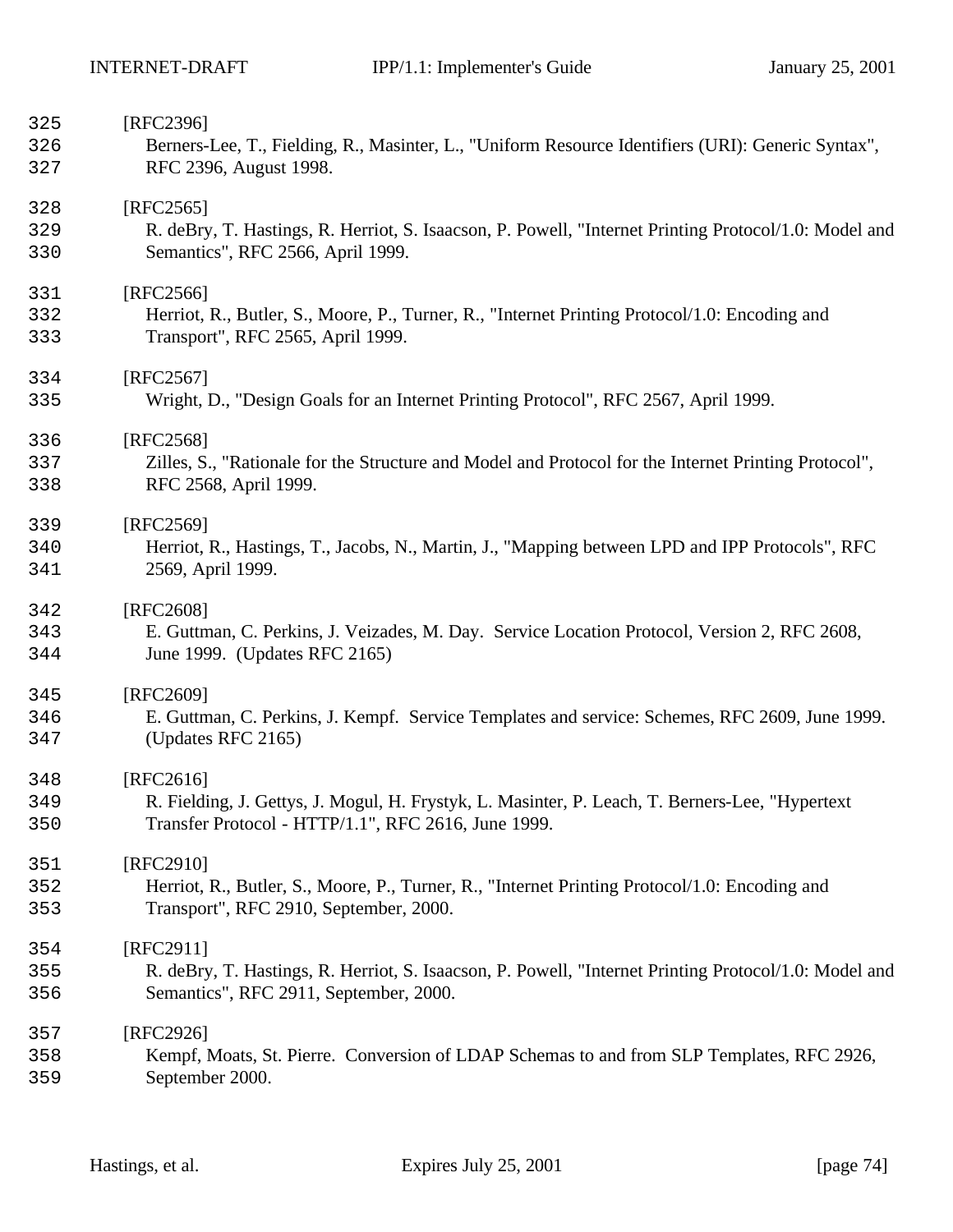| 325 | [RFC2396]                                                                                             |
|-----|-------------------------------------------------------------------------------------------------------|
| 326 | Berners-Lee, T., Fielding, R., Masinter, L., "Uniform Resource Identifiers (URI): Generic Syntax",    |
| 327 | RFC 2396, August 1998.                                                                                |
| 328 | $[RFC2565]$                                                                                           |
| 329 | R. deBry, T. Hastings, R. Herriot, S. Isaacson, P. Powell, "Internet Printing Protocol/1.0: Model and |
| 330 | Semantics", RFC 2566, April 1999.                                                                     |
| 331 | [RFC2566]                                                                                             |
| 332 | Herriot, R., Butler, S., Moore, P., Turner, R., "Internet Printing Protocol/1.0: Encoding and         |
| 333 | Transport", RFC 2565, April 1999.                                                                     |
| 334 | [RFC2567]                                                                                             |
| 335 | Wright, D., "Design Goals for an Internet Printing Protocol", RFC 2567, April 1999.                   |
| 336 | [RFC2568]                                                                                             |
| 337 | Zilles, S., "Rationale for the Structure and Model and Protocol for the Internet Printing Protocol",  |
| 338 | RFC 2568, April 1999.                                                                                 |
| 339 | [RFC2569]                                                                                             |
| 340 | Herriot, R., Hastings, T., Jacobs, N., Martin, J., "Mapping between LPD and IPP Protocols", RFC       |
| 341 | 2569, April 1999.                                                                                     |
| 342 | [RFC2608]                                                                                             |
| 343 | E. Guttman, C. Perkins, J. Veizades, M. Day. Service Location Protocol, Version 2, RFC 2608,          |
| 344 | June 1999. (Updates RFC 2165)                                                                         |
| 345 | [RFC2609]                                                                                             |
| 346 | E. Guttman, C. Perkins, J. Kempf. Service Templates and service: Schemes, RFC 2609, June 1999.        |
| 347 | (Updates RFC 2165)                                                                                    |
| 348 | [RFC2616]                                                                                             |
| 349 | R. Fielding, J. Gettys, J. Mogul, H. Frystyk, L. Masinter, P. Leach, T. Berners-Lee, "Hypertext       |
| 350 | Transfer Protocol - HTTP/1.1", RFC 2616, June 1999.                                                   |
| 351 | [RFC2910]                                                                                             |
| 352 | Herriot, R., Butler, S., Moore, P., Turner, R., "Internet Printing Protocol/1.0: Encoding and         |
| 353 | Transport", RFC 2910, September, 2000.                                                                |
| 354 | [RFC2911]                                                                                             |
| 355 | R. deBry, T. Hastings, R. Herriot, S. Isaacson, P. Powell, "Internet Printing Protocol/1.0: Model and |
| 356 | Semantics", RFC 2911, September, 2000.                                                                |
| 357 | [RFC2926]                                                                                             |
| 358 | Kempf, Moats, St. Pierre. Conversion of LDAP Schemas to and from SLP Templates, RFC 2926,             |
| 359 | September 2000.                                                                                       |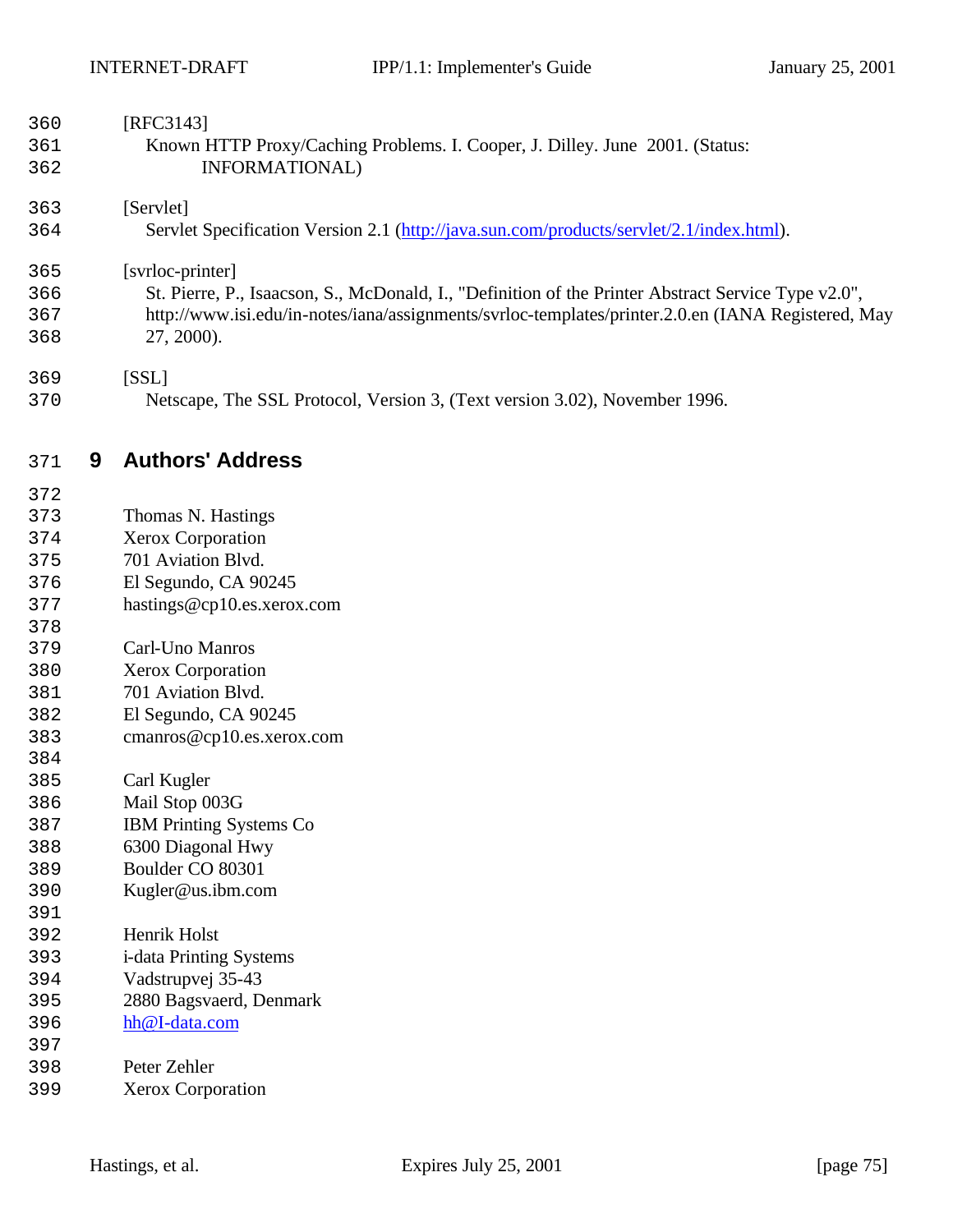| 360<br>361<br>362                                                                                                                                      |   | [RFC3143]<br>Known HTTP Proxy/Caching Problems. I. Cooper, J. Dilley. June 2001. (Status:<br>INFORMATIONAL)                                                                                                                                                                                                                                                                                                        |  |
|--------------------------------------------------------------------------------------------------------------------------------------------------------|---|--------------------------------------------------------------------------------------------------------------------------------------------------------------------------------------------------------------------------------------------------------------------------------------------------------------------------------------------------------------------------------------------------------------------|--|
| 363<br>364                                                                                                                                             |   | [Servlet]<br>Servlet Specification Version 2.1 (http://java.sun.com/products/servlet/2.1/index.html).                                                                                                                                                                                                                                                                                                              |  |
| 365<br>366<br>367<br>368                                                                                                                               |   | [svrloc-printer]<br>St. Pierre, P., Isaacson, S., McDonald, I., "Definition of the Printer Abstract Service Type v2.0",<br>http://www.isi.edu/in-notes/iana/assignments/svrloc-templates/printer.2.0.en (IANA Registered, May<br>27, 2000).                                                                                                                                                                        |  |
| 369<br>370                                                                                                                                             |   | [SSL]<br>Netscape, The SSL Protocol, Version 3, (Text version 3.02), November 1996.                                                                                                                                                                                                                                                                                                                                |  |
| 371                                                                                                                                                    | 9 | <b>Authors' Address</b>                                                                                                                                                                                                                                                                                                                                                                                            |  |
| 372<br>373<br>374<br>375<br>376<br>377<br>378<br>379<br>380<br>381<br>382<br>383<br>384<br>385<br>386<br>387<br>388<br>389<br>390<br>391<br>392<br>393 |   | Thomas N. Hastings<br>Xerox Corporation<br>701 Aviation Blvd.<br>El Segundo, CA 90245<br>hastings@cp10.es.xerox.com<br>Carl-Uno Manros<br><b>Xerox Corporation</b><br>701 Aviation Blvd.<br>El Segundo, CA 90245<br>cmanros@cp10.es.xerox.com<br>Carl Kugler<br>Mail Stop 003G<br>IBM Printing Systems Co<br>6300 Diagonal Hwy<br>Boulder CO 80301<br>Kugler@us.ibm.com<br>Henrik Holst<br>i-data Printing Systems |  |
| 394                                                                                                                                                    |   | Vadstrupvej 35-43                                                                                                                                                                                                                                                                                                                                                                                                  |  |
| 396<br>397                                                                                                                                             |   | hh@I-data.com                                                                                                                                                                                                                                                                                                                                                                                                      |  |
| 398                                                                                                                                                    |   | Peter Zehler                                                                                                                                                                                                                                                                                                                                                                                                       |  |
| 395<br>399                                                                                                                                             |   | 2880 Bagsvaerd, Denmark<br><b>Xerox Corporation</b>                                                                                                                                                                                                                                                                                                                                                                |  |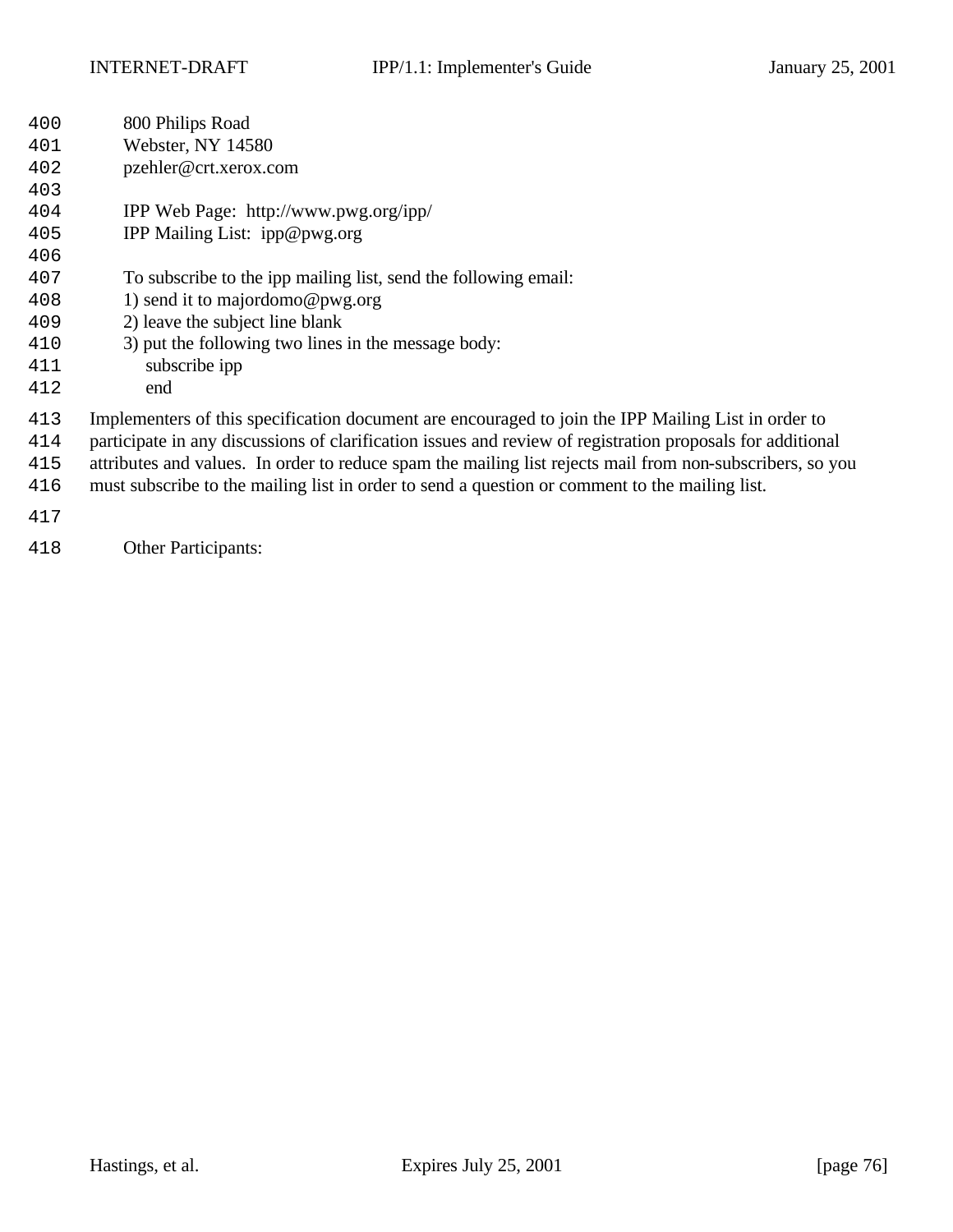non-subscribers, so you

| 400 | 800 Philips Road                                                                                           |
|-----|------------------------------------------------------------------------------------------------------------|
| 401 | Webster, NY 14580                                                                                          |
| 402 | pzehler@crt.xerox.com                                                                                      |
| 403 |                                                                                                            |
| 404 | IPP Web Page: http://www.pwg.org/ipp/                                                                      |
| 405 | IPP Mailing List: ipp@pwg.org                                                                              |
| 406 |                                                                                                            |
| 407 | To subscribe to the ipp mailing list, send the following email:                                            |
| 408 | 1) send it to majordomo@pwg.org                                                                            |
| 409 | 2) leave the subject line blank                                                                            |
| 410 | 3) put the following two lines in the message body:                                                        |
| 411 | subscribe ipp                                                                                              |
| 412 | end                                                                                                        |
| 413 | Implementers of this specification document are encouraged to join the IPP Mailing List in order to        |
| 414 | participate in any discussions of clarification issues and review of registration proposals for additional |
| 415 | attributes and values. In order to reduce spam the mailing list rejects mail from non-subscribers, so yo   |
| 416 | must subscribe to the mailing list in order to send a question or comment to the mailing list.             |
| 417 |                                                                                                            |
| 418 | <b>Other Participants:</b>                                                                                 |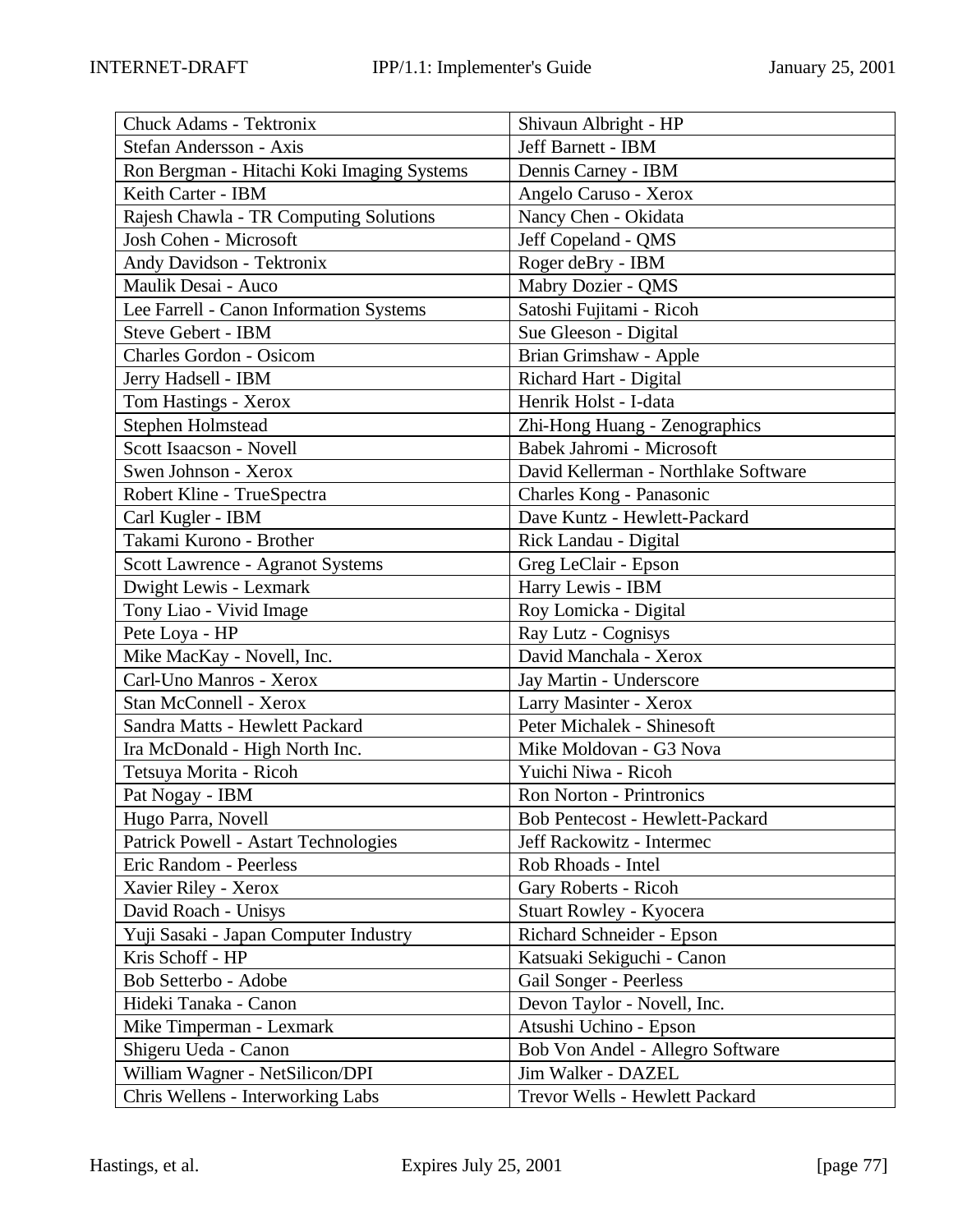| Chuck Adams - Tektronix                     | Shivaun Albright - HP                  |
|---------------------------------------------|----------------------------------------|
| Stefan Andersson - Axis                     | Jeff Barnett - IBM                     |
| Ron Bergman - Hitachi Koki Imaging Systems  | Dennis Carney - IBM                    |
| Keith Carter - IBM                          | Angelo Caruso - Xerox                  |
| Rajesh Chawla - TR Computing Solutions      | Nancy Chen - Okidata                   |
| Josh Cohen - Microsoft                      | Jeff Copeland - QMS                    |
| Andy Davidson - Tektronix                   | Roger deBry - IBM                      |
| Maulik Desai - Auco                         | Mabry Dozier - QMS                     |
| Lee Farrell - Canon Information Systems     | Satoshi Fujitami - Ricoh               |
| Steve Gebert - IBM                          | Sue Gleeson - Digital                  |
| <b>Charles Gordon - Osicom</b>              | Brian Grimshaw - Apple                 |
| Jerry Hadsell - IBM                         | Richard Hart - Digital                 |
| Tom Hastings - Xerox                        | Henrik Holst - I-data                  |
| Stephen Holmstead                           | Zhi-Hong Huang - Zenographics          |
| Scott Isaacson - Novell                     | Babek Jahromi - Microsoft              |
| Swen Johnson - Xerox                        | David Kellerman - Northlake Software   |
| Robert Kline - TrueSpectra                  | Charles Kong - Panasonic               |
| Carl Kugler - IBM                           | Dave Kuntz - Hewlett-Packard           |
| Takami Kurono - Brother                     | Rick Landau - Digital                  |
| Scott Lawrence - Agranot Systems            | Greg LeClair - Epson                   |
| Dwight Lewis - Lexmark                      | Harry Lewis - IBM                      |
| Tony Liao - Vivid Image                     | Roy Lomicka - Digital                  |
| Pete Loya - HP                              | Ray Lutz - Cognisys                    |
| Mike MacKay - Novell, Inc.                  | David Manchala - Xerox                 |
| Carl-Uno Manros - Xerox                     | Jay Martin - Underscore                |
| Stan McConnell - Xerox                      | Larry Masinter - Xerox                 |
| Sandra Matts - Hewlett Packard              | Peter Michalek - Shinesoft             |
| Ira McDonald - High North Inc.              | Mike Moldovan - G3 Nova                |
| Tetsuya Morita - Ricoh                      | Yuichi Niwa - Ricoh                    |
| Pat Nogay - IBM                             | <b>Ron Norton - Printronics</b>        |
| Hugo Parra, Novell                          | <b>Bob Pentecost - Hewlett-Packard</b> |
| <b>Patrick Powell - Astart Technologies</b> | Jeff Rackowitz - Intermec              |
| Eric Random - Peerless                      | Rob Rhoads - Intel                     |
| Xavier Riley - Xerox                        | Gary Roberts - Ricoh                   |
| David Roach - Unisys                        | Stuart Rowley - Kyocera                |
| Yuji Sasaki - Japan Computer Industry       | Richard Schneider - Epson              |
| Kris Schoff - HP                            | Katsuaki Sekiguchi - Canon             |
| Bob Setterbo - Adobe                        | Gail Songer - Peerless                 |
| Hideki Tanaka - Canon                       | Devon Taylor - Novell, Inc.            |
| Mike Timperman - Lexmark                    | Atsushi Uchino - Epson                 |
| Shigeru Ueda - Canon                        | Bob Von Andel - Allegro Software       |
| William Wagner - NetSilicon/DPI             | Jim Walker - DAZEL                     |
| Chris Wellens - Interworking Labs           | Trevor Wells - Hewlett Packard         |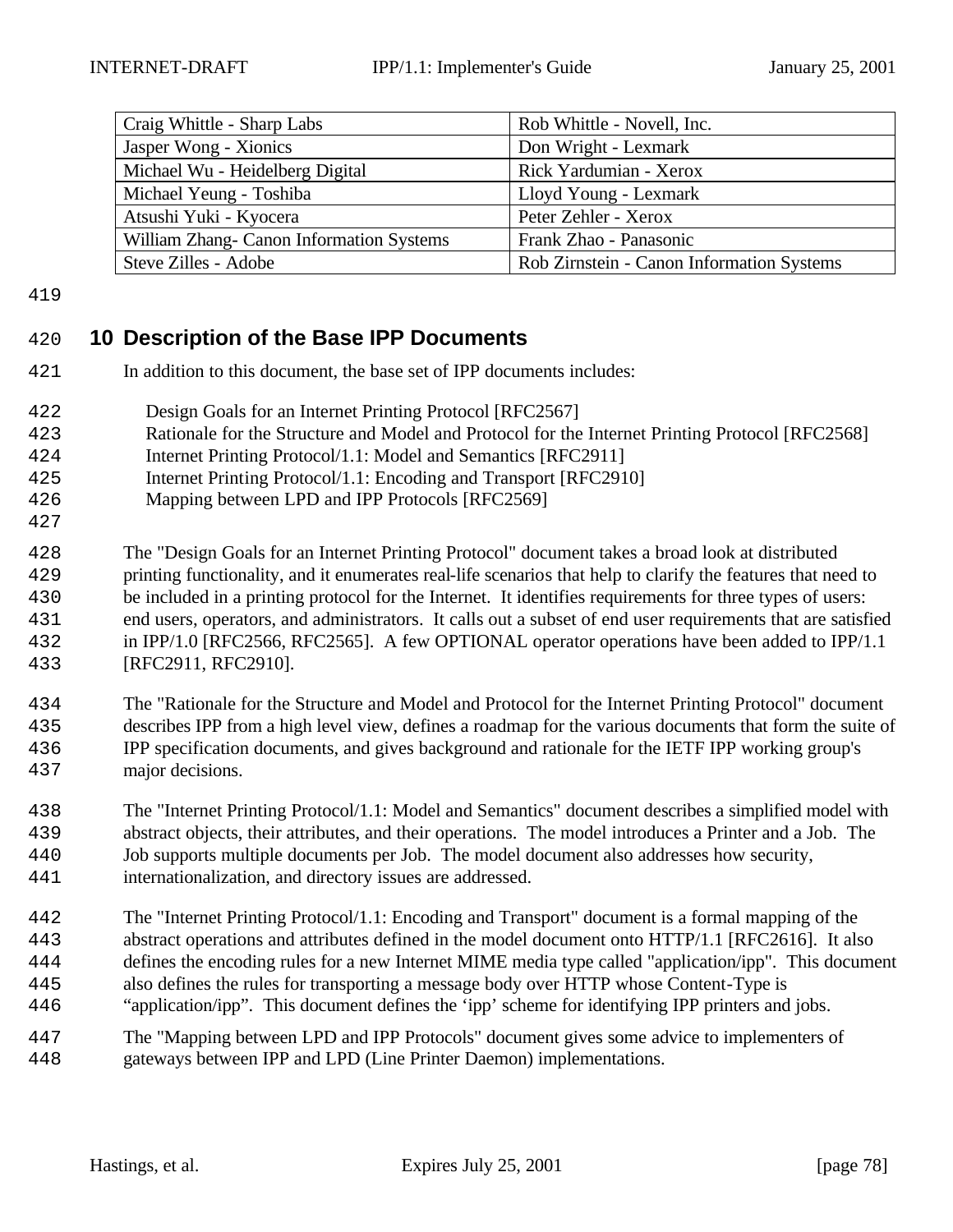| Craig Whittle - Sharp Labs               | Rob Whittle - Novell, Inc.                |
|------------------------------------------|-------------------------------------------|
| Jasper Wong - Xionics                    | Don Wright - Lexmark                      |
| Michael Wu - Heidelberg Digital          | Rick Yardumian - Xerox                    |
| Michael Yeung - Toshiba                  | Lloyd Young - Lexmark                     |
| Atsushi Yuki - Kyocera                   | Peter Zehler - Xerox                      |
| William Zhang- Canon Information Systems | Frank Zhao - Panasonic                    |
| Steve Zilles - Adobe                     | Rob Zirnstein - Canon Information Systems |

## **10 Description of the Base IPP Documents**

- In addition to this document, the base set of IPP documents includes:
- Design Goals for an Internet Printing Protocol [RFC2567]
- Rationale for the Structure and Model and Protocol for the Internet Printing Protocol [RFC2568]
- Internet Printing Protocol/1.1: Model and Semantics [RFC2911]
- Internet Printing Protocol/1.1: Encoding and Transport [RFC2910]
- Mapping between LPD and IPP Protocols [RFC2569]
- The "Design Goals for an Internet Printing Protocol" document takes a broad look at distributed printing functionality, and it enumerates real-life scenarios that help to clarify the features that need to be included in a printing protocol for the Internet. It identifies requirements for three types of users: end users, operators, and administrators. It calls out a subset of end user requirements that are satisfied in IPP/1.0 [RFC2566, RFC2565]. A few OPTIONAL operator operations have been added to IPP/1.1 [RFC2911, RFC2910].
- The "Rationale for the Structure and Model and Protocol for the Internet Printing Protocol" document describes IPP from a high level view, defines a roadmap for the various documents that form the suite of IPP specification documents, and gives background and rationale for the IETF IPP working group's major decisions.
- The "Internet Printing Protocol/1.1: Model and Semantics" document describes a simplified model with abstract objects, their attributes, and their operations. The model introduces a Printer and a Job. The Job supports multiple documents per Job. The model document also addresses how security, internationalization, and directory issues are addressed.
- The "Internet Printing Protocol/1.1: Encoding and Transport" document is a formal mapping of the abstract operations and attributes defined in the model document onto HTTP/1.1 [RFC2616]. It also defines the encoding rules for a new Internet MIME media type called "application/ipp". This document also defines the rules for transporting a message body over HTTP whose Content-Type is "application/ipp". This document defines the 'ipp' scheme for identifying IPP printers and jobs.
- The "Mapping between LPD and IPP Protocols" document gives some advice to implementers of gateways between IPP and LPD (Line Printer Daemon) implementations.